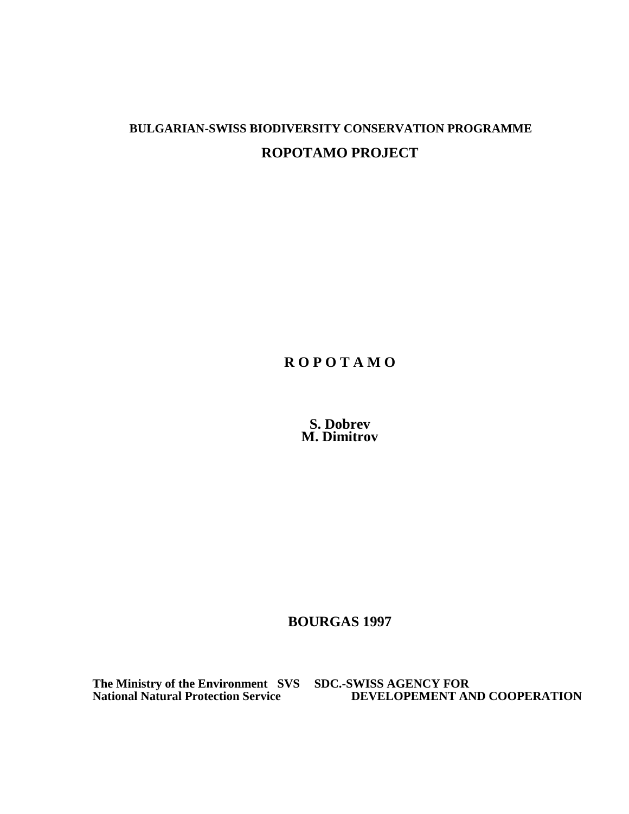# **BULGARIAN-SWISS BIODIVERSITY CONSERVATION PROGRAMME ROPOTAMO PROJECT**

**R O P O T A M O**

**S. Dobrev M. Dimitrov**

**BOURGAS 1997**

**The Ministry of the Environment SVS SDC.-SWISS AGENCY FOR**

**National Natural Protection Service DEVELOPEMENT AND COOPERATION**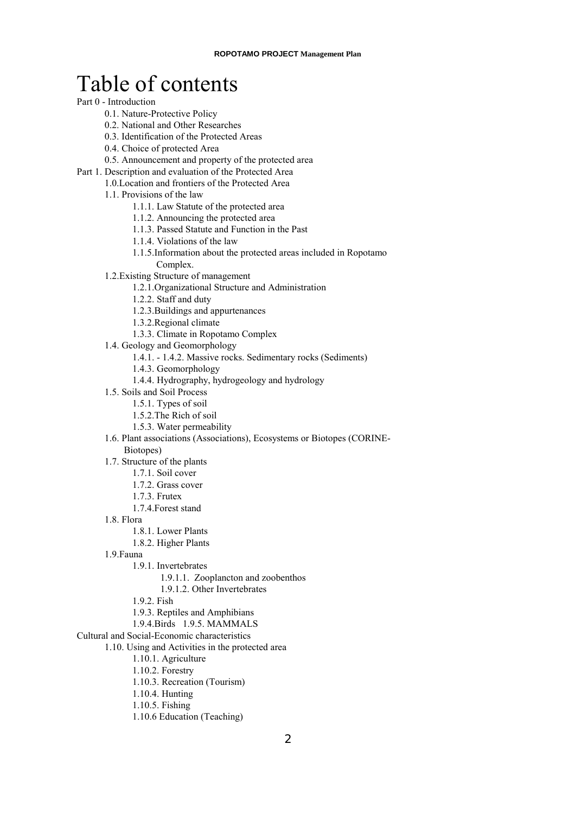# Table of contents

## Part 0 - Introduction

- 0.1. [Nature-Protective Policy](#page-10-0)
- [0.2. National and Other Researches](#page-10-0)
- 0.3. Identification of the Protected Areas
- 0.4. Choice of protected Area
- [0.5. Announcement and property](#page-11-0) of the protected area
- Part 1. Description and evaluation of the Protected Area
	- 1.0.Location and frontiers of [the Protected Area](#page-12-0)
		- [1.1. Provisions](#page-12-0) of the law
			- 1.1.1. Law Statute of [the protected area](#page-13-0)
			- 1.1.2. Announcing the protected area
			- [1.1.3. Passed Statute and Function](#page-15-0) in the Past
			- [1.1.4. Violations](#page-16-0) of the law
			- 1.1.5.Information about [the protected areas](#page-17-0) included in Ropotamo Complex.
		- [1.2.Existing Structure](#page-17-0) of management
			- 1.2.1.Organizational Structure and Administration
			- 1.2.2. Staff and duty
			- 1.2.3.Buildings [and appurtenances](#page-19-0)
			- 1.3.2.Regional climate
			- 1.3.3. Climate in [Ropotamo Complex](#page-21-0)
		- 1.4. Geology [and Geomorphology](#page-23-0)
			- 1.4.1. 1.4.2. Massive [rocks. Sedimentary](#page-24-0) rocks (Sediments)
			- [1.4.3. Geomorphology](#page-24-0)
			- [1.4.4. Hydrography,](#page-27-0) hydrogeology and hydrology
		- 1.5. Soils and Soil Process
			- [1.5.1. Types](#page-40-0) of soil
			- [1.5.2.The Rich](#page-40-0) of soil
			- 1.5.3. [Water permeability](#page-42-0)
		- 1.6. Plant associations [\(Associations\), Ecosystems](#page-43-0) or Biotopes (CORINE-
			- Biotopes)
		- [1.7. Structure of the plants](#page-49-0)
			- 1.7.1. Soil cover
			- 1.7.2. Grass cover
			- 1.7.3. Frutex
			- 1.7.4.Forest stand
		- 1.8. Flora
			- [1.8.1. Lower Plants](#page-55-0)
			- [1.8.2. Higher Plants](#page-62-0)
		- 1.9.Fauna
			- 1.9.1. Invertebrates
				- [1.9.1.1. Zooplancton and zoobenthos](#page-68-0)
				- [1.9.1.2. Other Invertebrates](#page-69-0)
			- [1.9.2. Fish](#page-82-0)
			- [1.9.3. Reptiles and Amphibians](#page-89-0)
			- [1.9.4.Birds](#page-97-0) [1.9.5. MAMMALS](#page-107-0)
- Cultural and Social-Economic characteristics
	- [1.10. Using and Activities in the protected area](#page-110-0)
		- 1.10.1. Agriculture
		- [1.10.2. Forestry](#page-111-0)
		- [1.10.3. Recreation \(Tourism\)](#page-118-0)
		- [1.10.4. Hunting](#page-118-0)
		- 1.10.5. Fishing
		- [1.10.6 Education \(Teaching\)](#page-121-0)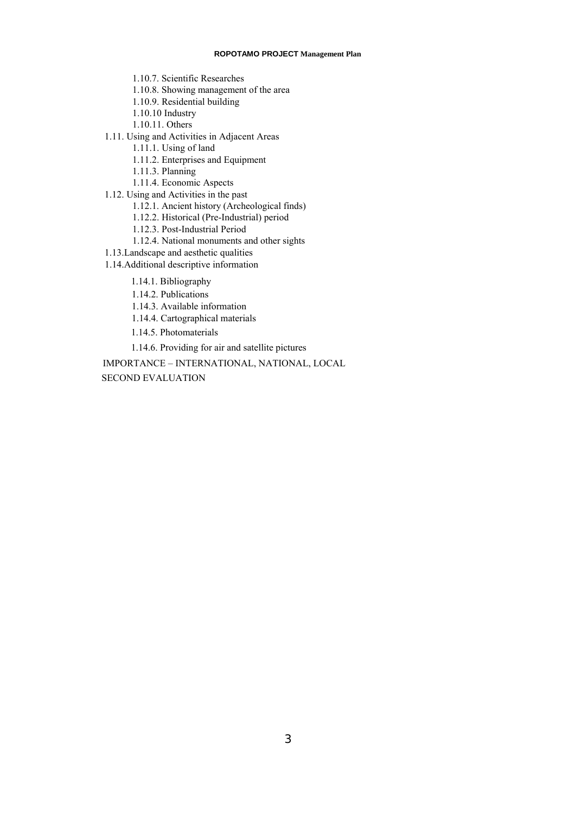#### **ROPOTAMO PROJECT Management Plan**

- [1.10.7. Scientific Researches](#page-121-0)
- [1.10.8. Showing management of the area](#page-122-0)
- [1.10.9. Residential building](#page-122-0)
- 1.10.10 Industry
- 1.10.11. Others
- [1.11. Using and Activities in Adjacent Areas](#page-123-0)
	- 1.11.1. Using of land
	- [1.11.2. Enterprises and Equipment](#page-123-0)
	- 1.11.3. Planning
	- [1.11.4. Economic Aspects](#page-124-0)
- 1.12. Using and Activities in the past
	- [1.12.1. Ancient history \(Archeological finds\)](#page-124-0)
	- 1.12.2. Historical [\(Pre-Industrial\) period](#page-124-0)
	- 1.12.3. Post-Industrial Period
	- [1.12.4. National](#page-125-0) monuments and other sights
- [1.13.Landscape and](#page-125-0) aesthetic qualities
- [1.14.Additional descriptive information](#page-125-0)
	- 1.14.1. Bibliography
	- [1.14.2. Publications](#page-126-0)
	- [1.14.3. Available information](#page-129-0)
	- 1.14.4. Cartographical materials
	- 1.14.5. Photomaterials
	- [1.14.6. Providing for air and satellite pictures](#page-130-0)

[IMPORTANCE – INTERNATIONAL, NATIONAL, LOCAL](#page-131-0)

[SECOND EVALUATION](#page-144-0)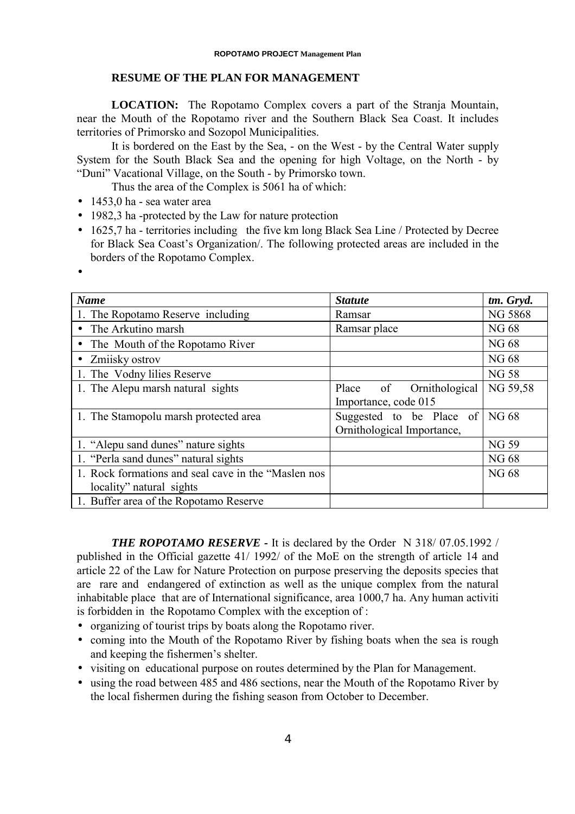# **RESUME OF THE PLAN FOR MANAGEMENT**

**LOCATION:** The Ropotamo Complex covers a part of the Stranja Mountain, near the Mouth of the Ropotamo river and the Southern Black Sea Coast. It includes territories of Primorsko and Sozopol Municipalities.

It is bordered on the East by the Sea, - on the West - by the Central Water supply System for the South Black Sea and the opening for high Voltage, on the North - by "Duni" Vacational Village, on the South - by Primorsko town.

Thus the area of the Complex is 5061 ha of which:

- $\bullet$  1453,0 ha sea water area
- 1982,3 ha -protected by the Law for nature protection
- 1625,7 ha territories including the five km long Black Sea Line / Protected by Decree for Black Sea Coast's Organization/. The following protected areas are included in the borders of the Ropotamo Complex.
- •

| <b>Name</b>                                         | <b>Statute</b>             | tm. Gryd.      |
|-----------------------------------------------------|----------------------------|----------------|
| 1. The Ropotamo Reserve including                   | Ramsar                     | <b>NG 5868</b> |
| The Arkutino marsh                                  | Ramsar place               | NG 68          |
| • The Mouth of the Ropotamo River                   |                            | NG 68          |
| • Zmijsky ostrov                                    |                            | NG 68          |
| 1. The Vodny lilies Reserve                         |                            | <b>NG 58</b>   |
| 1. The Alepu marsh natural sights                   | of Ornithological<br>Place | NG 59,58       |
|                                                     | Importance, code 015       |                |
| 1. The Stamopolu marsh protected area               | Suggested to be Place of   | NG 68          |
|                                                     | Ornithological Importance, |                |
| 1. "Alepu sand dunes" nature sights                 |                            | <b>NG 59</b>   |
| 1. "Perla sand dunes" natural sights                |                            | <b>NG68</b>    |
| 1. Rock formations and seal cave in the "Maslen nos |                            | <b>NG68</b>    |
| locality" natural sights                            |                            |                |
| 1. Buffer area of the Ropotamo Reserve              |                            |                |

**THE ROPOTAMO RESERVE - It is declared by the Order N 318/07.05.1992/** published in the Official gazette 41/ 1992/ of the MoE on the strength of article 14 and article 22 of the Law for Nature Protection on purpose preserving the deposits species that are rare and endangered of extinction as well as the unique complex from the natural inhabitable place that are of International significance, area 1000,7 ha. Any human activiti is forbidden in the Ropotamo Complex with the exception of :

- organizing of tourist trips by boats along the Ropotamo river.
- coming into the Mouth of the Ropotamo River by fishing boats when the sea is rough and keeping the fishermen's shelter.
- visiting on educational purpose on routes determined by the Plan for Management.
- using the road between 485 and 486 sections, near the Mouth of the Ropotamo River by the local fishermen during the fishing season from October to December.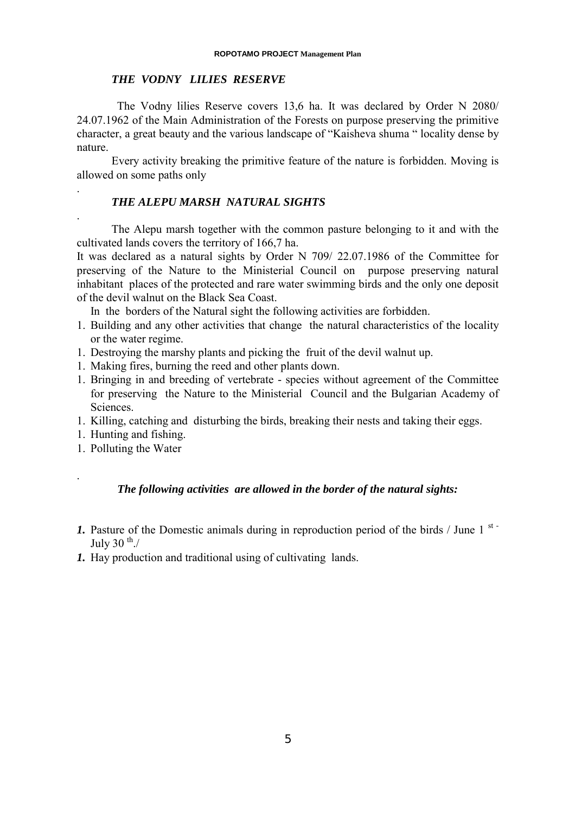# *THE VODNY LILIES RESERVE*

 The Vodny lilies Reserve covers 13,6 ha. It was declared by Order N 2080/ 24.07.1962 of the Main Administration of the Forests on purpose preserving the primitive character, a great beauty and the various landscape of "Kaisheva shuma " locality dense by nature.

Every activity breaking the primitive feature of the nature is forbidden. Moving is allowed on some paths only

# *THE ALEPU MARSH NATURAL SIGHTS*

The Alepu marsh together with the common pasture belonging to it and with the cultivated lands covers the territory of 166,7 ha.

It was declared as a natural sights by Order N 709/ 22.07.1986 of the Committee for preserving of the Nature to the Ministerial Council on purpose preserving natural inhabitant places of the protected and rare water swimming birds and the only one deposit of the devil walnut on the Black Sea Coast.

In the borders of the Natural sight the following activities are forbidden.

- 1. Building and any other activities that change the natural characteristics of the locality or the water regime.
- 1. Destroying the marshy plants and picking the fruit of the devil walnut up.
- 1. Making fires, burning the reed and other plants down.
- 1. Bringing in and breeding of vertebrate species without agreement of the Committee for preserving the Nature to the Ministerial Council and the Bulgarian Academy of Sciences.
- 1. Killing, catching and disturbing the birds, breaking their nests and taking their eggs.
- 1. Hunting and fishing.

.

.

.

1. Polluting the Water

# *The following activities are allowed in the border of the natural sights:*

- *1.* Pasture of the Domestic animals during in reproduction period of the birds / June 1<sup>st-</sup> July 30  $\mathrm{^{th}}$ ./
- *1.* Hay production and traditional using of cultivating lands.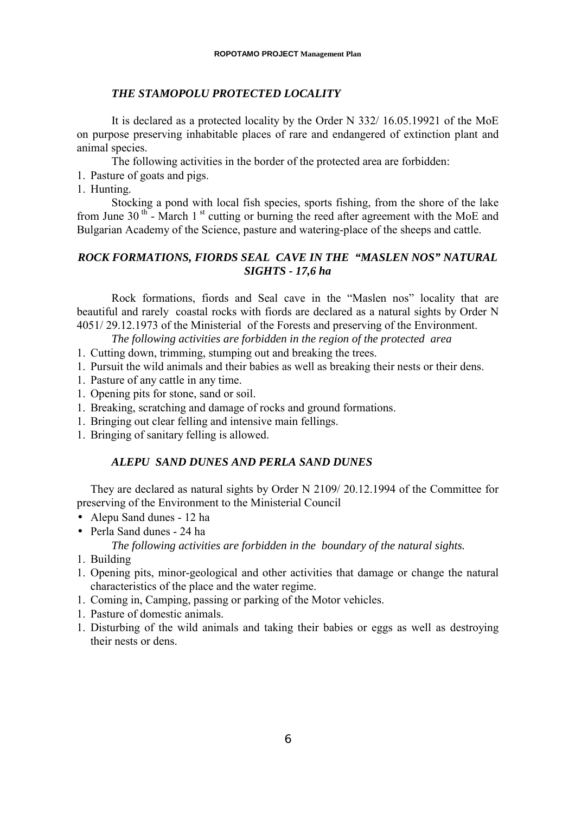# *THE STAMOPOLU PROTECTED LOCALITY*

It is declared as a protected locality by the Order N 332/ 16.05.19921 of the MoE on purpose preserving inhabitable places of rare and endangered of extinction plant and animal species

The following activities in the border of the protected area are forbidden:

- 1. Pasture of goats and pigs.
- 1. Hunting.

Stocking a pond with local fish species, sports fishing, from the shore of the lake from June 30<sup>th</sup> - March 1<sup>st</sup> cutting or burning the reed after agreement with the MoE and Bulgarian Academy of the Science, pasture and watering-place of the sheeps and cattle.

# *ROCK FORMATIONS, FIORDS SEAL CAVE IN THE "MASLEN NOS" NATURAL SIGHTS - 17,6 ha*

Rock formations, fiords and Seal cave in the "Maslen nos" locality that are beautiful and rarely coastal rocks with fiords are declared as a natural sights by Order N 4051/ 29.12.1973 of the Ministerial of the Forests and preserving of the Environment.

*The following activities are forbidden in the region of the protected area*

- 1. Cutting down, trimming, stumping out and breaking the trees.
- 1. Pursuit the wild animals and their babies as well as breaking their nests or their dens.
- 1. Pasture of any cattle in any time.
- 1. Opening pits for stone, sand or soil.
- 1. Breaking, scratching and damage of rocks and ground formations.
- 1. Bringing out clear felling and intensive main fellings.
- 1. Bringing of sanitary felling is allowed.

# *ALEPU SAND DUNES AND PERLA SAND DUNES*

They are declared as natural sights by Order N 2109/ 20.12.1994 of the Committee for preserving of the Environment to the Ministerial Council

- Alepu Sand dunes 12 ha
- Perla Sand dunes 24 ha

*The following activities are forbidden in the boundary of the natural sights.*

- 1. Building
- 1. Opening pits, minor-geological and other activities that damage or change the natural characteristics of the place and the water regime.
- 1. Coming in, Camping, passing or parking of the Motor vehicles.
- 1. Pasture of domestic animals.
- 1. Disturbing of the wild animals and taking their babies or eggs as well as destroying their nests or dens.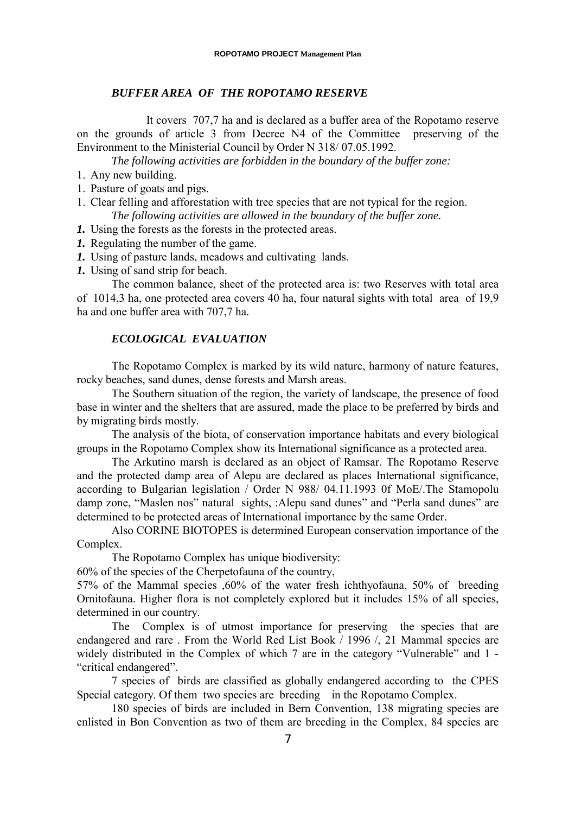# *BUFFER AREA OF THE ROPOTAMO RESERVE*

 It covers 707,7 ha and is declared as a buffer area of the Ropotamo reserve on the grounds of article 3 from Decree N4 of the Committee preserving of the Environment to the Ministerial Council by Order N 318/ 07.05.1992.

*The following activities are forbidden in the boundary of the buffer zone:*

- 1. Any new building.
- 1. Pasture of goats and pigs.
- 1. Clear felling and afforestation with tree species that are not typical for the region. *The following activities are allowed in the boundary of the buffer zone.*
- *1.* Using the forests as the forests in the protected areas.
- *1.* Regulating the number of the game.
- *1.* Using of pasture lands, meadows and cultivating lands.
- *1.* Using of sand strip for beach.

The common balance, sheet of the protected area is: two Reserves with total area of 1014,3 ha, one protected area covers 40 ha, four natural sights with total area of 19,9 ha and one buffer area with 707,7 ha.

# *ECOLOGICAL EVALUATION*

The Ropotamo Complex is marked by its wild nature, harmony of nature features, rocky beaches, sand dunes, dense forests and Marsh areas.

The Southern situation of the region, the variety of landscape, the presence of food base in winter and the shelters that are assured, made the place to be preferred by birds and by migrating birds mostly.

The analysis of the biota, of conservation importance habitats and every biological groups in the Ropotamo Complex show its International significance as a protected area.

The Arkutino marsh is declared as an object of Ramsar. The Ropotamo Reserve and the protected damp area of Alepu are declared as places International significance, according to Bulgarian legislation / Order N 988/ 04.11.1993 0f MoE/.The Stamopolu damp zone, "Maslen nos" natural sights, :Alepu sand dunes" and "Perla sand dunes" are determined to be protected areas of International importance by the same Order.

Also CORINE BIOTOPES is determined European conservation importance of the Complex.

The Ropotamo Complex has unique biodiversity:

60% of the species of the Cherpetofauna of the country,

57% of the Mammal species ,60% of the water fresh ichthyofauna, 50% of breeding Ornitofauna. Higher flora is not completely explored but it includes 15% of all species, determined in our country.

The Complex is of utmost importance for preserving the species that are endangered and rare . From the World Red List Book / 1996 /, 21 Mammal species are widely distributed in the Complex of which 7 are in the category "Vulnerable" and 1 - "critical endangered".

7 species of birds are classified as globally endangered according to the CPES Special category. Of them two species are breeding in the Ropotamo Complex.

180 species of birds are included in Bern Convention, 138 migrating species are enlisted in Bon Convention as two of them are breeding in the Complex, 84 species are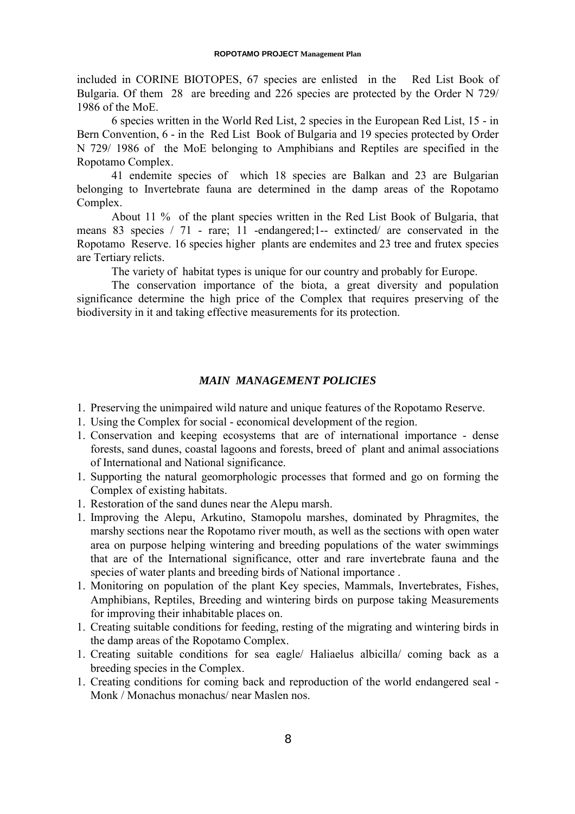included in CORINE BIOTOPES, 67 species are enlisted in the Red List Book of Bulgaria. Of them 28 are breeding and 226 species are protected by the Order N 729/ 1986 of the MoE.

6 species written in the World Red List, 2 species in the European Red List, 15 - in Bern Convention, 6 - in the Red List Book of Bulgaria and 19 species protected by Order N 729/ 1986 of the MoE belonging to Amphibians and Reptiles are specified in the Ropotamo Complex.

41 endemite species of which 18 species are Balkan and 23 are Bulgarian belonging to Invertebrate fauna are determined in the damp areas of the Ropotamo Complex.

About 11 % of the plant species written in the Red List Book of Bulgaria, that means 83 species / 71 - rare; 11 -endangered;1-- extincted/ are conservated in the Ropotamo Reserve. 16 species higher plants are endemites and 23 tree and frutex species are Tertiary relicts.

The variety of habitat types is unique for our country and probably for Europe.

The conservation importance of the biota, a great diversity and population significance determine the high price of the Complex that requires preserving of the biodiversity in it and taking effective measurements for its protection.

# *MAIN MANAGEMENT POLICIES*

- 1. Preserving the unimpaired wild nature and unique features of the Ropotamo Reserve.
- 1. Using the Complex for social economical development of the region.
- 1. Conservation and keeping ecosystems that are of international importance dense forests, sand dunes, coastal lagoons and forests, breed of plant and animal associations of International and National significance.
- 1. Supporting the natural geomorphologic processes that formed and go on forming the Complex of existing habitats.
- 1. Restoration of the sand dunes near the Alepu marsh.
- 1. Improving the Alepu, Arkutino, Stamopolu marshes, dominated by Phragmites, the marshy sections near the Ropotamo river mouth, as well as the sections with open water area on purpose helping wintering and breeding populations of the water swimmings that are of the International significance, otter and rare invertebrate fauna and the species of water plants and breeding birds of National importance .
- 1. Monitoring on population of the plant Key species, Mammals, Invertebrates, Fishes, Amphibians, Reptiles, Breeding and wintering birds on purpose taking Measurements for improving their inhabitable places on.
- 1. Creating suitable conditions for feeding, resting of the migrating and wintering birds in the damp areas of the Ropotamo Complex.
- 1. Creating suitable conditions for sea eagle/ Haliaelus albicilla/ coming back as a breeding species in the Complex.
- 1. Creating conditions for coming back and reproduction of the world endangered seal Monk / Monachus monachus/ near Maslen nos.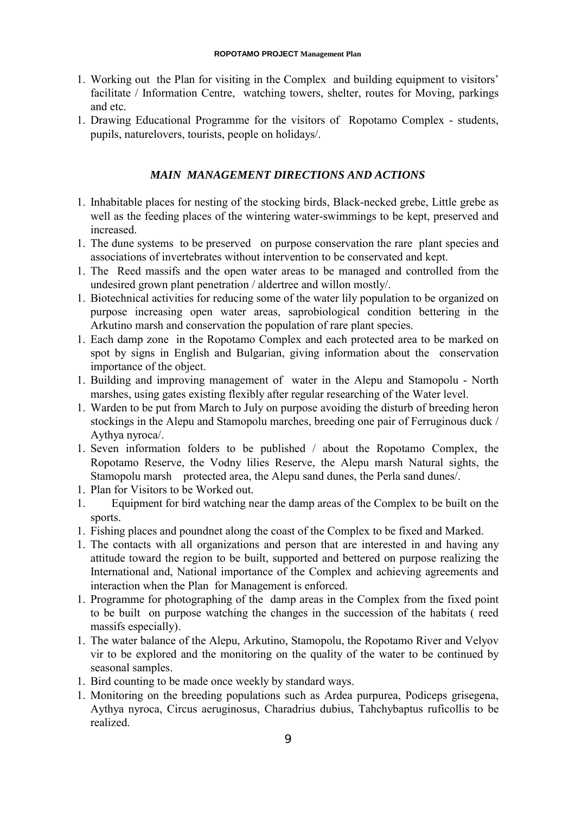- 1. Working out the Plan for visiting in the Complex and building equipment to visitors' facilitate / Information Centre, watching towers, shelter, routes for Moving, parkings and etc.
- 1. Drawing Educational Programme for the visitors of Ropotamo Complex students, pupils, naturelovers, tourists, people on holidays/.

# *MAIN MANAGEMENT DIRECTIONS AND ACTIONS*

- 1. Inhabitable places for nesting of the stocking birds, Black-necked grebe, Little grebe as well as the feeding places of the wintering water-swimmings to be kept, preserved and increased.
- 1. The dune systems to be preserved on purpose conservation the rare plant species and associations of invertebrates without intervention to be conservated and kept.
- 1. The Reed massifs and the open water areas to be managed and controlled from the undesired grown plant penetration / aldertree and willon mostly/.
- 1. Biotechnical activities for reducing some of the water lily population to be organized on purpose increasing open water areas, saprobiological condition bettering in the Arkutino marsh and conservation the population of rare plant species.
- 1. Each damp zone in the Ropotamo Complex and each protected area to be marked on spot by signs in English and Bulgarian, giving information about the conservation importance of the object.
- 1. Building and improving management of water in the Alepu and Stamopolu North marshes, using gates existing flexibly after regular researching of the Water level.
- 1. Warden to be put from March to July on purpose avoiding the disturb of breeding heron stockings in the Alepu and Stamopolu marches, breeding one pair of Ferruginous duck / Aythya nyroca/.
- 1. Seven information folders to be published / about the Ropotamo Complex, the Ropotamo Reserve, the Vodny lilies Reserve, the Alepu marsh Natural sights, the Stamopolu marsh protected area, the Alepu sand dunes, the Perla sand dunes/.
- 1. Plan for Visitors to be Worked out.
- 1. Equipment for bird watching near the damp areas of the Complex to be built on the sports.
- 1. Fishing places and poundnet along the coast of the Complex to be fixed and Marked.
- 1. The contacts with all organizations and person that are interested in and having any attitude toward the region to be built, supported and bettered on purpose realizing the International and, National importance of the Complex and achieving agreements and interaction when the Plan for Management is enforced.
- 1. Programme for photographing of the damp areas in the Complex from the fixed point to be built on purpose watching the changes in the succession of the habitats ( reed massifs especially).
- 1. The water balance of the Alepu, Arkutino, Stamopolu, the Ropotamo River and Velyov vir to be explored and the monitoring on the quality of the water to be continued by seasonal samples.
- 1. Bird counting to be made once weekly by standard ways.
- 1. Monitoring on the breeding populations such as Ardea purpurea, Podiceps grisegena, Aythya nyroca, Circus aeruginosus, Charadrius dubius, Tahchybaptus ruficollis to be realized.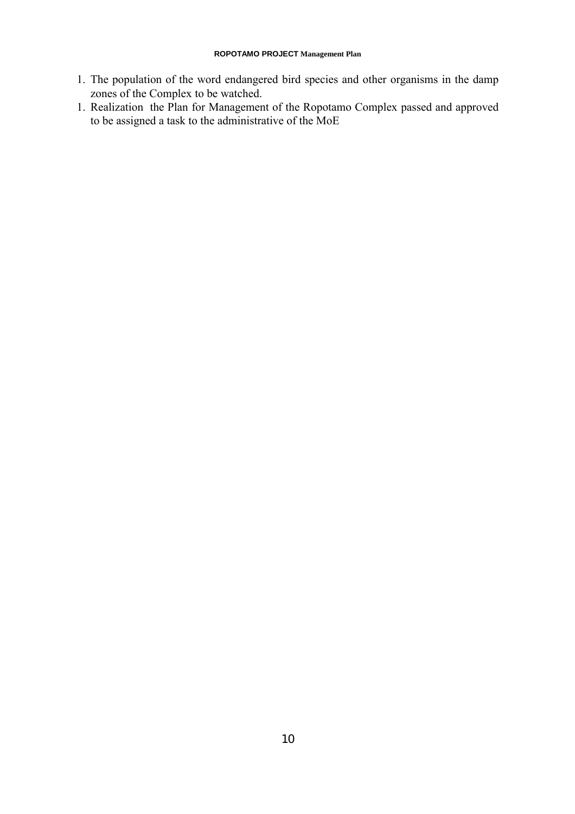- 1. The population of the word endangered bird species and other organisms in the damp zones of the Complex to be watched.
- 1. Realization the Plan for Management of the Ropotamo Complex passed and approved to be assigned a task to the administrative of the MoE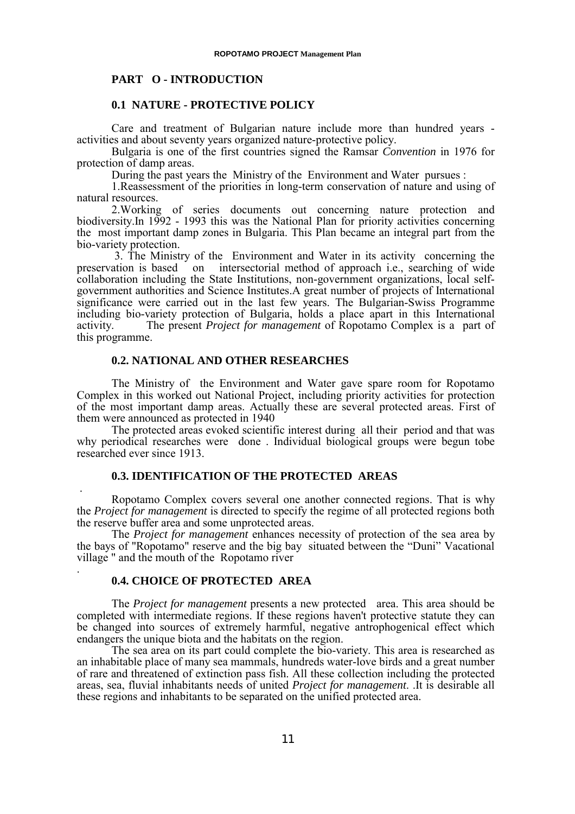# <span id="page-10-0"></span>**PART O - INTRODUCTION**

# **0.1 NATURE - PROTECTIVE POLICY**

Care and treatment of Bulgarian nature include more than hundred years activities and about seventy years organized nature-protective policy.

Bulgaria is one of the first countries signed the Ramsar *Convention* in 1976 for protection of damp areas.

During the past years the Ministry of the Environment and Water pursues :

1.Reassessment of the priorities in long-term conservation of nature and using of natural resources.

2.Working of series documents out concerning nature protection and biodiversity.In 1992 - 1993 this was the National Plan for priority activities concerning the most important damp zones in Bulgaria. This Plan became an integral part from the bio-variety protection.

 3. The Ministry of the Environment and Water in its activity concerning the preservation is based on intersectorial method of approach i.e., searching of wide collaboration including the State Institutions, non-government organizations, local selfgovernment authorities and Science Institutes.A great number of projects of International significance were carried out in the last few years. The Bulgarian-Swiss Programme including bio-variety protection of Bulgaria, holds a place apart in this International activity. The present *Project for management* of Ropotamo Complex is a part of this programme.

## **0.2. NATIONAL AND OTHER RESEARCHES**

The Ministry of the Environment and Water gave spare room for Ropotamo Complex in this worked out National Project, including priority activities for protection of the most important damp areas. Actually these are several protected areas. First of them were announced as protected in 1940

The protected areas evoked scientific interest during all their period and that was why periodical researches were done . Individual biological groups were begun tobe researched ever since 1913.

# **0.3. IDENTIFICATION OF THE PROTECTED AREAS**

 . Ropotamo Complex covers several one another connected regions. That is why the *Project for management* is directed to specify the regime of all protected regions both the reserve buffer area and some unprotected areas.

The *Project for management* enhances necessity of protection of the sea area by the bays of "Ropotamo" reserve and the big bay situated between the "Duni" Vacational village " and the mouth of the Ropotamo river

# **0.4. CHOICE OF PROTECTED AREA**

.

The *Project for management* presents a new protected area. This area should be completed with intermediate regions. If these regions haven't protective statute they can be changed into sources of extremely harmful, negative antrophogenical effect which endangers the unique biota and the habitats on the region.

The sea area on its part could complete the bio-variety. This area is researched as an inhabitable place of many sea mammals, hundreds water-love birds and a great number of rare and threatened of extinction pass fish. All these collection including the protected areas, sea, fluvial inhabitants needs of united *Project for management*. .It is desirable all these regions and inhabitants to be separated on the unified protected area.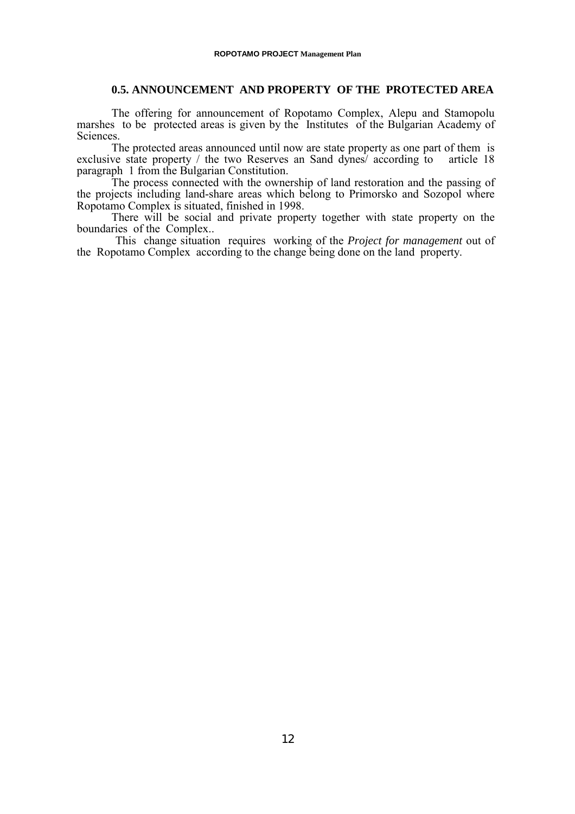# **0.5. ANNOUNCEMENT AND PROPERTY OF THE PROTECTED AREA**

<span id="page-11-0"></span>The offering for announcement of Ropotamo Complex, Alepu and Stamopolu marshes to be protected areas is given by the Institutes of the Bulgarian Academy of Sciences.

The protected areas announced until now are state property as one part of them is ve state property / the two Reserves an Sand dynes/ according to article 18 exclusive state property / the two Reserves an Sand dynes/ according to paragraph 1 from the Bulgarian Constitution.

The process connected with the ownership of land restoration and the passing of the projects including land-share areas which belong to Primorsko and Sozopol where Ropotamo Complex is situated, finished in 1998.

There will be social and private property together with state property on the boundaries of the Complex..

 This change situation requires working of the *Project for management* out of the Ropotamo Complex according to the change being done on the land property.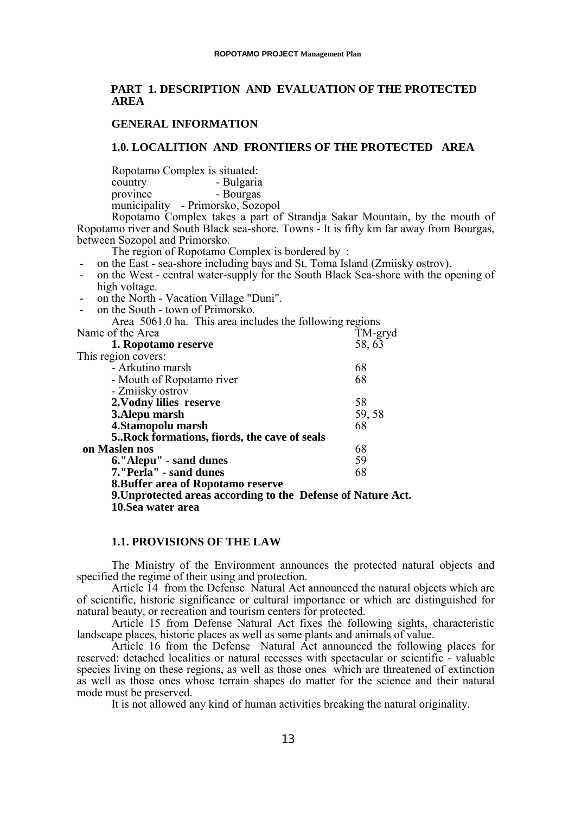# <span id="page-12-0"></span>**PART 1. DESCRIPTION AND EVALUATION OF THE PROTECTED AREA**

# **GENERAL INFORMATION**

## **1.0. LOCALITION AND FRONTIERS OF THE PROTECTED AREA**

Ropotamo Complex is situated: country - Bulgaria

province - Bourgas

municipality - Primorsko, Sozopol

Ropotamo Complex takes a part of Strandja Sakar Mountain, by the mouth of Ropotamo river and South Black sea-shore. Towns - It is fifty km far away from Bourgas, between Sozopol and Primorsko.

The region of Ropotamo Complex is bordered by :

- on the East sea-shore including bays and St. Toma Island (Zmiisky ostrov).
- on the West central water-supply for the South Black Sea-shore with the opening of high voltage.
- on the North Vacation Village "Duni".
- on the South town of Primorsko.

Area 5061.0 ha. This area includes the following regions

| Name of the Area                                             | TM-gryd |
|--------------------------------------------------------------|---------|
| 1. Ropotamo reserve                                          | 58, 63  |
| This region covers:                                          |         |
| - Arkutino marsh                                             | 68      |
| - Mouth of Ropotamo river                                    | 68      |
| - Zmiisky ostrov                                             |         |
| 2. Vodny lilies reserve                                      | 58      |
| 3. Alepu marsh                                               | 59, 58  |
| 4. Stamopolu marsh                                           | 68      |
| 5. Rock formations, fiords, the cave of seals                |         |
| on Maslen nos                                                | 68      |
| 6."Alepu" - sand dunes                                       | 59      |
| 7."Perla" - sand dunes                                       | 68      |
| <b>8. Buffer area of Ropotamo reserve</b>                    |         |
| 9. Unprotected areas according to the Defense of Nature Act. |         |
| 10. Sea water area                                           |         |
|                                                              |         |

## **1.1. PROVISIONS OF THE LAW**

The Ministry of the Environment announces the protected natural objects and specified the regime of their using and protection.

Article 14 from the Defense Natural Act announced the natural objects which are of scientific, historic significance or cultural importance or which are distinguished for natural beauty, or recreation and tourism centers for protected.

Article 15 from Defense Natural Act fixes the following sights, characteristic landscape places, historic places as well as some plants and animals of value.

Article 16 from the Defense Natural Act announced the following places for reserved: detached localities or natural recesses with spectacular or scientific - valuable species living on these regions, as well as those ones which are threatened of extinction as well as those ones whose terrain shapes do matter for the science and their natural mode must be preserved.

It is not allowed any kind of human activities breaking the natural originality.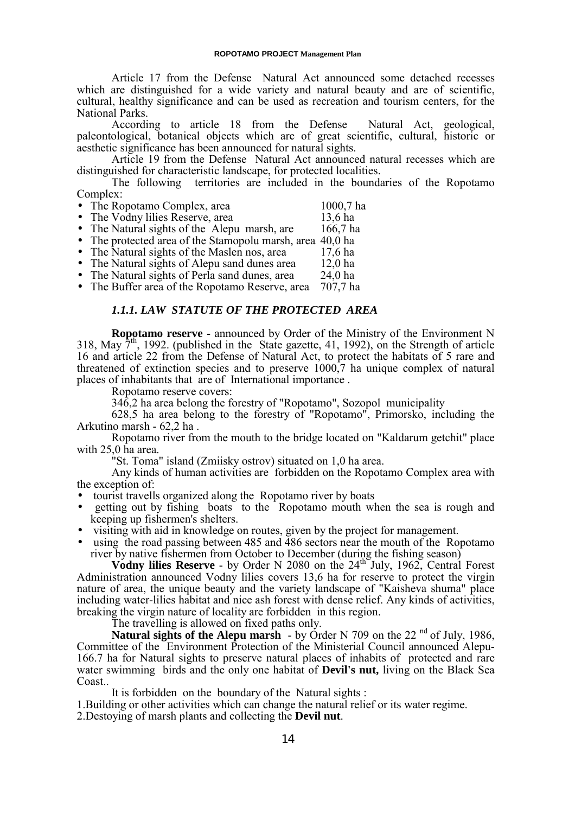<span id="page-13-0"></span>Article 17 from the Defense Natural Act announced some detached recesses which are distinguished for a wide variety and natural beauty and are of scientific, cultural, healthy significance and can be used as recreation and tourism centers, for the National Parks.

According to article 18 from the Defense Natural Act, geological, paleontological, botanical objects which are of great scientific, cultural, historic or aesthetic significance has been announced for natural sights.

Article 19 from the Defense Natural Act announced natural recesses which are distinguished for characteristic landscape, for protected localities.

The following territories are included in the boundaries of the Ropotamo Complex:

| • The Ropotamo Complex, area                               | $1000,7$ ha |
|------------------------------------------------------------|-------------|
| • The Vodny lilies Reserve, area                           | 13,6 ha     |
| • The Natural sights of the Alepu marsh, are               | $166,7$ ha  |
| • The protected area of the Stamopolu marsh, area 40,0 has |             |
| • The Natural sights of the Maslen nos, area               | 17,6 ha     |
| • The Natural sights of Alepu sand dunes area              | $12,0$ ha   |
| • The Natural sights of Perla sand dunes area              | 240h        |

• The Natural sights of Perla sand dunes, area 24,0 ha

• The Buffer area of the Ropotamo Reserve, area 707,7 ha

# *1.1.1. LAW STATUTE OF THE PROTECTED AREA*

**Ropotamo reserve** - announced by Order of the Ministry of the Environment N 318, May  $7<sup>th</sup>$ , 1992. (published in the State gazette, 41, 1992), on the Strength of article 16 and article 22 from the Defense of Natural Act, to protect the habitats of 5 rare and threatened of extinction species and to preserve 1000,7 ha unique complex of natural places of inhabitants that are of International importance .

Ropotamo reserve covers:

346,2 ha area belong the forestry of "Ropotamo", Sozopol municipality

628,5 ha area belong to the forestry of "Ropotamo", Primorsko, including the Arkutino marsh - 62,2 ha .

Ropotamo river from the mouth to the bridge located on "Kaldarum getchit" place with 25,0 ha area.

"St. Toma" island (Zmiisky ostrov) situated on 1,0 ha area.

Any kinds of human activities are forbidden on the Ropotamo Complex area with the exception of:

- tourist travells organized along the Ropotamo river by boats
- getting out by fishing boats to the Ropotamo mouth when the sea is rough and keeping up fishermen's shelters.
- visiting with aid in knowledge on routes, given by the project for management.
- using the road passing between 485 and 486 sectors near the mouth of the Ropotamo river by native fishermen from October to December (during the fishing season)

**Vodny lilies Reserve** - by Order N 2080 on the 24<sup>th J</sup>uly, 1962, Central Forest Administration announced Vodny lilies covers 13,6 ha for reserve to protect the virgin nature of area, the unique beauty and the variety landscape of "Kaisheva shuma" place including water-lilies habitat and nice ash forest with dense relief. Any kinds of activities, breaking the virgin nature of locality are forbidden in this region.

The travelling is allowed on fixed paths only.

Natural sights of the Alepu marsh - by Order N 709 on the 22<sup>nd</sup> of July, 1986, Committee of the Environment Protection of the Ministerial Council announced Alepu-166.7 ha for Natural sights to preserve natural places of inhabits of protected and rare water swimming birds and the only one habitat of **Devil's nut,** living on the Black Sea Coast..

It is forbidden on the boundary of the Natural sights :

1.Building or other activities which can change the natural relief or its water regime.

2.Destoying of marsh plants and collecting the **Devil nut**.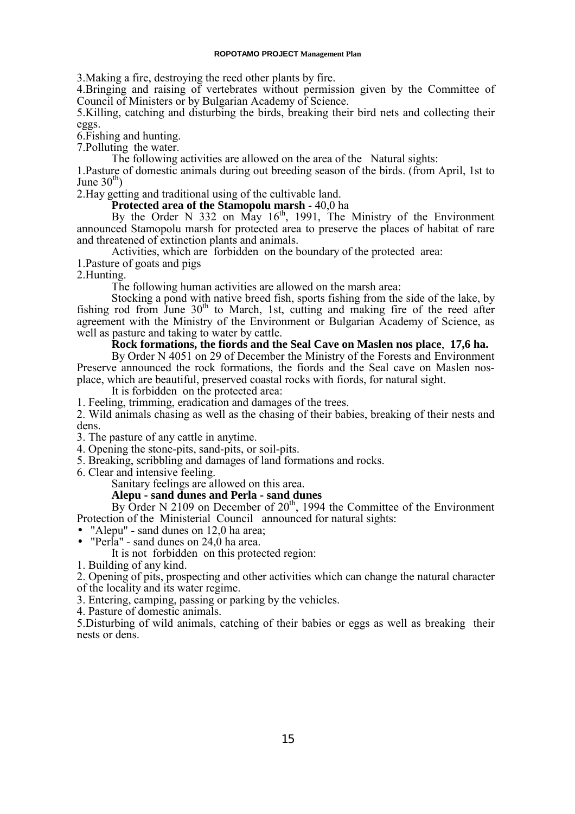#### **ROPOTAMO PROJECT Management Plan**

3.Making a fire, destroying the reed other plants by fire.

4.Bringing and raising of vertebrates without permission given by the Committee of Council of Ministers or by Bulgarian Academy of Science.

5.Killing, catching and disturbing the birds, breaking their bird nets and collecting their eggs.

6.Fishing and hunting.

7.Polluting the water.

The following activities are allowed on the area of the Natural sights:

1.Pasture of domestic animals during out breeding season of the birds. (from April, 1st to June  $30<sup>th</sup>$ )

2.Hay getting and traditional using of the cultivable land.

# **Protected area of the Stamopolu marsh** - 40,0 ha

By the Order N 332 on May  $16<sup>th</sup>$ , 1991, The Ministry of the Environment announced Stamopolu marsh for protected area to preserve the places of habitat of rare and threatened of extinction plants and animals.

Activities, which are forbidden on the boundary of the protected area:

1.Pasture of goats and pigs

2.Hunting.

The following human activities are allowed on the marsh area:

Stocking a pond with native breed fish, sports fishing from the side of the lake, by fishing rod from June  $30<sup>th</sup>$  to March, 1st, cutting and making fire of the reed after agreement with the Ministry of the Environment or Bulgarian Academy of Science, as well as pasture and taking to water by cattle.

# **Rock formations, the fiords and the Seal Cave on Maslen nos place**, **17,6 ha.**

By Order N 4051 on 29 of December the Ministry of the Forests and Environment Preserve announced the rock formations, the fiords and the Seal cave on Maslen nosplace, which are beautiful, preserved coastal rocks with fiords, for natural sight.

It is forbidden on the protected area:

1. Feeling, trimming, eradication and damages of the trees.

2. Wild animals chasing as well as the chasing of their babies, breaking of their nests and dens.

3. The pasture of any cattle in anytime.

4. Opening the stone-pits, sand-pits, or soil-pits.

5. Breaking, scribbling and damages of land formations and rocks.

6. Clear and intensive feeling.

Sanitary feelings are allowed on this area.

# **Alepu - sand dunes and Perla - sand dunes**

By Order N 2109 on December of  $20<sup>th</sup>$ , 1994 the Committee of the Environment Protection of the Ministerial Council announced for natural sights:

• "Alepu" - sand dunes on 12,0 ha area;<br>• "Perla" - sand dunes on 24,0 ha area.

It is not forbidden on this protected region:

1. Building of any kind.

2. Opening of pits, prospecting and other activities which can change the natural character of the locality and its water regime.

3. Entering, camping, passing or parking by the vehicles.

4. Pasture of domestic animals.

5.Disturbing of wild animals, catching of their babies or eggs as well as breaking their nests or dens.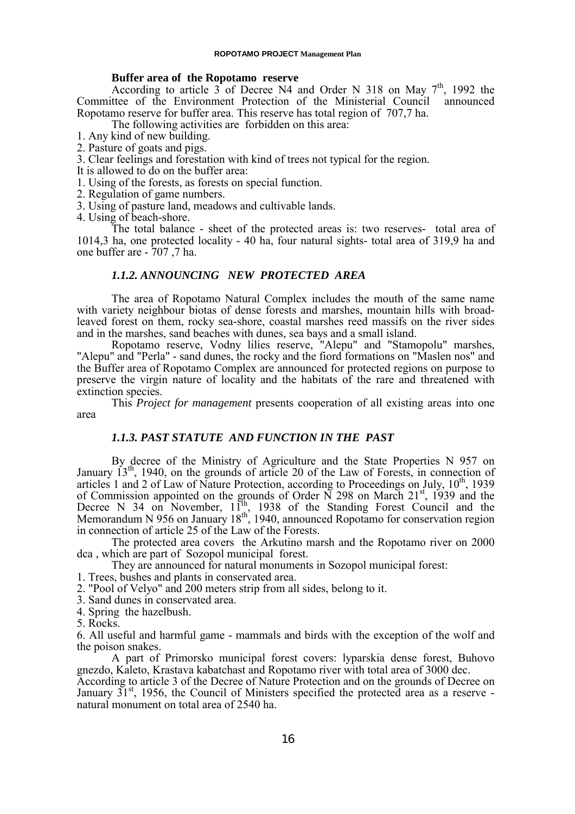#### **Buffer area of the Ropotamo reserve**

<span id="page-15-0"></span>According to article  $3$  of Decree N4 and Order N 318 on May  $7<sup>th</sup>$ , 1992 the Committee of the Environment Protection of the Ministerial Council announced Ropotamo reserve for buffer area. This reserve has total region of 707,7 ha.

The following activities are forbidden on this area:

1. Any kind of new building.

2. Pasture of goats and pigs.

3. Clear feelings and forestation with kind of trees not typical for the region.

It is allowed to do on the buffer area:

1. Using of the forests, as forests on special function.

- 2. Regulation of game numbers.
- 3. Using of pasture land, meadows and cultivable lands.

4. Using of beach-shore.

The total balance - sheet of the protected areas is: two reserves- total area of 1014,3 ha, one protected locality - 40 ha, four natural sights- total area of 319,9 ha and one buffer are - 707 ,7 ha.

# *1.1.2. ANNOUNCING NEW PROTECTED AREA*

The area of Ropotamo Natural Complex includes the mouth of the same name with variety neighbour biotas of dense forests and marshes, mountain hills with broadleaved forest on them, rocky sea-shore, coastal marshes reed massifs on the river sides and in the marshes, sand beaches with dunes, sea bays and a small island.

Ropotamo reserve, Vodny lilies reserve, "Alepu" and "Stamopolu" marshes, "Alepu" and "Perla" - sand dunes, the rocky and the fiord formations on "Maslen nos" and the Buffer area of Ropotamo Complex are announced for protected regions on purpose to preserve the virgin nature of locality and the habitats of the rare and threatened with extinction species.

This *Project for management* presents cooperation of all existing areas into one area

# *1.1.3. PAST STATUTE AND FUNCTION IN THE PAST*

By decree of the Ministry of Agriculture and the State Properties N 957 on January  $13<sup>th</sup>$ , 1940, on the grounds of article 20 of the Law of Forests, in connection of articles 1 and 2 of Law of Nature Protection, according to Proceedings on July, 10<sup>th</sup>, 1939 of Commission appointed on the grounds of Order N 298 on March 21<sup>st</sup>, 1939 and the Decree N 34 on November,  $11^{th}$ , 1938 of the Standing Forest Council and the Memorandum N 956 on January  $18<sup>th</sup>$ , 1940, announced Ropotamo for conservation region in connection of article 25 of the Law of the Forests.

The protected area covers the Arkutino marsh and the Ropotamo river on 2000 dca , which are part of Sozopol municipal forest.

They are announced for natural monuments in Sozopol municipal forest:

1. Trees, bushes and plants in conservated area.

2. "Pool of Velyo" and 200 meters strip from all sides, belong to it.

3. Sand dunes in conservated area.

4. Spring the hazelbush.

5. Rocks.

6. All useful and harmful game - mammals and birds with the exception of the wolf and the poison snakes.

A part of Primorsko municipal forest covers: lyparskia dense forest, Buhovo gnezdo, Kaleto, Krastava kabatchast and Ropotamo river with total area of 3000 dec.

According to article 3 of the Decree of Nature Protection and on the grounds of Decree on January  $31<sup>st</sup>$ , 1956, the Council of Ministers specified the protected area as a reserve natural monument on total area of 2540 ha.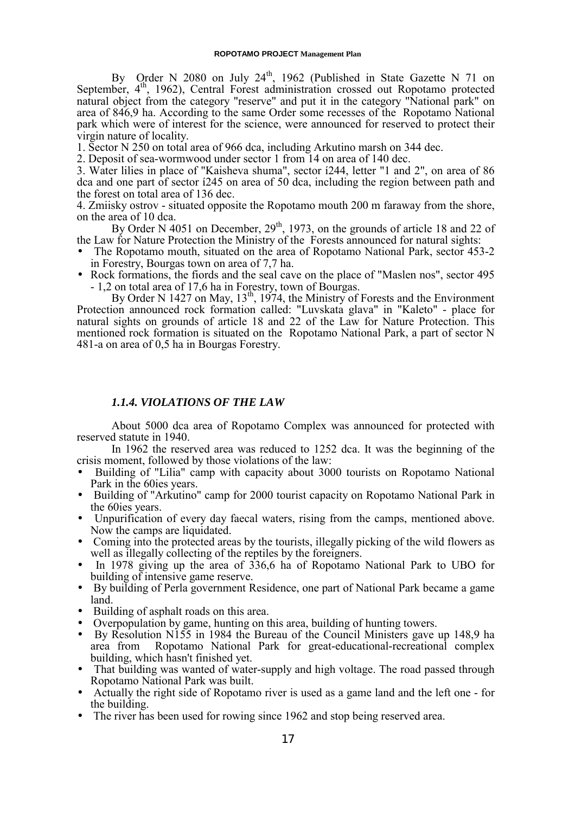<span id="page-16-0"></span>By Order N 2080 on July 24<sup>th</sup>, 1962 (Published in State Gazette N 71 on September, 4<sup>th</sup>, 1962), Central Forest administration crossed out Ropotamo protected natural object from the category "reserve" and put it in the category "National park" on area of 846,9 ha. According to the same Order some recesses of the Ropotamo National park which were of interest for the science, were announced for reserved to protect their virgin nature of locality.

1. Sector N 250 on total area of 966 dca, including Arkutino marsh on 344 dec.

2. Deposit of sea-wormwood under sector 1 from 14 on area of 140 dec.

3. Water lilies in place of "Kaisheva shuma", sector í244, letter "1 and 2", on area of 86 dca and one part of sector í245 on area of 50 dca, including the region between path and the forest on total area of 136 dec.

4. Zmiisky ostrov - situated opposite the Ropotamo mouth 200 m faraway from the shore, on the area of 10 dca.

By Order N 4051 on December,  $29<sup>th</sup>$ , 1973, on the grounds of article 18 and 22 of the Law for Nature Protection the Ministry of the Forests announced for natural sights:

- The Ropotamo mouth, situated on the area of Ropotamo National Park, sector 453-2 in Forestry, Bourgas town on area of 7,7 ha.
- Rock formations, the fiords and the seal cave on the place of "Maslen nos", sector 495 - 1,2 on total area of 17,6 ha in Forestry, town of Bourgas.

By Order N 1427 on May, 13<sup>th</sup>, 1974, the Ministry of Forests and the Environment Protection announced rock formation called: "Luvskata glava" in "Kaleto" - place for natural sights on grounds of article 18 and 22 of the Law for Nature Protection. This mentioned rock formation is situated on the Ropotamo National Park, a part of sector N 481-a on area of 0,5 ha in Bourgas Forestry.

# *1.1.4. VIOLATIONS OF THE LAW*

About 5000 dca area of Ropotamo Complex was announced for protected with reserved statute in 1940.

In 1962 the reserved area was reduced to 1252 dca. It was the beginning of the crisis moment, followed by those violations of the law:

- Building of "Lilia" camp with capacity about 3000 tourists on Ropotamo National Park in the 60ies years.
- Building of "Arkutino" camp for 2000 tourist capacity on Ropotamo National Park in the 60ies years.
- Unpurification of every day faecal waters, rising from the camps, mentioned above. Now the camps are liquidated.
- Coming into the protected areas by the tourists, illegally picking of the wild flowers as well as illegally collecting of the reptiles by the foreigners.
- In 1978 giving up the area of  $336,6$  ha of Ropotamo National Park to UBO for building of intensive game reserve.
- By building of Perla government Residence, one part of National Park became a game land.
- Building of asphalt roads on this area.<br>• Overpopulation by game hunting on the
- Overpopulation by game, hunting on this area, building of hunting towers.
- By Resolution N155 in 1984 the Bureau of the Council Ministers gave up 148,9 ha area from Ropotamo National Park for great-educational-recreational complex building, which hasn't finished yet.
- That building was wanted of water-supply and high voltage. The road passed through Ropotamo National Park was built.
- Actually the right side of Ropotamo river is used as a game land and the left one for the building.
- The river has been used for rowing since 1962 and stop being reserved area.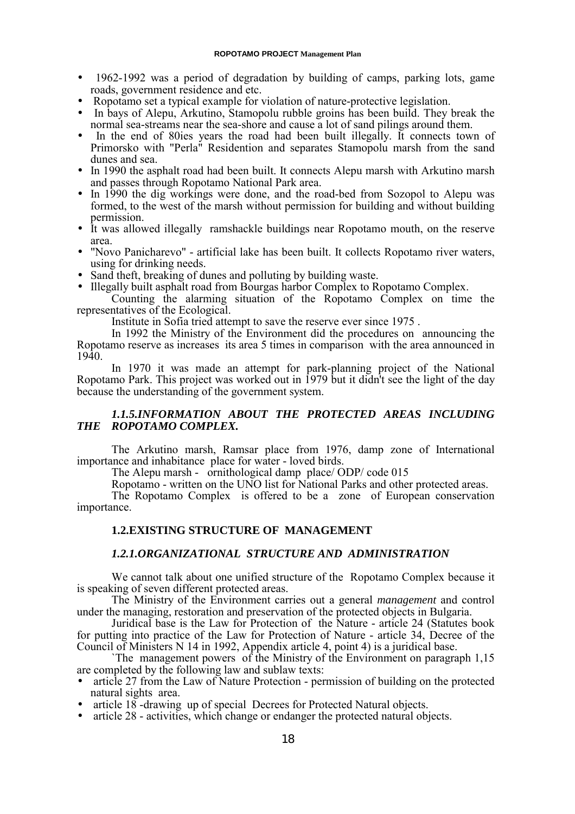#### **ROPOTAMO PROJECT Management Plan**

- <span id="page-17-0"></span>• 1962-1992 was a period of degradation by building of camps, parking lots, game roads, government residence and etc.
- Ropotamo set a typical example for violation of nature-protective legislation.
- In bays of Alepu, Arkutino, Stamopolu rubble groins has been build. They break the normal sea-streams near the sea-shore and cause a lot of sand pilings around them.
- In the end of 80ies years the road had been built illegally. It connects town of Primorsko with "Perla" Residention and separates Stamopolu marsh from the sand dunes and sea.
- In 1990 the asphalt road had been built. It connects Alepu marsh with Arkutino marsh and passes through Ropotamo National Park area.
- In 1990 the dig workings were done, and the road-bed from Sozopol to Alepu was formed, to the west of the marsh without permission for building and without building permission.
- It was allowed illegally ramshackle buildings near Ropotamo mouth, on the reserve area.
- "Novo Panicharevo" artificial lake has been built. It collects Ropotamo river waters, using for drinking needs.
- Sand theft, breaking of dunes and polluting by building waste.
- Illegally built asphalt road from Bourgas harbor Complex to Ropotamo Complex.

Counting the alarming situation of the Ropotamo Complex on time the representatives of the Ecological.

Institute in Sofia tried attempt to save the reserve ever since 1975 .

In 1992 the Ministry of the Environment did the procedures on announcing the Ropotamo reserve as increases its area 5 times in comparison with the area announced in 1940.

In 1970 it was made an attempt for park-planning project of the National Ropotamo Park. This project was worked out in 1979 but it didn't see the light of the day because the understanding of the government system.

# *1.1.5.INFORMATION ABOUT THE PROTECTED AREAS INCLUDING THE ROPOTAMO COMPLEX.*

The Arkutino marsh, Ramsar place from 1976, damp zone of International importance and inhabitance place for water - loved birds.

The Alepu marsh - ornithological damp place/ ODP/ code 015

Ropotamo - written on the UNO list for National Parks and other protected areas. The Ropotamo Complex is offered to be a zone of European conservation importance.

# **1.2.EXISTING STRUCTURE OF MANAGEMENT**

# *1.2.1.ORGANIZATIONAL STRUCTURE AND ADMINISTRATION*

We cannot talk about one unified structure of the Ropotamo Complex because it is speaking of seven different protected areas.

The Ministry of the Environment carries out a general *management* and control under the managing, restoration and preservation of the protected objects in Bulgaria.

Juridical base is the Law for Protection of the Nature - article 24 (Statutes book for putting into practice of the Law for Protection of Nature - article 34, Decree of the Council of Ministers N 14 in 1992, Appendix article 4, point 4) is a juridical base.

`The management powers of the Ministry of the Environment on paragraph 1,15 are completed by the following law and sublaw texts:

- article 27 from the Law of Nature Protection permission of building on the protected natural sights area.
- article 18 -drawing up of special Decrees for Protected Natural objects.
- article 28 activities, which change or endanger the protected natural objects.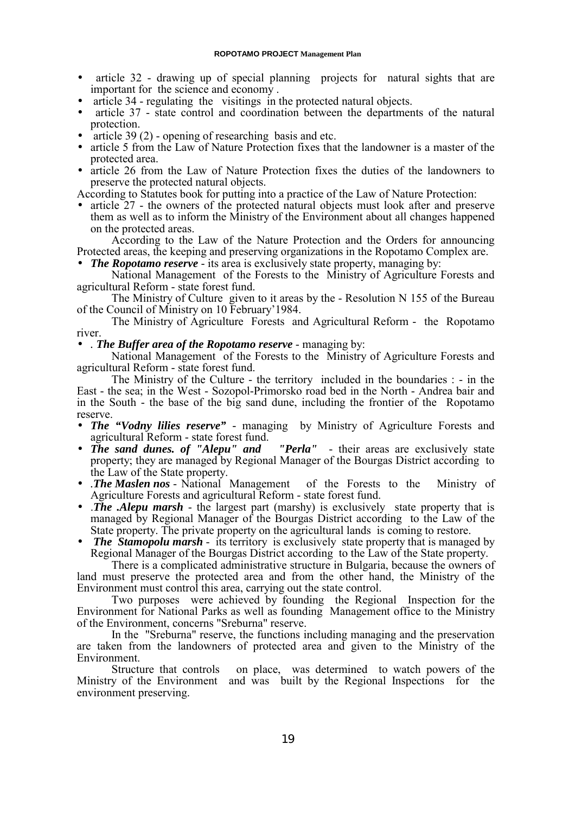- article 32 drawing up of special planning projects for natural sights that are important for the science and economy .
- article 34 regulating the visitings in the protected natural objects.
- article 37 state control and coordination between the departments of the natural protection.
- article  $39(2)$  opening of researching basis and etc.
- article 5 from the Law of Nature Protection fixes that the landowner is a master of the protected area.
- article 26 from the Law of Nature Protection fixes the duties of the landowners to preserve the protected natural objects.

According to Statutes book for putting into a practice of the Law of Nature Protection:

• article 27 - the owners of the protected natural objects must look after and preserve them as well as to inform the Ministry of the Environment about all changes happened on the protected areas.

According to the Law of the Nature Protection and the Orders for announcing Protected areas, the keeping and preserving organizations in the Ropotamo Complex are.

• *The Ropotamo reserve* - its area is exclusively state property, managing by:

National Management of the Forests to the Ministry of Agriculture Forests and agricultural Reform - state forest fund.

The Ministry of Culture given to it areas by the - Resolution N 155 of the Bureau of the Council of Ministry on 10 February'1984.

The Ministry of Agriculture Forests and Agricultural Reform - the Ropotamo river.

• *. The Buffer area of the Ropotamo reserve* - managing by:

National Management of the Forests to the Ministry of Agriculture Forests and agricultural Reform - state forest fund.

The Ministry of the Culture - the territory included in the boundaries : - in the East - the sea; in the West - Sozopol-Primorsko road bed in the North - Andrea bair and in the South - the base of the big sand dune, including the frontier of the Ropotamo reserve.

- *The "Vodny lilies reserve"* managing by Ministry of Agriculture Forests and agricultural Reform - state forest fund.<br>• The sand dunes. of "Alepu" and
- *Terla"* their areas are exclusively state property; they are managed by Regional Manager of the Bourgas District according to the Law of the State property.
- *.The Maslen nos* National Management of the Forests to the Ministry of Agriculture Forests and agricultural Reform - state forest fund.
- .*The .Alepu marsh* the largest part (marshy) is exclusively state property that is managed by Regional Manager of the Bourgas District according to the Law of the State property. The private property on the agricultural lands is coming to restore.
- *The Stamopolu marsh* its territory is exclusively state property that is managed by Regional Manager of the Bourgas District according to the Law of the State property.

There is a complicated administrative structure in Bulgaria, because the owners of land must preserve the protected area and from the other hand, the Ministry of the Environment must control this area, carrying out the state control.

Two purposes were achieved by founding the Regional Inspection for the Environment for National Parks as well as founding Management office to the Ministry of the Environment, concerns "Sreburna" reserve.

In the "Sreburna" reserve, the functions including managing and the preservation are taken from the landowners of protected area and given to the Ministry of the Environment.

Structure that controls on place, was determined to watch powers of the Ministry of the Environment and was built by the Regional Inspections for the environment preserving.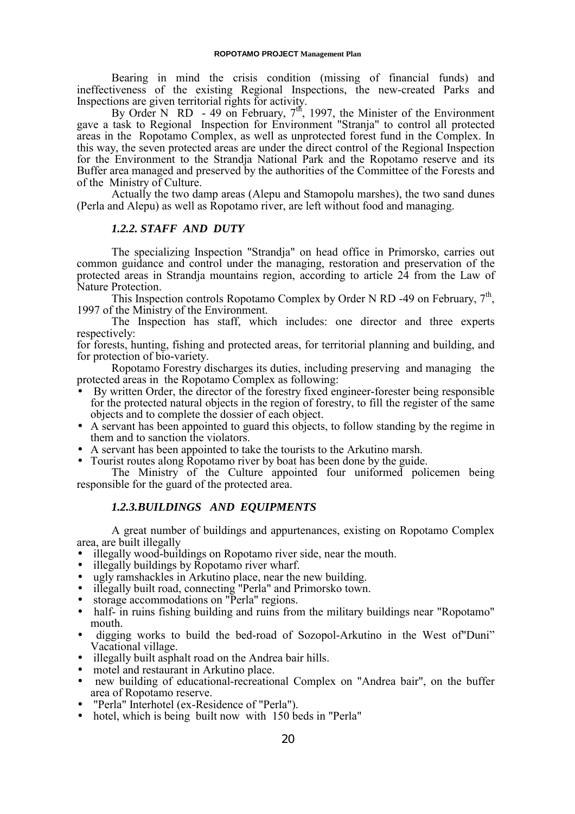<span id="page-19-0"></span>Bearing in mind the crisis condition (missing of financial funds) and ineffectiveness of the existing Regional Inspections, the new-created Parks and Inspections are given territorial rights for activity.

By Order N RD - 49 on February,  $7<sup>th</sup>$ , 1997, the Minister of the Environment gave a task to Regional Inspection for Environment "Stranja" to control all protected areas in the Ropotamo Complex, as well as unprotected forest fund in the Complex. In this way, the seven protected areas are under the direct control of the Regional Inspection for the Environment to the Strandja National Park and the Ropotamo reserve and its Buffer area managed and preserved by the authorities of the Committee of the Forests and of the Ministry of Culture.

Actually the two damp areas (Alepu and Stamopolu marshes), the two sand dunes (Perla and Alepu) as well as Ropotamo river, are left without food and managing.

# *1.2.2. STAFF AND DUTY*

The specializing Inspection "Strandja" on head office in Primorsko, carries out common guidance and control under the managing, restoration and preservation of the protected areas in Strandja mountains region, according to article 24 from the Law of Nature Protection.

This Inspection controls Ropotamo Complex by Order N RD -49 on February,  $7<sup>th</sup>$ , 1997 of the Ministry of the Environment.

The Inspection has staff, which includes: one director and three experts respectively:

for forests, hunting, fishing and protected areas, for territorial planning and building, and for protection of bio-variety.

Ropotamo Forestry discharges its duties, including preserving and managing the protected areas in the Ropotamo Complex as following:

- By written Order, the director of the forestry fixed engineer-forester being responsible for the protected natural objects in the region of forestry, to fill the register of the same objects and to complete the dossier of each object.
- A servant has been appointed to guard this objects, to follow standing by the regime in them and to sanction the violators.
- A servant has been appointed to take the tourists to the Arkutino marsh. Tourist routes along Ropotamo river by boat has been done by the guide.
- 

The Ministry of the Culture appointed four uniformed policemen being responsible for the guard of the protected area.

# *1.2.3.BUILDINGS AND EQUIPMENTS*

A great number of buildings and appurtenances, existing on Ropotamo Complex area, are built illegally<br>
• illegally wood-buildings on Ropotamo river side, near the mouth.

- 
- 
- 
- 
- illegally buildings by Ropotamo river wharf.<br>
ugly ramshackles in Arkutino place, near the new building.<br>
illegally built road, connecting "Perla" and Primorsko town.<br>
storage accommodations on "Perla" regions.<br>
half- in r mouth.
- digging works to build the bed-road of Sozopol-Arkutino in the West of"Duni" Vacational village.
- illegally built asphalt road on the Andrea bair hills.
- motel and restaurant in Arkutino place.
- new building of educational-recreational Complex on "Andrea bair", on the buffer area of Ropotamo reserve.
- "Perla" Interhotel (ex-Residence of "Perla").
- hotel, which is being built now with 150 beds in "Perla"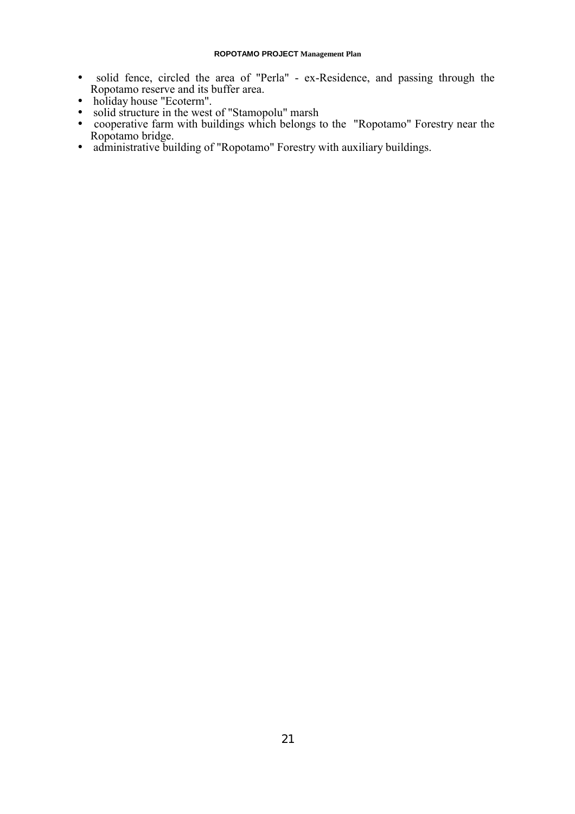- solid fence, circled the area of "Perla" ex-Residence, and passing through the Ropotamo reserve and its buffer area.
- holiday house "Ecoterm".
- solid structure in the west of "Stamopolu" marsh
- cooperative farm with buildings which belongs to the "Ropotamo" Forestry near the Ropotamo bridge.
- administrative building of "Ropotamo" Forestry with auxiliary buildings.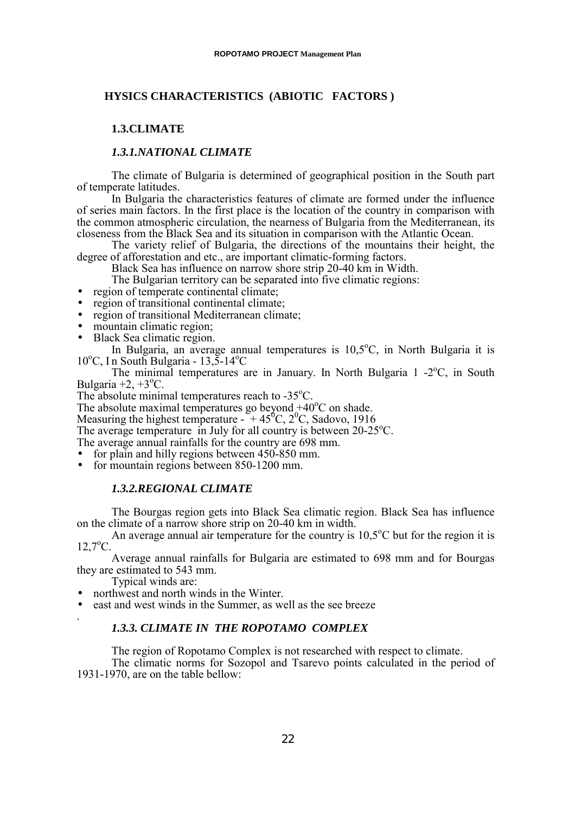# <span id="page-21-0"></span>**HYSICS CHARACTERISTICS (ABIOTIC FACTORS )**

# **1.3.CLIMATE**

## *1.3.1.NATIONAL CLIMATE*

The climate of Bulgaria is determined of geographical position in the South part of temperate latitudes.

In Bulgaria the characteristics features of climate are formed under the influence of series main factors. In the first place is the location of the country in comparison with the common atmospheric circulation, the nearness of Bulgaria from the Mediterranean, its closeness from the Black Sea and its situation in comparison with the Atlantic Ocean.

The variety relief of Bulgaria, the directions of the mountains their height, the degree of afforestation and etc., are important climatic-forming factors.

Black Sea has influence on narrow shore strip 20-40 km in Width.

The Bulgarian territory can be separated into five climatic regions:

- region of temperate continental climate:
- region of transitional continental climate:
- region of transitional Mediterranean climate;
- mountain climatic region;
- Black Sea climatic region.

In Bulgaria, an average annual temperatures is  $10,5^{\circ}$ C, in North Bulgaria it is  $10^{\circ}$ C, In South Bulgaria - 13,5-14 $^{\circ}$ C

The minimal temperatures are in January. In North Bulgaria 1 -2°C, in South Bulgaria  $+2$ ,  $+3$ <sup>o</sup>C.

The absolute minimal temperatures reach to  $-35^{\circ}$ C.

The absolute maximal temperatures go beyond  $+40^{\circ}$ C on shade.

Measuring the highest temperature -  $+45^{\circ}$ C, 2<sup>o</sup>C, Sadovo, 1916

The average temperature in July for all country is between 20-25°C.

The average annual rainfalls for the country are 698 mm.

- for plain and hilly regions between 450-850 mm.
- for mountain regions between 850-1200 mm.

# *1.3.2.REGIONAL CLIMATE*

The Bourgas region gets into Black Sea climatic region. Black Sea has influence on the climate of a narrow shore strip on 20-40 km in width.

An average annual air temperature for the country is  $10,5^{\circ}$ C but for the region it is  $12,7^{\circ}$ C.

Average annual rainfalls for Bulgaria are estimated to 698 mm and for Bourgas they are estimated to 543 mm.

Typical winds are:

- northwest and north winds in the Winter.
- east and west winds in the Summer, as well as the see breeze .

# *1.3.3. CLIMATE IN THE ROPOTAMO COMPLEX*

The region of Ropotamo Complex is not researched with respect to climate.

The climatic norms for Sozopol and Tsarevo points calculated in the period of 1931-1970, are on the table bellow: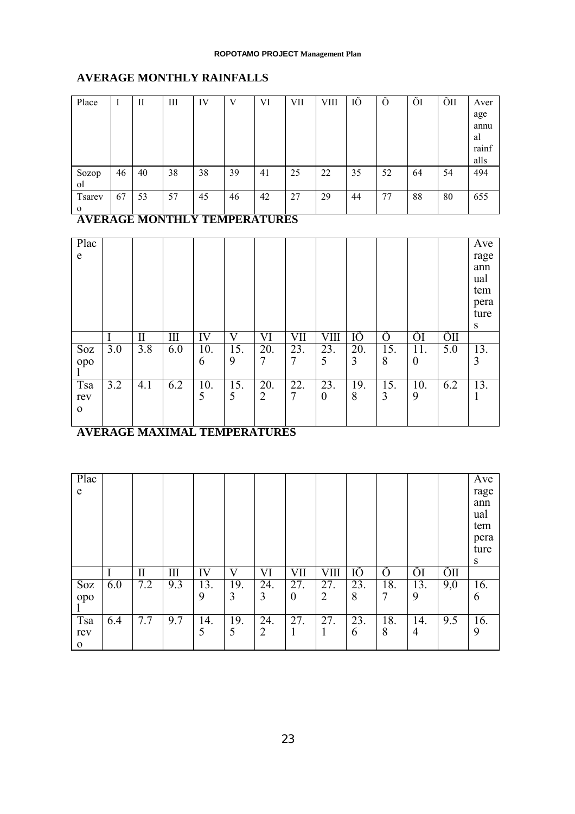# **AVERAGE MONTHLY RAINFALLS**

| Place          | I  | П  | Ш  | IV | V  | VI | <b>VII</b> | <b>VIII</b> | IÕ | Õ  | ÕI | ÕII | Aver  |
|----------------|----|----|----|----|----|----|------------|-------------|----|----|----|-----|-------|
|                |    |    |    |    |    |    |            |             |    |    |    |     | age   |
|                |    |    |    |    |    |    |            |             |    |    |    |     | annu  |
|                |    |    |    |    |    |    |            |             |    |    |    |     | al    |
|                |    |    |    |    |    |    |            |             |    |    |    |     | rainf |
|                |    |    |    |    |    |    |            |             |    |    |    |     | alls  |
| Sozop          | 46 | 40 | 38 | 38 | 39 | 41 | 25         | 22          | 35 | 52 | 64 | 54  | 494   |
| <sub>o</sub> l |    |    |    |    |    |    |            |             |    |    |    |     |       |
| <b>Tsarev</b>  | 67 | 53 | 57 | 45 | 46 | 42 | 27         | 29          | 44 | 77 | 88 | 80  | 655   |
| $\mathbf 0$    |    |    |    |    |    |    |            |             |    |    |    |     |       |

**AVERAGE MONTHLY TEMPERATURES**

| Plac<br>e                  |     |         |     |          |          |                       |          |                         |          |          |                         |     | Ave<br>rage<br>ann<br>ual<br>tem<br>pera<br>ture<br>S |
|----------------------------|-----|---------|-----|----------|----------|-----------------------|----------|-------------------------|----------|----------|-------------------------|-----|-------------------------------------------------------|
|                            |     | $\prod$ | Ш   | IV       | V        | VI                    | VII      | VIII                    | IÕ       | Õ        | ÕI                      | ÕШ  |                                                       |
| Soz<br>opo                 | 3.0 | 3.8     | 6.0 | 10.<br>6 | 15.<br>9 | 20.<br>7              | 23.<br>7 | 23.<br>5                | 20.<br>3 | 15.<br>8 | 11.<br>$\boldsymbol{0}$ | 5.0 | 13.<br>3                                              |
| Tsa<br>rev<br>$\mathbf{0}$ | 3.2 | 4.1     | 6.2 | 10.<br>5 | 15.<br>5 | 20.<br>$\overline{2}$ | 22.<br>7 | 23.<br>$\boldsymbol{0}$ | 19.<br>8 | 15.<br>3 | 10.<br>9                | 6.2 | 13.                                                   |

# **AVERAGE MAXIMAL TEMPERATURES**

| Plac<br>e   |     |          |     |     |     |                |          |      |     |     |     |     | Ave<br>rage<br>ann<br>ual<br>tem<br>pera<br>ture<br>S |
|-------------|-----|----------|-----|-----|-----|----------------|----------|------|-----|-----|-----|-----|-------------------------------------------------------|
|             |     | $\rm II$ | III | IV  | V   | VI             | VII      | VIII | IÕ  | O   | ÕI  | ÕШ  |                                                       |
| Soz         | 6.0 | 7.2      | 9.3 | 13. | 19. | 24.            | 27.      | 27.  | 23. | 18. | 13. | 9,0 | 16.                                                   |
| opo         |     |          |     | 9   | 3   | 3              | $\theta$ | 2    | 8   | 7   | 9   |     | 6                                                     |
|             |     |          |     |     |     |                |          |      |     |     |     |     |                                                       |
| Tsa         | 6.4 | 7.7      | 9.7 | 14. | 19. | 24.            | 27.      | 27.  | 23. | 18. | 14. | 9.5 | 16.                                                   |
| rev         |     |          |     | 5   | 5   | $\overline{2}$ | 1        | 1    | 6   | 8   | 4   |     | 9                                                     |
| $\mathbf 0$ |     |          |     |     |     |                |          |      |     |     |     |     |                                                       |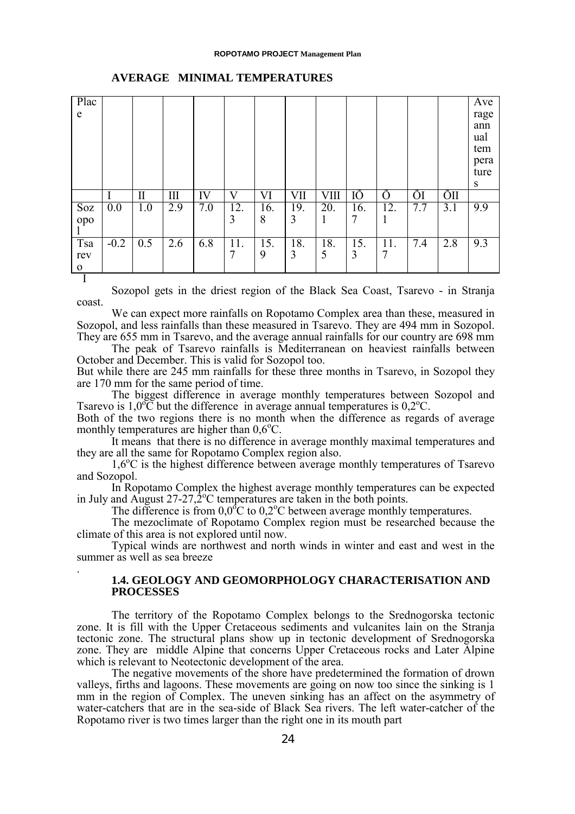#### **ROPOTAMO PROJECT Management Plan**

<span id="page-23-0"></span>

|        |              |     |     |          |          |          |           |          |           |     |     | rage<br>ann<br>ual<br>tem<br>pera<br>ture<br>S |
|--------|--------------|-----|-----|----------|----------|----------|-----------|----------|-----------|-----|-----|------------------------------------------------|
|        | $\mathbf{I}$ | III | IV  | V        | VI       | VII      | VШ        | IÕ       | Ô         | ÕI  | ÕΠ  |                                                |
| 0.0    | 1.0          | 2.9 | 7.0 | 12.<br>3 | 16.<br>8 | 19.<br>3 | 20.<br>-1 | 16.<br>7 | 12.<br>-1 | 7.7 | 3.1 | 9.9                                            |
| $-0.2$ | 0.5          | 2.6 | 6.8 | 11.<br>7 | 15.<br>9 | 18.<br>3 | 18.<br>5  | 15.<br>3 | 11.<br>7  | 7.4 | 2.8 | 9.3                                            |
|        |              |     |     |          |          |          |           |          |           |     |     |                                                |

#### **AVERAGE MINIMAL TEMPERATURES**

Sozopol gets in the driest region of the Black Sea Coast, Tsarevo - in Stranja coast.

We can expect more rainfalls on Ropotamo Complex area than these, measured in Sozopol, and less rainfalls than these measured in Tsarevo. They are 494 mm in Sozopol. They are 655 mm in Tsarevo, and the average annual rainfalls for our country are 698 mm

The peak of Tsarevo rainfalls is Mediterranean on heaviest rainfalls between October and December. This is valid for Sozopol too.

But while there are 245 mm rainfalls for these three months in Tsarevo, in Sozopol they are 170 mm for the same period of time.

The biggest difference in average monthly temperatures between Sozopol and Tsarevo is  $1,0^{\circ}$ C but the difference in average annual temperatures is  $0,2^{\circ}$ C.

Both of the two regions there is no month when the difference as regards of average monthly temperatures are higher than  $0.6^{\circ}$ C.

It means that there is no difference in average monthly maximal temperatures and they are all the same for Ropotamo Complex region also.

1,6<sup>o</sup>C is the highest difference between average monthly temperatures of Tsarevo and Sozopol.

In Ropotamo Complex the highest average monthly temperatures can be expected in July and August  $27-27,2^{\circ}$ C temperatures are taken in the both points.

The difference is from  $0.0<sup>o</sup>C$  to  $0.2<sup>o</sup>C$  between average monthly temperatures.

The mezoclimate of Ropotamo Complex region must be researched because the climate of this area is not explored until now.

Typical winds are northwest and north winds in winter and east and west in the summer as well as sea breeze

.

# **1.4. GEOLOGY AND GEOMORPHOLOGY CHARACTERISATION AND PROCESSES**

The territory of the Ropotamo Complex belongs to the Srednogorska tectonic zone. It is fill with the Upper Cretaceous sediments and vulcanites lain on the Stranja tectonic zone. The structural plans show up in tectonic development of Srednogorska zone. They are middle Alpine that concerns Upper Cretaceous rocks and Later Alpine which is relevant to Neotectonic development of the area.

The negative movements of the shore have predetermined the formation of drown valleys, firths and lagoons. These movements are going on now too since the sinking is 1 mm in the region of Complex. The uneven sinking has an affect on the asymmetry of water-catchers that are in the sea-side of Black Sea rivers. The left water-catcher of the Ropotamo river is two times larger than the right one in its mouth part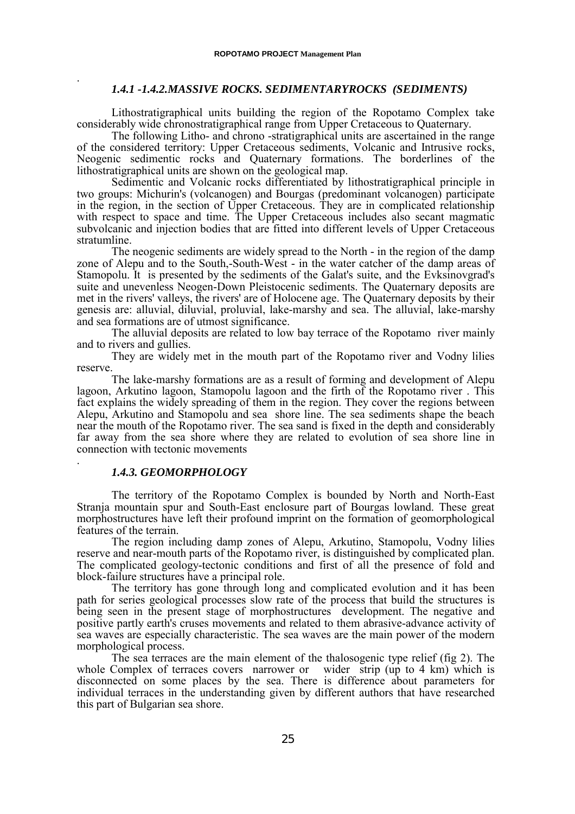## *1.4.1 -1.4.2.MASSIVE ROCKS. SEDIMENTARYROCKS (SEDIMENTS)*

Lithostratigraphical units building the region of the Ropotamo Complex take considerably wide chronostratigraphical range from Upper Cretaceous to Quaternary.

The following Litho- and chrono -stratigraphical units are ascertained in the range of the considered territory: Upper Cretaceous sediments, Volcanic and Intrusive rocks, Neogenic sedimentic rocks and Quaternary formations. The borderlines of the lithostratigraphical units are shown on the geological map.

Sedimentic and Volcanic rocks differentiated by lithostratigraphical principle in two groups: Michurin's (volcanogen) and Bourgas (predominant volcanogen) participate in the region, in the section of Upper Cretaceous. They are in complicated relationship with respect to space and time. The Upper Cretaceous includes also secant magmatic subvolcanic and injection bodies that are fitted into different levels of Upper Cretaceous stratumline.

The neogenic sediments are widely spread to the North - in the region of the damp zone of Alepu and to the South,-South-West - in the water catcher of the damp areas of Stamopolu. It is presented by the sediments of the Galat's suite, and the Evksinovgrad's suite and unevenless Neogen-Down Pleistocenic sediments. The Quaternary deposits are met in the rivers' valleys, the rivers' are of Holocene age. The Quaternary deposits by their genesis are: alluvial, diluvial, proluvial, lake-marshy and sea. The alluvial, lake-marshy and sea formations are of utmost significance.

The alluvial deposits are related to low bay terrace of the Ropotamo river mainly and to rivers and gullies.

They are widely met in the mouth part of the Ropotamo river and Vodny lilies reserve.

The lake-marshy formations are as a result of forming and development of Alepu lagoon, Arkutino lagoon, Stamopolu lagoon and the firth of the Ropotamo river . This fact explains the widely spreading of them in the region. They cover the regions between Alepu, Arkutino and Stamopolu and sea shore line. The sea sediments shape the beach near the mouth of the Ropotamo river. The sea sand is fixed in the depth and considerably far away from the sea shore where they are related to evolution of sea shore line in connection with tectonic movements

# . *1.4.3. GEOMORPHOLOGY*

<span id="page-24-0"></span>.

The territory of the Ropotamo Complex is bounded by North and North-East Stranja mountain spur and South-East enclosure part of Bourgas lowland. These great morphostructures have left their profound imprint on the formation of geomorphological features of the terrain.

The region including damp zones of Alepu, Arkutino, Stamopolu, Vodny lilies reserve and near-mouth parts of the Ropotamo river, is distinguished by complicated plan. The complicated geology-tectonic conditions and first of all the presence of fold and block-failure structures have a principal role.

The territory has gone through long and complicated evolution and it has been path for series geological processes slow rate of the process that build the structures is being seen in the present stage of morphostructures development. The negative and positive partly earth's cruses movements and related to them abrasive-advance activity of sea waves are especially characteristic. The sea waves are the main power of the modern morphological process.

The sea terraces are the main element of the thalosogenic type relief (fig 2). The whole Complex of terraces covers narrower or wider strip (up to 4 km) which is disconnected on some places by the sea. There is difference about parameters for individual terraces in the understanding given by different authors that have researched this part of Bulgarian sea shore.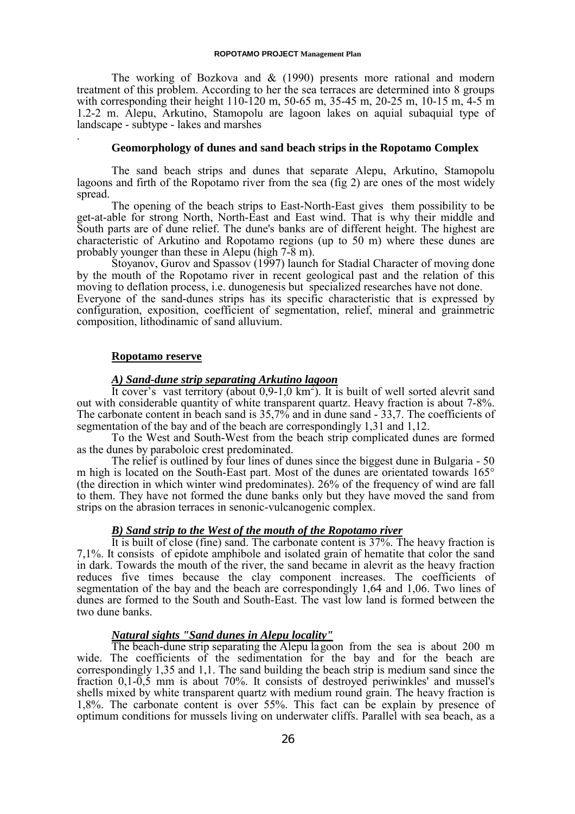The working of Bozkova and  $\&$  (1990) presents more rational and modern treatment of this problem. According to her the sea terraces are determined into 8 groups with corresponding their height 110-120 m, 50-65 m, 35-45 m, 20-25 m, 10-15 m, 4-5 m 1.2-2 m. Alepu, Arkutino, Stamopolu are lagoon lakes on aquial subaquial type of landscape - subtype - lakes and marshes

## **Geomorphology of dunes and sand beach strips in the Ropotamo Complex**

The sand beach strips and dunes that separate Alepu, Arkutino, Stamopolu lagoons and firth of the Ropotamo river from the sea (fig 2) are ones of the most widely spread.

The opening of the beach strips to East-North-East gives them possibility to be get-at-able for strong North, North-East and East wind. That is why their middle and South parts are of dune relief. The dune's banks are of different height. The highest are characteristic of Arkutino and Ropotamo regions (up to 50 m) where these dunes are probably younger than these in Alepu (high 7-8 m).

Stoyanov, Gurov and Spassov (1997) launch for Stadial Character of moving done by the mouth of the Ropotamo river in recent geological past and the relation of this moving to deflation process, i.e. dunogenesis but specialized researches have not done. Everyone of the sand-dunes strips has its specific characteristic that is expressed by configuration, exposition, coefficient of segmentation, relief, mineral and grainmetric composition, lithodinamic of sand alluvium.

#### **Ropotamo reserve**

.

# *A) Sand-dune strip separating Arkutino lagoon*

It cover's vast territory (about  $0.9$ -1.0 km<sup>2</sup>). It is built of well sorted alevrit sand out with considerable quantity of white transparent quartz. Heavy fraction is about 7-8%. The carbonate content in beach sand is 35,7% and in dune sand - 33,7. The coefficients of segmentation of the bay and of the beach are correspondingly 1,31 and 1,12.

To the West and South-West from the beach strip complicated dunes are formed as the dunes by paraboloic crest predominated.

The relief is outlined by four lines of dunes since the biggest dune in Bulgaria - 50 m high is located on the South-East part. Most of the dunes are orientated towards 165° (the direction in which winter wind predominates). 26% of the frequency of wind are fall to them. They have not formed the dune banks only but they have moved the sand from strips on the abrasion terraces in senonic-vulcanogenic complex.

## *B) Sand strip to the West of the mouth of the Ropotamo river*

It is built of close (fine) sand. The carbonate content is 37%. The heavy fraction is 7,1%. It consists of epidote amphibole and isolated grain of hematite that color the sand in dark. Towards the mouth of the river, the sand became in alevrit as the heavy fraction reduces five times because the clay component increases. The coefficients of segmentation of the bay and the beach are correspondingly 1,64 and 1,06. Two lines of dunes are formed to the South and South-East. The vast low land is formed between the two dune banks.

# *Natural sights "Sand dunes in Alepu locality"*

The beach-dune strip separating the Alepu lagoon from the sea is about 200 m wide. The coefficients of the sedimentation for the bay and for the beach are correspondingly 1,35 and 1,1. The sand building the beach strip is medium sand since the fraction 0,1-0,5 mm is about 70%. It consists of destroyed periwinkles' and mussel's shells mixed by white transparent quartz with medium round grain. The heavy fraction is 1,8%. The carbonate content is over 55%. This fact can be explain by presence of optimum conditions for mussels living on underwater cliffs. Parallel with sea beach, as a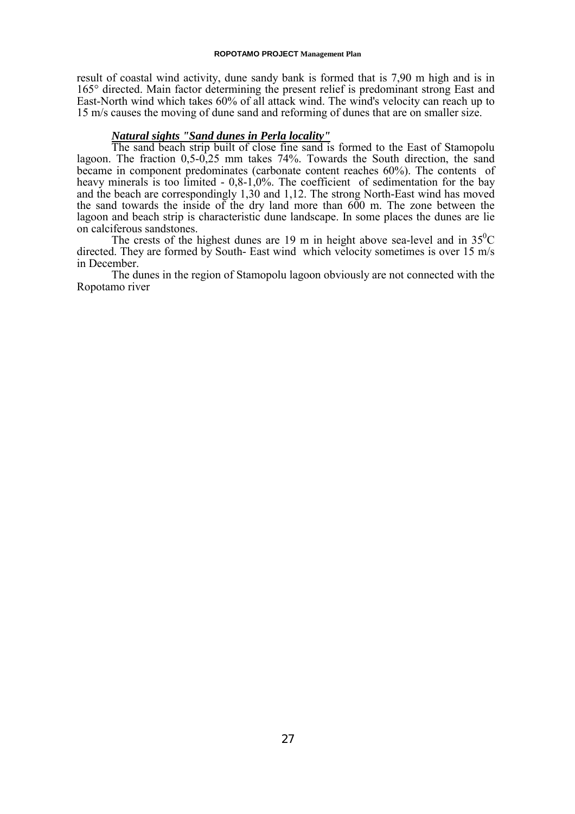#### **ROPOTAMO PROJECT Management Plan**

result of coastal wind activity, dune sandy bank is formed that is 7,90 m high and is in 165° directed. Main factor determining the present relief is predominant strong East and East-North wind which takes 60% of all attack wind. The wind's velocity can reach up to 15 m/s causes the moving of dune sand and reforming of dunes that are on smaller size.

# *Natural sights "Sand dunes in Perla locality"*

The sand beach strip built of close fine sand is formed to the East of Stamopolu lagoon. The fraction 0,5-0,25 mm takes 74%. Towards the South direction, the sand became in component predominates (carbonate content reaches 60%). The contents of heavy minerals is too limited - 0,8-1,0%. The coefficient of sedimentation for the bay and the beach are correspondingly 1,30 and 1,12. The strong North-East wind has moved the sand towards the inside of the dry land more than 600 m. The zone between the lagoon and beach strip is characteristic dune landscape. In some places the dunes are lie on calciferous sandstones.

The crests of the highest dunes are 19 m in height above sea-level and in  $35^{\circ}$ C directed. They are formed by South- East wind which velocity sometimes is over 15 m/s in December.

The dunes in the region of Stamopolu lagoon obviously are not connected with the Ropotamo river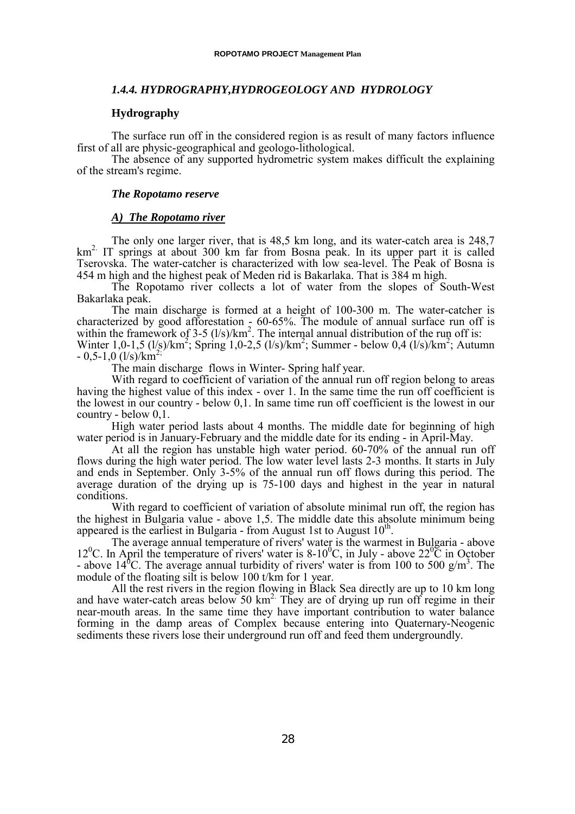## <span id="page-27-0"></span>*1.4.4. HYDROGRAPHY,HYDROGEOLOGY AND HYDROLOGY*

### **Hydrography**

The surface run off in the considered region is as result of many factors influence first of all are physic-geographical and geologo-lithological.

The absence of any supported hydrometric system makes difficult the explaining of the stream's regime.

#### *The Ropotamo reserve*

### *A) The Ropotamo river*

The only one larger river, that is 48,5 km long, and its water-catch area is 248,7  $km<sup>2</sup>$ . IT springs at about 300 km far from Bosna peak. In its upper part it is called Tserovska. The water-catcher is characterized with low sea-level. The Peak of Bosna is 454 m high and the highest peak of Meden rid is Bakarlaka. That is 384 m high.

The Ropotamo river collects a lot of water from the slopes of South-West Bakarlaka peak.

The main discharge is formed at a height of 100-300 m. The water-catcher is characterized by good afforestation  $\frac{1}{2}$  60-65%. The module of annual surface run off is within the framework of  $3-5$  ( $1/s$ )/km<sup>2</sup>. The internal annual distribution of the run off is:

Winter 1,0-1,5 (l/s)/km<sup>2</sup>; Spring 1,0-2,5 (l/s)/km<sup>2</sup>; Summer - below 0,4 (l/s)/km<sup>2</sup>; Autumn  $-0.5-1.0$  (l/s)/km<sup>2</sup>

The main discharge flows in Winter- Spring half year.

With regard to coefficient of variation of the annual run off region belong to areas having the highest value of this index - over 1. In the same time the run off coefficient is the lowest in our country - below 0,1. In same time run off coefficient is the lowest in our country - below 0,1.

High water period lasts about 4 months. The middle date for beginning of high water period is in January-February and the middle date for its ending - in April-May.

At all the region has unstable high water period. 60-70% of the annual run off flows during the high water period. The low water level lasts 2-3 months. It starts in July and ends in September. Only 3-5% of the annual run off flows during this period. The average duration of the drying up is 75-100 days and highest in the year in natural conditions.

With regard to coefficient of variation of absolute minimal run off, the region has the highest in Bulgaria value - above 1,5. The middle date this absolute minimum being appeared is the earliest in Bulgaria - from August 1st to August  $10<sup>th</sup>$ .

The average annual temperature of rivers' water is the warmest in Bulgaria - above 12<sup>0</sup>C. In April the temperature of rivers' water is 8-10<sup>0</sup>C, in July - above  $22^{0}$ C in October - above 14<sup>6</sup>C. The average annual turbidity of rivers' water is from 100 to 500 g/m<sup>3</sup>. The module of the floating silt is below 100 t/km for 1 year.

All the rest rivers in the region flowing in Black Sea directly are up to 10 km long and have water-catch areas below 50  $km^2$ . They are of drying up run off regime in their near-mouth areas. In the same time they have important contribution to water balance forming in the damp areas of Complex because entering into Quaternary-Neogenic sediments these rivers lose their underground run off and feed them undergroundly.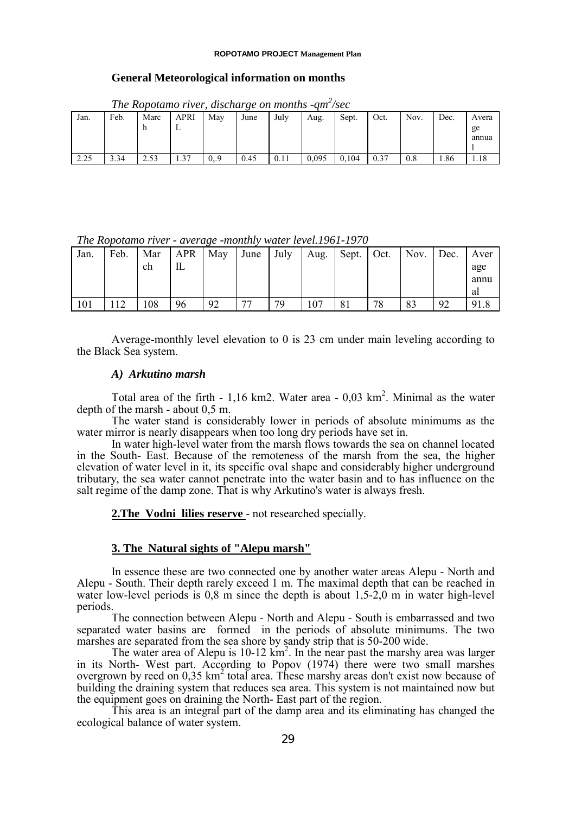#### **ROPOTAMO PROJECT Management Plan**

#### **General Meteorological information on months**

|      | The Ropolamo Tiver, alsonarge on monins -qm /sec |      |             |     |      |      |       |       |      |      |      |             |  |  |
|------|--------------------------------------------------|------|-------------|-----|------|------|-------|-------|------|------|------|-------------|--|--|
| Jan. | Feb.                                             | Marc | <b>APRI</b> | May | June | July | Aug.  | Sept. | Oct. | Nov. | Dec. | Avera       |  |  |
|      |                                                  |      |             |     |      |      |       |       |      |      |      | ge<br>annua |  |  |
| 2.25 | 3.34                                             | 2.53 | . 37        | 0.9 | 0.45 | 0.11 | 0.095 | 0.104 | 0.37 | 0.8  | 1.86 |             |  |  |

*The Ropotamo river, discharge on months -qm2 /sec*

*The Ropotamo river - average -monthly water level.1961-1970*

| .<br>. |      |     |            |     |      |      |      |       |      |      |      |                |  |
|--------|------|-----|------------|-----|------|------|------|-------|------|------|------|----------------|--|
| Jan.   | Feb. | Mar | <b>APR</b> | May | June | July | Aug. | Sept. | Oct. | Nov. | Dec. | Aver           |  |
|        |      | ch  | IL         |     |      |      |      |       |      |      |      | age            |  |
|        |      |     |            |     |      |      |      |       |      |      |      | annu           |  |
|        |      |     |            |     |      |      |      |       |      |      |      | al             |  |
| 101    |      | 108 | 96         | 92  | 77   | 79   | 107  |       | 78   | 83   | 92   | Q <sub>1</sub> |  |

Average-monthly level elevation to 0 is 23 cm under main leveling according to the Black Sea system.

# *A) Arkutino marsh*

Total area of the firth  $-1,16$  km2. Water area  $-0,03$  km<sup>2</sup>. Minimal as the water depth of the marsh - about 0,5 m.

The water stand is considerably lower in periods of absolute minimums as the water mirror is nearly disappears when too long dry periods have set in.

In water high-level water from the marsh flows towards the sea on channel located in the South- East. Because of the remoteness of the marsh from the sea, the higher elevation of water level in it, its specific oval shape and considerably higher underground tributary, the sea water cannot penetrate into the water basin and to has influence on the salt regime of the damp zone. That is why Arkutino's water is always fresh.

2. The Vodni lilies reserve - not researched specially.

### **3. The Natural sights of "Alepu marsh"**

In essence these are two connected one by another water areas Alepu - North and Alepu - South. Their depth rarely exceed 1 m. The maximal depth that can be reached in water low-level periods is 0,8 m since the depth is about 1,5-2,0 m in water high-level periods.

The connection between Alepu - North and Alepu - South is embarrassed and two separated water basins are formed in the periods of absolute minimums. The two marshes are separated from the sea shore by sandy strip that is 50-200 wide.

The water area of Alepu is  $10-12 \text{ km}^2$ . In the near past the marshy area was larger in its North- West part. According to Popov (1974) there were two small marshes overgrown by reed on 0,35 km<sup>2</sup> total area. These marshy areas don't exist now because of building the draining system that reduces sea area. This system is not maintained now but the equipment goes on draining the North- East part of the region.

This area is an integral part of the damp area and its eliminating has changed the ecological balance of water system.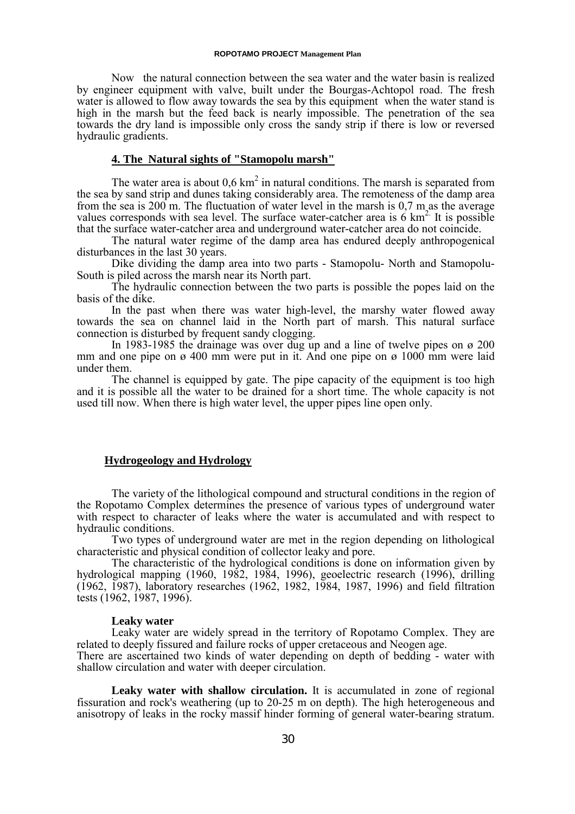Now the natural connection between the sea water and the water basin is realized by engineer equipment with valve, built under the Bourgas-Achtopol road. The fresh water is allowed to flow away towards the sea by this equipment when the water stand is high in the marsh but the feed back is nearly impossible. The penetration of the sea towards the dry land is impossible only cross the sandy strip if there is low or reversed hydraulic gradients.

# **4. The Natural sights of "Stamopolu marsh"**

The water area is about  $0.6 \text{ km}^2$  in natural conditions. The marsh is separated from the sea by sand strip and dunes taking considerably area. The remoteness of the damp area from the sea is 200 m. The fluctuation of water level in the marsh is 0,7 m as the average values corresponds with sea level. The surface water-catcher area is  $6 \text{ km}^2$ . It is possible that the surface water-catcher area and underground water-catcher area do not coincide.

The natural water regime of the damp area has endured deeply anthropogenical disturbances in the last 30 years.

Dike dividing the damp area into two parts - Stamopolu- North and Stamopolu-South is piled across the marsh near its North part.

The hydraulic connection between the two parts is possible the popes laid on the basis of the dike.

In the past when there was water high-level, the marshy water flowed away towards the sea on channel laid in the North part of marsh. This natural surface connection is disturbed by frequent sandy clogging.

In 1983-1985 the drainage was over dug up and a line of twelve pipes on  $\alpha$  200 mm and one pipe on  $\alpha$  400 mm were put in it. And one pipe on  $\alpha$  1000 mm were laid under them.

The channel is equipped by gate. The pipe capacity of the equipment is too high and it is possible all the water to be drained for a short time. The whole capacity is not used till now. When there is high water level, the upper pipes line open only.

## **Hydrogeology and Hydrology**

The variety of the lithological compound and structural conditions in the region of the Ropotamo Complex determines the presence of various types of underground water with respect to character of leaks where the water is accumulated and with respect to hydraulic conditions.

Two types of underground water are met in the region depending on lithological characteristic and physical condition of collector leaky and pore.

The characteristic of the hydrological conditions is done on information given by hydrological mapping (1960, 1982, 1984, 1996), geoelectric research (1996), drilling (1962, 1987), laboratory researches (1962, 1982, 1984, 1987, 1996) and field filtration tests (1962, 1987, 1996).

#### **Leaky water**

Leaky water are widely spread in the territory of Ropotamo Complex. They are related to deeply fissured and failure rocks of upper cretaceous and Neogen age.

There are ascertained two kinds of water depending on depth of bedding - water with shallow circulation and water with deeper circulation.

**Leaky water with shallow circulation.** It is accumulated in zone of regional fissuration and rock's weathering (up to 20-25 m on depth). The high heterogeneous and anisotropy of leaks in the rocky massif hinder forming of general water-bearing stratum.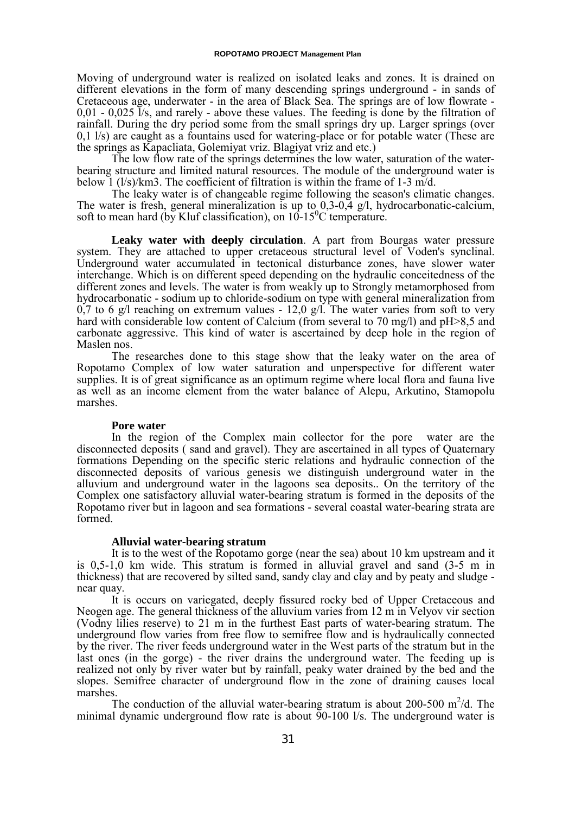Moving of underground water is realized on isolated leaks and zones. It is drained on different elevations in the form of many descending springs underground - in sands of Cretaceous age, underwater - in the area of Black Sea. The springs are of low flowrate -  $0.01 - 0.025$  I/s, and rarely - above these values. The feeding is done by the filtration of rainfall. During the dry period some from the small springs dry up. Larger springs (over 0,1 l/s) are caught as a fountains used for watering-place or for potable water (These are the springs as Kapacliata, Golemiyat vriz. Blagiyat vriz and etc.)

The low flow rate of the springs determines the low water, saturation of the waterbearing structure and limited natural resources. The module of the underground water is below 1 (l/s)/km3. The coefficient of filtration is within the frame of 1-3 m/d.

The leaky water is of changeable regime following the season's climatic changes. The water is fresh, general mineralization is up to 0,3-0,4 g/l, hydrocarbonatic-calcium, soft to mean hard (by Kluf classification), on  $10-15\degree$ C temperature.

**Leaky water with deeply circulation**. A part from Bourgas water pressure system. They are attached to upper cretaceous structural level of Voden's synclinal. Underground water accumulated in tectonical disturbance zones, have slower water interchange. Which is on different speed depending on the hydraulic conceitedness of the different zones and levels. The water is from weakly up to Strongly metamorphosed from hydrocarbonatic - sodium up to chloride-sodium on type with general mineralization from  $0,7$  to 6 g/l reaching on extremum values - 12,0 g/l. The water varies from soft to very hard with considerable low content of Calcium (from several to 70 mg/l) and pH>8,5 and carbonate aggressive. This kind of water is ascertained by deep hole in the region of Maslen nos.

The researches done to this stage show that the leaky water on the area of Ropotamo Complex of low water saturation and unperspective for different water supplies. It is of great significance as an optimum regime where local flora and fauna live as well as an income element from the water balance of Alepu, Arkutino, Stamopolu marshes.

#### **Pore water**

In the region of the Complex main collector for the pore water are the disconnected deposits ( sand and gravel). They are ascertained in all types of Quaternary formations Depending on the specific steric relations and hydraulic connection of the disconnected deposits of various genesis we distinguish underground water in the alluvium and underground water in the lagoons sea deposits.. On the territory of the Complex one satisfactory alluvial water-bearing stratum is formed in the deposits of the Ropotamo river but in lagoon and sea formations - several coastal water-bearing strata are formed.

#### **Alluvial water-bearing stratum**

It is to the west of the Ropotamo gorge (near the sea) about 10 km upstream and it is 0,5-1,0 km wide. This stratum is formed in alluvial gravel and sand (3-5 m in thickness) that are recovered by silted sand, sandy clay and clay and by peaty and sludge near quay.

It is occurs on variegated, deeply fissured rocky bed of Upper Cretaceous and Neogen age. The general thickness of the alluvium varies from 12 m in Velyov vir section (Vodny lilies reserve) to 21 m in the furthest East parts of water-bearing stratum. The underground flow varies from free flow to semifree flow and is hydraulically connected by the river. The river feeds underground water in the West parts of the stratum but in the last ones (in the gorge) - the river drains the underground water. The feeding up is realized not only by river water but by rainfall, peaky water drained by the bed and the slopes. Semifree character of underground flow in the zone of draining causes local marshes.

The conduction of the alluvial water-bearing stratum is about 200-500  $m^2/d$ . The minimal dynamic underground flow rate is about  $\overline{90-100}$  l/s. The underground water is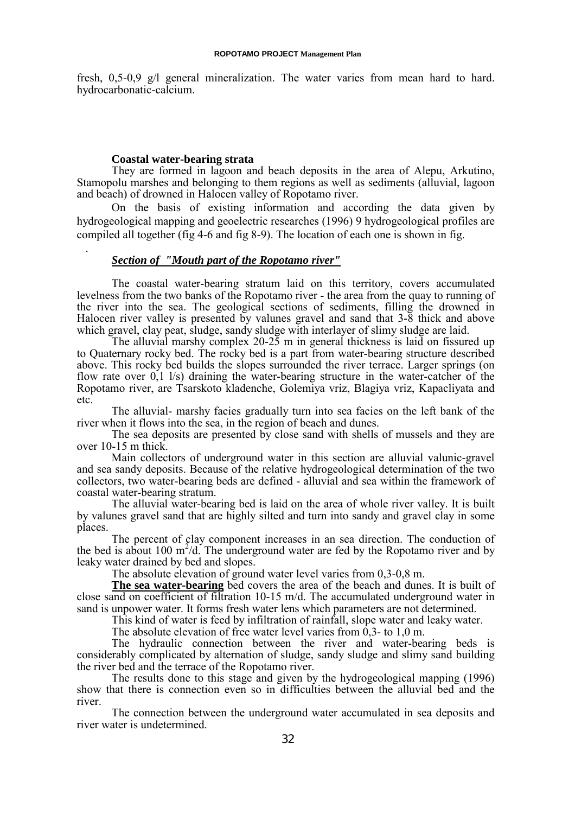fresh, 0,5-0,9 g/l general mineralization. The water varies from mean hard to hard. hydrocarbonatic-calcium.

#### **Coastal water-bearing strata**

.

They are formed in lagoon and beach deposits in the area of Alepu, Arkutino, Stamopolu marshes and belonging to them regions as well as sediments (alluvial, lagoon and beach) of drowned in Halocen valley of Ropotamo river.

On the basis of existing information and according the data given by hydrogeological mapping and geoelectric researches (1996) 9 hydrogeological profiles are compiled all together (fig 4-6 and fig 8-9). The location of each one is shown in fig.

## *Section of "Mouth part of the Ropotamo river"*

The coastal water-bearing stratum laid on this territory, covers accumulated levelness from the two banks of the Ropotamo river - the area from the quay to running of the river into the sea. The geological sections of sediments, filling the drowned in Halocen river valley is presented by valunes gravel and sand that 3-8 thick and above which gravel, clay peat, sludge, sandy sludge with interlayer of slimy sludge are laid.

The alluvial marshy complex 20-25 m in general thickness is laid on fissured up to Quaternary rocky bed. The rocky bed is a part from water-bearing structure described above. This rocky bed builds the slopes surrounded the river terrace. Larger springs (on flow rate over 0,1 l/s) draining the water-bearing structure in the water-catcher of the Ropotamo river, are Tsarskoto kladenche, Golemiya vriz, Blagiya vriz, Kapacliyata and etc.

The alluvial- marshy facies gradually turn into sea facies on the left bank of the river when it flows into the sea, in the region of beach and dunes.

The sea deposits are presented by close sand with shells of mussels and they are over 10-15 m thick.

Main collectors of underground water in this section are alluvial valunic-gravel and sea sandy deposits. Because of the relative hydrogeological determination of the two collectors, two water-bearing beds are defined - alluvial and sea within the framework of coastal water-bearing stratum.

The alluvial water-bearing bed is laid on the area of whole river valley. It is built by valunes gravel sand that are highly silted and turn into sandy and gravel clay in some places.

The percent of clay component increases in an sea direction. The conduction of the bed is about 100  $m^2/d$ . The underground water are fed by the Ropotamo river and by leaky water drained by bed and slopes.

The absolute elevation of ground water level varies from 0,3-0,8 m.

**The sea water-bearing** bed covers the area of the beach and dunes. It is built of close sand on coefficient of filtration 10-15 m/d. The accumulated underground water in sand is unpower water. It forms fresh water lens which parameters are not determined.

This kind of water is feed by infiltration of rainfall, slope water and leaky water.

The absolute elevation of free water level varies from  $\overline{0,3}$ - to 1,0 m.

The hydraulic connection between the river and water-bearing beds is considerably complicated by alternation of sludge, sandy sludge and slimy sand building the river bed and the terrace of the Ropotamo river.

The results done to this stage and given by the hydrogeological mapping (1996) show that there is connection even so in difficulties between the alluvial bed and the river.

The connection between the underground water accumulated in sea deposits and river water is undetermined.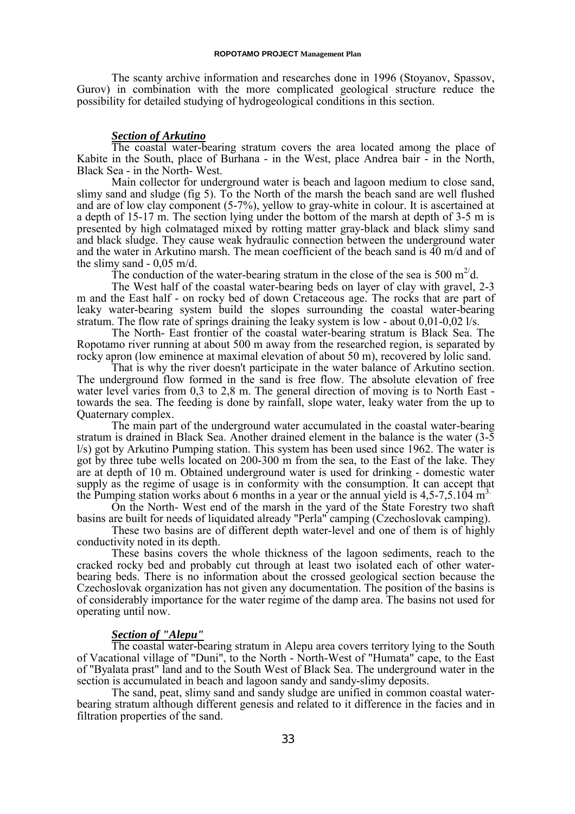The scanty archive information and researches done in 1996 (Stoyanov, Spassov, Gurov) in combination with the more complicated geological structure reduce the possibility for detailed studying of hydrogeological conditions in this section.

# *Section of Arkutino*

The coastal water-bearing stratum covers the area located among the place of Kabite in the South, place of Burhana - in the West, place Andrea bair - in the North, Black Sea - in the North- West.

Main collector for underground water is beach and lagoon medium to close sand, slimy sand and sludge (fig 5). To the North of the marsh the beach sand are well flushed and are of low clay component (5-7%), yellow to gray-white in colour. It is ascertained at a depth of 15-17 m. The section lying under the bottom of the marsh at depth of 3-5 m is presented by high colmataged mixed by rotting matter gray-black and black slimy sand and black sludge. They cause weak hydraulic connection between the underground water and the water in Arkutino marsh. The mean coefficient of the beach sand is 40 m/d and of the slimy sand  $-0.05$  m/d.

The conduction of the water-bearing stratum in the close of the sea is 500  $m^2d$ .

The West half of the coastal water-bearing beds on layer of clay with gravel, 2-3 m and the East half - on rocky bed of down Cretaceous age. The rocks that are part of leaky water-bearing system build the slopes surrounding the coastal water-bearing stratum. The flow rate of springs draining the leaky system is low - about 0,01-0,02 l/s.

The North- East frontier of the coastal water-bearing stratum is Black Sea. The Ropotamo river running at about 500 m away from the researched region, is separated by rocky apron (low eminence at maximal elevation of about 50 m), recovered by lolic sand.

That is why the river doesn't participate in the water balance of Arkutino section. The underground flow formed in the sand is free flow. The absolute elevation of free water level varies from 0,3 to 2,8 m. The general direction of moving is to North East towards the sea. The feeding is done by rainfall, slope water, leaky water from the up to Quaternary complex.

The main part of the underground water accumulated in the coastal water-bearing stratum is drained in Black Sea. Another drained element in the balance is the water (3-5 l/s) got by Arkutino Pumping station. This system has been used since 1962. The water is got by three tube wells located on 200-300 m from the sea, to the East of the lake. They are at depth of 10 m. Obtained underground water is used for drinking - domestic water supply as the regime of usage is in conformity with the consumption. It can accept that the Pumping station works about 6 months in a year or the annual yield is  $4,5$ -7,5.104 m<sup>3</sup>.

On the North- West end of the marsh in the yard of the State Forestry two shaft basins are built for needs of liquidated already "Perla" camping (Czechoslovak camping).

These two basins are of different depth water-level and one of them is of highly conductivity noted in its depth.

These basins covers the whole thickness of the lagoon sediments, reach to the cracked rocky bed and probably cut through at least two isolated each of other waterbearing beds. There is no information about the crossed geological section because the Czechoslovak organization has not given any documentation. The position of the basins is of considerably importance for the water regime of the damp area. The basins not used for operating until now.

# *Section of "Alepu"*

The coastal water-bearing stratum in Alepu area covers territory lying to the South of Vacational village of "Duni", to the North - North-West of "Humata" cape, to the East of "Byalata prast" land and to the South West of Black Sea. The underground water in the section is accumulated in beach and lagoon sandy and sandy-slimy deposits.

The sand, peat, slimy sand and sandy sludge are unified in common coastal waterbearing stratum although different genesis and related to it difference in the facies and in filtration properties of the sand.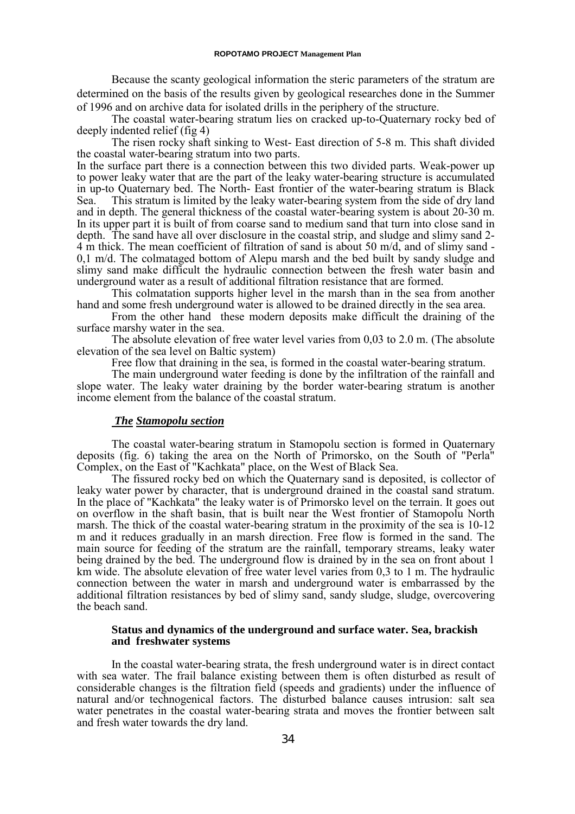Because the scanty geological information the steric parameters of the stratum are determined on the basis of the results given by geological researches done in the Summer of 1996 and on archive data for isolated drills in the periphery of the structure.

The coastal water-bearing stratum lies on cracked up-to-Quaternary rocky bed of deeply indented relief (fig 4)

The risen rocky shaft sinking to West- East direction of 5-8 m. This shaft divided the coastal water-bearing stratum into two parts.

In the surface part there is a connection between this two divided parts. Weak-power up to power leaky water that are the part of the leaky water-bearing structure is accumulated in up-to Quaternary bed. The North- East frontier of the water-bearing stratum is Black Sea. This stratum is limited by the leaky water-bearing system from the side of dry land and in depth. The general thickness of the coastal water-bearing system is about 20-30 m. In its upper part it is built of from coarse sand to medium sand that turn into close sand in depth. The sand have all over disclosure in the coastal strip, and sludge and slimy sand 2- 4 m thick. The mean coefficient of filtration of sand is about 50 m/d, and of slimy sand - 0,1 m/d. The colmataged bottom of Alepu marsh and the bed built by sandy sludge and slimy sand make difficult the hydraulic connection between the fresh water basin and underground water as a result of additional filtration resistance that are formed.

This colmatation supports higher level in the marsh than in the sea from another hand and some fresh underground water is allowed to be drained directly in the sea area.

From the other hand these modern deposits make difficult the draining of the surface marshy water in the sea.

The absolute elevation of free water level varies from 0,03 to 2.0 m. (The absolute elevation of the sea level on Baltic system)

Free flow that draining in the sea, is formed in the coastal water-bearing stratum.

The main underground water feeding is done by the infiltration of the rainfall and slope water. The leaky water draining by the border water-bearing stratum is another income element from the balance of the coastal stratum.

# *The Stamopolu section*

The coastal water-bearing stratum in Stamopolu section is formed in Quaternary deposits (fig. 6) taking the area on the North of Primorsko, on the South of "Perla" Complex, on the East of "Kachkata" place, on the West of Black Sea.

The fissured rocky bed on which the Quaternary sand is deposited, is collector of leaky water power by character, that is underground drained in the coastal sand stratum. In the place of "Kachkata" the leaky water is of Primorsko level on the terrain. It goes out on overflow in the shaft basin, that is built near the West frontier of Stamopolu North marsh. The thick of the coastal water-bearing stratum in the proximity of the sea is 10-12 m and it reduces gradually in an marsh direction. Free flow is formed in the sand. The main source for feeding of the stratum are the rainfall, temporary streams, leaky water being drained by the bed. The underground flow is drained by in the sea on front about 1 km wide. The absolute elevation of free water level varies from 0,3 to 1 m. The hydraulic connection between the water in marsh and underground water is embarrassed by the additional filtration resistances by bed of slimy sand, sandy sludge, sludge, overcovering the beach sand.

# **Status and dynamics of the underground and surface water. Sea, brackish and freshwater systems**

In the coastal water-bearing strata, the fresh underground water is in direct contact with sea water. The frail balance existing between them is often disturbed as result of considerable changes is the filtration field (speeds and gradients) under the influence of natural and/or technogenical factors. The disturbed balance causes intrusion: salt sea water penetrates in the coastal water-bearing strata and moves the frontier between salt and fresh water towards the dry land.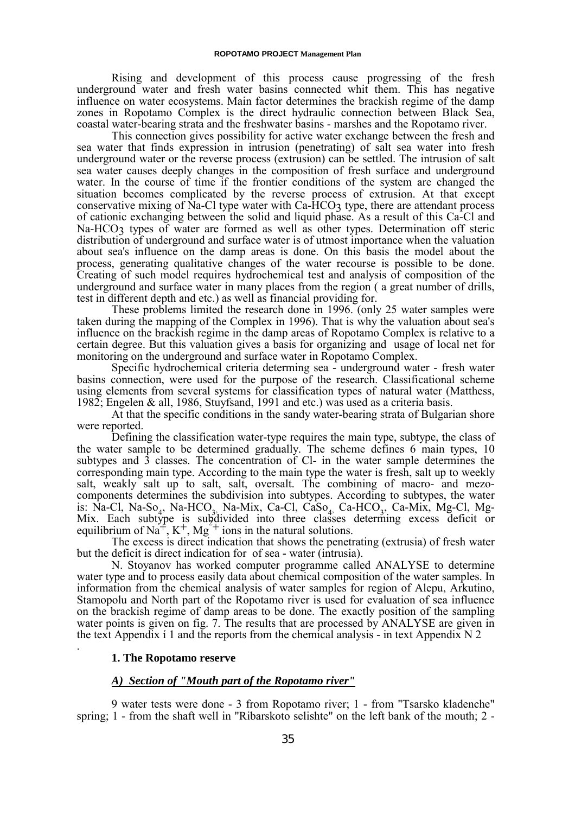Rising and development of this process cause progressing of the fresh underground water and fresh water basins connected whit them. This has negative influence on water ecosystems. Main factor determines the brackish regime of the damp zones in Ropotamo Complex is the direct hydraulic connection between Black Sea, coastal water-bearing strata and the freshwater basins - marshes and the Ropotamo river.

This connection gives possibility for active water exchange between the fresh and sea water that finds expression in intrusion (penetrating) of salt sea water into fresh underground water or the reverse process (extrusion) can be settled. The intrusion of salt sea water causes deeply changes in the composition of fresh surface and underground water. In the course of time if the frontier conditions of the system are changed the situation becomes complicated by the reverse process of extrusion. At that except conservative mixing of Na-Cl type water with Ca-HCO<sub>3</sub> type, there are attendant process of cationic exchanging between the solid and liquid phase. As a result of this Ca-Cl and Na-HCO<sub>3</sub> types of water are formed as well as other types. Determination off steric distribution of underground and surface water is of utmost importance when the valuation about sea's influence on the damp areas is done. On this basis the model about the process, generating qualitative changes of the water recourse is possible to be done. Creating of such model requires hydrochemical test and analysis of composition of the underground and surface water in many places from the region ( a great number of drills, test in different depth and etc.) as well as financial providing for.

These problems limited the research done in 1996. (only 25 water samples were taken during the mapping of the Complex in 1996). That is why the valuation about sea's influence on the brackish regime in the damp areas of Ropotamo Complex is relative to a certain degree. But this valuation gives a basis for organizing and usage of local net for monitoring on the underground and surface water in Ropotamo Complex.

Specific hydrochemical criteria determing sea - underground water - fresh water basins connection, were used for the purpose of the research. Classificational scheme using elements from several systems for classification types of natural water (Matthess, 1982; Engelen & all, 1986, Stuyfsand, 1991 and etc.) was used as a criteria basis.

At that the specific conditions in the sandy water-bearing strata of Bulgarian shore were reported.

Defining the classification water-type requires the main type, subtype, the class of the water sample to be determined gradually. The scheme defines 6 main types, 10 subtypes and 3 classes. The concentration of Cl- in the water sample determines the corresponding main type. According to the main type the water is fresh, salt up to weekly salt, weakly salt up to salt, salt, oversalt. The combining of macro- and mezocomponents determines the subdivision into subtypes. According to subtypes, the water is: Na-Cl, Na-So<sub>4</sub>, Na-HCO<sub>3</sub>, Na-Mix, Ca-Cl, CaSo<sub>4</sub>, Ca-HCO<sub>3</sub>, Ca-Mix, Mg-Cl, Mg-Mix. Each subtype is subdivided into three classes determing excess deficit or equilibrium of  $\text{Na}^+$ ,  $\text{K}^+$ ,  $\text{Mg}^{2+}$  ions in the natural solutions.

The excess is direct indication that shows the penetrating (extrusia) of fresh water but the deficit is direct indication for of sea - water (intrusia).

N. Stoyanov has worked computer programme called ANALYSE to determine water type and to process easily data about chemical composition of the water samples. In information from the chemical analysis of water samples for region of Alepu, Arkutino, Stamopolu and North part of the Ropotamo river is used for evaluation of sea influence on the brackish regime of damp areas to be done. The exactly position of the sampling water points is given on fig. 7. The results that are processed by ANALYSE are given in the text Appendix i 1 and the reports from the chemical analysis - in text Appendix  $N$  2 .

## **1. The Ropotamo reserve**

## *A) Section of "Mouth part of the Ropotamo river"*

9 water tests were done - 3 from Ropotamo river; 1 - from "Tsarsko kladenche" spring; 1 - from the shaft well in "Ribarskoto selishte" on the left bank of the mouth; 2 -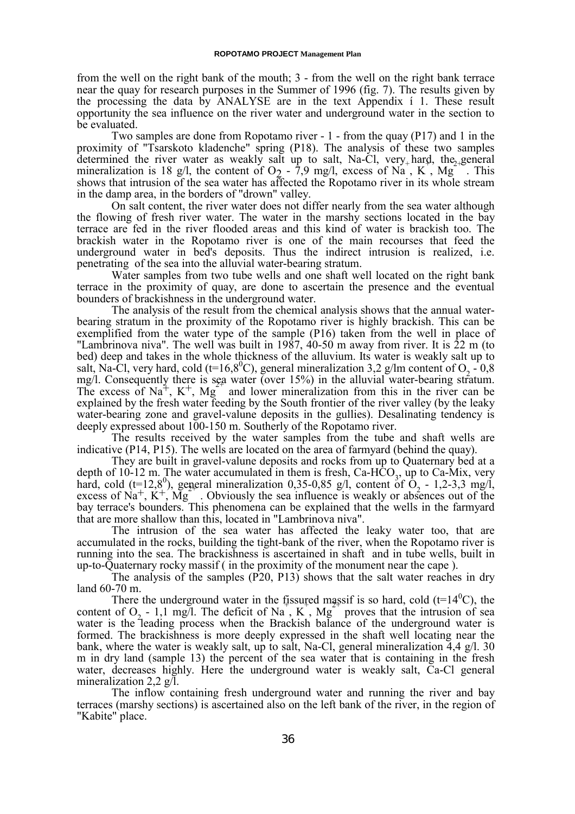from the well on the right bank of the mouth; 3 - from the well on the right bank terrace near the quay for research purposes in the Summer of 1996 (fig. 7). The results given by the processing the data by ANALYSE are in the text Appendix í 1. These result opportunity the sea influence on the river water and underground water in the section to be evaluated.

Two samples are done from Ropotamo river - 1 - from the quay (P17) and 1 in the proximity of "Tsarskoto kladenche" spring (P18). The analysis of these two samples determined the river water as weakly salt up to salt, Na-Cl, very hard, the general mineralization is 18 g/l, the content of  $O_2$  - 7,9 mg/l, excess of Na, K, Mg This shows that intrusion of the sea water has affected the Ropotamo river in its whole stream in the damp area, in the borders of "drown" valley.

On salt content, the river water does not differ nearly from the sea water although the flowing of fresh river water. The water in the marshy sections located in the bay terrace are fed in the river flooded areas and this kind of water is brackish too. The brackish water in the Ropotamo river is one of the main recourses that feed the underground water in bed's deposits. Thus the indirect intrusion is realized, i.e. penetrating of the sea into the alluvial water-bearing stratum.

Water samples from two tube wells and one shaft well located on the right bank terrace in the proximity of quay, are done to ascertain the presence and the eventual bounders of brackishness in the underground water.

The analysis of the result from the chemical analysis shows that the annual waterbearing stratum in the proximity of the Ropotamo river is highly brackish. This can be exemplified from the water type of the sample (P16) taken from the well in place of "Lambrinova niva". The well was built in 1987, 40-50 m away from river. It is  $\overline{2}2$  m (to bed) deep and takes in the whole thickness of the alluvium. Its water is weakly salt up to salt, Na-Cl, very hard, cold (t=16,8<sup>0</sup>C), general mineralization 3,2 g/lm content of O<sub>2</sub> - 0,8 mg/l. Consequently there is sea water (over 15%) in the alluvial water-bearing stratum. The excess of  $Na<sup>+</sup>$ ,  $K<sup>+</sup>$ ,  $Mg<sup>-</sup>$  and lower mineralization from this in the river can be explained by the fresh water feeding by the South frontier of the river valley (by the leaky water-bearing zone and gravel-valune deposits in the gullies). Desalinating tendency is deeply expressed about 100-150 m. Southerly of the Ropotamo river.

The results received by the water samples from the tube and shaft wells are indicative (P14, P15). The wells are located on the area of farmyard (behind the quay).

They are built in gravel-valune deposits and rocks from up to Quaternary bed at a depth of 10-12 m. The water accumulated in them is fresh, Ca-HCO<sub>3</sub>, up to Ca-Mix, very hard, cold ( $t=12,8^0$ ), general mineralization 0,35-0,85 g/l, content of  $O_2$  - 1,2-3,3 mg/l, excess of Na<sup>+</sup>, K<sup>+</sup>, Mg<sup>-</sup>. Obviously the sea influence is weakly or absences out of the bay terrace's bounders. This phenomena can be explained that the wells in the farmyard that are more shallow than this, located in "Lambrinova niva".

The intrusion of the sea water has affected the leaky water too, that are accumulated in the rocks, building the tight-bank of the river, when the Ropotamo river is running into the sea. The brackishness is ascertained in shaft and in tube wells, built in up-to-Quaternary rocky massif ( in the proximity of the monument near the cape ).

The analysis of the samples (P20, P13) shows that the salt water reaches in dry land 60-70 m.

There the underground water in the fissured massif is so hard, cold ( $t=14^{\circ}$ C), the content of  $O_2$  - 1,1 mg/l. The deficit of Na, K, Mg proves that the intrusion of sea water is the leading process when the Brackish balance of the underground water is formed. The brackishness is more deeply expressed in the shaft well locating near the bank, where the water is weakly salt, up to salt, Na-Cl, general mineralization 4,4 g/l. 30 m in dry land (sample 13) the percent of the sea water that is containing in the fresh water, decreases highly. Here the underground water is weakly salt, Ca-Cl general mineralization 2,2 g/l.

The inflow containing fresh underground water and running the river and bay terraces (marshy sections) is ascertained also on the left bank of the river, in the region of "Kabite" place.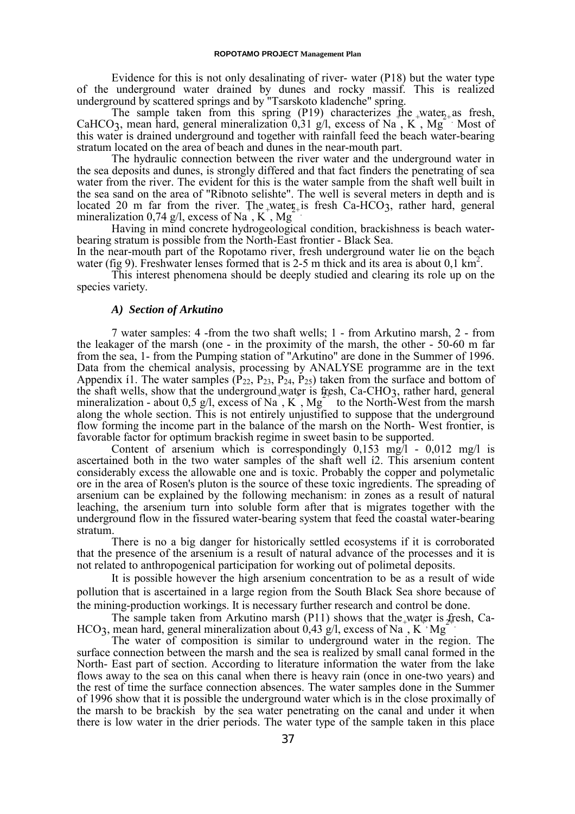Evidence for this is not only desalinating of river- water (P18) but the water type of the underground water drained by dunes and rocky massif. This is realized underground by scattered springs and by "Tsarskoto kladenche" spring.

The sample taken from this spring (P19) characterizes the water<sub>2+</sub> as fresh, CaHCO<sub>3</sub>, mean hard, general mineralization 0,31 g/l, excess of Na<sup>+</sup>, K<sup>+</sup>, Mg<sup>+</sup> Most of this water is drained underground and together with rainfall feed the beach water-bearing stratum located on the area of beach and dunes in the near-mouth part.

The hydraulic connection between the river water and the underground water in the sea deposits and dunes, is strongly differed and that fact finders the penetrating of sea water from the river. The evident for this is the water sample from the shaft well built in the sea sand on the area of "Ribnoto selishte". The well is several meters in depth and is located 20 m far from the river. The water is fresh Ca-HCO<sub>3</sub>, rather hard, general<br>minoralization 0.74 c/l, excess of N<sub>0</sub> K, Mc<sub>a</sub> mineralization 0,74 g/l, excess of Na, K, Mg

Having in mind concrete hydrogeological condition, brackishness is beach waterbearing stratum is possible from the North-East frontier - Black Sea.

In the near-mouth part of the Ropotamo river, fresh underground water lie on the beach water (fig 9). Freshwater lenses formed that is 2-5 m thick and its area is about 0,1 km<sup>2</sup>.

This interest phenomena should be deeply studied and clearing its role up on the species variety.

#### *A) Section of Arkutino*

7 water samples: 4 -from the two shaft wells; 1 - from Arkutino marsh, 2 - from the leakager of the marsh (one - in the proximity of the marsh, the other - 50-60 m far from the sea, 1- from the Pumping station of "Arkutino" are done in the Summer of 1996. Data from the chemical analysis, processing by ANALYSE programme are in the text Appendix 11. The water samples ( $\overline{P}_{22}$ ,  $P_{23}$ ,  $\overline{P}_{24}$ ,  $\overline{P}_{25}$ ) taken from the surface and bottom of the shaft wells, show that the underground water is fresh, Ca-CHO<sub>3</sub>, rather hard, general mineralization - about 0,5 g/l, excess of Na, K,  $Mg^2$  to the North-West from the marsh along the whole section. This is not entirely unjustified to suppose that the underground flow forming the income part in the balance of the marsh on the North- West frontier, is favorable factor for optimum brackish regime in sweet basin to be supported.

Content of arsenium which is correspondingly  $0,153 \text{ mg/l} - 0,012 \text{ mg/l}$  is ascertained both in the two water samples of the shaft well í2. This arsenium content considerably excess the allowable one and is toxic. Probably the copper and polymetalic ore in the area of Rosen's pluton is the source of these toxic ingredients. The spreading of arsenium can be explained by the following mechanism: in zones as a result of natural leaching, the arsenium turn into soluble form after that is migrates together with the underground flow in the fissured water-bearing system that feed the coastal water-bearing stratum.

There is no a big danger for historically settled ecosystems if it is corroborated that the presence of the arsenium is a result of natural advance of the processes and it is not related to anthropogenical participation for working out of polimetal deposits.

It is possible however the high arsenium concentration to be as a result of wide pollution that is ascertained in a large region from the South Black Sea shore because of the mining-production workings. It is necessary further research and control be done.

The sample taken from Arkutino marsh (P11) shows that the water is fresh, Ca-<br>mean hard, cancral minoralization about 0.43  $\alpha$ <sup>1</sup>. excess of Na K<sub>2</sub>. Ma HCO<sub>3</sub>, mean hard, general mineralization about 0,43 g/l, excess of Na, K<sup>+</sup> Mg

The water of composition is similar to underground water in the region. The surface connection between the marsh and the sea is realized by small canal formed in the North- East part of section. According to literature information the water from the lake flows away to the sea on this canal when there is heavy rain (once in one-two years) and the rest of time the surface connection absences. The water samples done in the Summer of 1996 show that it is possible the underground water which is in the close proximally of the marsh to be brackish by the sea water penetrating on the canal and under it when there is low water in the drier periods. The water type of the sample taken in this place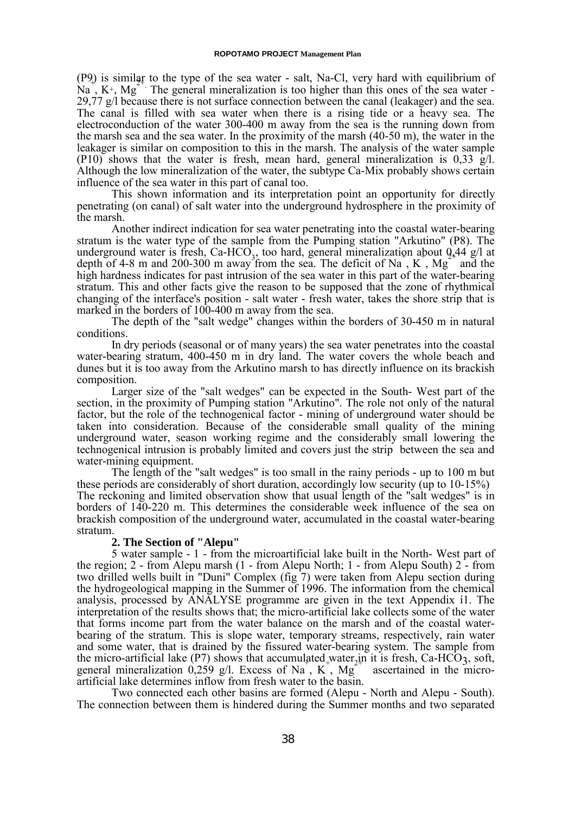(P9) is similar to the type of the sea water - salt, Na-Cl, very hard with equilibrium of  $N_a$ ,  $K^+$ ,  $Mg^2$ . The general mineralization is too higher than this ones of the sea water -29,77  $g/l$  because there is not surface connection between the canal (leakager) and the sea. The canal is filled with sea water when there is a rising tide or a heavy sea. The electroconduction of the water 300-400 m away from the sea is the running down from the marsh sea and the sea water. In the proximity of the marsh (40-50 m), the water in the leakager is similar on composition to this in the marsh. The analysis of the water sample (P10) shows that the water is fresh, mean hard, general mineralization is 0,33 g/l. Although the low mineralization of the water, the subtype Ca-Mix probably shows certain influence of the sea water in this part of canal too.

This shown information and its interpretation point an opportunity for directly penetrating (on canal) of salt water into the underground hydrosphere in the proximity of the marsh.

Another indirect indication for sea water penetrating into the coastal water-bearing stratum is the water type of the sample from the Pumping station "Arkutino" (P8). The underground water is fresh, Ca-HCO<sub>3</sub>, too hard, general mineralization about  $9.44$  g/l at depth of 4-8 m and 200-300 m away from the sea. The deficit of Na, K, Mg and the high hardness indicates for past intrusion of the sea water in this part of the water-bearing stratum. This and other facts give the reason to be supposed that the zone of rhythmical changing of the interface's position - salt water - fresh water, takes the shore strip that is marked in the borders of 100-400 m away from the sea.

The depth of the "salt wedge" changes within the borders of 30-450 m in natural conditions.

In dry periods (seasonal or of many years) the sea water penetrates into the coastal water-bearing stratum, 400-450 m in dry land. The water covers the whole beach and dunes but it is too away from the Arkutino marsh to has directly influence on its brackish composition.

Larger size of the "salt wedges" can be expected in the South- West part of the section, in the proximity of Pumping station "Arkutino". The role not only of the natural factor, but the role of the technogenical factor - mining of underground water should be taken into consideration. Because of the considerable small quality of the mining underground water, season working regime and the considerably small lowering the technogenical intrusion is probably limited and covers just the strip between the sea and water-mining equipment.

The length of the "salt wedges" is too small in the rainy periods - up to 100 m but these periods are considerably of short duration, accordingly low security (up to 10-15%) The reckoning and limited observation show that usual length of the "salt wedges" is in borders of 140-220 m. This determines the considerable week influence of the sea on brackish composition of the underground water, accumulated in the coastal water-bearing stratum.

#### **2. The Section of "Alepu"**

5 water sample - 1 - from the microartificial lake built in the North- West part of the region; 2 - from Alepu marsh (1 - from Alepu North; 1 - from Alepu South) 2 - from two drilled wells built in "Duni" Complex (fig 7) were taken from Alepu section during the hydrogeological mapping in the Summer of 1996. The information from the chemical analysis, processed by ANALYSE programme are given in the text Appendix í1. The interpretation of the results shows that; the micro-artificial lake collects some of the water that forms income part from the water balance on the marsh and of the coastal waterbearing of the stratum. This is slope water, temporary streams, respectively, rain water and some water, that is drained by the fissured water-bearing system. The sample from the micro-artificial lake (P7) shows that accumulated water in it is fresh, Ca-HCO3, soft, general mineralization  $0,259$  g/l. Excess of Na, K, Mg ascertained in the microartificial lake determines inflow from fresh water to the basin.

Two connected each other basins are formed (Alepu - North and Alepu - South). The connection between them is hindered during the Summer months and two separated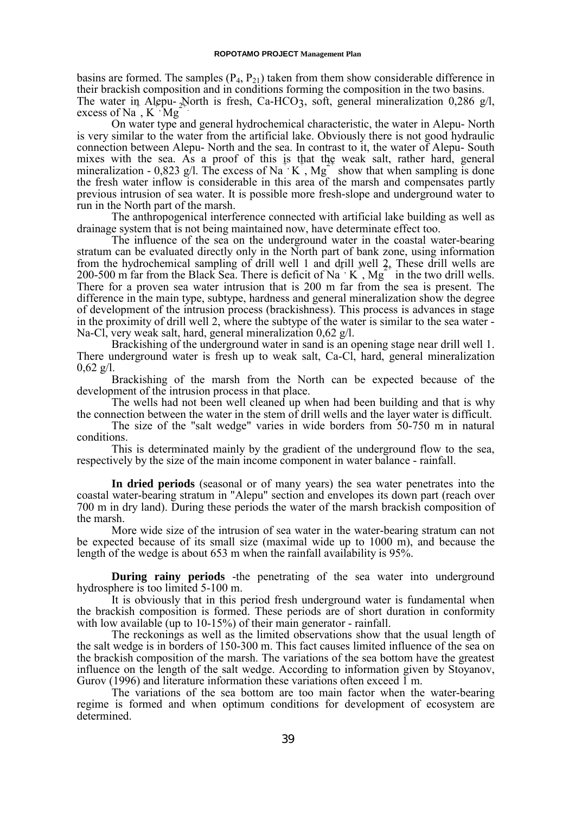basins are formed. The samples  $(P_4, P_{21})$  taken from them show considerable difference in their brackish composition and in conditions forming the composition in the two basins. The water in Alepu-<sub>2</sub>North is fresh, Ca-HCO<sub>3</sub>, soft, general mineralization 0,286 g/l,  $\frac{1}{k}$  excess of Na, K  $\cdot$  Mg

On water type and general hydrochemical characteristic, the water in Alepu- North is very similar to the water from the artificial lake. Obviously there is not good hydraulic connection between Alepu- North and the sea. In contrast to it, the water of Alepu- South mixes with the sea. As a proof of this is that the weak salt, rather hard, general mineralization -  $0,823$  g/l. The excess of Na<sup>+</sup> K<sup>+</sup>, Mg<sup>+</sup> show that when sampling is done the fresh water inflow is considerable in this area of the marsh and compensates partly previous intrusion of sea water. It is possible more fresh-slope and underground water to run in the North part of the marsh.

The anthropogenical interference connected with artificial lake building as well as drainage system that is not being maintained now, have determinate effect too.

The influence of the sea on the underground water in the coastal water-bearing stratum can be evaluated directly only in the North part of bank zone, using information from the hydrochemical sampling of drill well 1 and drill well  $2_+$ . These drill wells are 200-500 m far from the Black Sea. There is deficit of Na<sup>+</sup> K<sup>+</sup>, Mg<sup>+</sup> in the two drill wells. There for a proven sea water intrusion that is 200 m far from the sea is present. The difference in the main type, subtype, hardness and general mineralization show the degree of development of the intrusion process (brackishness). This process is advances in stage in the proximity of drill well 2, where the subtype of the water is similar to the sea water - Na-Cl, very weak salt, hard, general mineralization 0,62 g/l.

Brackishing of the underground water in sand is an opening stage near drill well 1. There underground water is fresh up to weak salt, Ca-Cl, hard, general mineralization  $0,62 \text{ g/l}.$ 

Brackishing of the marsh from the North can be expected because of the development of the intrusion process in that place.

The wells had not been well cleaned up when had been building and that is why the connection between the water in the stem of drill wells and the layer water is difficult.

The size of the "salt wedge" varies in wide borders from 50-750 m in natural conditions.

This is determinated mainly by the gradient of the underground flow to the sea, respectively by the size of the main income component in water balance - rainfall.

**In dried periods** (seasonal or of many years) the sea water penetrates into the coastal water-bearing stratum in "Alepu" section and envelopes its down part (reach over 700 m in dry land). During these periods the water of the marsh brackish composition of the marsh.

More wide size of the intrusion of sea water in the water-bearing stratum can not be expected because of its small size (maximal wide up to 1000 m), and because the length of the wedge is about 653 m when the rainfall availability is 95%.

**During rainy periods** -the penetrating of the sea water into underground hydrosphere is too limited 5-100 m.

It is obviously that in this period fresh underground water is fundamental when the brackish composition is formed. These periods are of short duration in conformity with low available (up to 10-15%) of their main generator - rainfall.

The reckonings as well as the limited observations show that the usual length of the salt wedge is in borders of 150-300 m. This fact causes limited influence of the sea on the brackish composition of the marsh. The variations of the sea bottom have the greatest influence on the length of the salt wedge. According to information given by Stoyanov, Gurov (1996) and literature information these variations often exceed 1 m.

The variations of the sea bottom are too main factor when the water-bearing regime is formed and when optimum conditions for development of ecosystem are determined.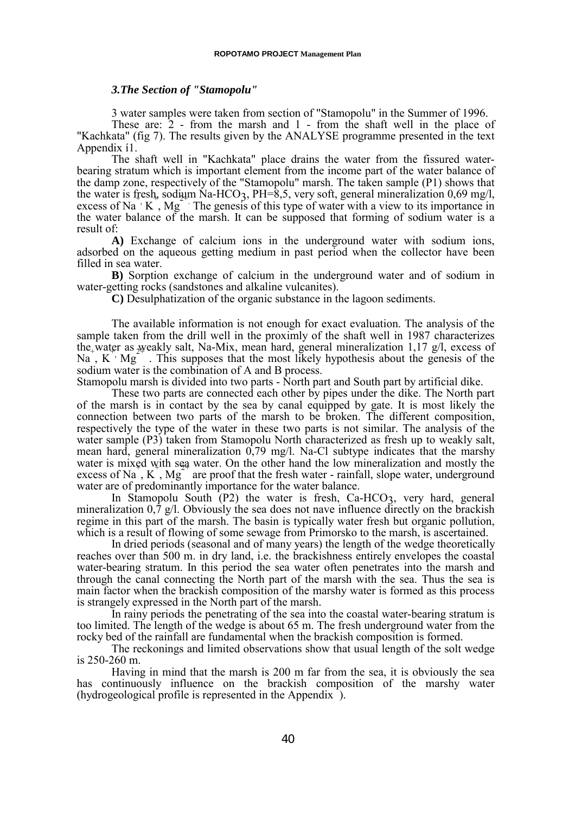### *3.The Section of "Stamopolu"*

3 water samples were taken from section of "Stamopolu" in the Summer of 1996.

These are: 2 - from the marsh and 1 - from the shaft well in the place of "Kachkata" (fig 7). The results given by the ANALYSE programme presented in the text Appendix í1.

The shaft well in "Kachkata" place drains the water from the fissured waterbearing stratum which is important element from the income part of the water balance of the damp zone, respectively of the "Stamopolu" marsh. The taken sample (P1) shows that the water is fresh, sodium Na-HCO<sub>3</sub>, PH=8,5, very soft, general mineralization 0,69 mg/l,  $\alpha$  excess of Na  $\cdot$  K, Mg  $\cdot$  The genesis of this type of water with a view to its importance in the water balance of the marsh. It can be supposed that forming of sodium water is a result of:

**A)** Exchange of calcium ions in the underground water with sodium ions, adsorbed on the aqueous getting medium in past period when the collector have been filled in sea water.

**B)** Sorption exchange of calcium in the underground water and of sodium in water-getting rocks (sandstones and alkaline vulcanites).

**C)** Desulphatization of the organic substance in the lagoon sediments.

The available information is not enough for exact evaluation. The analysis of the sample taken from the drill well in the proximly of the shaft well in 1987 characterizes the water as weakly salt, Na-Mix, mean hard, general mineralization 1,17 g/l, excess of  $Na$ ,  $K^2Mg$  . This supposes that the most likely hypothesis about the genesis of the  $Na$ ,  $K^2Mg$ . sodium water is the combination of A and B process.

Stamopolu marsh is divided into two parts - North part and South part by artificial dike.

These two parts are connected each other by pipes under the dike. The North part of the marsh is in contact by the sea by canal equipped by gate. It is most likely the connection between two parts of the marsh to be broken. The different composition, respectively the type of the water in these two parts is not similar. The analysis of the water sample (P3) taken from Stamopolu North characterized as fresh up to weakly salt, mean hard, general mineralization 0,79 mg/l. Na-Cl subtype indicates that the marshy water is mixed with sea water. On the other hand the low mineralization and mostly the water is  $\max_{k=1}^{\infty}$  with  $\frac{1}{2}$  water. On the other hand the fow indicatization and mostly the excess of Na, K, Mg<sup>-</sup> are proof that the fresh water - rainfall, slope water, underground water are of predominantly importance for the water balance.

In Stamopolu South  $(P2)$  the water is fresh, Ca-HCO3, very hard, general mineralization  $0,\bar{7}$  g/l. Obviously the sea does not nave influence directly on the brackish regime in this part of the marsh. The basin is typically water fresh but organic pollution, which is a result of flowing of some sewage from Primorsko to the marsh, is ascertained.

In dried periods (seasonal and of many years) the length of the wedge theoretically reaches over than 500 m. in dry land, i.e. the brackishness entirely envelopes the coastal water-bearing stratum. In this period the sea water often penetrates into the marsh and through the canal connecting the North part of the marsh with the sea. Thus the sea is main factor when the brackish composition of the marshy water is formed as this process is strangely expressed in the North part of the marsh.

In rainy periods the penetrating of the sea into the coastal water-bearing stratum is too limited. The length of the wedge is about 65 m. The fresh underground water from the rocky bed of the rainfall are fundamental when the brackish composition is formed.

The reckonings and limited observations show that usual length of the solt wedge is 250-260 m.

Having in mind that the marsh is 200 m far from the sea, it is obviously the sea has continuously influence on the brackish composition of the marshy water (hydrogeological profile is represented in the Appendix ).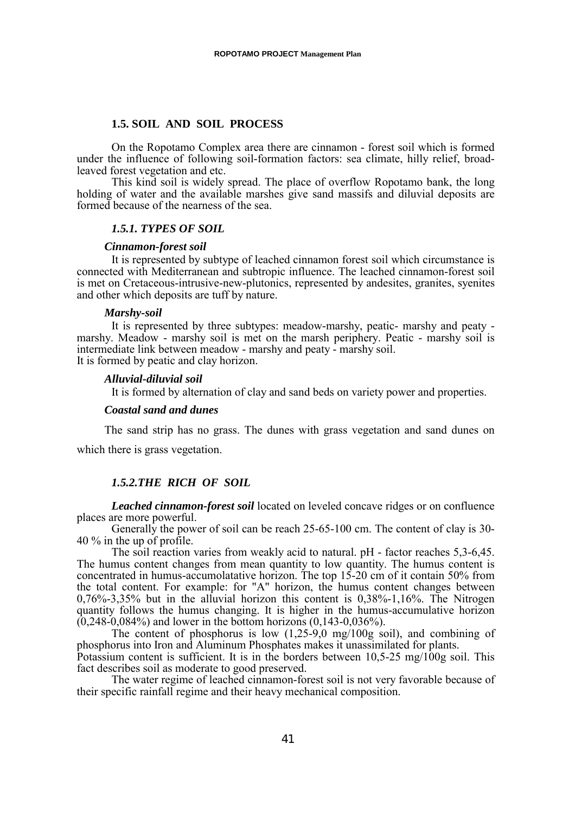#### **1.5. SOIL AND SOIL PROCESS**

On the Ropotamo Complex area there are cinnamon - forest soil which is formed under the influence of following soil-formation factors: sea climate, hilly relief, broadleaved forest vegetation and etc.

This kind soil is widely spread. The place of overflow Ropotamo bank, the long holding of water and the available marshes give sand massifs and diluvial deposits are formed because of the nearness of the sea.

## *1.5.1. TYPES OF SOIL*

#### *Cinnamon-forest soil*

It is represented by subtype of leached cinnamon forest soil which circumstance is connected with Mediterranean and subtropic influence. The leached cinnamon-forest soil is met on Cretaceous-intrusive-new-plutonics, represented by andesites, granites, syenites and other which deposits are tuff by nature.

#### *Marshy-soil*

It is represented by three subtypes: meadow-marshy, peatic- marshy and peaty marshy. Meadow - marshy soil is met on the marsh periphery. Peatic - marshy soil is intermediate link between meadow - marshy and peaty - marshy soil. It is formed by peatic and clay horizon.

#### *Alluvial-diluvial soil*

It is formed by alternation of clay and sand beds on variety power and properties.

### *Coastal sand and dunes*

The sand strip has no grass. The dunes with grass vegetation and sand dunes on

which there is grass vegetation.

## *1.5.2.THE RICH OF SOIL*

*Leached cinnamon-forest soil* located on leveled concave ridges or on confluence places are more powerful.

Generally the power of soil can be reach 25-65-100 cm. The content of clay is 30- 40 % in the up of profile.

The soil reaction varies from weakly acid to natural. pH - factor reaches 5,3-6,45. The humus content changes from mean quantity to low quantity. The humus content is concentrated in humus-accumolatative horizon. The top 15-20 cm of it contain 50% from the total content. For example: for "A" horizon, the humus content changes between 0,76%-3,35% but in the alluvial horizon this content is 0,38%-1,16%. The Nitrogen quantity follows the humus changing. It is higher in the humus-accumulative horizon  $(0,248-0,084%)$  and lower in the bottom horizons  $(0,143-0,036%)$ .

The content of phosphorus is low  $(1,25-9,0)$  mg/100g soil), and combining of phosphorus into Iron and Aluminum Phosphates makes it unassimilated for plants. Potassium content is sufficient. It is in the borders between 10,5-25 mg/100g soil. This fact describes soil as moderate to good preserved.

The water regime of leached cinnamon-forest soil is not very favorable because of their specific rainfall regime and their heavy mechanical composition.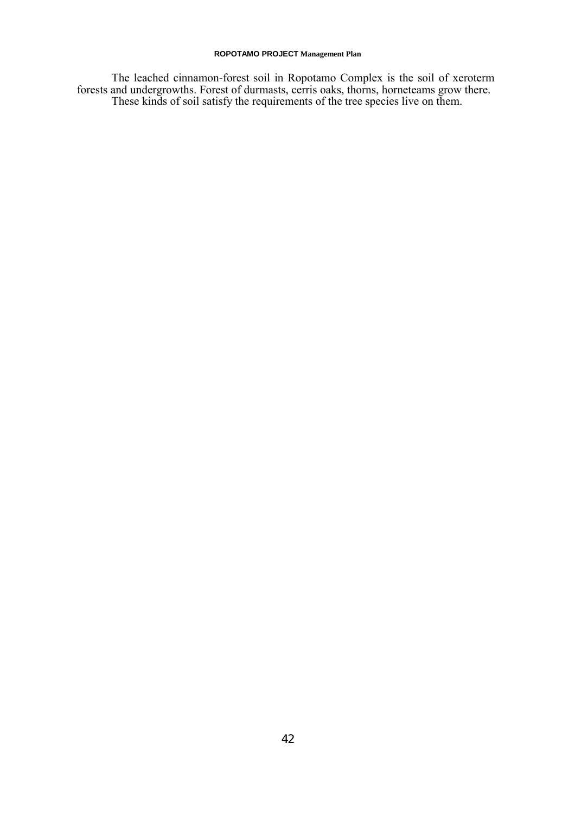The leached cinnamon-forest soil in Ropotamo Complex is the soil of xeroterm forests and undergrowths. Forest of durmasts, cerris oaks, thorns, horneteams grow there. These kinds of soil satisfy the requirements of the tree species live on them.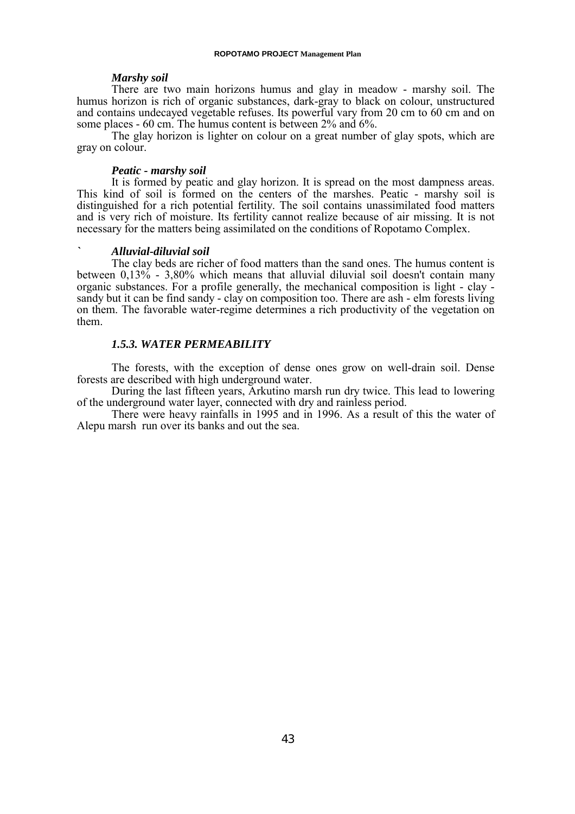#### *Marshy soil*

There are two main horizons humus and glay in meadow - marshy soil. The humus horizon is rich of organic substances, dark-gray to black on colour, unstructured and contains undecayed vegetable refuses. Its powerful vary from 20 cm to 60 cm and on some places - 60 cm. The humus content is between 2% and 6%.

The glay horizon is lighter on colour on a great number of glay spots, which are gray on colour.

#### *Peatic - marshy soil*

It is formed by peatic and glay horizon. It is spread on the most dampness areas. This kind of soil is formed on the centers of the marshes. Peatic - marshy soil is distinguished for a rich potential fertility. The soil contains unassimilated food matters and is very rich of moisture. Its fertility cannot realize because of air missing. It is not necessary for the matters being assimilated on the conditions of Ropotamo Complex.

#### *` Alluvial-diluvial soil*

The clay beds are richer of food matters than the sand ones. The humus content is between  $0.13\%$  - 3,80% which means that alluvial diluvial soil doesn't contain many organic substances. For a profile generally, the mechanical composition is light - clay sandy but it can be find sandy - clay on composition too. There are ash - elm forests living on them. The favorable water-regime determines a rich productivity of the vegetation on them.

#### *1.5.3. WATER PERMEABILITY*

The forests, with the exception of dense ones grow on well-drain soil. Dense forests are described with high underground water.

During the last fifteen years, Arkutino marsh run dry twice. This lead to lowering of the underground water layer, connected with dry and rainless period.

There were heavy rainfalls in 1995 and in 1996. As a result of this the water of Alepu marsh run over its banks and out the sea.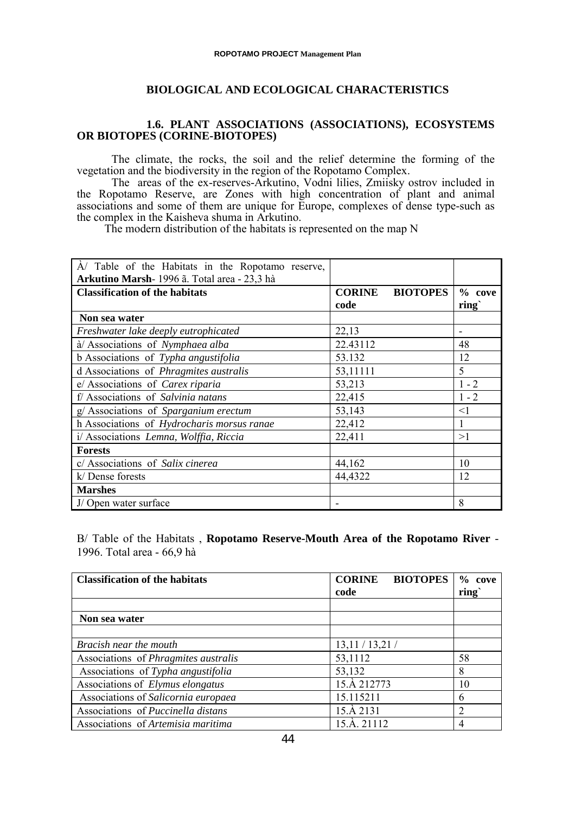## **BIOLOGICAL AND ECOLOGICAL CHARACTERISTICS**

## **1.6. PLANT ASSOCIATIONS (ASSOCIATIONS), ECOSYSTEMS OR BIOTOPES (CORINE-BIOTOPES)**

The climate, the rocks, the soil and the relief determine the forming of the vegetation and the biodiversity in the region of the Ropotamo Complex.

The areas of the ex-reserves-Arkutino, Vodni lilies, Zmiisky ostrov included in the Ropotamo Reserve, are Zones with high concentration of plant and animal associations and some of them are unique for Europe, complexes of dense type-such as the complex in the Kaisheva shuma in Arkutino.

The modern distribution of the habitats is represented on the map N

| $\dot{A}$ Table of the Habitats in the Ropotamo reserve, |                                  |          |
|----------------------------------------------------------|----------------------------------|----------|
| Arkutino Marsh-1996 ã. Total area - 23,3 hà              |                                  |          |
| <b>Classification of the habitats</b>                    | <b>CORINE</b><br><b>BIOTOPES</b> | $%$ cove |
|                                                          | code                             | ring     |
| Non sea water                                            |                                  |          |
| Freshwater lake deeply eutrophicated                     | 22,13                            |          |
| à/ Associations of Nymphaea alba                         | 22.43112                         | 48       |
| b Associations of Typha angustifolia                     | 53.132                           | 12       |
| d Associations of <i>Phragmites australis</i>            | 53,11111                         | 5        |
| e/ Associations of Carex riparia                         | 53,213                           | $1 - 2$  |
| f/ Associations of Salvinia natans                       | 22,415                           | $1 - 2$  |
| $g/$ Associations of Sparganium erectum                  | 53,143                           | $\leq$ 1 |
| h Associations of Hydrocharis morsus ranae               | 22,412                           | 1        |
| i/ Associations Lemna, Wolffia, Riccia                   | 22,411                           | >1       |
| <b>Forests</b>                                           |                                  |          |
| c/ Associations of Salix cinerea                         | 44,162                           | 10       |
| k/Dense forests                                          | 44,4322                          | 12       |
| <b>Marshes</b>                                           |                                  |          |
| J/Open water surface                                     |                                  | 8        |

B/ Table of the Habitats , **Ropotamo Reserve-Mouth Area of the Ropotamo River** - 1996. Total area - 66,9 hà

| <b>Classification of the habitats</b>       | <b>BIOTOPES</b><br><b>CORINE</b><br>code | $%$ cove<br>ring |
|---------------------------------------------|------------------------------------------|------------------|
|                                             |                                          |                  |
| Non sea water                               |                                          |                  |
|                                             |                                          |                  |
| Bracish near the mouth                      | 13,11/13,21/                             |                  |
| Associations of <i>Phragmites australis</i> | 53,1112                                  | 58               |
| Associations of Typha angustifolia          | 53,132                                   | 8                |
| Associations of <i>Elymus elongatus</i>     | 15.A 212773                              | 10               |
| Associations of Salicornia europaea         | 15.115211                                | 6                |
| Associations of Puccinella distans          | 15.A 2131                                | 2                |
| Associations of Artemisia maritima          | 15.A. 21112                              | 4                |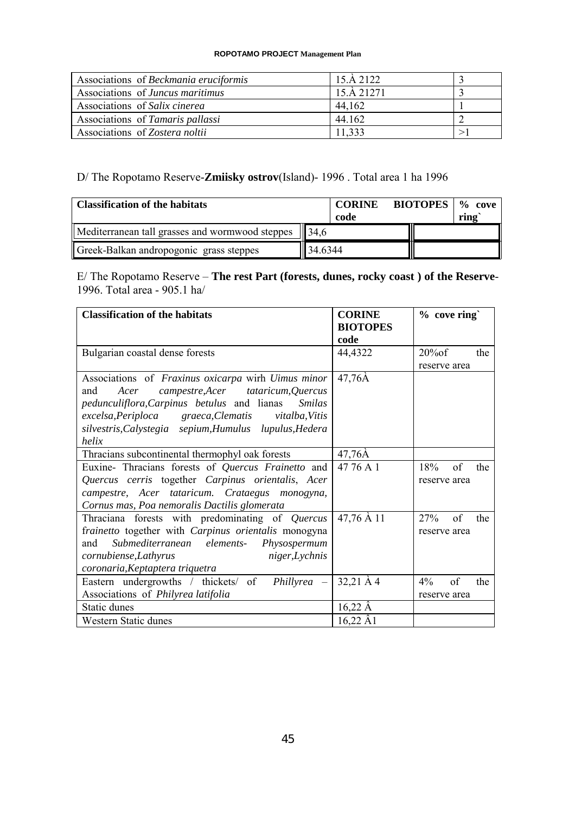| Associations of Beckmania eruciformis | 15 A 2122  |  |
|---------------------------------------|------------|--|
| Associations of Juncus maritimus      | 15.A 21271 |  |
| Associations of Salix cinerea         | 44.162     |  |
| Associations of Tamaris pallassi      | 44 162     |  |
| Associations of Zostera noltii        | 11.333     |  |

## D/ The Ropotamo Reserve-**Zmiisky ostrov**(Island)- 1996 . Total area 1 ha 1996

| <b>Classification of the habitats</b>                     |                     | <b>CORINE</b><br>code | <b>BIOTOPES</b>   % cove | ring |  |
|-----------------------------------------------------------|---------------------|-----------------------|--------------------------|------|--|
| Mediterranean tall grasses and wormwood steppes $\ $ 34.6 |                     |                       |                          |      |  |
| Greek-Balkan andropogonic grass steppes                   | $\parallel$ 34.6344 |                       |                          |      |  |

E/ The Ropotamo Reserve – **The rest Part (forests, dunes, rocky coast ) of the Reserve**-1996. Total area - 905.1 ha/

| <b>Classification of the habitats</b>                               | <b>CORINE</b><br><b>BIOTOPES</b> | % cove ring`       |  |
|---------------------------------------------------------------------|----------------------------------|--------------------|--|
|                                                                     | code                             |                    |  |
| Bulgarian coastal dense forests                                     | 44,4322                          | $20\%$ of<br>the   |  |
|                                                                     |                                  | reserve area       |  |
| Associations of Fraxinus oxicarpa wirh Uimus minor                  | 47,76Å                           |                    |  |
| campestre, Acer tataricum, Quercus<br>and<br>Acer                   |                                  |                    |  |
| <i>pedunculiflora, Carpinus betulus</i> and lianas<br><i>Smilas</i> |                                  |                    |  |
| graeca, Clematis<br>excelsa, Periploca<br><i>vitalba, Vitis</i>     |                                  |                    |  |
| silvestris, Calystegia sepium, Humulus lupulus, Hedera              |                                  |                    |  |
| helix                                                               |                                  |                    |  |
| Thracians subcontinental thermophyl oak forests                     | $47,76\text{\AA}$                |                    |  |
| Euxine- Thracians forests of Quercus Frainetto and                  | 47 76 A 1                        | 18%<br>of<br>the   |  |
| Quercus cerris together Carpinus orientalis, Acer                   |                                  | reserve area       |  |
| campestre, Acer tataricum. Crataegus monogyna,                      |                                  |                    |  |
| Cornus mas, Poa nemoralis Dactilis glomerata                        |                                  |                    |  |
| Thraciana forests with predominating of Quercus                     | 47,76 A 11                       | of<br>27%<br>the   |  |
| frainetto together with Carpinus orientalis monogyna                |                                  | reserve area       |  |
| Submediterranean<br>elements-<br>and<br>Physospermum                |                                  |                    |  |
| cornubiense, Lathyrus<br>niger, Lychnis                             |                                  |                    |  |
| coronaria, Keptaptera triquetra                                     |                                  |                    |  |
| Eastern undergrowths / thickets/ of<br>Phillyrea –                  | $32,21 \,\mathrm{\AA}$ 4         | of<br>$4\%$<br>the |  |
| Associations of Philyrea latifolia                                  |                                  | reserve area       |  |
| Static dunes                                                        | $16,22 \,\AA$                    |                    |  |
| <b>Western Static dunes</b>                                         | $16,22 \text{ Å}1$               |                    |  |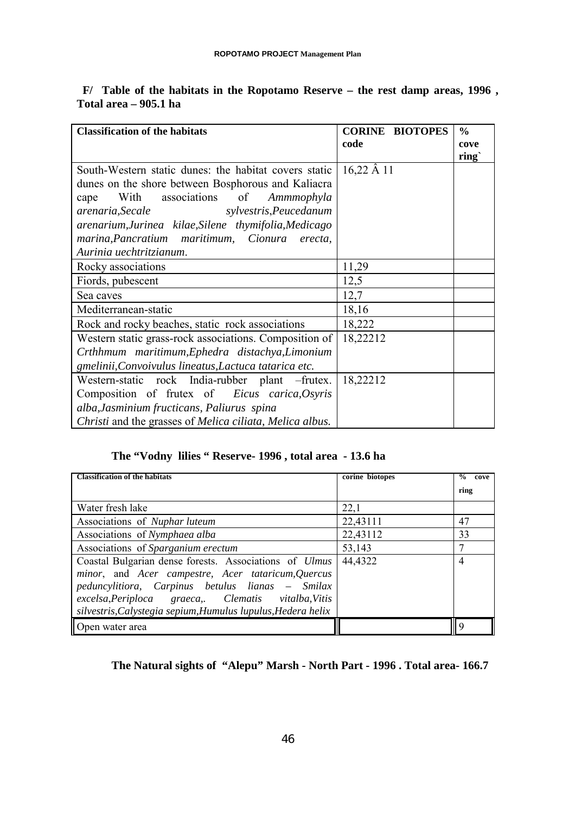| <b>Classification of the habitats</b>                                    | <b>CORINE BIOTOPES</b> | $\frac{0}{0}$     |
|--------------------------------------------------------------------------|------------------------|-------------------|
|                                                                          | code                   | cove              |
|                                                                          |                        | ring <sub>c</sub> |
| South-Western static dunes: the habitat covers static                    | $16,22 \,\AA\,11$      |                   |
| dunes on the shore between Bosphorous and Kaliacra                       |                        |                   |
| associations of<br>With<br>Ammmophyla<br>cape                            |                        |                   |
| sylvestris, Peucedanum<br>arenaria, Secale                               |                        |                   |
| arenarium, Jurinea kilae, Silene thymifolia, Medicago                    |                        |                   |
| marina, Pancratium maritimum, Cionura<br>erecta,                         |                        |                   |
| Aurinia uechtritzianum.                                                  |                        |                   |
| Rocky associations                                                       | 11,29                  |                   |
| Fiords, pubescent                                                        | 12,5                   |                   |
| Sea caves                                                                | 12,7                   |                   |
| Mediterranean-static                                                     | 18,16                  |                   |
| Rock and rocky beaches, static rock associations                         | 18,222                 |                   |
| Western static grass-rock associations. Composition of                   | 18,22212               |                   |
| Crthhmum maritimum, Ephedra distachya, Limonium                          |                        |                   |
| gmelinii, Convoivulus lineatus, Lactuca tatarica etc.                    |                        |                   |
| Western-static rock India-rubber plant -frutex.                          | 18,22212               |                   |
| Composition of frutex of <i>Eicus carica, Osyris</i>                     |                        |                   |
| alba, Jasminium fructicans, Paliurus spina                               |                        |                   |
| Christi and the grasses of <i>Melica ciliata</i> , <i>Melica albus</i> . |                        |                   |

## **F/ Table of the habitats in the Ropotamo Reserve – the rest damp areas, 1996 , Total area – 905.1 ha**

## **The "Vodny lilies " Reserve- 1996 , total area - 13.6 ha**

| <b>Classification of the habitats</b>                                                                                                                                                                                                                                                          | corine biotopes | %<br>cove |
|------------------------------------------------------------------------------------------------------------------------------------------------------------------------------------------------------------------------------------------------------------------------------------------------|-----------------|-----------|
|                                                                                                                                                                                                                                                                                                |                 | ring      |
| Water fresh lake                                                                                                                                                                                                                                                                               | 22,1            |           |
| Associations of <i>Nuphar luteum</i>                                                                                                                                                                                                                                                           | 22,43111        | 47        |
| Associations of Nymphaea alba                                                                                                                                                                                                                                                                  | 22,43112        | 33        |
| Associations of Sparganium erectum                                                                                                                                                                                                                                                             | 53,143          | 7         |
| Coastal Bulgarian dense forests. Associations of <i>Ulmus</i><br>minor, and Acer campestre, Acer tataricum, Quercus<br>peduncylitiora, Carpinus betulus lianas - Smilax<br>excelsa, Periploca graeca,. Clematis vitalba, Vitis<br>silvestris, Calystegia sepium, Humulus lupulus, Hedera helix | 44,4322         | 4         |
| Open water area                                                                                                                                                                                                                                                                                |                 |           |

## **The Natural sights of "Alepu" Marsh - North Part - 1996 . Total area- 166.7**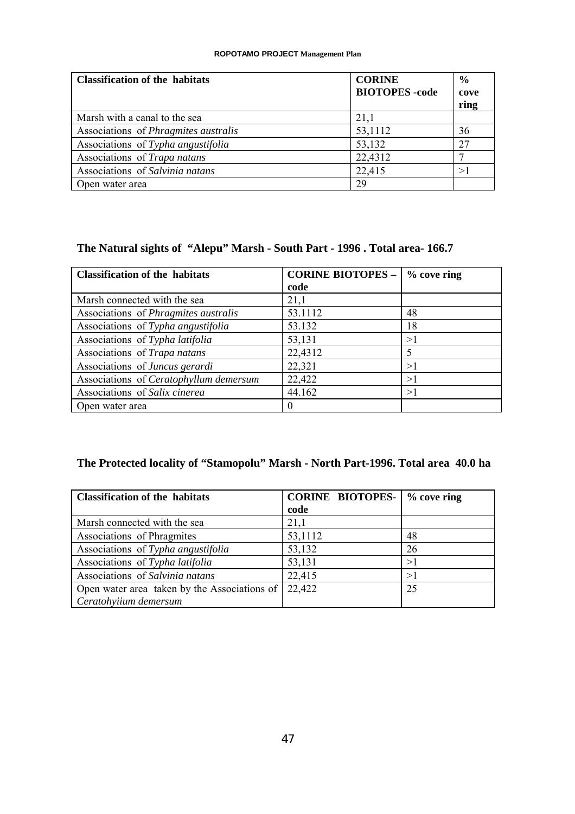| <b>Classification of the habitats</b>       | <b>CORINE</b><br><b>BIOTOPES</b> -code | $\frac{0}{0}$<br>cove |
|---------------------------------------------|----------------------------------------|-----------------------|
|                                             |                                        | ring                  |
| Marsh with a canal to the sea               | 21,1                                   |                       |
| Associations of <i>Phragmites australis</i> | 53,1112                                | 36                    |
| Associations of Typha angustifolia          | 53,132                                 | 27                    |
| Associations of Trapa natans                | 22,4312                                |                       |
| Associations of Salvinia natans             | 22,415                                 | >1                    |
| Open water area                             | 29                                     |                       |

## **The Natural sights of "Alepu" Marsh - South Part - 1996 . Total area- 166.7**

| <b>Classification of the habitats</b>       | <b>CORINE BIOTOPES -</b> | $%$ cove ring |
|---------------------------------------------|--------------------------|---------------|
|                                             | code                     |               |
| Marsh connected with the sea                | 21,1                     |               |
| Associations of <i>Phragmites australis</i> | 53.1112                  | 48            |
| Associations of Typha angustifolia          | 53.132                   | 18            |
| Associations of Typha latifolia             | 53,131                   | >1            |
| Associations of Trapa natans                | 22,4312                  | 5             |
| Associations of Juncus gerardi              | 22,321                   | >1            |
| Associations of Ceratophyllum demersum      | 22,422                   | >1            |
| Associations of Salix cinerea               | 44.162                   | >1            |
| Open water area                             | $\theta$                 |               |

## **The Protected locality of "Stamopolu" Marsh - North Part-1996. Total area 40.0 ha**

| <b>Classification of the habitats</b>        | <b>CORINE BIOTOPES-</b> | $%$ cove ring |
|----------------------------------------------|-------------------------|---------------|
|                                              | code                    |               |
| Marsh connected with the sea                 | 21,1                    |               |
| Associations of Phragmites                   | 53,1112                 | 48            |
| Associations of Typha angustifolia           | 53,132                  | 26            |
| Associations of Typha latifolia              | 53,131                  | >1            |
| Associations of Salvinia natans              | 22,415                  | >1            |
| Open water area taken by the Associations of | 22,422                  | 25            |
| Ceratohyiium demersum                        |                         |               |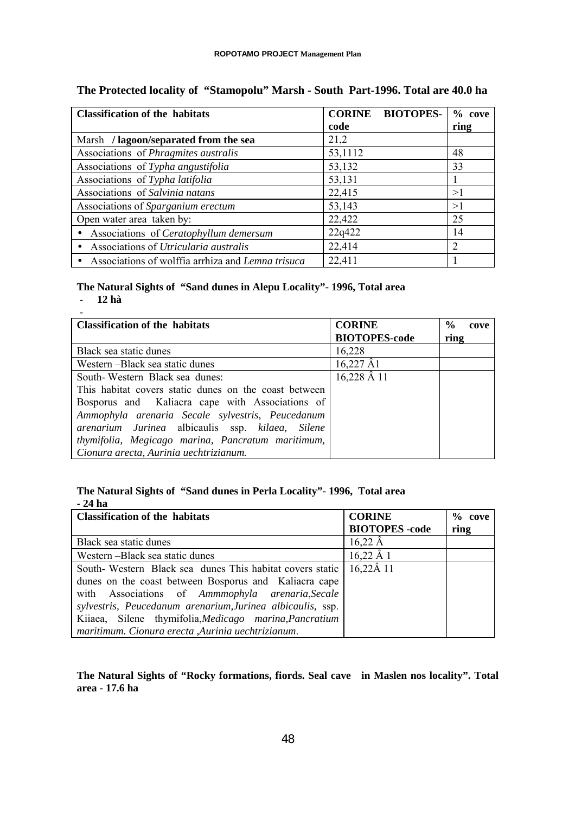| <b>Classification of the habitats</b>              | <b>CORINE BIOTOPES-</b> | $%$ cove                    |
|----------------------------------------------------|-------------------------|-----------------------------|
|                                                    | code                    | ring                        |
| Marsh / lagoon/separated from the sea              | 21,2                    |                             |
| Associations of <i>Phragmites australis</i>        | 53,1112                 | 48                          |
| Associations of Typha angustifolia                 | 53,132                  | 33                          |
| Associations of Typha latifolia                    | 53,131                  |                             |
| Associations of Salvinia natans                    | 22,415                  | >1                          |
| Associations of Sparganium erectum                 | 53,143                  | >1                          |
| Open water area taken by:                          | 22,422                  | 25                          |
| • Associations of Ceratophyllum demersum           | 22q422                  | 14                          |
| Associations of Utricularia australis<br>$\bullet$ | 22,414                  | $\mathcal{D}_{\mathcal{L}}$ |
| Associations of wolffia arrhiza and Lemna trisuca  | 22,411                  |                             |

## **The Protected locality of "Stamopolu" Marsh - South Part-1996. Total are 40.0 ha**

# **The Natural Sights of "Sand dunes in Alepu Locality"- 1996, Total area**

- **12 hà**

| <b>Classification of the habitats</b>                 | <b>CORINE</b>        | $\frac{0}{0}$<br>cove |
|-------------------------------------------------------|----------------------|-----------------------|
|                                                       | <b>BIOTOPES-code</b> | ring                  |
| Black sea static dunes                                | 16,228               |                       |
| Western – Black sea static dunes                      | $16,227 \hat{A}1$    |                       |
| South-Western Black sea dunes:                        | $16,228$ $\AA$ 11    |                       |
| This habitat covers static dunes on the coast between |                      |                       |
| Bosporus and Kaliacra cape with Associations of       |                      |                       |
| Ammophyla arenaria Secale sylvestris, Peucedanum      |                      |                       |
| arenarium Jurinea albicaulis ssp. kilaea, Silene      |                      |                       |
| thymifolia, Megicago marina, Pancratum maritimum,     |                      |                       |
| Cionura arecta, Aurinia uechtrizianum.                |                      |                       |

## **The Natural Sights of "Sand dunes in Perla Locality"- 1996, Total area - 24 ha**

| <b>Classification of the habitats</b>                      | <b>CORINE</b>         | $%$ cove |
|------------------------------------------------------------|-----------------------|----------|
|                                                            | <b>BIOTOPES</b> -code | ring     |
| Black sea static dunes                                     | $16,22 \text{ Å}$     |          |
| Western-Black sea static dunes                             | $16,22 \,\AA\,1$      |          |
| South-Western Black sea dunes This habitat covers static   | $16,22\AA$ 11         |          |
| dunes on the coast between Bosporus and Kaliacra cape      |                       |          |
| with Associations of Ammmophyla arenaria, Secale           |                       |          |
| sylvestris, Peucedanum arenarium, Jurinea albicaulis, ssp. |                       |          |
| Kiiaea, Silene thymifolia, Medicago marina, Pancratium     |                       |          |
| maritimum. Cionura erecta ,Aurinia uechtrizianum.          |                       |          |

## **The Natural Sights of "Rocky formations, fiords. Seal cave in Maslen nos locality". Total area - 17.6 ha**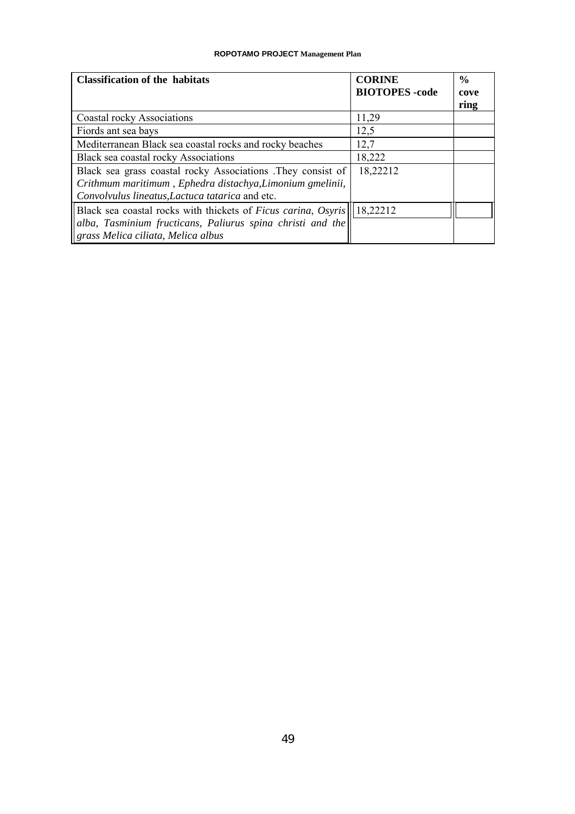| <b>Classification of the habitats</b>                                                                        | <b>CORINE</b>         | $\frac{6}{9}$ |
|--------------------------------------------------------------------------------------------------------------|-----------------------|---------------|
|                                                                                                              | <b>BIOTOPES</b> -code | cove<br>ring  |
| Coastal rocky Associations                                                                                   | 11,29                 |               |
| Fiords ant sea bays                                                                                          | 12,5                  |               |
| Mediterranean Black sea coastal rocks and rocky beaches                                                      | 12,7                  |               |
| Black sea coastal rocky Associations                                                                         | 18,222                |               |
| Black sea grass coastal rocky Associations .They consist of                                                  | 18,22212              |               |
| Crithmum maritimum, Ephedra distachya, Limonium gmelinii,<br>Convolvulus lineatus, Lactuca tatarica and etc. |                       |               |
| Black sea coastal rocks with thickets of Ficus carina, Osyris                                                | 18,22212              |               |
| alba, Tasminium fructicans, Paliurus spina christi and the                                                   |                       |               |
| grass Melica ciliata, Melica albus                                                                           |                       |               |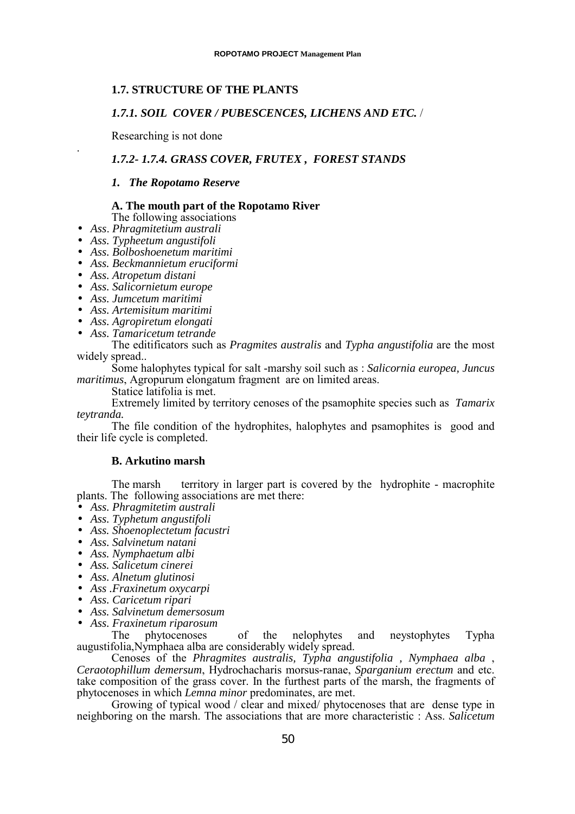## **1.7. STRUCTURE OF THE PLANTS**

### *1.7.1. SOIL COVER / PUBESCENCES, LICHENS AND ETC.* /

Researching is not done

## *1.7.2- 1.7.4. GRASS COVER, FRUTEX , FOREST STANDS*

#### *1. The Ropotamo Reserve*

## **A. The mouth part of the Ropotamo River**

- The following associations
- *Ass*. *Phragmitetium australi*
- *Ass. Typheetum angustifoli*
- *Ass. Bolboshoenetum maritimi*
- *Ass. Beckmannietum eruciformi*
- *Ass. Atropetum distani*

.

- *Ass. Salicornietum europe*
- *Ass. Jumcetum maritimi*
- *Ass. Artemisitum maritimi*
- *Ass. Agropiretum elongati*
- *Ass. Tamaricetum tetrande*

The editificators such as *Pragmites australis* and *Typha angustifolia* are the most widely spread..

Some halophytes typical for salt -marshy soil such as : *Salicornia europea, Juncus maritimus*, Agropurum elongatum fragment are on limited areas.

Statice latifolia is met.

Extremely limited by territory cenoses of the psamophite species such as *Tamarix teytranda.*

The file condition of the hydrophites, halophytes and psamophites is good and their life cycle is completed.

### **B. Arkutino marsh**

The marsh territory in larger part is covered by the hydrophite - macrophite plants. The following associations are met there:<br>• Ass. Phragmitetim australi

- 
- 
- Ass. Phragmitetim australi<br>
Ass. Typhetum angustifoli<br>
Ass. Shoenoplectetum facustri<br>
Ass. Salvinetum natani<br>
Ass. Nymphaetum albi<br>
Ass. Salicetum cinerei<br>
Ass. Alnetum glutinosi<br>
Ass. Fraxinetum oxycarpi<br>
- 
- 
- 
- 
- 
- 
- -

The phytocenoses of the nelophytes and neystophytes Typha augustifolia,Nymphaea alba are considerably widely spread.

Cenoses of the *Phragmites australis, Typha angustifolia , Nymphaea alba* , *Ceraotophillum demersum*, Hydrochacharis morsus-ranae, *Sparganium erectum* and etc. take composition of the grass cover. In the furthest parts of the marsh, the fragments of phytocenoses in which *Lemna minor* predominates, are met.

Growing of typical wood / clear and mixed/ phytocenoses that are dense type in neighboring on the marsh. The associations that are more characteristic : Ass. *Salicetum*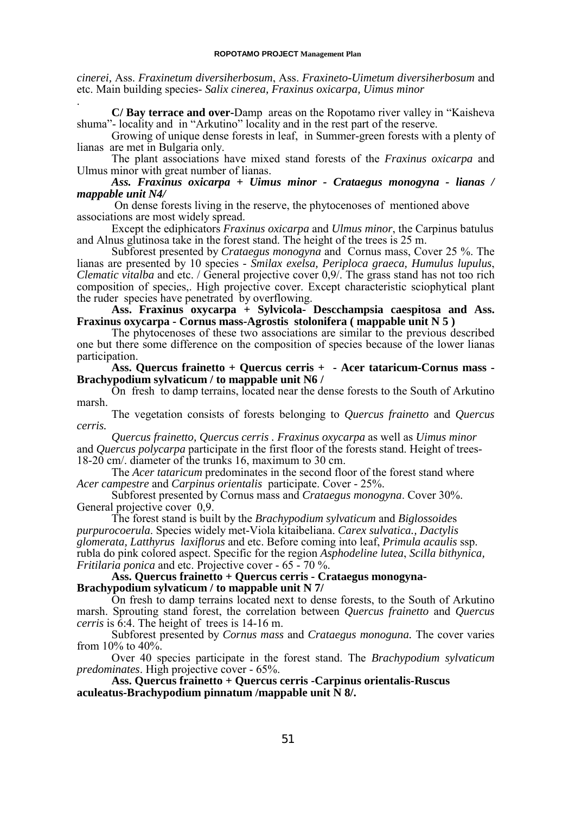*cinerei,* Ass. *Fraxinetum diversiherbosum*, Ass. *Fraxineto-Uimetum diversiherbosum* and etc. Main building species- *Salix cinerea, Fraxinus oxicarpa, Uimus minor* .

**C/ Bay terrace and over-**Damp areas on the Ropotamo river valley in "Kaisheva shuma"- locality and in "Arkutino" locality and in the rest part of the reserve.

Growing of unique dense forests in leaf, in Summer-green forests with a plenty of lianas are met in Bulgaria only.

The plant associations have mixed stand forests of the *Fraxinus oxicarpa* and Ulmus minor with great number of lianas.

*Ass. Fraxinus oxicarpa + Uimus minor - Crataegus monogyna - lianas / mappable unit N4/*

 On dense forests living in the reserve, the phytocenoses of mentioned above associations are most widely spread.

Except the ediphicators *Fraxinus oxicarpa* and *Ulmus minor*, the Carpinus batulus and Alnus glutinosa take in the forest stand. The height of the trees is 25 m.

Subforest presented by *Crataegus monogyna* and Cornus mass, Cover 25 %. The lianas are presented by 10 species - *Smilax exelsa, Periploca graeca, Humulus lupulus*, *Clematic vitalba* and etc. / General projective cover 0,9/. The grass stand has not too rich composition of species,. High projective cover. Except characteristic sciophytical plant the ruder species have penetrated by overflowing.

**Ass. Fraxinus oxycarpa + Sylvicola- Descchampsia caespitosa and Ass. Fraxinus oxycarpa - Cornus mass-Agrostis stolonifera ( mappable unit N 5 )**

The phytocenoses of these two associations are similar to the previous described one but there some difference on the composition of species because of the lower lianas participation.

**Ass. Quercus frainetto + Quercus cerris + - Acer tataricum-Cornus mass - Brachypodium sylvaticum / to mappable unit N6 /**

On fresh to damp terrains, located near the dense forests to the South of Arkutino marsh.

The vegetation consists of forests belonging to *Quercus frainetto* and *Quercus cerris.*

*Quercus frainetto, Quercus cerris . Fraxinus oxycarpa* as well as *Uimus minor* and *Quercus polycarpa* participate in the first floor of the forests stand. Height of trees-18-20 cm/. diameter of the trunks 16, maximum to 30 cm.

The *Acer tataricum* predominates in the second floor of the forest stand where *Acer campestre* and *Carpinus orientalis* participate. Cover - 25%.

Subforest presented by Cornus mass and *Crataegus monogyna*. Cover 30%. General projective cover 0,9.

The forest stand is built by the *Brachypodium sylvaticum* and *Biglossoide*s *purpurocoerula*. Species widely met-Viola kitaibeliana. *Carex sulvatica., Dactylis glomerata, Latthyrus laxiflorus* and etc. Before coming into leaf, *Primula acaulis* ssp. rubla do pink colored aspect. Specific for the region *Asphodeline lutea*, *Scilla bithynica, Fritilaria ponica* and etc. Projective cover - 65 - 70 %.

## **Ass. Quercus frainetto + Quercus cerris - Crataegus monogyna-Brachypodium sylvaticum / to mappable unit N 7/**

On fresh to damp terrains located next to dense forests, to the South of Arkutino marsh. Sprouting stand forest, the correlation between *Quercus frainetto* and *Quercus cerris* is 6:4. The height of trees is 14-16 m.

Subforest presented by *Cornus mass* and *Crataegus monoguna.* The cover varies from 10% to 40%.

Over 40 species participate in the forest stand. The *Brachypodium sylvaticum predominates*. High projective cover - 65%.

**Ass. Quercus frainetto + Quercus cerris -Carpinus orientalis-Ruscus** aculeatus-Brachypodium pinnatum /mappable unit  $\bar{N}$  8/.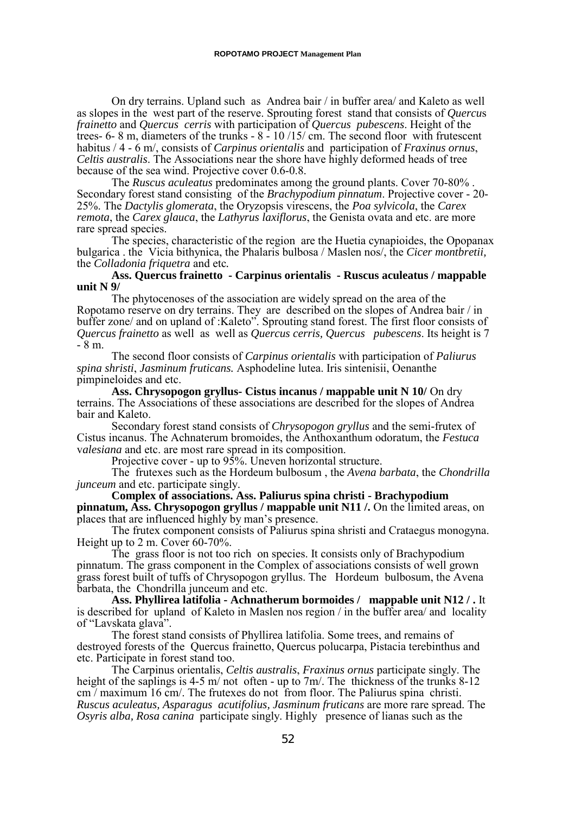On dry terrains. Upland such as Andrea bair / in buffer area/ and Kaleto as well as slopes in the west part of the reserve. Sprouting forest stand that consists of *Quercu*s *frainetto* and *Quercus cerris* with participation of *Quercus pubescens*. Height of the trees- 6- 8 m, diameters of the trunks -  $8 - 10/15$  cm. The second floor with frutescent habitus / 4 - 6 m/, consists of *Carpinus orientalis* and participation of *Fraxinus ornus*, *Celtis australis*. The Associations near the shore have highly deformed heads of tree because of the sea wind. Projective cover 0.6-0.8.

The *Ruscus aculeatus* predominates among the ground plants. Cover 70-80% . Secondary forest stand consisting of the *Brachypodium pinnatum*. Projective cover - 20- 25%. The *Dactylis glomerata*, the Oryzopsis virescens, the *Poa sylvicola*, the *Carex remota*, the *Carex glauca*, the *Lathyrus laxiflorus*, the Genista ovata and etc. are more rare spread species.

The species, characteristic of the region are the Huetia cynapioides, the Opopanax bulgarica . the Vicia bithynica, the Phalaris bulbosa / Maslen nos/, the *Cicer montbretii,* the *Colladonia friquetra* and etc*.*

### **Ass. Quercus frainetto - Carpinus orientalis - Ruscus aculeatus / mappable unit N 9/**

The phytocenoses of the association are widely spread on the area of the Ropotamo reserve on dry terrains. They are described on the slopes of Andrea bair / in buffer zone/ and on upland of :Kaleto". Sprouting stand forest. The first floor consists of *Quercus frainetto* as well as well as *Quercus cerris, Quercus pubescens*. Its height is 7  $-8 m$ .

The second floor consists of *Carpinus orientalis* with participation of *Paliurus spina shristi*, *Jasminum fruticans.* Asphodeline lutea. Iris sintenisii, Oenanthe pimpineloides and etc.

Ass. Chrysopogon gryllus- Cistus incanus / mappable unit N 10/ On dry terrains. The Associations of these associations are described for the slopes of Andrea bair and Kaleto.

Secondary forest stand consists of *Chrysopogon gryllus* and the semi-frutex of Cistus incanus. The Achnaterum bromoides, the Anthoxanthum odoratum, the *Festuca* v*alesiana* and etc. are most rare spread in its composition.

Projective cover - up to 95%. Uneven horizontal structure.

The frutexes such as the Hordeum bulbosum , the *Avena barbata*, the *Chondrilla junceum* and etc. participate singly.

**Complex of associations. Ass. Paliurus spina christi - Brachypodium pinnatum, Ass. Chrysopogon gryllus / mappable unit N11 /.** On the limited areas, on places that are influenced highly by man's presence.

The frutex component consists of Paliurus spina shristi and Crataegus monogyna. Height up to 2 m. Cover 60-70%.

The grass floor is not too rich on species. It consists only of Brachypodium pinnatum. The grass component in the Complex of associations consists of well grown grass forest built of tuffs of Chrysopogon gryllus. TheHordeum bulbosum, the Avena barbata, the Chondrilla junceum and etc.

**Ass. Phyllirea latifolia - Achnatherum bormoides / mappable unit N12 / .** It is described for upland of Kaleto in Maslen nos region / in the buffer area/ and locality of "Lavskata glava".

The forest stand consists of Phyllirea latifolia. Some trees, and remains of destroyed forests of the Quercus frainetto, Quercus polucarpa, Pistacia terebinthus and etc. Participate in forest stand too.

The Carpinus orientalis, *Celtis australis*, *Fraxinus ornus* participate singly. The height of the saplings is 4-5 m/ not often - up to 7m/. The thickness of the trunks 8-12 cm / maximum 16 cm/. The frutexes do not from floor. The Paliurus spina christi. *Ruscus aculeatus, Asparagus acutifolius, Jasminum fruticans* are more rare spread. The *Osyris alba, Rosa canina* participate singly. Highly presence of lianas such as the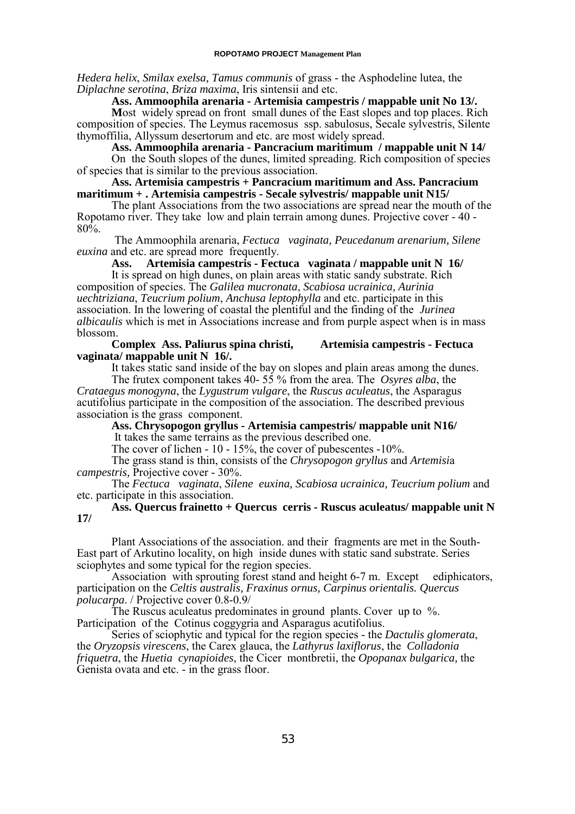*Hedera helix*, *Smilax exelsa, Tamus communis* of grass - the Asphodeline lutea, the *Diplachne serotina*, *Briza maxima*, Iris sintensii and etc.

**Ass. Ammoophila arenaria - Artemisia campestris / mappable unit No 13/.**

**M**ost widely spread on front small dunes of the East slopes and top places. Rich composition of species. The Leymus racemosus ssp. sabulosus, Secale sylvestris, Silente thymoffilia, Allyssum desertorum and etc. are most widely spread.

**Ass. Ammoophila arenaria - Pancracium maritimum / mappable unit N 14/**

On the South slopes of the dunes, limited spreading. Rich composition of species of species that is similar to the previous association.

**Ass. Artemisia campestris + Pancracium maritimum and Ass. Pancracium maritimum + . Artemisia campestris - Secale sylvestris/ mappable unit N15/**

The plant Associations from the two associations are spread near the mouth of the Ropotamo river. They take low and plain terrain among dunes. Projective cover - 40 - 80%.

 The Ammoophila arenaria, *Fectuca vaginata, Peucedanum arenarium, Silene euxina* and etc. are spread more frequently.

**Ass. Artemisia campestris - Fectuca vaginata / mappable unit N 16/** It is spread on high dunes, on plain areas with static sandy substrate. Rich composition of species. The *Galilea mucronata*, *Scabiosa ucrainica, Aurinia uechtriziana*, *Teucrium polium*, *Anchusa leptophylla* and etc. participate in this association. In the lowering of coastal the plentiful and the finding of the *Jurinea albicaulis* which is met in Associations increase and from purple aspect when is in mass blossom.

#### **Complex Ass. Paliurus spina christi, Artemisia campestris - Fectuca vaginata/ mappable unit N 16/.**

It takes static sand inside of the bay on slopes and plain areas among the dunes.

The frutex component takes 40- 55 % from the area. The *Osyres alba*, the *Crataegus monogyna*, the *Lygustrum vulgare*, the *Ruscus aculeatus*, the Asparagus acutifolius participate in the composition of the association. The described previous association is the grass component.

**Ass. Chrysopogon gryllus - Artemisia campestris/ mappable unit N16/** It takes the same terrains as the previous described one.

The cover of lichen - 10 - 15%, the cover of pubescentes -10%.

The grass stand is thin, consists of the *Chrysopogon gryllus* and *Artemisi*a *campestris,* Projective cover - 30%.

The *Fectuca vaginata*, *Silene euxina, Scabiosa ucrainica, Teucrium polium* and etc. participate in this association.

## **Ass. Quercus frainetto + Quercus cerris - Ruscus aculeatus/ mappable unit N 17/**

Plant Associations of the association. and their fragments are met in the South-East part of Arkutino locality, on high inside dunes with static sand substrate. Series sciophytes and some typical for the region species.

Association with sprouting forest stand and height 6-7 m. Except ediphicators, participation on the *Celtis australis, Fraxinus ornus, Carpinus orientalis. Quercus polucarpa*. / Projective cover 0.8-0.9/

The Ruscus aculeatus predominates in ground plants. Cover up to %. Participation of the Cotinus coggygria and Asparagus acutifolius.<br>Series of sciophytic and typical for the region species - the *Dactulis glomerata*,

Series of sciophytic and typical for the region species - the *Dactulis glomerata*, the *Oryzopsis virescens*, the Carex glauca, the *Lathyrus laxiflorus*, the *Colladonia friquetra*, the *Huetia cynapioides*, the Cicer montbretii, the *Opopanax bulgarica,* the Genista ovata and etc. - in the grass floor.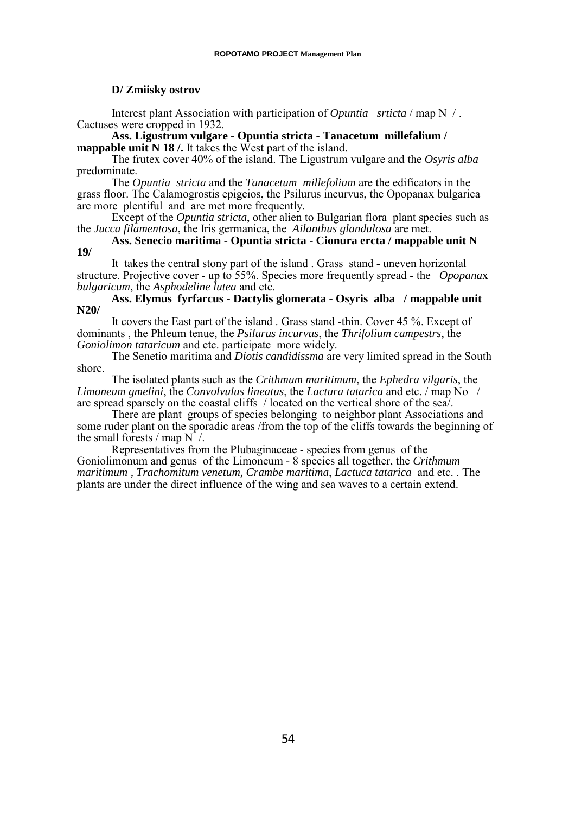### **D/ Zmiisky ostrov**

Interest plant Association with participation of *Opuntia srticta* / map N / . Cactuses were cropped in 1932.

**Ass. Ligustrum vulgare - Opuntia stricta - Tanacetum millefalium / mappable unit N 18** /. It takes the West part of the island.

The frutex cover 40% of the island. The Ligustrum vulgare and the *Osyris alba* predominate.

The *Opuntia stricta* and the *Tanacetum millefolium* are the edificators in the grass floor. The Calamogrostis epigeios, the Psilurus incurvus, the Opopanax bulgarica are more plentiful and are met more frequently.

Except of the *Opuntia stricta*, other alien to Bulgarian flora plant species such as the *Jucca filamentosa*, the Iris germanica, the *Ailanthus glandulosa* are met.

**Ass. Senecio maritima - Opuntia stricta - Cionura ercta / mappable unit N 19/**

It takes the central stony part of the island . Grass stand - uneven horizontal structure. Projective cover - up to 55%. Species more frequently spread - the *Opopana*x *bulgaricum*, the *Asphodeline lutea* and etc.

**Ass. Elymus fyrfarcus - Dactylis glomerata - Osyris alba / mappable unit N20/**

It covers the East part of the island . Grass stand -thin. Cover 45 %. Except of dominants , the Phleum tenue, the *Psilurus incurvus*, the *Thrifolium campestrs*, the *Goniolimon tataricum* and etc. participate more widely.

The Senetio maritima and *Diotis candidissma* are very limited spread in the South shore.

The isolated plants such as the *Crithmum maritimum*, the *Ephedra vilgaris*, the *Limoneum gmelini*, the *Convolvulus lineatus*, the *Lactura tatarica* and etc. / map No / are spread sparsely on the coastal cliffs / located on the vertical shore of the sea/.

There are plant groups of species belonging to neighbor plant Associations and some ruder plant on the sporadic areas /from the top of the cliffs towards the beginning of the small forests  $/$  map N  $/$ .

Representatives from the Plubaginaceae - species from genus of the Goniolimonum and genus of the Limoneum - 8 species all together, the *Crithmum maritimum , Trachomitum venetum, Crambe maritima*, *Lactuca tatarica* and etc. . The plants are under the direct influence of the wing and sea waves to a certain extend.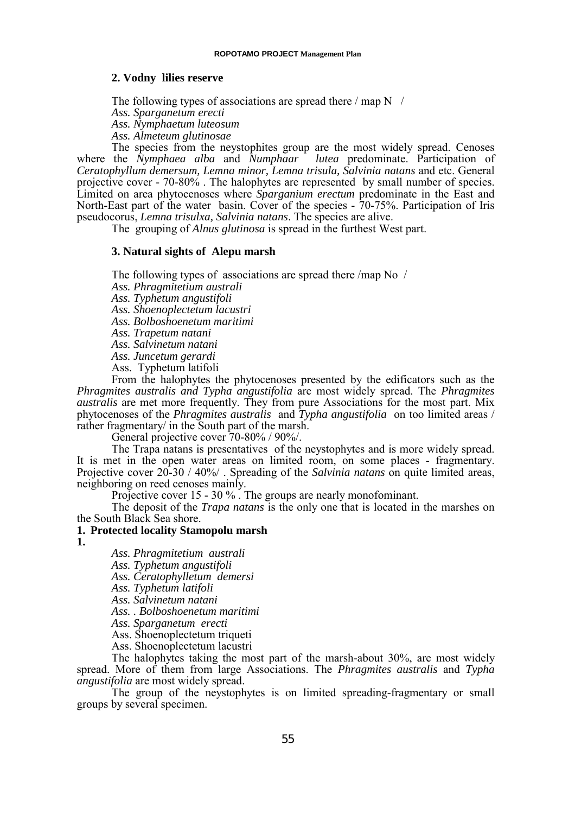#### **2. Vodny lilies reserve**

The following types of associations are spread there  $/$  map N  $/$ 

*Ass. Sparganetum erecti*

*Ass. Nymphaetum luteosum*

*Ass. Almeteum glutinosae*

The species from the neystophites group are the most widely spread. Cenoses where the *Nymphaea alba* and *Numphaar lutea* predominate. Participation of *Ceratophyllum demersum, Lemna minor, Lemna trisula, Salvinia natans* and etc. General projective cover - 70-80% . The halophytes are represented by small number of species. Limited on area phytocenoses where *Sparganium erectum* predominate in the East and North-East part of the water basin. Cover of the species - 70-75%. Participation of Iris pseudocorus, *Lemna trisulxa, Salvinia natans*. The species are alive.

The grouping of *Alnus glutinosa* is spread in the furthest West part.

#### **3. Natural sights of Alepu marsh**

The following types of associations are spread there /map No /

*Ass. Phragmitetium australi*

*Ass. Typhetum angustifoli*

*Ass. Shoenoplectetum lacustri*

*Ass. Bolboshoenetum maritimi*

*Ass. Trapetum natani*

*Ass. Salvinetum natani*

*Ass. Juncetum gerardi*

Ass. Typhetum latifoli

From the halophytes the phytocenoses presented by the edificators such as the *Phragmites australis and Typha angustifolia* are most widely spread. The *Phragmites australis* are met more frequently. They from pure Associations for the most part. Mix phytocenoses of the *Phragmites australis* and *Typha angustifolia* on too limited areas / rather fragmentary/ in the South part of the marsh.

General projective cover 70-80% / 90%/.

The Trapa natans is presentatives of the neystophytes and is more widely spread. It is met in the open water areas on limited room, on some places - fragmentary. Projective cover 20-30 / 40%/ . Spreading of the *Salvinia natans* on quite limited areas, neighboring on reed cenoses mainly.

Projective cover 15 - 30 %. The groups are nearly monofominant.

The deposit of the *Trapa natans* is the only one that is located in the marshes on the South Black Sea shore.

## **1. Protected locality Stamopolu marsh**

**1.**

*Ass. Phragmitetium australi*

*Ass. Typhetum angustifoli*

*Ass. Ceratophylletum demersi*

*Ass. Typhetum latifoli*

*Ass. Salvinetum natani*

*Ass. . Bolboshoenetum maritimi*

*Ass. Sparganetum erecti*

Ass. Shoenoplectetum triqueti

Ass. Shoenoplectetum lacustri

The halophytes taking the most part of the marsh-about 30%, are most widely spread. More of them from large Associations. The *Phragmites australis* and *Typha angustifolia* are most widely spread.

The group of the neystophytes is on limited spreading-fragmentary or small groups by several specimen.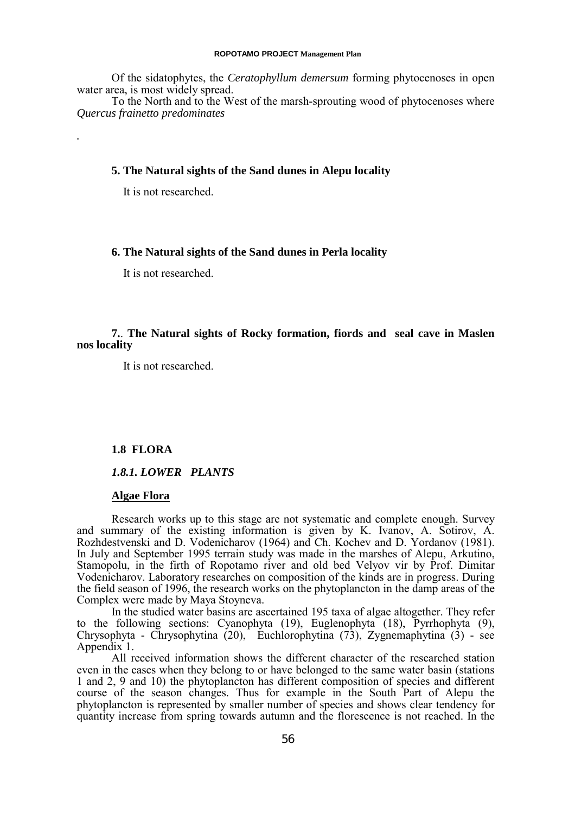Of the sidatophytes, the *Ceratophyllum demersum* forming phytocenoses in open water area, is most widely spread.

To the North and to the West of the marsh-sprouting wood of phytocenoses where *Quercus frainetto predominates*

## **5. The Natural sights of the Sand dunes in Alepu locality**

It is not researched.

*.*

## **6. The Natural sights of the Sand dunes in Perla locality**

It is not researched.

## **7.**. **The Natural sights of Rocky formation, fiords and seal cave in Maslen nos locality**

It is not researched.

## **1.8 FLORA**

*1.8.1. LOWER PLANTS*

#### **Algae Flora**

Research works up to this stage are not systematic and complete enough. Survey and summary of the existing information is given by K. Ivanov, A. Sotirov, A. Rozhdestvenski and D. Vodenicharov (1964) and Ch. Kochev and D. Yordanov (1981). In July and September 1995 terrain study was made in the marshes of Alepu, Arkutino, Stamopolu, in the firth of Ropotamo river and old bed Velyov vir by Prof. Dimitar Vodenicharov. Laboratory researches on composition of the kinds are in progress. During the field season of 1996, the research works on the phytoplancton in the damp areas of the Complex were made by Maya Stoyneva.

In the studied water basins are ascertained 195 taxa of algae altogether. They refer to the following sections: Cyanophyta (19), Euglenophyta (18), Pyrrhophyta (9), Chrysophyta - Chrysophytina (20), Euchlorophytina (73), Zygnemaphytina (3) - see Appendix 1.

All received information shows the different character of the researched station even in the cases when they belong to or have belonged to the same water basin (stations 1 and 2, 9 and 10) the phytoplancton has different composition of species and different course of the season changes. Thus for example in the South Part of Alepu the phytoplancton is represented by smaller number of species and shows clear tendency for quantity increase from spring towards autumn and the florescence is not reached. In the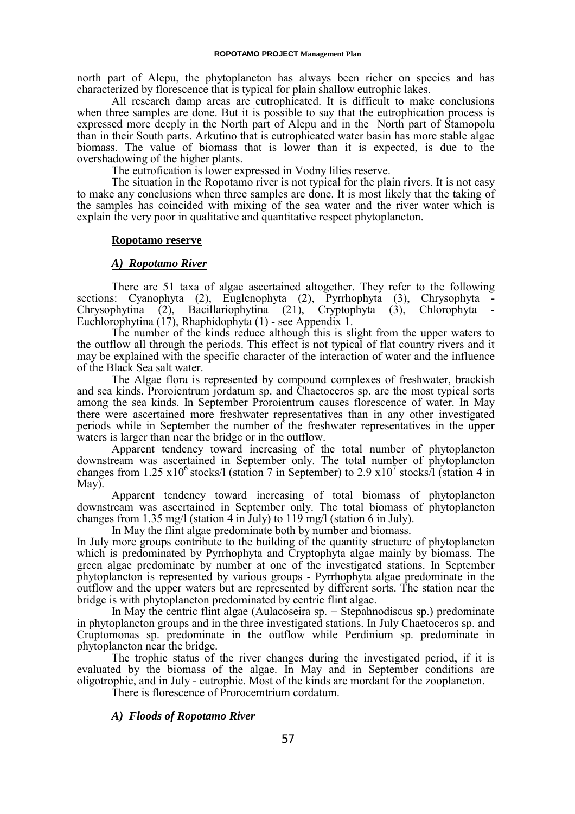north part of Alepu, the phytoplancton has always been richer on species and has characterized by florescence that is typical for plain shallow eutrophic lakes.

All research damp areas are eutrophicated. It is difficult to make conclusions when three samples are done. But it is possible to say that the eutrophication process is expressed more deeply in the North part of Alepu and in the North part of Stamopolu than in their South parts. Arkutino that is eutrophicated water basin has more stable algae biomass. The value of biomass that is lower than it is expected, is due to the overshadowing of the higher plants.

The eutrofication is lower expressed in Vodny lilies reserve.

The situation in the Ropotamo river is not typical for the plain rivers. It is not easy to make any conclusions when three samples are done. It is most likely that the taking of the samples has coincided with mixing of the sea water and the river water which is explain the very poor in qualitative and quantitative respect phytoplancton.

#### **Ropotamo reserve**

## *A) Ropotamo River*

There are 51 taxa of algae ascertained altogether. They refer to the following sections: Cyanophyta (2), Euglenophyta (2), Pyrrhophyta (3), Chrysophyta - Chrysophytina (2), Bacillariophytina (21), Cryptophyta (3), Chlorophyta -Bacillariophytina (21), Cryptophyta (3), Chlorophyta Euchlorophytina (17), Rhaphidophyta (1) - see Appendix 1.

The number of the kinds reduce although this is slight from the upper waters to the outflow all through the periods. This effect is not typical of flat country rivers and it may be explained with the specific character of the interaction of water and the influence of the Black Sea salt water.

The Algae flora is represented by compound complexes of freshwater, brackish and sea kinds. Proroientrum jordatum sp. and Chaetoceros sp. are the most typical sorts among the sea kinds. In September Proroientrum causes florescence of water. In May there were ascertained more freshwater representatives than in any other investigated periods while in September the number of the freshwater representatives in the upper waters is larger than near the bridge or in the outflow.

Apparent tendency toward increasing of the total number of phytoplancton downstream was ascertained in September only. The total number of phytoplancton changes from 1.25 x10<sup>6</sup> stocks/l (station 7 in September) to 2.9 x10<sup>7</sup> stocks/l (station 4 in May).

Apparent tendency toward increasing of total biomass of phytoplancton downstream was ascertained in September only. The total biomass of phytoplancton changes from 1.35 mg/l (station 4 in July) to 119 mg/l (station 6 in July).

In May the flint algae predominate both by number and biomass.

In July more groups contribute to the building of the quantity structure of phytoplancton which is predominated by Pyrrhophyta and Cryptophyta algae mainly by biomass. The green algae predominate by number at one of the investigated stations. In September phytoplancton is represented by various groups - Pyrrhophyta algae predominate in the outflow and the upper waters but are represented by different sorts. The station near the bridge is with phytoplancton predominated by centric flint algae.

In May the centric flint algae (Aulacoseira sp. + Stepahnodiscus sp.) predominate in phytoplancton groups and in the three investigated stations. In July Chaetoceros sp. and Cruptomonas sp. predominate in the outflow while Perdinium sp. predominate in phytoplancton near the bridge.

The trophic status of the river changes during the investigated period, if it is evaluated by the biomass of the algae. In May and in September conditions are oligotrophic, and in July - eutrophic. Most of the kinds are mordant for the zooplancton.

There is florescence of Prorocemtrium cordatum.

#### *A) Floods of Ropotamo River*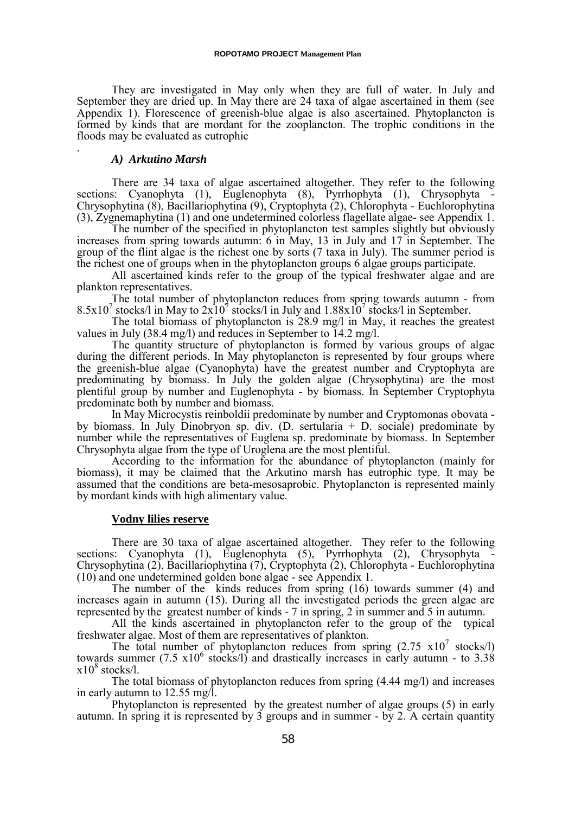They are investigated in May only when they are full of water. In July and September they are dried up. In May there are 24 taxa of algae ascertained in them (see Appendix 1). Florescence of greenish-blue algae is also ascertained. Phytoplancton is formed by kinds that are mordant for the zooplancton. The trophic conditions in the floods may be evaluated as eutrophic .

#### *A) Arkutino Marsh*

There are 34 taxa of algae ascertained altogether. They refer to the following sections: Cyanophyta (1), Euglenophyta (8), Pyrrhophyta (1), Chrysophyta Chrysophytina (8), Bacillariophytina (9), Cryptophyta (2), Chlorophyta - Euchlorophytina (3), Zygnemaphytina (1) and one undetermined colorless flagellate algae- see Appendix 1.

The number of the specified in phytoplancton test samples slightly but obviously increases from spring towards autumn: 6 in May, 13 in July and 17 in September. The group of the flint algae is the richest one by sorts (7 taxa in July). The summer period is the richest one of groups when in the phytoplancton groups 6 algae groups participate.

All ascertained kinds refer to the group of the typical freshwater algae and are plankton representatives.

The total number of phytoplancton reduces from spring towards autumn - from 8.5x10<sup>7</sup> stocks/l in May to  $2x10^7$  stocks/l in July and  $1.88x10^7$  stocks/l in September.

The total biomass of phytoplancton is 28.9 mg/l in May, it reaches the greatest values in July (38.4 mg/l) and reduces in September to 14.2 mg/l.

The quantity structure of phytoplancton is formed by various groups of algae during the different periods. In May phytoplancton is represented by four groups where the greenish-blue algae (Cyanophyta) have the greatest number and Cryptophyta are predominating by biomass. In July the golden algae (Chrysophytina) are the most plentiful group by number and Euglenophyta - by biomass. In September Cryptophyta predominate both by number and biomass.

In May Microcystis reinboldii predominate by number and Cryptomonas obovata by biomass. In July Dinobryon sp. div. (D. sertularia + D. sociale) predominate by number while the representatives of Euglena sp. predominate by biomass. In September Chrysophyta algae from the type of Uroglena are the most plentiful.

According to the information for the abundance of phytoplancton (mainly for biomass), it may be claimed that the Arkutino marsh has eutrophic type. It may be assumed that the conditions are beta-mesosaprobic. Phytoplancton is represented mainly by mordant kinds with high alimentary value.

#### **Vodny lilies reserve**

There are 30 taxa of algae ascertained altogether. They refer to the following sections: Cyanophyta (1), Euglenophyta (5), Pyrrhophyta (2), Chrysophyta Chrysophytina (2), Bacillariophytina (7), Cryptophyta (2), Chlorophyta - Euchlorophytina (10) and one undetermined golden bone algae - see Appendix 1.

The number of the kinds reduces from spring (16) towards summer (4) and increases again in autumn (15). During all the investigated periods the green algae are represented by the greatest number of kinds - 7 in spring, 2 in summer and 5 in autumn.

All the kinds ascertained in phytoplancton refer to the group of the typical freshwater algae. Most of them are representatives of plankton.

The total number of phytoplancton reduces from spring  $(2.75 \times 10^7 \text{ stocks/l})$ towards summer  $(7.5 \times 10^6 \text{ stocks/l})$  and drastically increases in early autumn - to 3.38  $x10^8$  stocks/l.

The total biomass of phytoplancton reduces from spring (4.44 mg/l) and increases in early autumn to 12.55 mg/l.

Phytoplancton is represented by the greatest number of algae groups (5) in early autumn. In spring it is represented by 3 groups and in summer - by 2. A certain quantity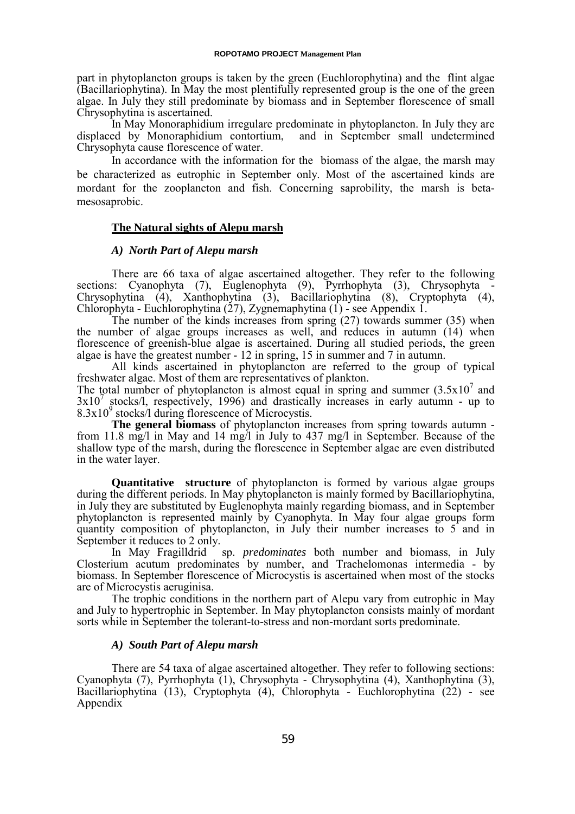part in phytoplancton groups is taken by the green (Euchlorophytina) and the flint algae (Bacillariophytina). In May the most plentifully represented group is the one of the green algae. In July they still predominate by biomass and in September florescence of small Chrysophytina is ascertained.

In May Monoraphidium irregulare predominate in phytoplancton. In July they are displaced by Monoraphidium contortium, and in September small undetermined Chrysophyta cause florescence of water.

In accordance with the information for the biomass of the algae, the marsh may be characterized as eutrophic in September only. Most of the ascertained kinds are mordant for the zooplancton and fish. Concerning saprobility, the marsh is betamesosaprobic.

### **The Natural sights of Alepu marsh**

### *A) North Part of Alepu marsh*

There are 66 taxa of algae ascertained altogether. They refer to the following sections: Cyanophyta (7), Euglenophyta (9), Pyrrhophyta (3), Chrysophyta - Chrysophytina (4), Xanthophytina (3), Bacillariophytina (8), Cryptophyta (4), Chlorophyta - Euchlorophytina (27), Zygnemaphytina (1) - see Appendix 1.

The number of the kinds increases from spring (27) towards summer (35) when the number of algae groups increases as well, and reduces in autumn (14) when florescence of greenish-blue algae is ascertained. During all studied periods, the green algae is have the greatest number - 12 in spring, 15 in summer and 7 in autumn.

All kinds ascertained in phytoplancton are referred to the group of typical freshwater algae. Most of them are representatives of plankton.

The total number of phytoplancton is almost equal in spring and summer  $(3.5 \times 10^{7}$  and  $3x10^7$  stocks/l, respectively, 1996) and drastically increases in early autumn - up to  $8.3x10<sup>9</sup>$  stocks/l during florescence of Microcystis.

**The general biomass** of phytoplancton increases from spring towards autumn from 11.8 mg/l in May and 14 mg/l in July to 437 mg/l in September. Because of the shallow type of the marsh, during the florescence in September algae are even distributed in the water layer.

**Quantitative structure** of phytoplancton is formed by various algae groups during the different periods. In May phytoplancton is mainly formed by Bacillariophytina, in July they are substituted by Euglenophyta mainly regarding biomass, and in September phytoplancton is represented mainly by Cyanophyta. In May four algae groups form quantity composition of phytoplancton, in July their number increases to 5 and in September it reduces to 2 only.

In May Fragilldrid sp. *predominates* both number and biomass, in July Closterium acutum predominates by number, and Trachelomonas intermedia - by biomass. In September florescence of Microcystis is ascertained when most of the stocks are of Microcystis aeruginisa.

The trophic conditions in the northern part of Alepu vary from eutrophic in May and July to hypertrophic in September. In May phytoplancton consists mainly of mordant sorts while in September the tolerant-to-stress and non-mordant sorts predominate.

### *A) South Part of Alepu marsh*

There are 54 taxa of algae ascertained altogether. They refer to following sections: Cyanophyta (7), Pyrrhophyta (1), Chrysophyta - Chrysophytina (4), Xanthophytina (3), Bacillariophytina (13), Cryptophyta (4), Chlorophyta - Euchlorophytina (22) - see Appendix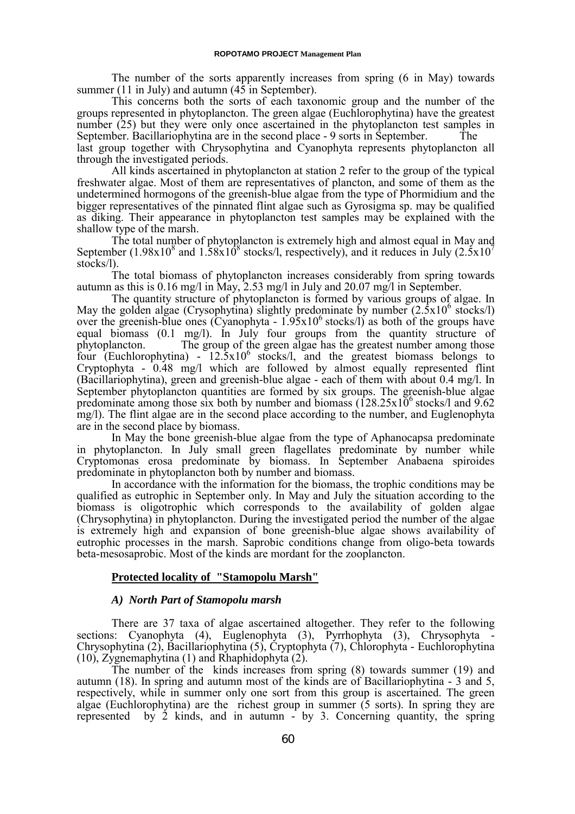The number of the sorts apparently increases from spring (6 in May) towards summer (11 in July) and autumn (45 in September).

This concerns both the sorts of each taxonomic group and the number of the groups represented in phytoplancton. The green algae (Euchlorophytina) have the greatest number (25) but they were only once ascertained in the phytoplancton test samples in September. Bacillariophytina are in the second place - 9 sorts in September. The last group together with Chrysophytina and Cyanophyta represents phytoplancton all through the investigated periods.

All kinds ascertained in phytoplancton at station 2 refer to the group of the typical freshwater algae. Most of them are representatives of plancton, and some of them as the undetermined hormogons of the greenish-blue algae from the type of Phormidium and the bigger representatives of the pinnated flint algae such as Gyrosigma sp. may be qualified as diking. Their appearance in phytoplancton test samples may be explained with the shallow type of the marsh.

The total number of phytoplancton is extremely high and almost equal in May and September (1.98x10<sup>8</sup> and 1.58x10<sup>8</sup> stocks/l, respectively), and it reduces in July (2.5x10<sup>7</sup>) stocks/l).

The total biomass of phytoplancton increases considerably from spring towards autumn as this is 0.16 mg/l in May, 2.53 mg/l in July and 20.07 mg/l in September.

The quantity structure of phytoplancton is formed by various groups of algae. In May the golden algae (Crysophytina) slightly predominate by number  $(2.5x10^6$  stocks/l) over the greenish-blue ones (Cyanophyta -  $1.95 \times 10^6$  stocks/l) as both of the groups have equal biomass (0.1 mg/l). In July four groups from the quantity structure of phytoplancton. The group of the green algae has the greatest number among those four (Euchlorophytina) -  $12.5x10^6$  stocks/l, and the greatest biomass belongs to Cryptophyta - 0.48 mg/l which are followed by almost equally represented flint (Bacillariophytina), green and greenish-blue algae - each of them with about 0.4 mg/l. In September phytoplancton quantities are formed by six groups. The greenish-blue algae predominate among those six both by number and biomass  $(128.25 \times 10^6 \text{ stocks/l}$  and  $9.62$ mg/l). The flint algae are in the second place according to the number, and Euglenophyta are in the second place by biomass.

In May the bone greenish-blue algae from the type of Aphanocapsa predominate in phytoplancton. In July small green flagellates predominate by number while Cryptomonas erosa predominate by biomass. In September Anabaena spiroides predominate in phytoplancton both by number and biomass.

In accordance with the information for the biomass, the trophic conditions may be qualified as eutrophic in September only. In May and July the situation according to the biomass is oligotrophic which corresponds to the availability of golden algae (Chrysophytina) in phytoplancton. During the investigated period the number of the algae is extremely high and expansion of bone greenish-blue algae shows availability of eutrophic processes in the marsh. Saprobic conditions change from oligo-beta towards beta-mesosaprobic. Most of the kinds are mordant for the zooplancton.

## **Protected locality of "Stamopolu Marsh"**

## *A) North Part of Stamopolu marsh*

There are 37 taxa of algae ascertained altogether. They refer to the following sections: Cyanophyta (4), Euglenophyta (3), Pyrrhophyta (3), Chrysophyta - Chrysophytina (2), Bacillariophytina (5), Cryptophyta (7), Chlorophyta - Euchlorophytina (10), Zygnemaphytina (1) and Rhaphidophyta (2).

The number of the kinds increases from spring (8) towards summer (19) and autumn (18). In spring and autumn most of the kinds are of Bacillariophytina - 3 and 5, respectively, while in summer only one sort from this group is ascertained. The green algae (Euchlorophytina) are the richest group in summer (5 sorts). In spring they are represented by 2 kinds, and in autumn - by 3. Concerning quantity, the spring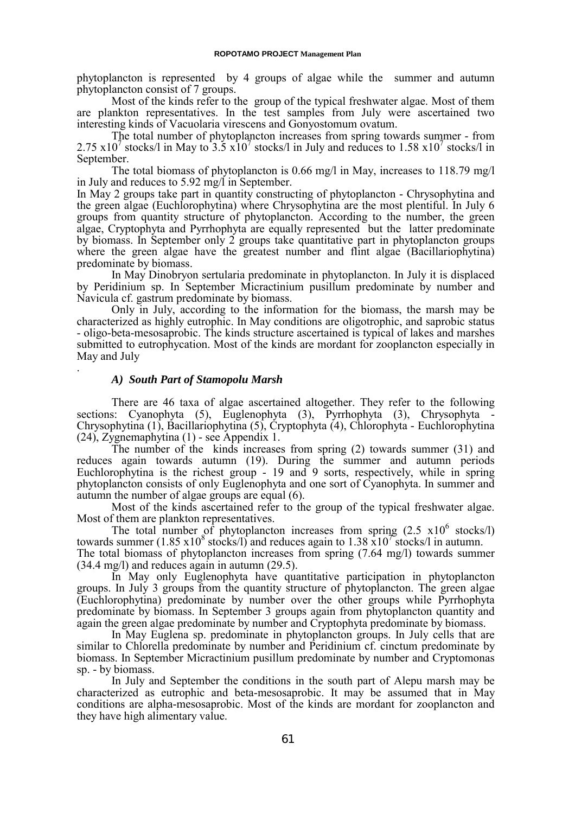phytoplancton is represented by 4 groups of algae while the summer and autumn phytoplancton consist of 7 groups.

Most of the kinds refer to the group of the typical freshwater algae. Most of them are plankton representatives. In the test samples from July were ascertained two interesting kinds of Vacuolaria virescens and Gonyostomum ovatum.

The total number of phytoplancton increases from spring towards summer - from 2.75 x10<sup>7</sup> stocks/l in May to  $3.5 \times 10^7$  stocks/l in July and reduces to 1.58 x10<sup>7</sup> stocks/l in September.

The total biomass of phytoplancton is 0.66 mg/l in May, increases to 118.79 mg/l in July and reduces to 5.92 mg/l in September.

In May 2 groups take part in quantity constructing of phytoplancton - Chrysophytina and the green algae (Euchlorophytina) where Chrysophytina are the most plentiful. In July 6 groups from quantity structure of phytoplancton. According to the number, the green algae, Cryptophyta and Pyrrhophyta are equally represented but the latter predominate by biomass. In September only 2 groups take quantitative part in phytoplancton groups where the green algae have the greatest number and flint algae (Bacillariophytina) predominate by biomass.

In May Dinobryon sertularia predominate in phytoplancton. In July it is displaced by Peridinium sp. In September Micractinium pusillum predominate by number and Navicula cf. gastrum predominate by biomass.

Only in July, according to the information for the biomass, the marsh may be characterized as highly eutrophic. In May conditions are oligotrophic, and saprobic status - oligo-beta-mesosaprobic. The kinds structure ascertained is typical of lakes and marshes submitted to eutrophycation. Most of the kinds are mordant for zooplancton especially in May and July .

#### *A) South Part of Stamopolu Marsh*

There are 46 taxa of algae ascertained altogether. They refer to the following sections: Cyanophyta (5), Euglenophyta (3), Pyrrhophyta (3), Chrysophyta - Chrysophytina (1), Bacillariophytina (5), Cryptophyta (4), Chlorophyta - Euchlorophytina (24), Zygnemaphytina (1) - see Appendix 1.

The number of the kinds increases from spring (2) towards summer (31) and reduces again towards autumn (19). During the summer and autumn periods Euchlorophytina is the richest group - 19 and 9 sorts, respectively, while in spring phytoplancton consists of only Euglenophyta and one sort of Cyanophyta. In summer and autumn the number of algae groups are equal (6).

Most of the kinds ascertained refer to the group of the typical freshwater algae. Most of them are plankton representatives.

The total number of phytoplancton increases from spring  $(2.5 \times 10^6 \text{ stocks/l})$ towards summer (1.85 x10<sup>8</sup> stocks/l) and reduces again to 1.38 x10<sup>7</sup> stocks/l in autumn. The total biomass of phytoplancton increases from spring (7.64 mg/l) towards summer (34.4 mg/l) and reduces again in autumn (29.5).

In May only Euglenophyta have quantitative participation in phytoplancton groups. In July 3 groups from the quantity structure of phytoplancton. The green algae (Euchlorophytina) predominate by number over the other groups while Pyrrhophyta predominate by biomass. In September 3 groups again from phytoplancton quantity and again the green algae predominate by number and Cryptophyta predominate by biomass.

In May Euglena sp. predominate in phytoplancton groups. In July cells that are similar to Chlorella predominate by number and Peridinium cf. cinctum predominate by biomass. In September Micractinium pusillum predominate by number and Cryptomonas sp. - by biomass.

In July and September the conditions in the south part of Alepu marsh may be characterized as eutrophic and beta-mesosaprobic. It may be assumed that in May conditions are alpha-mesosaprobic. Most of the kinds are mordant for zooplancton and they have high alimentary value.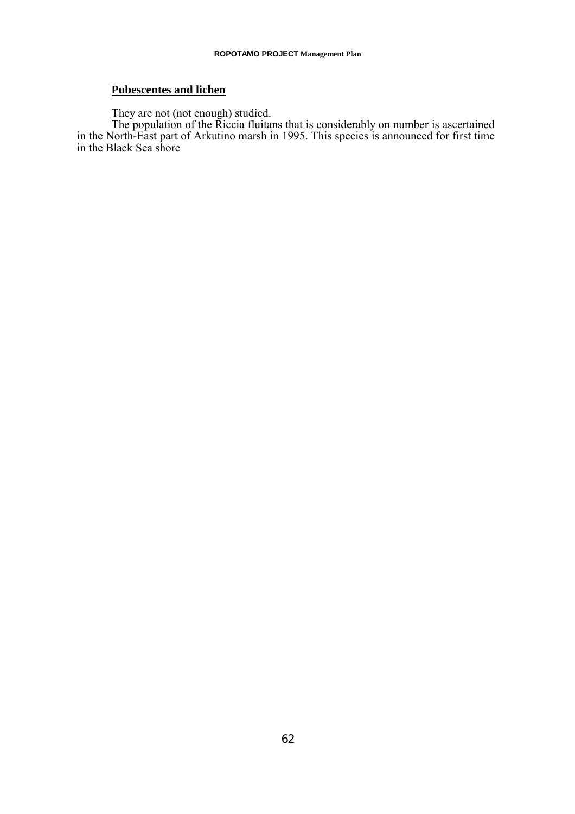## **Pubescentes and lichen**

They are not (not enough) studied.

The population of the Riccia fluitans that is considerably on number is ascertained in the North-East part of Arkutino marsh in 1995. This species is announced for first time in the Black Sea shore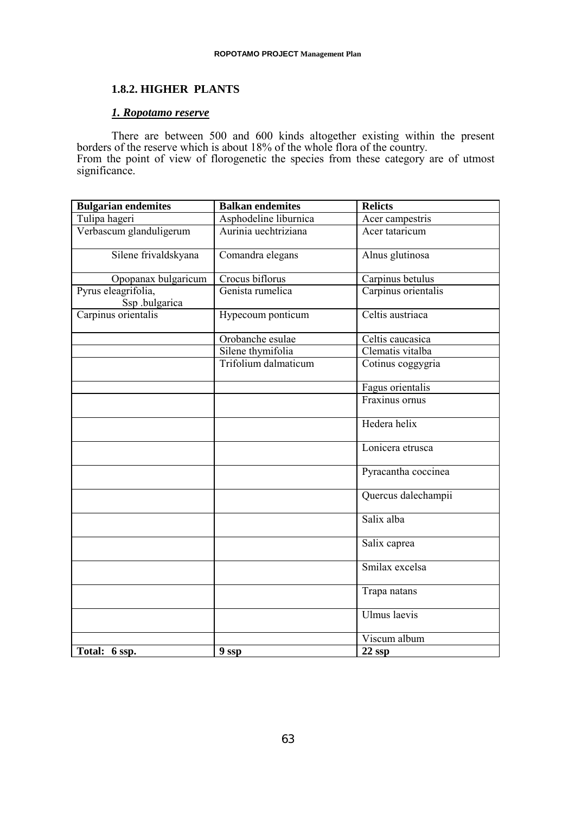## **1.8.2. HIGHER PLANTS**

## *1. Ropotamo reserve*

There are between 500 and 600 kinds altogether existing within the present borders of the reserve which is about 18% of the whole flora of the country. From the point of view of florogenetic the species from these category are of utmost significance.

| <b>Bulgarian endemites</b>            | <b>Balkan endemites</b> | <b>Relicts</b>      |
|---------------------------------------|-------------------------|---------------------|
| Tulipa hageri                         | Asphodeline liburnica   | Acer campestris     |
| Verbascum glanduligerum               | Aurinia uechtriziana    | Acer tataricum      |
| Silene frivaldskyana                  | Comandra elegans        | Alnus glutinosa     |
| Opopanax bulgaricum                   | Crocus biflorus         | Carpinus betulus    |
| Pyrus eleagrifolia,<br>Ssp .bulgarica | Genista rumelica        | Carpinus orientalis |
| Carpinus orientalis                   | Hypecoum ponticum       | Celtis austriaca    |
|                                       | Orobanche esulae        | Celtis caucasica    |
|                                       | Silene thymifolia       | Clematis vitalba    |
|                                       | Trifolium dalmaticum    | Cotinus coggygria   |
|                                       |                         | Fagus orientalis    |
|                                       |                         | Fraxinus ornus      |
|                                       |                         | Hedera helix        |
|                                       |                         | Lonicera etrusca    |
|                                       |                         | Pyracantha coccinea |
|                                       |                         | Quercus dalechampii |
|                                       |                         | Salix alba          |
|                                       |                         | Salix caprea        |
|                                       |                         | Smilax excelsa      |
|                                       |                         | Trapa natans        |
|                                       |                         | Ulmus laevis        |
|                                       |                         | Viscum album        |
| Total: 6 ssp.                         | 9 ssp                   | $22$ ssp            |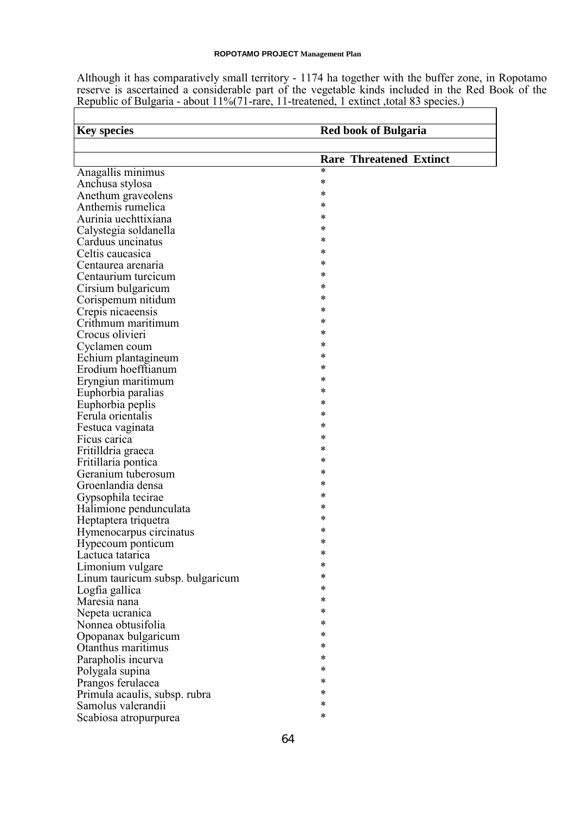Although it has comparatively small territory - 1174 ha together with the buffer zone, in Ropotamo reserve is ascertained a considerable part of the vegetable kinds included in the Red Book of the Republic of Bulgaria - about 11%(71-rare, 11-treatened, 1 extinct ,total 83 species.)

| <b>Key species</b>                                  | <b>Red book of Bulgaria</b>    |
|-----------------------------------------------------|--------------------------------|
|                                                     |                                |
|                                                     | <b>Rare Threatened Extinct</b> |
| Anagallis minimus                                   | *                              |
| Anchusa stylosa                                     | *                              |
| Anethum graveolens                                  | *                              |
| Anthemis rumelica                                   | *                              |
| Aurinia uechttixiana                                | *                              |
| Calystegia soldanella                               | *                              |
| Carduus uncinatus                                   | *                              |
| Celtis caucasica                                    | *                              |
| Centaurea arenaria                                  | *                              |
| Centaurium turcicum                                 | *                              |
| Cirsium bulgaricum                                  | *                              |
| Corispemum nitidum                                  | *                              |
| Crepis nicaeensis                                   | *                              |
| Crithmum maritimum                                  | *                              |
| Crocus olivieri                                     | *                              |
| Cyclamen coum                                       | *                              |
| Echium plantagineum                                 | *                              |
| Erodium hoefftianum                                 | *                              |
| Eryngiun maritimum                                  | *                              |
| Euphorbia paralias                                  | *                              |
| Euphorbia peplis                                    | *                              |
| Ferula orientalis                                   | *                              |
| Festuca vaginata                                    | *                              |
| Ficus carica                                        | *                              |
| Fritilldria graeca                                  | *                              |
| Fritillaria pontica                                 | *                              |
| Geranium tuberosum                                  | *                              |
| Groenlandia densa                                   | *                              |
| Gypsophila tecirae                                  | *                              |
| Halimione pendunculata                              | *                              |
| Heptaptera triquetra                                | *                              |
| Hymenocarpus circinatus                             | *                              |
| Hypecoum ponticum                                   | *                              |
| Lactuca tatarica                                    |                                |
| Limonium vulgare                                    | *                              |
| Linum tauricum subsp. bulgaricum                    | *                              |
| Logfia gallica                                      | *                              |
| Maresia nana                                        | *                              |
| Nepeta ucranica                                     | *                              |
| Nonnea obtusifolia                                  | *                              |
| Opopanax bulgaricum                                 | *                              |
| Otanthus maritimus                                  | *                              |
| Parapholis incurva                                  | *                              |
| Polygala supina                                     | *                              |
| Prangos ferulacea                                   | *                              |
|                                                     | *                              |
| Primula acaulis, subsp. rubra<br>Samolus valerandii | *                              |
|                                                     | *                              |
| Scabiosa atropurpurea                               |                                |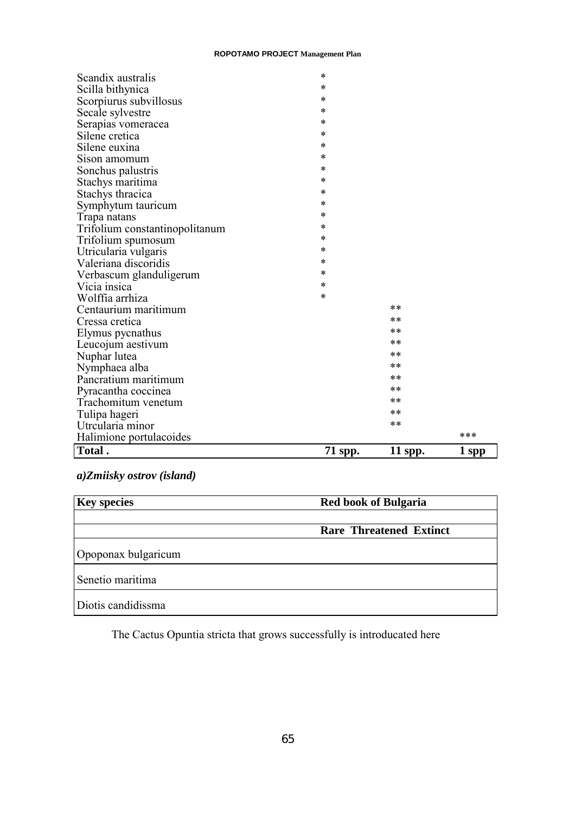| Scandix australis              | *       |         |       |
|--------------------------------|---------|---------|-------|
| Scilla bithynica               | *       |         |       |
| Scorpiurus subvillosus         | *       |         |       |
| Secale sylvestre               | *       |         |       |
| Serapias vomeracea             | *       |         |       |
| Silene cretica                 | *       |         |       |
| Silene euxina                  | *       |         |       |
| Sison amomum                   | *       |         |       |
| Sonchus palustris              | *       |         |       |
| Stachys maritima               | *       |         |       |
| Stachys thracica               | *       |         |       |
| Symphytum tauricum             | *       |         |       |
| Trapa natans                   | *       |         |       |
| Trifolium constantinopolitanum | *       |         |       |
| Trifolium spumosum             | *       |         |       |
| Utricularia vulgaris           | *       |         |       |
| Valeriana discoridis           | *       |         |       |
| Verbascum glanduligerum        | *       |         |       |
| Vicia insica                   | *       |         |       |
| Wolffia arrhiza                | *       |         |       |
| Centaurium maritimum           |         | **      |       |
| Cressa cretica                 |         | $***$   |       |
| Elymus pycnathus               |         | **      |       |
| Leucojum aestivum              |         | $***$   |       |
| Nuphar lutea                   |         | **      |       |
| Nymphaea alba                  |         | **      |       |
| Pancratium maritimum           |         | **      |       |
| Pyracantha coccinea            |         | **      |       |
| Trachomitum venetum            |         | $***$   |       |
| Tulipa hageri                  |         | **      |       |
| Utrcularia minor               |         | **      |       |
| Halimione portulacoides        |         |         | ***   |
| Total.                         | 71 spp. | 11 spp. | 1 spp |

## *a)Zmiisky ostrov (island)*

| <b>Key species</b>  | <b>Red book of Bulgaria</b>    |  |
|---------------------|--------------------------------|--|
|                     | <b>Rare Threatened Extinct</b> |  |
| Opoponax bulgaricum |                                |  |
| Senetio maritima    |                                |  |
| Diotis candidissma  |                                |  |

The Cactus Opuntia stricta that grows successfully is introducated here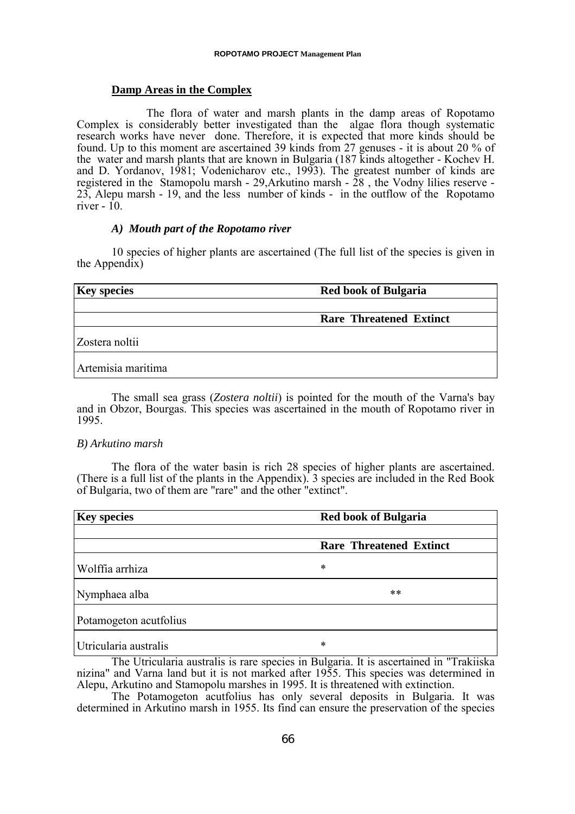## **Damp Areas in the Complex**

The flora of water and marsh plants in the damp areas of Ropotamo Complex is considerably better investigated than the algae flora though systematic research works have never done. Therefore, it is expected that more kinds should be found. Up to this moment are ascertained 39 kinds from 27 genuses - it is about 20 % of the water and marsh plants that are known in Bulgaria (187 kinds altogether - Kochev H. and D. Yordanov, 1981; Vodenicharov etc., 1993). The greatest number of kinds are registered in the Stamopolu marsh - 29,Arkutino marsh - 28 , the Vodny lilies reserve - 23, Alepu marsh - 19, and the less number of kinds - in the outflow of the Ropotamo river  $-$  10.

## *A) Mouth part of the Ropotamo river*

10 species of higher plants are ascertained (The full list of the species is given in the Appendix)

| <b>Key species</b> | <b>Red book of Bulgaria</b>    |  |  |
|--------------------|--------------------------------|--|--|
|                    |                                |  |  |
|                    | <b>Rare Threatened Extinct</b> |  |  |
| Zostera noltii     |                                |  |  |
| Artemisia maritima |                                |  |  |

The small sea grass (*Zostera noltii*) is pointed for the mouth of the Varna's bay and in Obzor, Bourgas. This species was ascertained in the mouth of Ropotamo river in 1995.

## *B) Arkutino marsh*

The flora of the water basin is rich 28 species of higher plants are ascertained. (There is a full list of the plants in the Appendix). 3 species are included in the Red Book of Bulgaria, two of them are "rare" and the other "extinct".

| <b>Key species</b>     | <b>Red book of Bulgaria</b>    |  |
|------------------------|--------------------------------|--|
|                        | <b>Rare Threatened Extinct</b> |  |
| Wolffia arrhiza        | *                              |  |
| Nymphaea alba          | $***$                          |  |
| Potamogeton acutfolius |                                |  |
| Utricularia australis  | *<br>.                         |  |

The Utricularia australis is rare species in Bulgaria. It is ascertained in "Trakiiska nizina" and Varna land but it is not marked after 1955. This species was determined in Alepu, Arkutino and Stamopolu marshes in 1995. It is threatened with extinction.

The Potamogeton acutfolius has only several deposits in Bulgaria. It was determined in Arkutino marsh in 1955. Its find can ensure the preservation of the species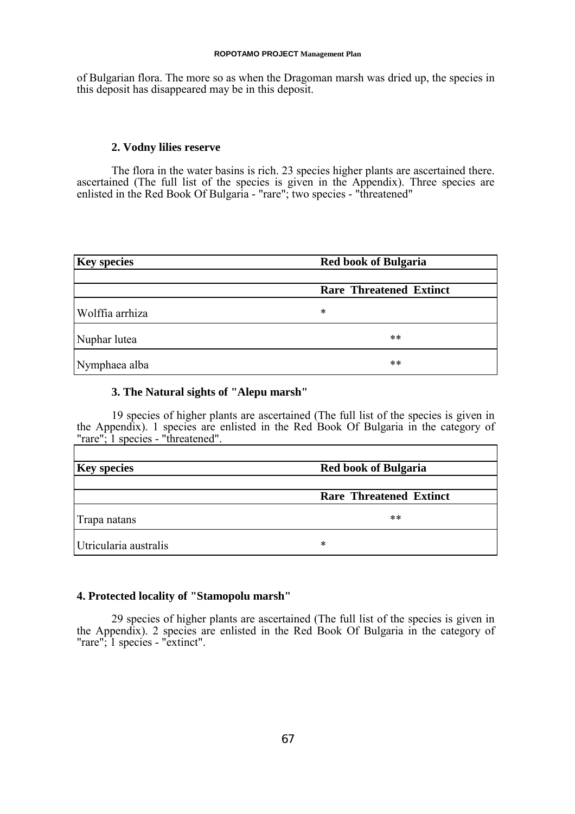of Bulgarian flora. The more so as when the Dragoman marsh was dried up, the species in this deposit has disappeared may be in this deposit.

## **2. Vodny lilies reserve**

The flora in the water basins is rich. 23 species higher plants are ascertained there. ascertained (The full list of the species is given in the Appendix). Three species are enlisted in the Red Book Of Bulgaria - "rare"; two species - "threatened"

| <b>Key species</b> | <b>Red book of Bulgaria</b>    |  |
|--------------------|--------------------------------|--|
|                    | <b>Rare Threatened Extinct</b> |  |
| Wolffia arrhiza    | *                              |  |
| Nuphar lutea       | **                             |  |
| Nymphaea alba      | **                             |  |

## **3. The Natural sights of "Alepu marsh"**

19 species of higher plants are ascertained (The full list of the species is given in the Appendix). 1 species are enlisted in the Red Book Of Bulgaria in the category of "rare"; 1 species - "threatened".  $\overline{\mathsf{L}}$ 

| <b>Key species</b>    | <b>Red book of Bulgaria</b>    |
|-----------------------|--------------------------------|
|                       | <b>Rare Threatened Extinct</b> |
| Trapa natans          | $***$                          |
| Utricularia australis | ∗                              |

## **4. Protected locality of "Stamopolu marsh"**

29 species of higher plants are ascertained (The full list of the species is given in the Appendix). 2 species are enlisted in the Red Book Of Bulgaria in the category of "rare"; 1 species - "extinct".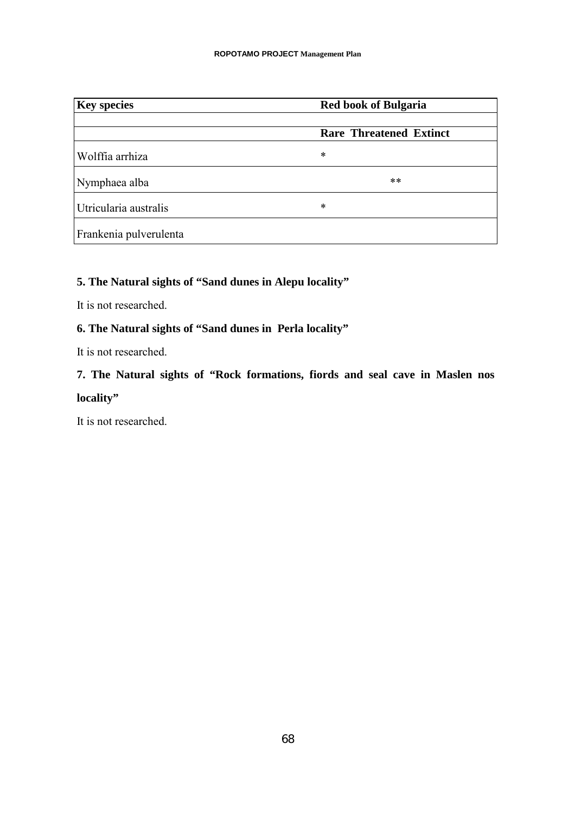| <b>Key species</b>     | <b>Red book of Bulgaria</b>    |  |
|------------------------|--------------------------------|--|
|                        | <b>Rare Threatened Extinct</b> |  |
| Wolffia arrhiza        | *                              |  |
| Nymphaea alba          | **                             |  |
| Utricularia australis  | *                              |  |
| Frankenia pulverulenta |                                |  |

## **5. The Natural sights of "Sand dunes in Alepu locality"**

It is not researched.

## **6. The Natural sights of "Sand dunes in Perla locality"**

It is not researched.

# **7. The Natural sights of "Rock formations, fiords and seal cave in Maslen nos locality"**

It is not researched.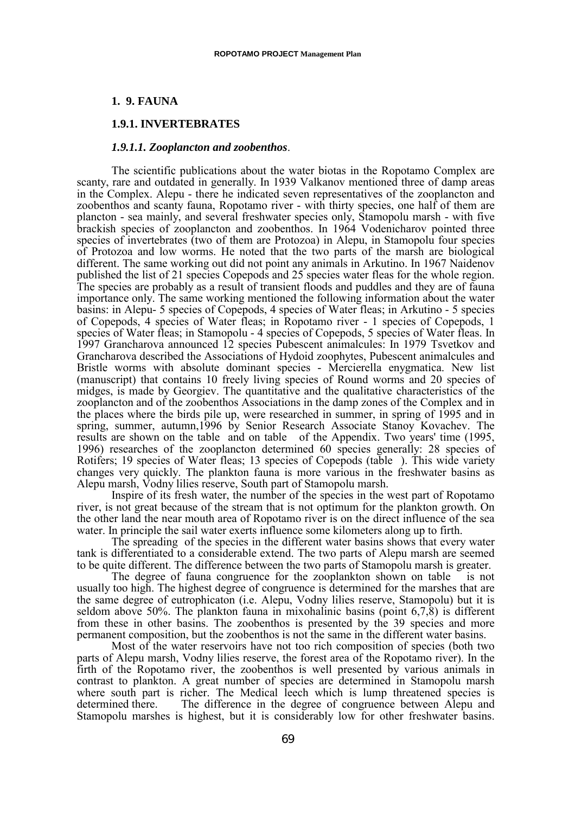## **1. 9. FAUNA**

## **1.9.1. INVERTEBRATES**

#### *1.9.1.1. Zooplancton and zoobenthos*.

The scientific publications about the water biotas in the Ropotamo Complex are scanty, rare and outdated in generally. In 1939 Valkanov mentioned three of damp areas in the Complex. Alepu - there he indicated seven representatives of the zooplancton and zoobenthos and scanty fauna, Ropotamo river - with thirty species, one half of them are plancton - sea mainly, and several freshwater species only, Stamopolu marsh - with five brackish species of zooplancton and zoobenthos. In 1964 Vodenicharov pointed three species of invertebrates (two of them are Protozoa) in Alepu, in Stamopolu four species of Protozoa and low worms. He noted that the two parts of the marsh are biological different. The same working out did not point any animals in Arkutino. In 1967 Naidenov published the list of 21 species Copepods and 25 species water fleas for the whole region. The species are probably as a result of transient floods and puddles and they are of fauna importance only. The same working mentioned the following information about the water basins: in Alepu- 5 species of Copepods, 4 species of Water fleas; in Arkutino - 5 species of Copepods, 4 species of Water fleas; in Ropotamo river - 1 species of Copepods, 1 species of Water fleas; in Stamopolu - 4 species of Copepods, 5 species of Water fleas. In 1997 Grancharova announced 12 species Pubescent animalcules: In 1979 Tsvetkov and Grancharova described the Associations of Hydoid zoophytes, Pubescent animalcules and Bristle worms with absolute dominant species - Mercierella enygmatica. New list (manuscript) that contains 10 freely living species of Round worms and 20 species of midges, is made by Georgiev. The quantitative and the qualitative characteristics of the zooplancton and of the zoobenthos Associations in the damp zones of the Complex and in the places where the birds pile up, were researched in summer, in spring of 1995 and in spring, summer, autumn,1996 by Senior Research Associate Stanoy Kovachev. The results are shown on the table and on table of the Appendix. Two years' time (1995, 1996) researches of the zooplancton determined 60 species generally: 28 species of Rotifers; 19 species of Water fleas; 13 species of Copepods (table ). This wide variety changes very quickly. The plankton fauna is more various in the freshwater basins as Alepu marsh, Vodny lilies reserve, South part of Stamopolu marsh.

Inspire of its fresh water, the number of the species in the west part of Ropotamo river, is not great because of the stream that is not optimum for the plankton growth. On the other land the near mouth area of Ropotamo river is on the direct influence of the sea water. In principle the sail water exerts influence some kilometers along up to firth.

The spreading of the species in the different water basins shows that every water tank is differentiated to a considerable extend. The two parts of Alepu marsh are seemed to be quite different. The difference between the two parts of Stamopolu marsh is greater.

The degree of fauna congruence for the zooplankton shown on table is not usually too high. The highest degree of congruence is determined for the marshes that are the same degree of eutrophicaton (i.e. Alepu, Vodny lilies reserve, Stamopolu) but it is seldom above 50%. The plankton fauna in mixohalinic basins (point 6,7,8) is different from these in other basins. The zoobenthos is presented by the 39 species and more permanent composition, but the zoobenthos is not the same in the different water basins.

Most of the water reservoirs have not too rich composition of species (both two parts of Alepu marsh, Vodny lilies reserve, the forest area of the Ropotamo river). In the firth of the Ropotamo river, the zoobenthos is well presented by various animals in contrast to plankton. A great number of species are determined in Stamopolu marsh where south part is richer. The Medical leech which is lump threatened species is determined there. The difference in the degree of congruence between Alepu and Stamopolu marshes is highest, but it is considerably low for other freshwater basins.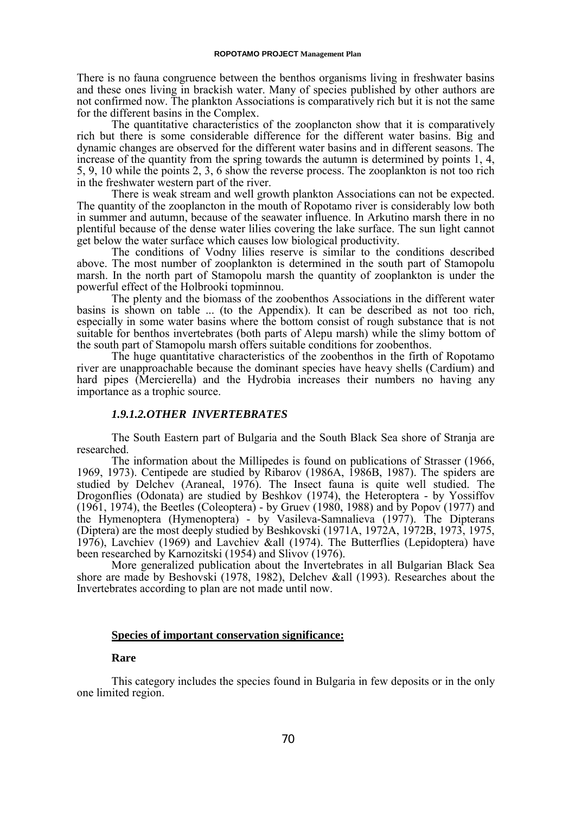There is no fauna congruence between the benthos organisms living in freshwater basins and these ones living in brackish water. Many of species published by other authors are not confirmed now. The plankton Associations is comparatively rich but it is not the same for the different basins in the Complex.

The quantitative characteristics of the zooplancton show that it is comparatively rich but there is some considerable difference for the different water basins. Big and dynamic changes are observed for the different water basins and in different seasons. The increase of the quantity from the spring towards the autumn is determined by points 1, 4, 5, 9, 10 while the points 2, 3, 6 show the reverse process. The zooplankton is not too rich in the freshwater western part of the river.

There is weak stream and well growth plankton Associations can not be expected. The quantity of the zooplancton in the mouth of Ropotamo river is considerably low both in summer and autumn, because of the seawater influence. In Arkutino marsh there in no plentiful because of the dense water lilies covering the lake surface. The sun light cannot get below the water surface which causes low biological productivity.

The conditions of Vodny lilies reserve is similar to the conditions described above. The most number of zooplankton is determined in the south part of Stamopolu marsh. In the north part of Stamopolu marsh the quantity of zooplankton is under the powerful effect of the Holbrooki topminnou.

The plenty and the biomass of the zoobenthos Associations in the different water basins is shown on table ... (to the Appendix). It can be described as not too rich, especially in some water basins where the bottom consist of rough substance that is not suitable for benthos invertebrates (both parts of Alepu marsh) while the slimy bottom of the south part of Stamopolu marsh offers suitable conditions for zoobenthos.

The huge quantitative characteristics of the zoobenthos in the firth of Ropotamo river are unapproachable because the dominant species have heavy shells (Cardium) and hard pipes (Mercierella) and the Hydrobia increases their numbers no having any importance as a trophic source.

### *1.9.1.2.OTHER INVERTEBRATES*

The South Eastern part of Bulgaria and the South Black Sea shore of Stranja are researched.

The information about the Millipedes is found on publications of Strasser (1966, 1969, 1973). Centipede are studied by Ribarov (1986A, 1986B, 1987). The spiders are studied by Delchev (Araneal, 1976). The Insect fauna is quite well studied. The Drogonflies (Odonata) are studied by Beshkov (1974), the Heteroptera - by Yossiffov (1961, 1974), the Beetles (Coleoptera) - by Gruev (1980, 1988) and by Popov (1977) and the Hymenoptera (Hymenoptera) - by Vasileva-Samnalieva (1977). The Dipterans (Diptera) are the most deeply studied by Beshkovski (1971A, 1972A, 1972B, 1973, 1975, 1976), Lavchiev (1969) and Lavchiev &all (1974). The Butterflies (Lepidoptera) have been researched by Karnozitski (1954) and Slivov (1976).

More generalized publication about the Invertebrates in all Bulgarian Black Sea shore are made by Beshovski (1978, 1982), Delchev &all (1993). Researches about the Invertebrates according to plan are not made until now.

#### **Species of important conservation significance:**

#### **Rare**

This category includes the species found in Bulgaria in few deposits or in the only one limited region.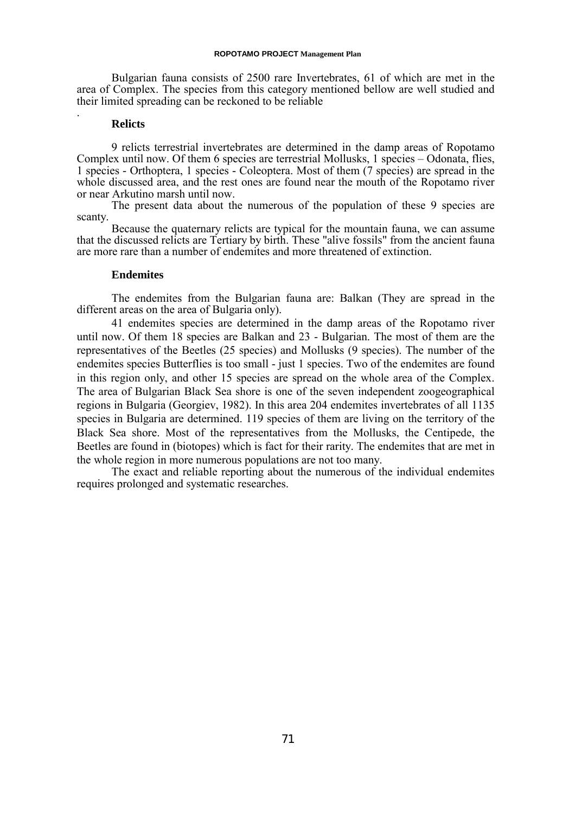Bulgarian fauna consists of 2500 rare Invertebrates, 61 of which are met in the area of Complex. The species from this category mentioned bellow are well studied and their limited spreading can be reckoned to be reliable

#### **Relicts**

.

9 relicts terrestrial invertebrates are determined in the damp areas of Ropotamo Complex until now. Of them 6 species are terrestrial Mollusks, 1 species – Odonata, flies, 1 species - Orthoptera, 1 species - Coleoptera. Most of them (7 species) are spread in the whole discussed area, and the rest ones are found near the mouth of the Ropotamo river or near Arkutino marsh until now.

The present data about the numerous of the population of these 9 species are scanty.

Because the quaternary relicts are typical for the mountain fauna, we can assume that the discussed relicts are Tertiary by birth. These "alive fossils" from the ancient fauna are more rare than a number of endemites and more threatened of extinction.

### **Endemites**

The endemites from the Bulgarian fauna are: Balkan (They are spread in the different areas on the area of Bulgaria only).

41 endemites species are determined in the damp areas of the Ropotamo river until now. Of them 18 species are Balkan and 23 - Bulgarian. The most of them are the representatives of the Beetles (25 species) and Mollusks (9 species). The number of the endemites species Butterflies is too small - just 1 species. Two of the endemites are found in this region only, and other 15 species are spread on the whole area of the Complex. The area of Bulgarian Black Sea shore is one of the seven independent zoogeographical regions in Bulgaria (Georgiev, 1982). In this area 204 endemites invertebrates of all 1135 species in Bulgaria are determined. 119 species of them are living on the territory of the Black Sea shore. Most of the representatives from the Mollusks, the Centipede, the Beetles are found in (biotopes) which is fact for their rarity. The endemites that are met in the whole region in more numerous populations are not too many.

The exact and reliable reporting about the numerous of the individual endemites requires prolonged and systematic researches.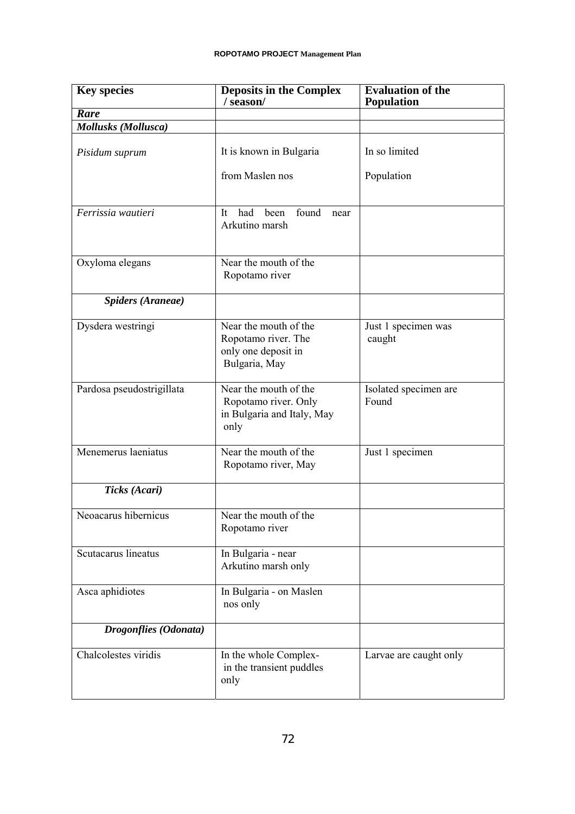| <b>Key species</b>           | <b>Deposits in the Complex</b><br>/season/                                           | <b>Evaluation of the</b><br><b>Population</b> |
|------------------------------|--------------------------------------------------------------------------------------|-----------------------------------------------|
| Rare                         |                                                                                      |                                               |
| <b>Mollusks</b> (Mollusca)   |                                                                                      |                                               |
| Pisidum suprum               | It is known in Bulgaria                                                              | In so limited                                 |
|                              | from Maslen nos                                                                      | Population                                    |
| Ferrissia wautieri           | found<br>had<br>been<br>It<br>near<br>Arkutino marsh                                 |                                               |
| Oxyloma elegans              | Near the mouth of the<br>Ropotamo river                                              |                                               |
| <b>Spiders (Araneae)</b>     |                                                                                      |                                               |
| Dysdera westringi            | Near the mouth of the<br>Ropotamo river. The<br>only one deposit in<br>Bulgaria, May | Just 1 specimen was<br>caught                 |
| Pardosa pseudostrigillata    | Near the mouth of the<br>Ropotamo river. Only<br>in Bulgaria and Italy, May<br>only  | Isolated specimen are<br>Found                |
| Menemerus laeniatus          | Near the mouth of the<br>Ropotamo river, May                                         | Just 1 specimen                               |
| Ticks (Acari)                |                                                                                      |                                               |
| Neoacarus hibernicus         | Near the mouth of the<br>Ropotamo river                                              |                                               |
| Scutacarus lineatus          | In Bulgaria - near<br>Arkutino marsh only                                            |                                               |
| Asca aphidiotes              | In Bulgaria - on Maslen<br>nos only                                                  |                                               |
| <b>Drogonflies</b> (Odonata) |                                                                                      |                                               |
| Chalcolestes viridis         | In the whole Complex-<br>in the transient puddles<br>only                            | Larvae are caught only                        |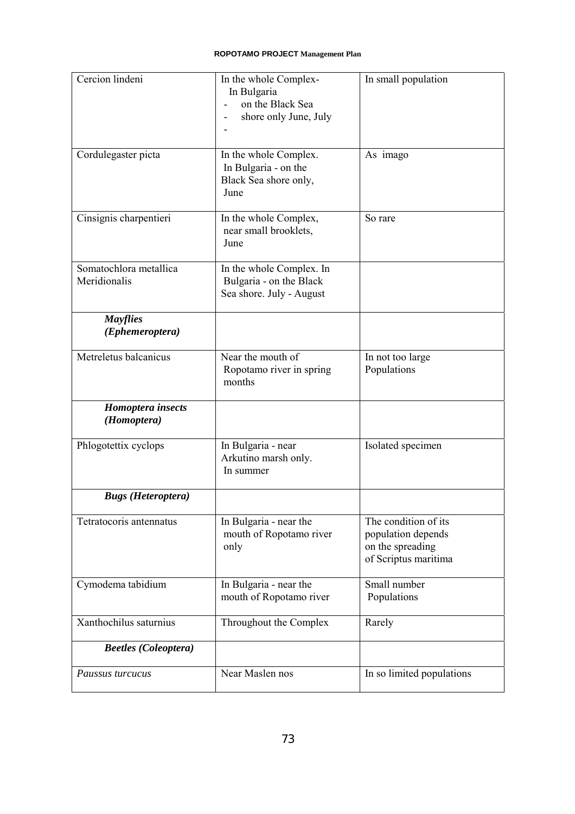| Cercion lindeni                        | In the whole Complex-<br>In Bulgaria<br>on the Black Sea<br>shore only June, July | In small population                                                                    |
|----------------------------------------|-----------------------------------------------------------------------------------|----------------------------------------------------------------------------------------|
| Cordulegaster picta                    | In the whole Complex.<br>In Bulgaria - on the<br>Black Sea shore only,<br>June    | As imago                                                                               |
| Cinsignis charpentieri                 | In the whole Complex,<br>near small brooklets,<br>June                            | So rare                                                                                |
| Somatochlora metallica<br>Meridionalis | In the whole Complex. In<br>Bulgaria - on the Black<br>Sea shore. July - August   |                                                                                        |
| <b>Mayflies</b><br>(Ephemeroptera)     |                                                                                   |                                                                                        |
| Metreletus balcanicus                  | Near the mouth of<br>Ropotamo river in spring<br>months                           | In not too large<br>Populations                                                        |
| Homoptera insects<br>(Homoptera)       |                                                                                   |                                                                                        |
| Phlogotettix cyclops                   | In Bulgaria - near<br>Arkutino marsh only.<br>In summer                           | Isolated specimen                                                                      |
| <b>Bugs</b> ( <i>Heteroptera</i> )     |                                                                                   |                                                                                        |
| Tetratocoris antennatus                | In Bulgaria - near the<br>mouth of Ropotamo river<br>only                         | The condition of its<br>population depends<br>on the spreading<br>of Scriptus maritima |
| Cymodema tabidium                      | In Bulgaria - near the<br>mouth of Ropotamo river                                 | Small number<br>Populations                                                            |
| Xanthochilus saturnius                 | Throughout the Complex                                                            | Rarely                                                                                 |
| <b>Beetles</b> (Coleoptera)            |                                                                                   |                                                                                        |
| Paussus turcucus                       | Near Maslen nos                                                                   | In so limited populations                                                              |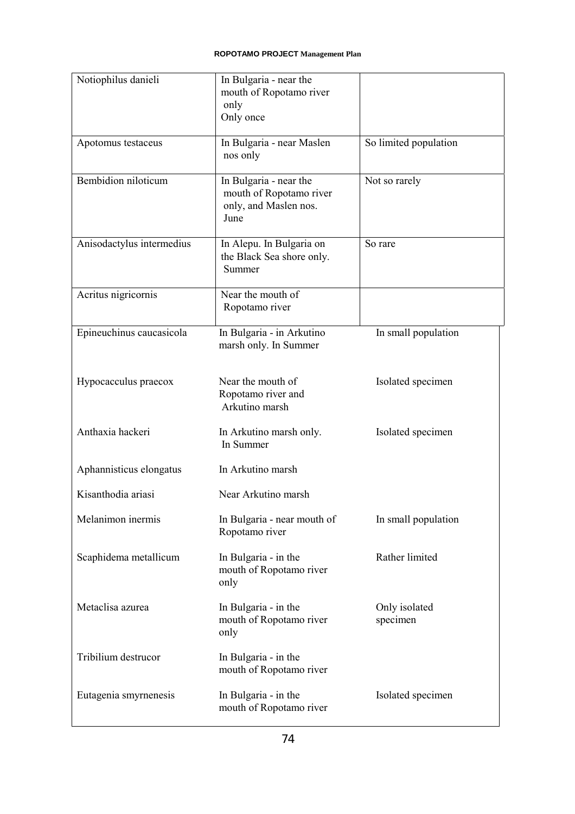| Notiophilus danieli       | In Bulgaria - near the<br>mouth of Ropotamo river<br>only<br>Only once             |                           |
|---------------------------|------------------------------------------------------------------------------------|---------------------------|
| Apotomus testaceus        | In Bulgaria - near Maslen<br>nos only                                              | So limited population     |
| Bembidion niloticum       | In Bulgaria - near the<br>mouth of Ropotamo river<br>only, and Maslen nos.<br>June | Not so rarely             |
| Anisodactylus intermedius | In Alepu. In Bulgaria on<br>the Black Sea shore only.<br>Summer                    | So rare                   |
| Acritus nigricornis       | Near the mouth of<br>Ropotamo river                                                |                           |
| Epineuchinus caucasicola  | In Bulgaria - in Arkutino<br>marsh only. In Summer                                 | In small population       |
| Hypocacculus praecox      | Near the mouth of<br>Ropotamo river and<br>Arkutino marsh                          | Isolated specimen         |
| Anthaxia hackeri          | In Arkutino marsh only.<br>In Summer                                               | Isolated specimen         |
| Aphannisticus elongatus   | In Arkutino marsh                                                                  |                           |
| Kisanthodia ariasi        | Near Arkutino marsh                                                                |                           |
| Melanimon inermis         | In Bulgaria - near mouth of<br>Ropotamo river                                      | In small population       |
| Scaphidema metallicum     | In Bulgaria - in the<br>mouth of Ropotamo river<br>only                            | Rather limited            |
| Metaclisa azurea          | In Bulgaria - in the<br>mouth of Ropotamo river<br>only                            | Only isolated<br>specimen |
| Tribilium destrucor       | In Bulgaria - in the<br>mouth of Ropotamo river                                    |                           |
| Eutagenia smyrnenesis     | In Bulgaria - in the<br>mouth of Ropotamo river                                    | Isolated specimen         |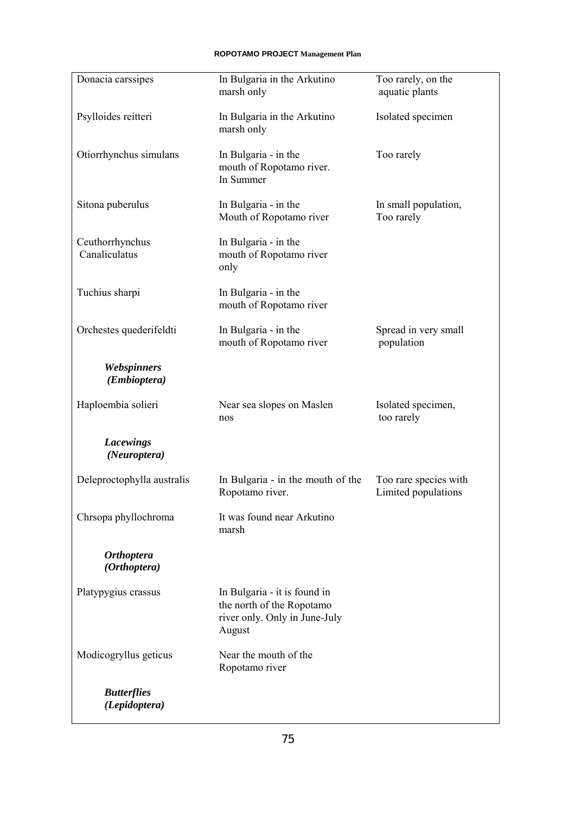| Donacia carssipes                   | In Bulgaria in the Arkutino<br>marsh only                                                            | Too rarely, on the<br>aquatic plants         |
|-------------------------------------|------------------------------------------------------------------------------------------------------|----------------------------------------------|
| Psylloides reitteri                 | In Bulgaria in the Arkutino<br>marsh only                                                            | Isolated specimen                            |
| Otiorrhynchus simulans              | In Bulgaria - in the<br>mouth of Ropotamo river.<br>In Summer                                        | Too rarely                                   |
| Sitona puberulus                    | In Bulgaria - in the<br>Mouth of Ropotamo river                                                      | In small population,<br>Too rarely           |
| Ceuthorrhynchus<br>Canaliculatus    | In Bulgaria - in the<br>mouth of Ropotamo river<br>only                                              |                                              |
| Tuchius sharpi                      | In Bulgaria - in the<br>mouth of Ropotamo river                                                      |                                              |
| Orchestes quederifeldti             | In Bulgaria - in the<br>mouth of Ropotamo river                                                      | Spread in very small<br>population           |
| Webspinners<br>(Embioptera)         |                                                                                                      |                                              |
| Haploembia solieri                  | Near sea slopes on Maslen<br>nos                                                                     | Isolated specimen,<br>too rarely             |
| <b>Lacewings</b><br>(Neuroptera)    |                                                                                                      |                                              |
| Deleproctophylla australis          | In Bulgaria - in the mouth of the<br>Ropotamo river.                                                 | Too rare species with<br>Limited populations |
| Chrsopa phyllochroma                | It was found near Arkutino<br>marsh                                                                  |                                              |
| <b>Orthoptera</b><br>(Orthoptera)   |                                                                                                      |                                              |
| Platypygius crassus                 | In Bulgaria - it is found in<br>the north of the Ropotamo<br>river only. Only in June-July<br>August |                                              |
| Modicogryllus geticus               | Near the mouth of the<br>Ropotamo river                                                              |                                              |
| <b>Butterflies</b><br>(Lepidoptera) |                                                                                                      |                                              |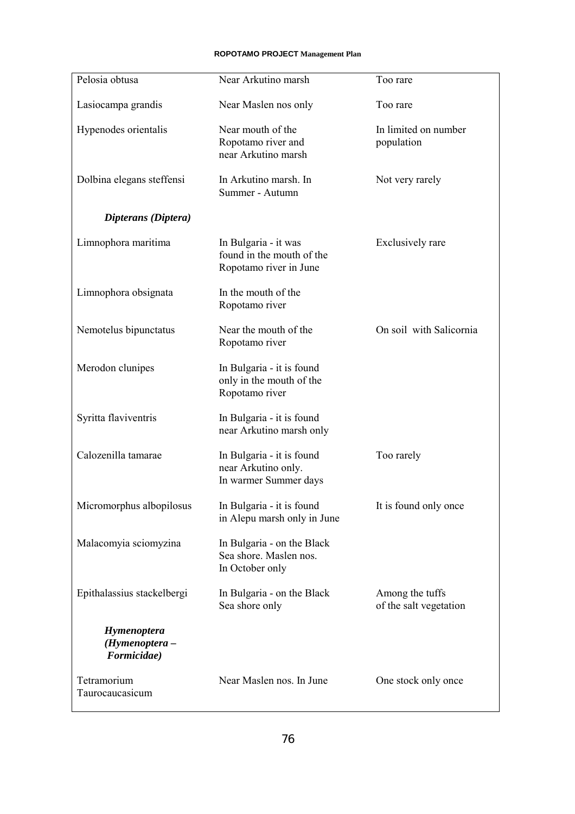| Pelosia obtusa                               | Near Arkutino marsh                                                         | Too rare                                  |
|----------------------------------------------|-----------------------------------------------------------------------------|-------------------------------------------|
| Lasiocampa grandis                           | Near Maslen nos only                                                        | Too rare                                  |
| Hypenodes orientalis                         | Near mouth of the<br>Ropotamo river and<br>near Arkutino marsh              | In limited on number<br>population        |
| Dolbina elegans steffensi                    | In Arkutino marsh. In<br>Summer - Autumn                                    | Not very rarely                           |
| Dipterans (Diptera)                          |                                                                             |                                           |
| Limnophora maritima                          | In Bulgaria - it was<br>found in the mouth of the<br>Ropotamo river in June | Exclusively rare                          |
| Limnophora obsignata                         | In the mouth of the<br>Ropotamo river                                       |                                           |
| Nemotelus bipunctatus                        | Near the mouth of the<br>Ropotamo river                                     | On soil with Salicornia                   |
| Merodon clunipes                             | In Bulgaria - it is found<br>only in the mouth of the<br>Ropotamo river     |                                           |
| Syritta flaviventris                         | In Bulgaria - it is found<br>near Arkutino marsh only                       |                                           |
| Calozenilla tamarae                          | In Bulgaria - it is found<br>near Arkutino only.<br>In warmer Summer days   | Too rarely                                |
| Micromorphus albopilosus                     | In Bulgaria - it is found<br>in Alepu marsh only in June                    | It is found only once                     |
| Malacomyia sciomyzina                        | In Bulgaria - on the Black<br>Sea shore. Maslen nos.<br>In October only     |                                           |
| Epithalassius stackelbergi                   | In Bulgaria - on the Black<br>Sea shore only                                | Among the tuffs<br>of the salt vegetation |
| Hymenoptera<br>(Hymenoptera -<br>Formicidae) |                                                                             |                                           |
| Tetramorium<br>Taurocaucasicum               | Near Maslen nos. In June                                                    | One stock only once                       |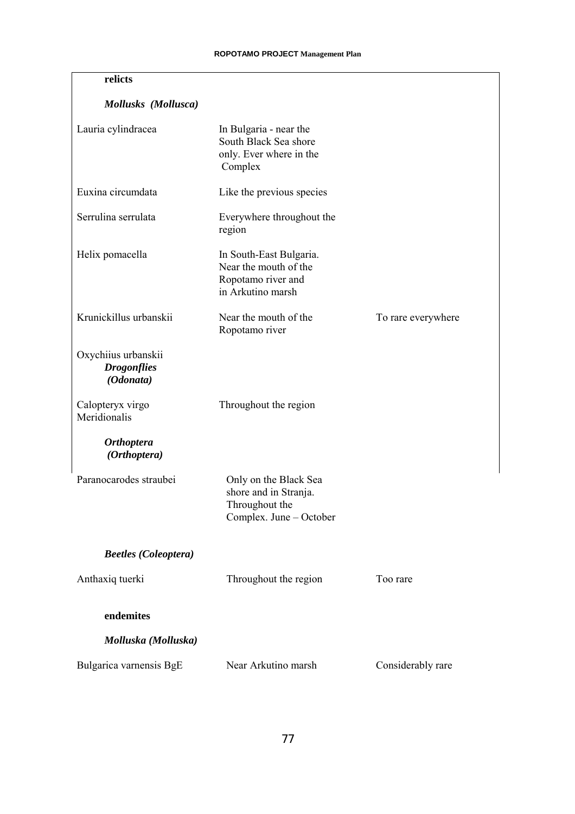| relicts                                                |                                                                                             |                    |
|--------------------------------------------------------|---------------------------------------------------------------------------------------------|--------------------|
| Mollusks (Mollusca)                                    |                                                                                             |                    |
| Lauria cylindracea                                     | In Bulgaria - near the<br>South Black Sea shore<br>only. Ever where in the<br>Complex       |                    |
| Euxina circumdata                                      | Like the previous species                                                                   |                    |
| Serrulina serrulata                                    | Everywhere throughout the<br>region                                                         |                    |
| Helix pomacella                                        | In South-East Bulgaria.<br>Near the mouth of the<br>Ropotamo river and<br>in Arkutino marsh |                    |
| Krunickillus urbanskii                                 | Near the mouth of the<br>Ropotamo river                                                     | To rare everywhere |
| Oxychiius urbanskii<br><b>Drogonflies</b><br>(Odonata) |                                                                                             |                    |
| Calopteryx virgo<br>Meridionalis                       | Throughout the region                                                                       |                    |
| <b>Orthoptera</b><br>(Orthoptera)                      |                                                                                             |                    |
| Paranocarodes straubei                                 | Only on the Black Sea<br>shore and in Stranja.<br>Throughout the<br>Complex. June - October |                    |
| <b>Beetles</b> (Coleoptera)                            |                                                                                             |                    |
| Anthaxiq tuerki                                        | Throughout the region                                                                       | Too rare           |
| endemites                                              |                                                                                             |                    |
| Molluska (Molluska)                                    |                                                                                             |                    |
| Bulgarica varnensis BgE                                | Near Arkutino marsh                                                                         | Considerably rare  |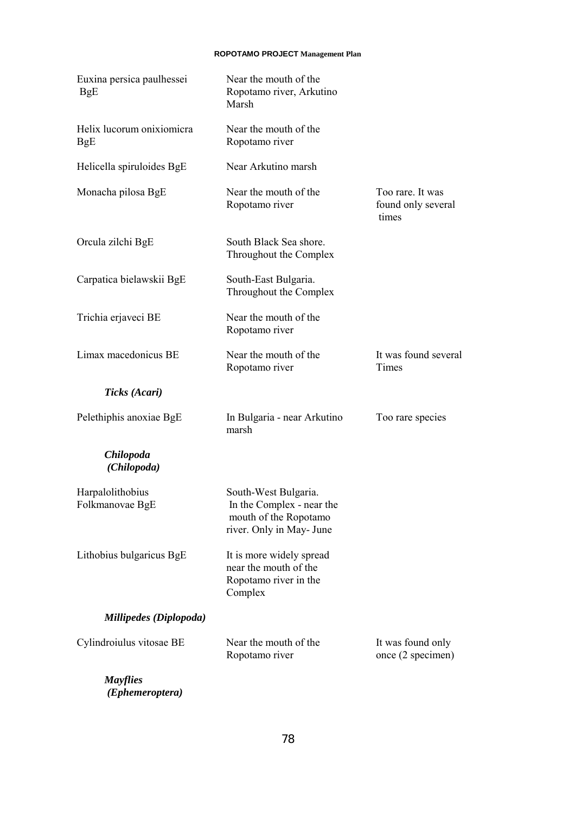| Euxina persica paulhessei<br>BgE    | Near the mouth of the<br>Ropotamo river, Arkutino<br>Marsh                                             |                                                 |
|-------------------------------------|--------------------------------------------------------------------------------------------------------|-------------------------------------------------|
| Helix lucorum onixiomicra<br>BgE    | Near the mouth of the<br>Ropotamo river                                                                |                                                 |
| Helicella spiruloides BgE           | Near Arkutino marsh                                                                                    |                                                 |
| Monacha pilosa BgE                  | Near the mouth of the<br>Ropotamo river                                                                | Too rare. It was<br>found only several<br>times |
| Orcula zilchi BgE                   | South Black Sea shore.<br>Throughout the Complex                                                       |                                                 |
| Carpatica bielawskii BgE            | South-East Bulgaria.<br>Throughout the Complex                                                         |                                                 |
| Trichia erjaveci BE                 | Near the mouth of the<br>Ropotamo river                                                                |                                                 |
| Limax macedonicus BE                | Near the mouth of the<br>Ropotamo river                                                                | It was found several<br>Times                   |
| Ticks (Acari)                       |                                                                                                        |                                                 |
| Pelethiphis anoxiae BgE             | In Bulgaria - near Arkutino<br>marsh                                                                   | Too rare species                                |
| <b>Chilopoda</b><br>(Chilopoda)     |                                                                                                        |                                                 |
| Harpalolithobius<br>Folkmanovae BgE | South-West Bulgaria.<br>In the Complex - near the<br>mouth of the Ropotamo<br>river. Only in May- June |                                                 |
| Lithobius bulgaricus BgE            | It is more widely spread<br>near the mouth of the<br>Ropotamo river in the<br>Complex                  |                                                 |
| Millipedes (Diplopoda)              |                                                                                                        |                                                 |
| Cylindroiulus vitosae BE            | Near the mouth of the<br>Ropotamo river                                                                | It was found only<br>once (2 specimen)          |
| <b>Mayflies</b>                     |                                                                                                        |                                                 |

 *(Ephemeroptera)*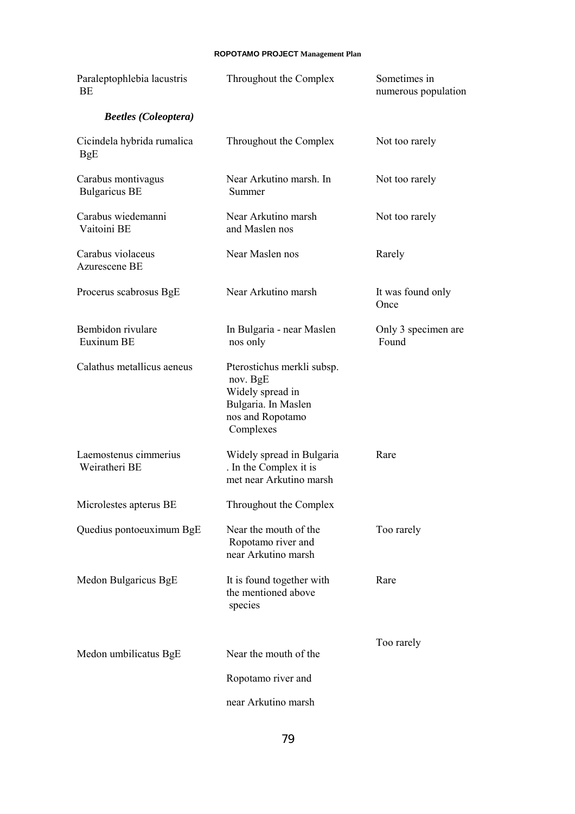| Paraleptophlebia lacustris<br>BE           | Throughout the Complex                                                                                             | Sometimes in<br>numerous population |
|--------------------------------------------|--------------------------------------------------------------------------------------------------------------------|-------------------------------------|
| <b>Beetles</b> (Coleoptera)                |                                                                                                                    |                                     |
| Cicindela hybrida rumalica<br>BgE          | Throughout the Complex                                                                                             | Not too rarely                      |
| Carabus montivagus<br><b>Bulgaricus BE</b> | Near Arkutino marsh. In<br>Summer                                                                                  | Not too rarely                      |
| Carabus wiedemanni<br>Vaitoini BE          | Near Arkutino marsh<br>and Maslen nos                                                                              | Not too rarely                      |
| Carabus violaceus<br>Azurescene BE         | Near Maslen nos                                                                                                    | Rarely                              |
| Procerus scabrosus BgE                     | Near Arkutino marsh                                                                                                | It was found only<br>Once           |
| Bembidon rivulare<br>Euxinum BE            | In Bulgaria - near Maslen<br>nos only                                                                              | Only 3 specimen are<br>Found        |
| Calathus metallicus aeneus                 | Pterostichus merkli subsp.<br>nov. BgE<br>Widely spread in<br>Bulgaria. In Maslen<br>nos and Ropotamo<br>Complexes |                                     |
| Laemostenus cimmerius<br>Weiratheri BE     | Widely spread in Bulgaria<br>. In the Complex it is<br>met near Arkutino marsh                                     | Rare                                |
| Microlestes apterus BE                     | Throughout the Complex                                                                                             |                                     |
| Quedius pontoeuximum BgE                   | Near the mouth of the<br>Ropotamo river and<br>near Arkutino marsh                                                 | Too rarely                          |
| Medon Bulgaricus BgE                       | It is found together with<br>the mentioned above<br>species                                                        | Rare                                |
| Medon umbilicatus BgE                      | Near the mouth of the                                                                                              | Too rarely                          |
|                                            | Ropotamo river and                                                                                                 |                                     |
|                                            | near Arkutino marsh                                                                                                |                                     |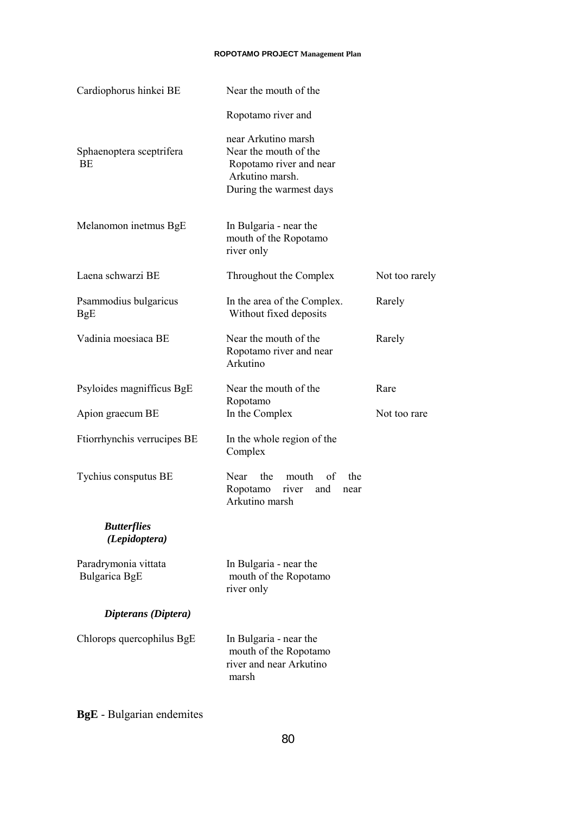| Cardiophorus hinkei BE                | Near the mouth of the                                                                                                 |                |
|---------------------------------------|-----------------------------------------------------------------------------------------------------------------------|----------------|
|                                       | Ropotamo river and                                                                                                    |                |
| Sphaenoptera sceptrifera<br><b>BE</b> | near Arkutino marsh<br>Near the mouth of the<br>Ropotamo river and near<br>Arkutino marsh.<br>During the warmest days |                |
| Melanomon inetmus BgE                 | In Bulgaria - near the<br>mouth of the Ropotamo<br>river only                                                         |                |
| Laena schwarzi BE                     | Throughout the Complex                                                                                                | Not too rarely |
| Psammodius bulgaricus<br><b>BgE</b>   | In the area of the Complex.<br>Without fixed deposits                                                                 | Rarely         |
| Vadinia moesiaca BE                   | Near the mouth of the<br>Ropotamo river and near<br>Arkutino                                                          | Rarely         |
| Psyloides magnifficus BgE             | Near the mouth of the                                                                                                 | Rare           |
| Apion graecum BE                      | Ropotamo<br>In the Complex                                                                                            | Not too rare   |
| Ftiorrhynchis verrucipes BE           | In the whole region of the<br>Complex                                                                                 |                |
| Tychius consputus BE                  | the<br>Near<br>mouth<br>of<br>the<br>Ropotamo<br>river<br>and<br>near<br>Arkutino marsh                               |                |
| <b>Butterflies</b><br>(Lepidoptera)   |                                                                                                                       |                |
| Paradrymonia vittata<br>Bulgarica BgE | In Bulgaria - near the<br>mouth of the Ropotamo<br>river only                                                         |                |
| Dipterans (Diptera)                   |                                                                                                                       |                |
| Chlorops quercophilus BgE             | In Bulgaria - near the<br>mouth of the Ropotamo<br>river and near Arkutino<br>marsh                                   |                |

**BgE** - Bulgarian endemites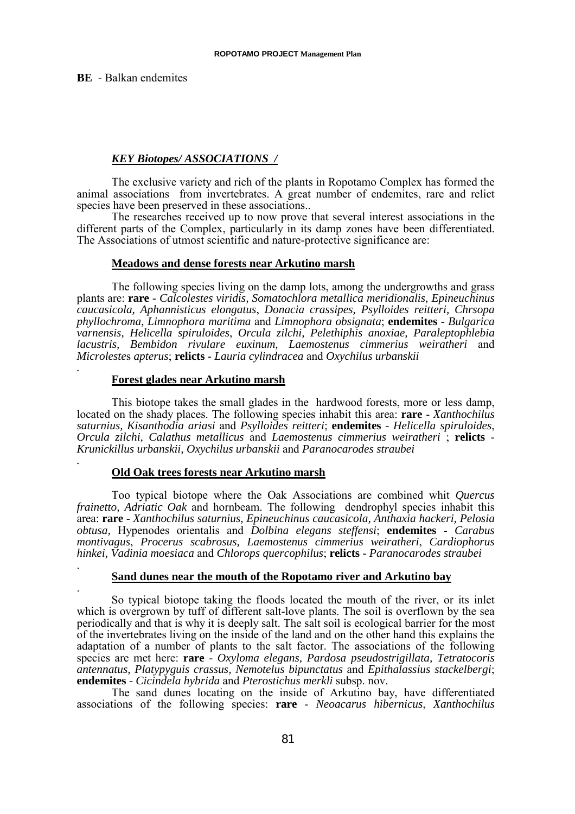**BE** - Balkan endemites

# *KEY Biotopes/ ASSOCIATIONS /*

The exclusive variety and rich of the plants in Ropotamo Complex has formed the animal associations from invertebrates. A great number of endemites, rare and relict species have been preserved in these associations..

The researches received up to now prove that several interest associations in the different parts of the Complex, particularly in its damp zones have been differentiated. The Associations of utmost scientific and nature-protective significance are:

### **Meadows and dense forests near Arkutino marsh**

The following species living on the damp lots, among the undergrowths and grass plants are: **rare** - *Calcolestes viridis, Somatochlora metallica meridionalis, Epineuchinus caucasicola, Aphannisticus elongatus*, *Donacia crassipes, Psylloides reitteri, Chrsopa phyllochroma, Limnophora maritima* and *Limnophora obsignata*; **endemites** - *Bulgarica varnensis, Helicella spiruloides*, *Orcula zilchi, Pelethiphis anoxiae, Paraleptophlebia lacustris, Bembidon rivulare euxinum, Laemostenus cimmerius weiratheri* and *Microleste*s *apterus*; **relicts** - *Lauria cylindracea* and *Oxychilus urbanskii .*

# **Forest glades near Arkutino marsh**

This biotope takes the small glades in the hardwood forests, more or less damp, located on the shady places. The following species inhabit this area: **rare** - *Xanthochilus saturnius, Kisanthodia ariasi* and *Psylloides reitteri*; **endemites** - *Helicella spiruloides*, *Orcula zilchi, Calathus metallicus* and *Laemostenus cimmerius weiratheri* ; **relicts** - *Krunickillus urbanskii, Oxychilus urbanskii* and *Paranocarodes straubei .* **Old Oak trees forests near Arkutino marsh**

Too typical biotope where the Oak Associations are combined whit *Quercus frainetto, Adriatic Oak* and hornbeam. The following dendrophyl species inhabit this area: **rare** - *Xanthochilus saturnius, Epineuchinus caucasicola, Anthaxia hackeri, Pelosia obtusa,* Hypenodes orientalis and *Dolbina elegans steffensi*; **endemites** - *Carabus montivagus*, *Procerus scabrosus, Laemostenus cimmerius weiratheri*, *Cardiophorus hinkei, Vadinia moesiaca* and *Chlorops quercophilus*; **relicts** - *Paranocarodes straubei* . **Sand dunes near the mouth of the Ropotamo river and Arkutino bay**

. So typical biotope taking the floods located the mouth of the river, or its inlet which is overgrown by tuff of different salt-love plants. The soil is overflown by the sea periodically and that is why it is deeply salt. The salt soil is ecological barrier for the most of the invertebrates living on the inside of the land and on the other hand this explains the adaptation of a number of plants to the salt factor. The associations of the following species are met here: **rare** - *Oxyloma elegans, Pardosa pseudostrigillata, Tetratocoris antennatus, Platypyguis crassus, Nemotelus bipunctatus* and *Epithalassius stackelbergi*; **endemites** - *Cicindela hybrida* and *Pterostichus merkli* subsp. nov.

The sand dunes locating on the inside of Arkutino bay, have differentiated associations of the following species: **rare** - *Neoacarus hibernicus*, *Xanthochilus*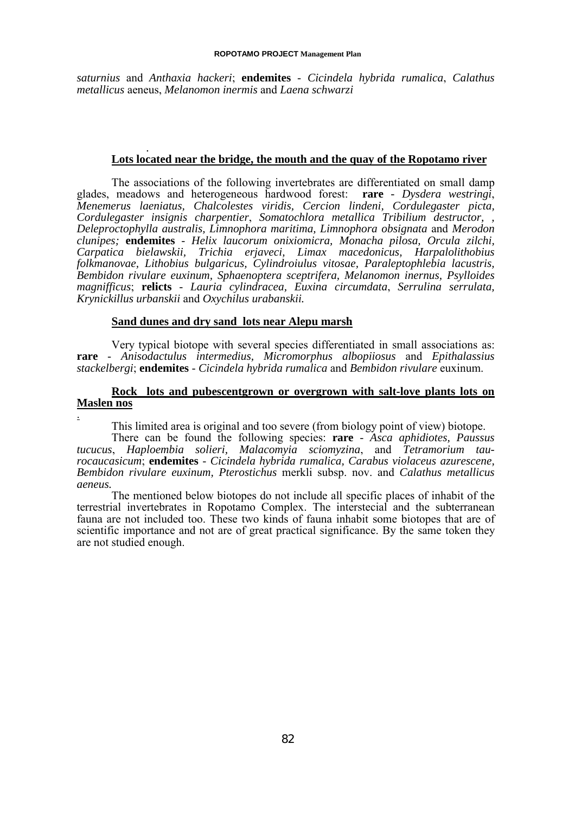*saturnius* and *Anthaxia hackeri*; **endemites** - *Cicindela hybrida rumalica*, *Calathus metallicus* aeneus, *Melanomon inermis* and *Laena schwarzi*

### *.* **Lots located near the bridge, the mouth and the quay of the Ropotamo river**

The associations of the following invertebrates are differentiated on small damp glades, meadows and heterogeneous hardwood forest: **rare** *- Dysdera westringi*, *Menemerus laeniatus, Chalcolestes viridis, Cercion lindeni, Cordulegaster picta, Cordulegaster insignis charpentier*, *Somatochlora metallica Tribilium destructor, , Deleproctophylla australis, Limnophora maritima, Limnophora obsignata* and *Merodon clunipes;* **endemites** - *Helix laucorum onixiomicra, Monacha pilosa, Orcula zilchi, Carpatica bielawskii, Trichia erjaveci, Limax macedonicus, Harpalolithobius folkmanovae, Lithobius bulgaricus, Cylindroiulus vitosae, Paraleptophlebia lacustris, Bembidon rivulare euxinum, Sphaenoptera sceptrifera, Melanomon inernus, Psylloides magnifficus*; **relicts** - *Lauria cylindracea, Euxina circumdata*, *Serrulina serrulata, Krynickillus urbanskii* and *Oxychilus urabanskii.*

# **Sand dunes and dry sand lots near Alepu marsh**

.

Very typical biotope with several species differentiated in small associations as: **rare** - *Anisodactulus intermedius, Micromorphus albopiiosus* and *Epithalassius stackelbergi*; **endemites** - *Cicindela hybrida rumalica* and *Bembidon rivulare* euxinum.

# **Rock lots and pubescentgrown or overgrown with salt-love plants lots on Maslen nos**

This limited area is original and too severe (from biology point of view) biotope.

There can be found the following species: **rare** - *Asca aphidiotes, Paussus tucucus*, *Haploembia solieri, Malacomyia sciomyzina*, and *Tetramorium taurocaucasicum*; **endemites** - *Cicindela hybrida rumalica, Carabus violaceus azurescene, Bembidon rivulare euxinum, Pterostichus* merkli subsp. nov. and *Calathus metallicus aeneus.*

The mentioned below biotopes do not include all specific places of inhabit of the terrestrial invertebrates in Ropotamo Complex. The interstecial and the subterranean fauna are not included too. These two kinds of fauna inhabit some biotopes that are of scientific importance and not are of great practical significance. By the same token they are not studied enough.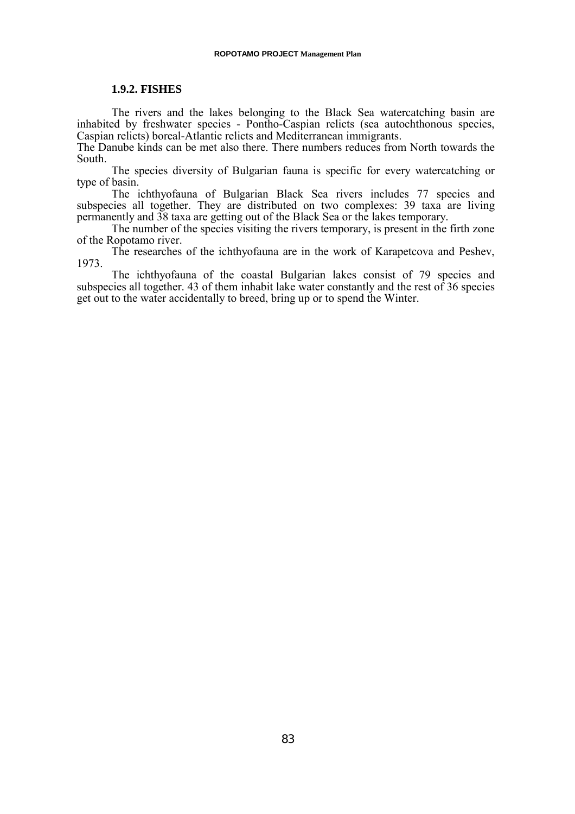### **1.9.2. FISHES**

The rivers and the lakes belonging to the Black Sea watercatching basin are inhabited by freshwater species - Pontho-Caspian relicts (sea autochthonous species, Caspian relicts) boreal-Atlantic relicts and Mediterranean immigrants.

The Danube kinds can be met also there. There numbers reduces from North towards the South.

The species diversity of Bulgarian fauna is specific for every watercatching or type of basin.

The ichthyofauna of Bulgarian Black Sea rivers includes 77 species and subspecies all together. They are distributed on two complexes: 39 taxa are living permanently and 38 taxa are getting out of the Black Sea or the lakes temporary.

The number of the species visiting the rivers temporary, is present in the firth zone of the Ropotamo river.

The researches of the ichthyofauna are in the work of Karapetcova and Peshev, 1973.

The ichthyofauna of the coastal Bulgarian lakes consist of 79 species and subspecies all together. 43 of them inhabit lake water constantly and the rest of 36 species get out to the water accidentally to breed, bring up or to spend the Winter.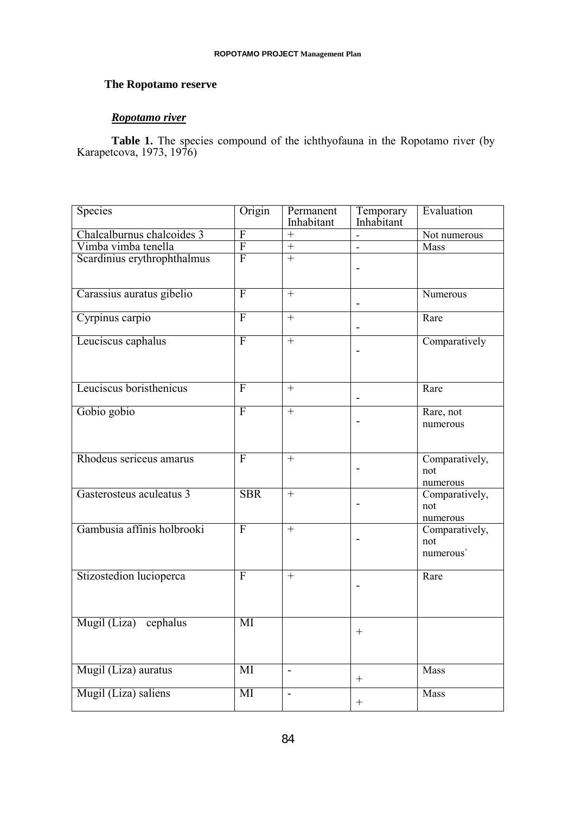# **The Ropotamo reserve**

# *Ropotamo river*

Table 1. The species compound of the ichthyofauna in the Ropotamo river (by Karapetcova, 1973, 1976)

| <b>Species</b>              | Origin                 | Permanent<br>Inhabitant | Temporary<br>Inhabitant | Evaluation                         |
|-----------------------------|------------------------|-------------------------|-------------------------|------------------------------------|
| Chalcalburnus chalcoides 3  | F                      | $+$                     |                         | Not numerous                       |
| Vimba vimba tenella         | $\overline{F}$         | $\boldsymbol{+}$        | $\overline{a}$          | Mass                               |
| Scardinius erythrophthalmus | $\overline{F}$         | $+$                     |                         |                                    |
| Carassius auratus gibelio   | $\overline{F}$         | $+$                     | $\blacksquare$          | Numerous                           |
| Cyrpinus carpio             | $\overline{F}$         | $+$                     | L,                      | Rare                               |
| Leuciscus caphalus          | $\overline{F}$         | $+$                     |                         | Comparatively                      |
| Leuciscus boristhenicus     | $\overline{F}$         | $+$                     | L,                      | Rare                               |
| Gobio gobio                 | $\overline{F}$         | $+$                     |                         | Rare, not<br>numerous              |
| Rhodeus sericeus amarus     | $\overline{F}$         | $\boldsymbol{+}$        |                         | Comparatively,<br>not<br>numerous  |
| Gasterosteus aculeatus 3    | <b>SBR</b>             | $+$                     |                         | Comparatively,<br>not<br>numerous  |
| Gambusia affinis holbrooki  | $\overline{F}$         | $\boldsymbol{+}$        |                         | Comparatively,<br>not<br>numerous' |
| Stizostedion lucioperca     | $\overline{F}$         |                         |                         | Rare                               |
| Mugil (Liza) cephalus       | MI                     |                         | $^{+}$                  |                                    |
| Mugil (Liza) auratus        | MI                     | $\mathbf{r}$            |                         | Mass                               |
| Mugil (Liza) saliens        | $\overline{\text{MI}}$ | $\overline{a}$          | $\! +$                  | Mass                               |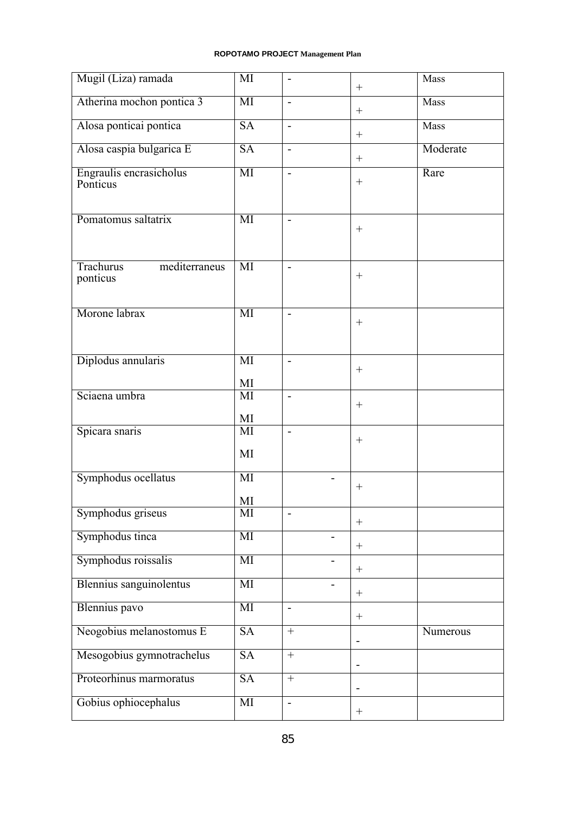| Mugil (Liza) ramada                           | MI                     | $\overline{\phantom{a}}$ | $\boldsymbol{+}$         | Mass     |
|-----------------------------------------------|------------------------|--------------------------|--------------------------|----------|
| Atherina mochon pontica 3                     | $\overline{\text{MI}}$ | $\blacksquare$           | $\boldsymbol{+}$         | Mass     |
| Alosa ponticai pontica                        | SA                     | $\blacksquare$           | $\boldsymbol{+}$         | Mass     |
| Alosa caspia bulgarica E                      | SA                     | $\overline{\phantom{a}}$ | $\boldsymbol{+}$         | Moderate |
| Engraulis encrasicholus<br>Ponticus           | MI                     | $\blacksquare$           | $\boldsymbol{+}$         | Rare     |
| Pomatomus saltatrix                           | MI                     | $\blacksquare$           | $\boldsymbol{+}$         |          |
| <b>Trachurus</b><br>mediterraneus<br>ponticus | MI                     |                          | $^{+}$                   |          |
| Morone labrax                                 | MI                     |                          | $^{+}$                   |          |
| Diplodus annularis                            | MI<br>MI               |                          | $^{+}$                   |          |
| Sciaena umbra                                 | MI<br>MI               | $\blacksquare$           | $^{+}$                   |          |
| Spicara snaris                                | MI<br>MI               | $\blacksquare$           | $\boldsymbol{+}$         |          |
| Symphodus ocellatus                           | MI<br>MI               |                          | $+$                      |          |
| Symphodus griseus                             | MI                     | $\overline{\phantom{a}}$ | $\boldsymbol{+}$         |          |
| Symphodus tinca                               | MI                     |                          | $\boldsymbol{+}$         |          |
| Symphodus roissalis                           | MI                     | $\overline{\phantom{0}}$ | $^{+}$                   |          |
| Blennius sanguinolentus                       | MI                     | $\blacksquare$           |                          |          |
| Blennius pavo                                 | MI                     | $\blacksquare$           | $\boldsymbol{+}$         |          |
| Neogobius melanostomus E                      | <b>SA</b>              | $\qquad \qquad +$        | $\overline{\phantom{0}}$ | Numerous |
| Mesogobius gymnotrachelus                     | <b>SA</b>              | $+$                      | $\overline{a}$           |          |
| Proteorhinus marmoratus                       | <b>SA</b>              | $+$                      | ٠                        |          |
| Gobius ophiocephalus                          | MI                     |                          |                          |          |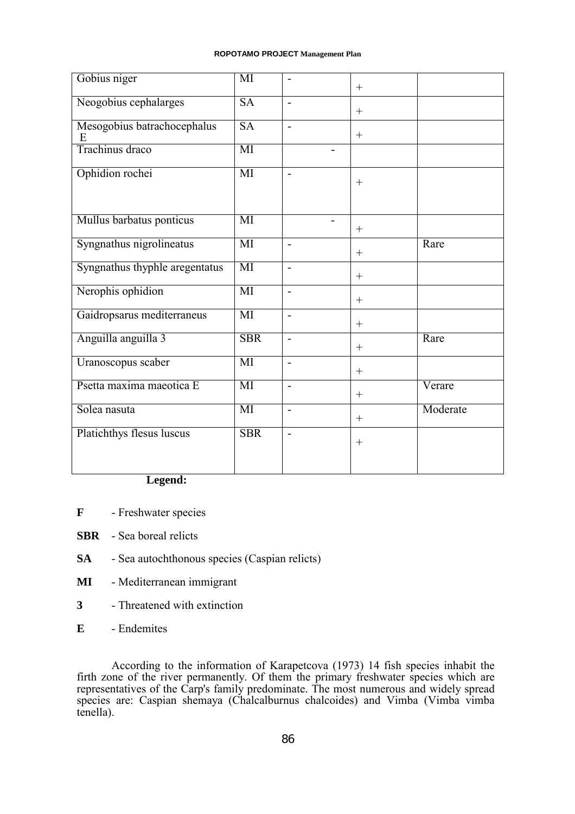| Gobius niger                     | MI                     | $\overline{a}$           | $^{+}$           |          |
|----------------------------------|------------------------|--------------------------|------------------|----------|
| Neogobius cephalarges            | $\overline{\text{SA}}$ |                          | $+$              |          |
| Mesogobius batrachocephalus<br>E | <b>SA</b>              | $\overline{a}$           | $+$              |          |
| Trachinus draco                  | MI                     | $\overline{\phantom{0}}$ |                  |          |
| Ophidion rochei                  | MI                     | $\blacksquare$           | $+$              |          |
| Mullus barbatus ponticus         | MI                     |                          | $+$              |          |
| Syngnathus nigrolineatus         | MI                     |                          | $^{+}$           | Rare     |
| Syngnathus thyphle aregentatus   | MI                     | $\overline{\phantom{a}}$ | $\boldsymbol{+}$ |          |
| Nerophis ophidion                | MI                     | $\overline{a}$           | $\boldsymbol{+}$ |          |
| Gaidropsarus mediterraneus       | MI                     | $\overline{a}$           | $\boldsymbol{+}$ |          |
| Anguilla anguilla 3              | <b>SBR</b>             | $\overline{\phantom{a}}$ | $+$              | Rare     |
| Uranoscopus scaber               | $\overline{\text{MI}}$ | $\overline{a}$           | $^{+}$           |          |
| Psetta maxima maeotica E         | MI                     | $\overline{a}$           | $^{+}$           | Verare   |
| Solea nasuta                     | MI                     | $\overline{a}$           | $+$              | Moderate |
| Platichthys flesus luscus        | <b>SBR</b>             |                          | $^{+}$           |          |

# **Legend:**

- **F** Freshwater species
- **SBR** Sea boreal relicts
- **SA** Sea autochthonous species (Caspian relicts)
- **MI** Mediterranean immigrant
- **3** Threatened with extinction
- **E** Endemites

According to the information of Karapetcova (1973) 14 fish species inhabit the firth zone of the river permanently. Of them the primary freshwater species which are representatives of the Carp's family predominate. The most numerous and widely spread species are: Caspian shemaya (Chalcalburnus chalcoides) and Vimba (Vimba vimba tenella).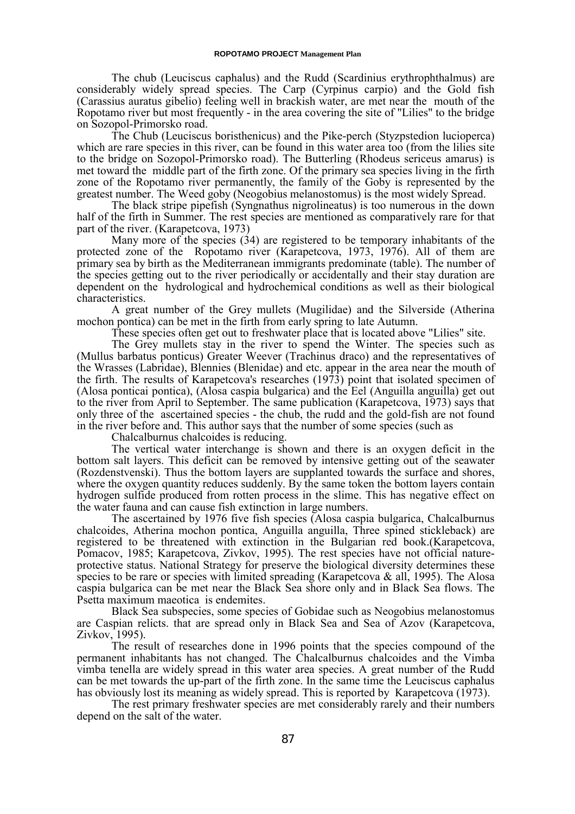The chub (Leuciscus caphalus) and the Rudd (Scardinius erythrophthalmus) are considerably widely spread species. The Carp (Cyrpinus carpio) and the Gold fish (Carassius auratus gibelio) feeling well in brackish water, are met near the mouth of the Ropotamo river but most frequently - in the area covering the site of "Lilies" to the bridge on Sozopol-Primorsko road.

The Chub (Leuciscus boristhenicus) and the Pike-perch (Styzpstedion lucioperca) which are rare species in this river, can be found in this water area too (from the lilies site to the bridge on Sozopol-Primorsko road). The Butterling (Rhodeus sericeus amarus) is met toward the middle part of the firth zone. Of the primary sea species living in the firth zone of the Ropotamo river permanently, the family of the Goby is represented by the greatest number. The Weed goby (Neogobius melanostomus) is the most widely Spread.

The black stripe pipefish (Syngnathus nigrolineatus) is too numerous in the down half of the firth in Summer. The rest species are mentioned as comparatively rare for that part of the river. (Karapetcova, 1973)

Many more of the species (34) are registered to be temporary inhabitants of the protected zone of the Ropotamo river (Karapetcova, 1973, 1976). All of them are primary sea by birth as the Mediterranean immigrants predominate (table). The number of the species getting out to the river periodically or accidentally and their stay duration are dependent on the hydrological and hydrochemical conditions as well as their biological characteristics.

A great number of the Grey mullets (Mugilidae) and the Silverside (Atherina mochon pontica) can be met in the firth from early spring to late Autumn.

These species often get out to freshwater place that is located above "Lilies" site.

The Grey mullets stay in the river to spend the Winter. The species such as (Mullus barbatus ponticus) Greater Weever (Trachinus draco) and the representatives of the Wrasses (Labridae), Blennies (Blenidae) and etc. appear in the area near the mouth of the firth. The results of Karapetcova's researches (1973) point that isolated specimen of (Alosa ponticai pontica), (Alosa caspia bulgarica) and the Eel (Anguilla anguilla) get out to the river from April to September. The same publication (Karapetcova, 1973) says that only three of the ascertained species - the chub, the rudd and the gold-fish are not found in the river before and. This author says that the number of some species (such as

Chalcalburnus chalcoides is reducing.

The vertical water interchange is shown and there is an oxygen deficit in the bottom salt layers. This deficit can be removed by intensive getting out of the seawater (Rozdenstvenski). Thus the bottom layers are supplanted towards the surface and shores, where the oxygen quantity reduces suddenly. By the same token the bottom layers contain hydrogen sulfide produced from rotten process in the slime. This has negative effect on the water fauna and can cause fish extinction in large numbers.

The ascertained by 1976 five fish species (Alosa caspia bulgarica, Chalcalburnus chalcoides, Atherina mochon pontica, Anguilla anguilla, Three spined stickleback) are registered to be threatened with extinction in the Bulgarian red book.(Karapetcova, Pomacov, 1985; Karapetcova, Zivkov, 1995). The rest species have not official natureprotective status. National Strategy for preserve the biological diversity determines these species to be rare or species with limited spreading (Karapetcova  $\&$  all, 1995). The Alosa caspia bulgarica can be met near the Black Sea shore only and in Black Sea flows. The Psetta maximum maeotica is endemites.

Black Sea subspecies, some species of Gobidae such as Neogobius melanostomus are Caspian relicts. that are spread only in Black Sea and Sea of Azov (Karapetcova, Zivkov, 1995).

The result of researches done in 1996 points that the species compound of the permanent inhabitants has not changed. The Chalcalburnus chalcoides and the Vimba vimba tenella are widely spread in this water area species. A great number of the Rudd can be met towards the up-part of the firth zone. In the same time the Leuciscus caphalus has obviously lost its meaning as widely spread. This is reported by Karapetcova (1973).

The rest primary freshwater species are met considerably rarely and their numbers depend on the salt of the water.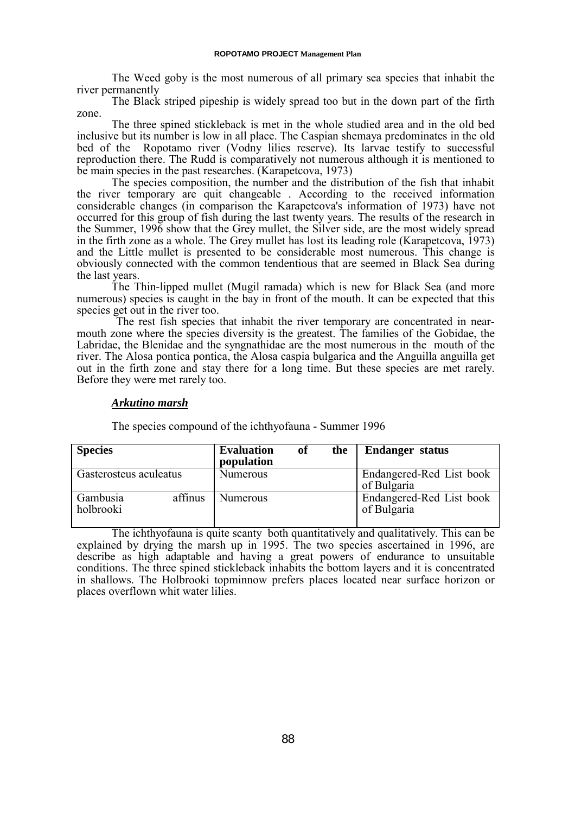The Weed goby is the most numerous of all primary sea species that inhabit the river permanently

The Black striped pipeship is widely spread too but in the down part of the firth zone.

The three spined stickleback is met in the whole studied area and in the old bed inclusive but its number is low in all place. The Caspian shemaya predominates in the old bed of the Ropotamo river (Vodny lilies reserve). Its larvae testify to successful reproduction there. The Rudd is comparatively not numerous although it is mentioned to be main species in the past researches. (Karapetcova, 1973)

The species composition, the number and the distribution of the fish that inhabit the river temporary are quit changeable . According to the received information considerable changes (in comparison the Karapetcova's information of 1973) have not occurred for this group of fish during the last twenty years. The results of the research in the Summer, 1996 show that the Grey mullet, the Silver side, are the most widely spread in the firth zone as a whole. The Grey mullet has lost its leading role (Karapetcova, 1973) and the Little mullet is presented to be considerable most numerous. This change is obviously connected with the common tendentious that are seemed in Black Sea during the last years.

The Thin-lipped mullet (Mugil ramada) which is new for Black Sea (and more numerous) species is caught in the bay in front of the mouth. It can be expected that this species get out in the river too.

 The rest fish species that inhabit the river temporary are concentrated in nearmouth zone where the species diversity is the greatest. The families of the Gobidae, the Labridae, the Blenidae and the syngnathidae are the most numerous in the mouth of the river. The Alosa pontica pontica, the Alosa caspia bulgarica and the Anguilla anguilla get out in the firth zone and stay there for a long time. But these species are met rarely. Before they were met rarely too.

# *Arkutino marsh*

The species compound of the ichthyofauna - Summer 1996

| <b>Species</b>         |         | <b>Evaluation</b><br>population | of | the | <b>Endanger status</b>                  |
|------------------------|---------|---------------------------------|----|-----|-----------------------------------------|
| Gasterosteus aculeatus |         | <b>Numerous</b>                 |    |     | Endangered-Red List book<br>of Bulgaria |
| Gambusia<br>holbrooki  | affinus | <b>Numerous</b>                 |    |     | Endangered-Red List book<br>of Bulgaria |

The ichthyofauna is quite scanty both quantitatively and qualitatively. This can be explained by drying the marsh up in 1995. The two species ascertained in 1996, are describe as high adaptable and having a great powers of endurance to unsuitable conditions. The three spined stickleback inhabits the bottom layers and it is concentrated in shallows. The Holbrooki topminnow prefers places located near surface horizon or places overflown whit water lilies.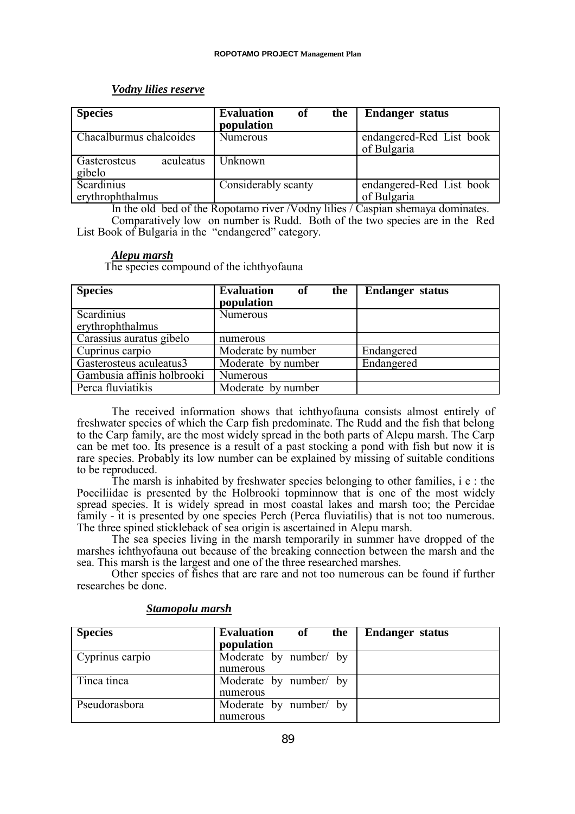# *Vodny lilies reserve*

| <b>Species</b>                      | <b>Evaluation</b><br>of<br>the<br>population | <b>Endanger status</b>                  |
|-------------------------------------|----------------------------------------------|-----------------------------------------|
| Chacalburmus chalcoides             | <b>Numerous</b>                              | endangered-Red List book<br>of Bulgaria |
| Gasterosteus<br>aculeatus<br>gibelo | Unknown                                      |                                         |
| Scardinius<br>erythrophthalmus      | Considerably scanty                          | endangered-Red List book<br>of Bulgaria |

In the old bed of the Ropotamo river /Vodny lilies / Caspian shemaya dominates. Comparatively low on number is Rudd. Both of the two species are in the Red List Book of Bulgaria in the "endangered" category.

# *Alepu marsh*

The species compound of the ichthyofauna

| <b>Species</b>             | <b>Evaluation</b><br>the<br>of | <b>Endanger</b> status |
|----------------------------|--------------------------------|------------------------|
|                            | population                     |                        |
| <b>Scardinius</b>          | <b>Numerous</b>                |                        |
| erythrophthalmus           |                                |                        |
| Carassius auratus gibelo   | numerous                       |                        |
| Cuprinus carpio            | Moderate by number             | Endangered             |
| Gasterosteus aculeatus3    | Moderate by number             | Endangered             |
| Gambusia affinis holbrooki | <b>Numerous</b>                |                        |
| Perca fluviatikis          | Moderate by number             |                        |

The received information shows that ichthyofauna consists almost entirely of freshwater species of which the Carp fish predominate. The Rudd and the fish that belong to the Carp family, are the most widely spread in the both parts of Alepu marsh. The Carp can be met too. Its presence is a result of a past stocking a pond with fish but now it is rare species. Probably its low number can be explained by missing of suitable conditions to be reproduced.

The marsh is inhabited by freshwater species belonging to other families, i e : the Poeciliidae is presented by the Holbrooki topminnow that is one of the most widely spread species. It is widely spread in most coastal lakes and marsh too; the Percidae family - it is presented by one species Perch (Perca fluviatilis) that is not too numerous. The three spined stickleback of sea origin is ascertained in Alepu marsh.

The sea species living in the marsh temporarily in summer have dropped of the marshes ichthyofauna out because of the breaking connection between the marsh and the sea. This marsh is the largest and one of the three researched marshes.

Other species of fishes that are rare and not too numerous can be found if further researches be done.

| <b>Species</b>  | <b>Evaluation</b><br>of the order<br>the<br>population | <b>Endanger status</b> |
|-----------------|--------------------------------------------------------|------------------------|
| Cyprinus carpio | Moderate by number/ by                                 |                        |
|                 | numerous                                               |                        |
| Tinca tinca     | Moderate by number/ by                                 |                        |
|                 | numerous                                               |                        |
| Pseudorasbora   | Moderate by number/ by                                 |                        |
|                 | numerous                                               |                        |

# *Stamopolu marsh*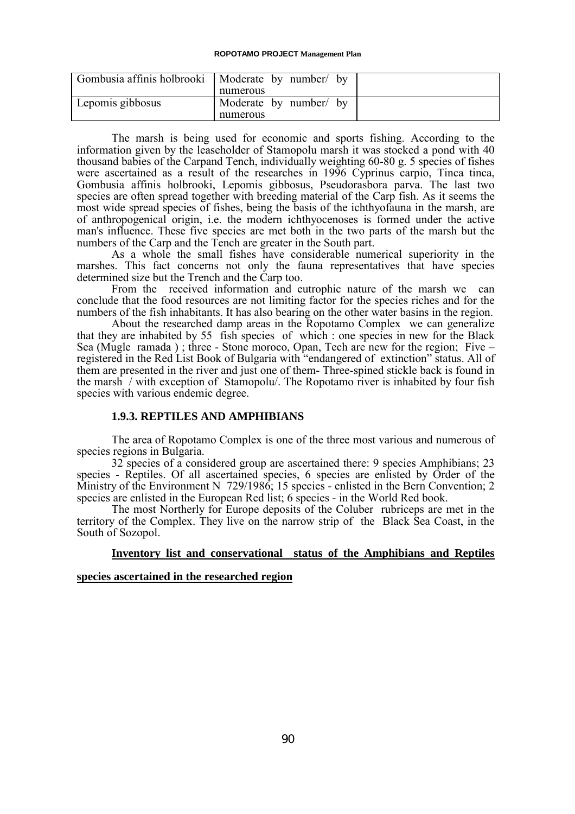| Gombusia affinis holbrooki   Moderate by number by |                        |
|----------------------------------------------------|------------------------|
|                                                    | numerous               |
| Lepomis gibbosus                                   | Moderate by number/ by |
|                                                    | numerous               |

The marsh is being used for economic and sports fishing. According to the information given by the leaseholder of Stamopolu marsh it was stocked a pond with 40 thousand babies of the Carpand Tench, individually weighting 60-80 g. 5 species of fishes were ascertained as a result of the researches in 1996 Cyprinus carpio, Tinca tinca, Gombusia affinis holbrooki, Lepomis gibbosus, Pseudorasbora parva. The last two species are often spread together with breeding material of the Carp fish. As it seems the most wide spread species of fishes, being the basis of the ichthyofauna in the marsh, are of anthropogenical origin, i.e. the modern ichthyocenoses is formed under the active man's influence. These five species are met both in the two parts of the marsh but the numbers of the Carp and the Tench are greater in the South part.

As a whole the small fishes have considerable numerical superiority in the marshes. This fact concerns not only the fauna representatives that have species determined size but the Trench and the Carp too.

From the received information and eutrophic nature of the marsh we can conclude that the food resources are not limiting factor for the species riches and for the numbers of the fish inhabitants. It has also bearing on the other water basins in the region.

About the researched damp areas in the Ropotamo Complex we can generalize that they are inhabited by 55 fish species of which : one species in new for the Black Sea (Mugle ramada ) ; three - Stone moroco, Opan, Tech are new for the region; Five – registered in the Red List Book of Bulgaria with "endangered of extinction" status. All of them are presented in the river and just one of them- Three-spined stickle back is found in the marsh / with exception of Stamopolu/. The Ropotamo river is inhabited by four fish species with various endemic degree.

### **1.9.3. REPTILES AND AMPHIBIANS**

The area of Ropotamo Complex is one of the three most various and numerous of species regions in Bulgaria.

32 species of a considered group are ascertained there: 9 species Amphibians; 23 species - Reptiles. Of all ascertained species, 6 species are enlisted by Order of the Ministry of the Environment N 729/1986; 15 species - enlisted in the Bern Convention; 2 species are enlisted in the European Red list; 6 species - in the World Red book.

The most Northerly for Europe deposits of the Coluber rubriceps are met in the territory of the Complex. They live on the narrow strip of the Black Sea Coast, in the South of Sozopol.

### **Inventory list and conservational status of the Amphibians and Reptiles**

### **species ascertained in the researched region**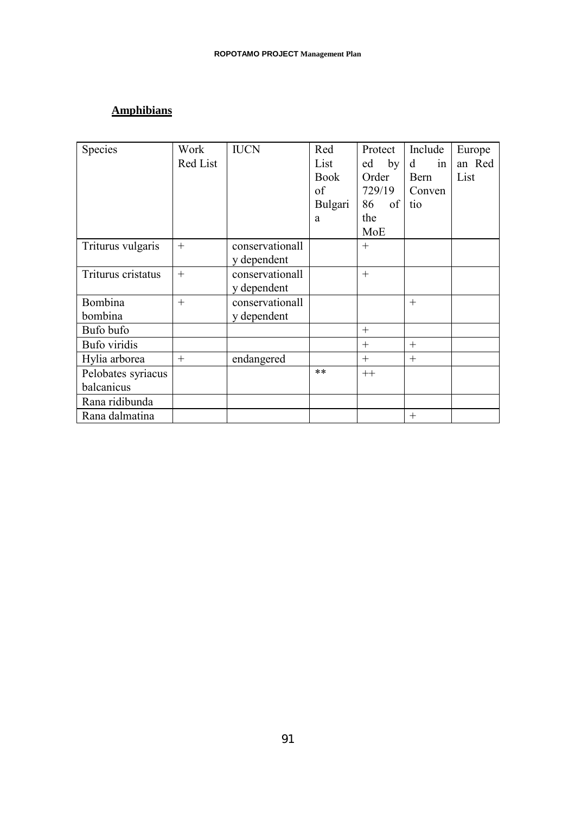# **Amphibians**

| Species            | Work     | <b>IUCN</b>     | Red         | Protect  | Include | Europe |
|--------------------|----------|-----------------|-------------|----------|---------|--------|
|                    | Red List |                 | List        | ed<br>by | d<br>in | an Red |
|                    |          |                 | <b>Book</b> | Order    | Bern    | List   |
|                    |          |                 | of          | 729/19   | Conven  |        |
|                    |          |                 | Bulgari     | of<br>86 | tio     |        |
|                    |          |                 | a           | the      |         |        |
|                    |          |                 |             | MoE      |         |        |
| Triturus vulgaris  | $+$      | conservationall |             | $+$      |         |        |
|                    |          | y dependent     |             |          |         |        |
| Triturus cristatus | $+$      | conservationall |             | $+$      |         |        |
|                    |          | y dependent     |             |          |         |        |
| Bombina            | $+$      | conservationall |             |          | $+$     |        |
| bombina            |          | y dependent     |             |          |         |        |
| Bufo bufo          |          |                 |             | $+$      |         |        |
| Bufo viridis       |          |                 |             | $+$      | $+$     |        |
| Hylia arborea      | $+$      | endangered      |             | $+$      | $+$     |        |
| Pelobates syriacus |          |                 | $***$       | $++$     |         |        |
| balcanicus         |          |                 |             |          |         |        |
| Rana ridibunda     |          |                 |             |          |         |        |
| Rana dalmatina     |          |                 |             |          | $^{+}$  |        |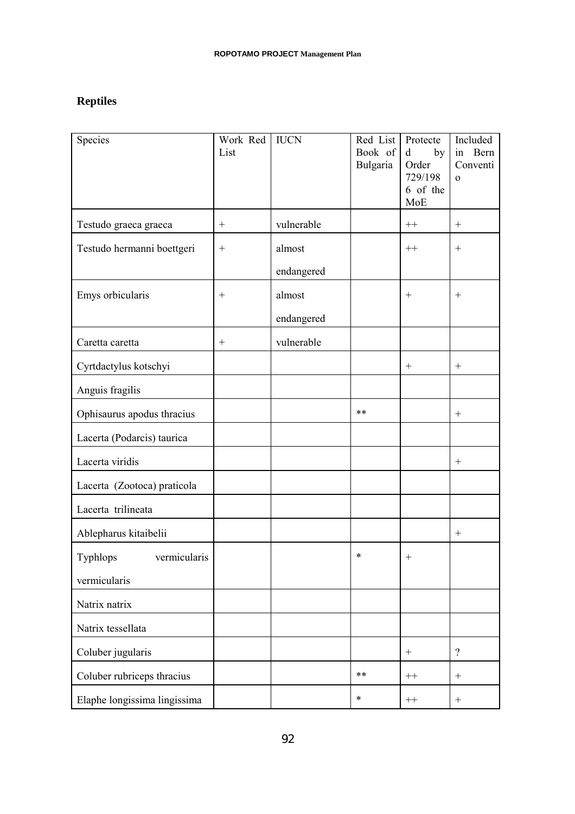# **Reptiles**

| Species                      | Work Red<br>List | <b>IUCN</b> | Red List<br>Book of<br>Bulgaria | Protecte<br>$\mathbf d$<br>by<br>Order<br>729/198<br>6 of the<br>MoE | Included<br>Bern<br>in<br>Conventi<br>$\Omega$ |
|------------------------------|------------------|-------------|---------------------------------|----------------------------------------------------------------------|------------------------------------------------|
| Testudo graeca graeca        | $^{+}$           | vulnerable  |                                 | $++$                                                                 | $^{+}$                                         |
| Testudo hermanni boettgeri   |                  | almost      |                                 | $++$                                                                 | $^{+}$                                         |
|                              |                  | endangered  |                                 |                                                                      |                                                |
| Emys orbicularis             |                  | almost      |                                 | $^{+}$                                                               |                                                |
|                              |                  | endangered  |                                 |                                                                      |                                                |
| Caretta caretta              | $\boldsymbol{+}$ | vulnerable  |                                 |                                                                      |                                                |
| Cyrtdactylus kotschyi        |                  |             |                                 | $^{+}$                                                               |                                                |
| Anguis fragilis              |                  |             |                                 |                                                                      |                                                |
| Ophisaurus apodus thracius   |                  |             | **                              |                                                                      |                                                |
| Lacerta (Podarcis) taurica   |                  |             |                                 |                                                                      |                                                |
| Lacerta viridis              |                  |             |                                 |                                                                      | $^{+}$                                         |
| Lacerta (Zootoca) praticola  |                  |             |                                 |                                                                      |                                                |
| Lacerta trilineata           |                  |             |                                 |                                                                      |                                                |
| Ablepharus kitaibelii        |                  |             |                                 |                                                                      |                                                |
| Typhlops<br>vermicularis     |                  |             | *                               |                                                                      |                                                |
| vermicularis                 |                  |             |                                 |                                                                      |                                                |
| Natrix natrix                |                  |             |                                 |                                                                      |                                                |
| Natrix tessellata            |                  |             |                                 |                                                                      |                                                |
| Coluber jugularis            |                  |             |                                 |                                                                      | $\gamma$                                       |
| Coluber rubriceps thracius   |                  |             | $***$                           | $++$                                                                 |                                                |
| Elaphe longissima lingissima |                  |             | $\ast$                          | $^{++}$                                                              | $\qquad \qquad +$                              |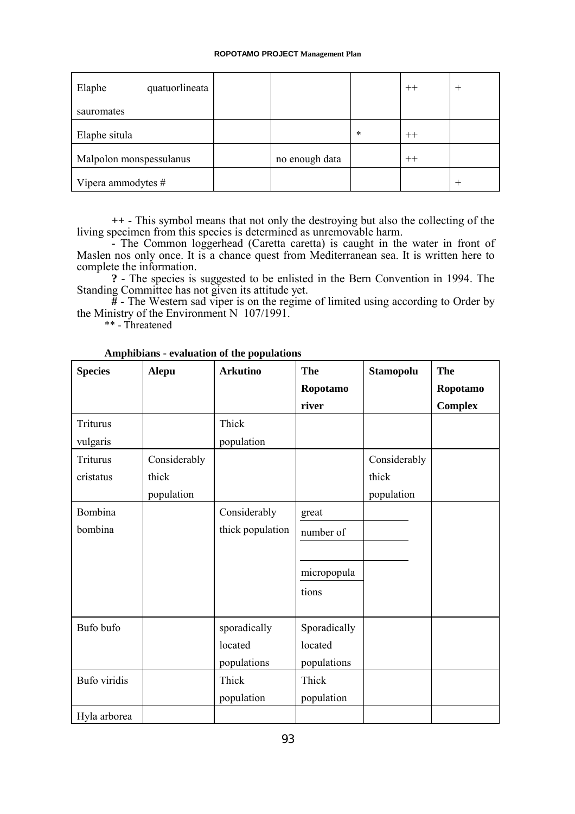| Elaphe<br>quatuorlineata |                |        | $^{++}$ |  |
|--------------------------|----------------|--------|---------|--|
| sauromates               |                |        |         |  |
| Elaphe situla            |                | $\ast$ | $^{++}$ |  |
| Malpolon monspessulanus  | no enough data |        | $^{++}$ |  |
| Vipera ammodytes #       |                |        |         |  |

**++** - This symbol means that not only the destroying but also the collecting of the

living specimen from this species is determined as unremovable harm. **-** The Common loggerhead (Caretta caretta) is caught in the water in front of Maslen nos only once. It is a chance quest from Mediterranean sea. It is written here to complete the information.

**?** - The species is suggested to be enlisted in the Bern Convention in 1994. The Standing Committee has not given its attitude yet.

**#** - The Western sad viper is on the regime of limited using according to Order by the Ministry of the Environment N 107/1991.

\*\* - Threatened

| <b>Species</b> | Alepu        | <b>Arkutino</b>                        | <b>The</b>                             | <b>Stamopolu</b> | The            |
|----------------|--------------|----------------------------------------|----------------------------------------|------------------|----------------|
|                |              |                                        | Ropotamo                               |                  | Ropotamo       |
|                |              |                                        | river                                  |                  | <b>Complex</b> |
| Triturus       |              | Thick                                  |                                        |                  |                |
| vulgaris       |              | population                             |                                        |                  |                |
| Triturus       | Considerably |                                        |                                        | Considerably     |                |
| cristatus      | thick        |                                        |                                        | thick            |                |
|                | population   |                                        |                                        | population       |                |
| Bombina        |              | Considerably                           | great                                  |                  |                |
| bombina        |              | thick population                       | number of                              |                  |                |
|                |              |                                        |                                        |                  |                |
|                |              |                                        | micropopula                            |                  |                |
|                |              |                                        | tions                                  |                  |                |
| Bufo bufo      |              | sporadically<br>located<br>populations | Sporadically<br>located<br>populations |                  |                |
| Bufo viridis   |              | Thick                                  | Thick                                  |                  |                |
|                |              | population                             | population                             |                  |                |
| Hyla arborea   |              |                                        |                                        |                  |                |

**Amphibians - evaluation of the populations**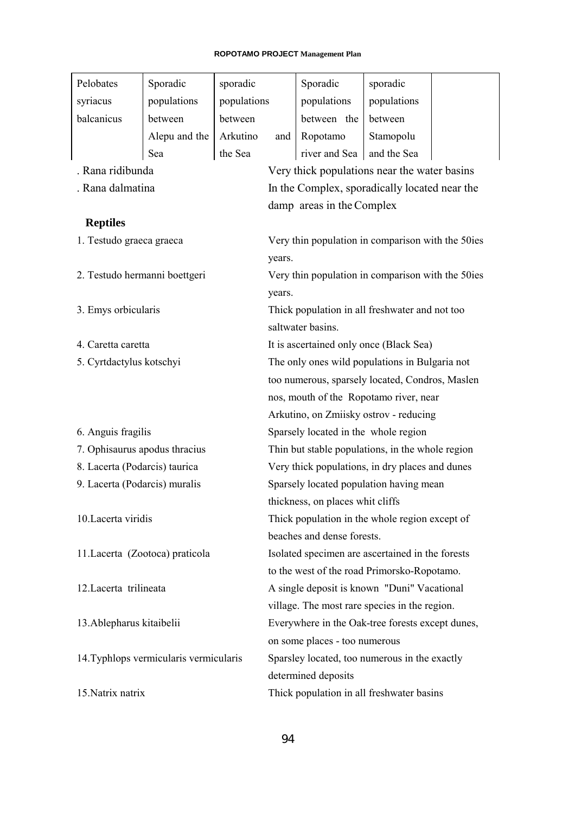| Pelobates                              | Sporadic                        | sporadic                                    |                                               | Sporadic                                          | sporadic    |  |
|----------------------------------------|---------------------------------|---------------------------------------------|-----------------------------------------------|---------------------------------------------------|-------------|--|
| syriacus                               | populations                     | populations                                 |                                               | populations                                       | populations |  |
| balcanicus                             | between                         | between                                     |                                               | between the                                       | between     |  |
|                                        | Alepu and the                   | Arkutino                                    | and                                           | Ropotamo                                          | Stamopolu   |  |
|                                        | Sea                             | the Sea                                     |                                               | river and Sea                                     | and the Sea |  |
| . Rana ridibunda                       |                                 |                                             |                                               | Very thick populations near the water basins      |             |  |
| . Rana dalmatina                       |                                 |                                             |                                               | In the Complex, sporadically located near the     |             |  |
|                                        |                                 |                                             |                                               | damp areas in the Complex                         |             |  |
| <b>Reptiles</b>                        |                                 |                                             |                                               |                                                   |             |  |
| 1. Testudo graeca graeca               |                                 |                                             |                                               | Very thin population in comparison with the 50ies |             |  |
|                                        |                                 |                                             | years.                                        |                                                   |             |  |
|                                        | 2. Testudo hermanni boettgeri   |                                             |                                               | Very thin population in comparison with the 50ies |             |  |
|                                        |                                 |                                             | years.                                        |                                                   |             |  |
| 3. Emys orbicularis                    |                                 |                                             |                                               | Thick population in all freshwater and not too    |             |  |
|                                        |                                 |                                             |                                               | saltwater basins.                                 |             |  |
| 4. Caretta caretta                     |                                 |                                             |                                               | It is ascertained only once (Black Sea)           |             |  |
| 5. Cyrtdactylus kotschyi               |                                 |                                             |                                               | The only ones wild populations in Bulgaria not    |             |  |
|                                        |                                 |                                             |                                               | too numerous, sparsely located, Condros, Maslen   |             |  |
|                                        |                                 |                                             |                                               | nos, mouth of the Ropotamo river, near            |             |  |
|                                        |                                 |                                             |                                               | Arkutino, on Zmiisky ostrov - reducing            |             |  |
| 6. Anguis fragilis                     |                                 |                                             |                                               | Sparsely located in the whole region              |             |  |
|                                        | 7. Ophisaurus apodus thracius   |                                             |                                               | Thin but stable populations, in the whole region  |             |  |
| 8. Lacerta (Podarcis) taurica          |                                 |                                             |                                               | Very thick populations, in dry places and dunes   |             |  |
| 9. Lacerta (Podarcis) muralis          |                                 |                                             |                                               | Sparsely located population having mean           |             |  |
|                                        |                                 |                                             | thickness, on places whit cliffs              |                                                   |             |  |
| 10. Lacerta viridis                    |                                 |                                             |                                               | Thick population in the whole region except of    |             |  |
|                                        |                                 |                                             |                                               | beaches and dense forests.                        |             |  |
|                                        | 11. Lacerta (Zootoca) praticola |                                             |                                               | Isolated specimen are ascertained in the forests  |             |  |
|                                        |                                 |                                             |                                               | to the west of the road Primorsko-Ropotamo.       |             |  |
| 12. Lacerta trilineata                 |                                 | A single deposit is known "Duni" Vacational |                                               |                                                   |             |  |
|                                        |                                 |                                             |                                               | village. The most rare species in the region.     |             |  |
| 13. Ablepharus kitaibelii              |                                 |                                             |                                               | Everywhere in the Oak-tree forests except dunes,  |             |  |
|                                        |                                 |                                             |                                               | on some places - too numerous                     |             |  |
| 14. Typhlops vermicularis vermicularis |                                 |                                             | Sparsley located, too numerous in the exactly |                                                   |             |  |
|                                        |                                 |                                             |                                               | determined deposits                               |             |  |
| 15. Natrix natrix                      |                                 | Thick population in all freshwater basins   |                                               |                                                   |             |  |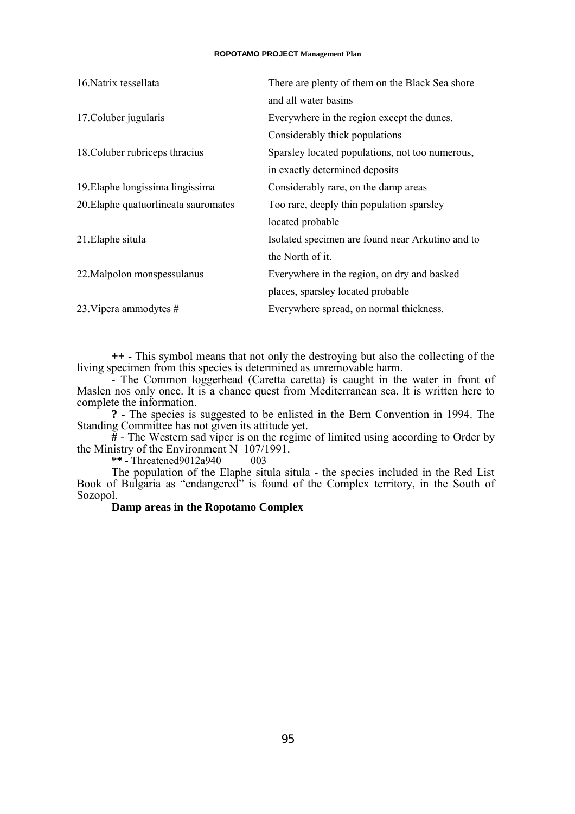| 16. Natrix tessellata                | There are plenty of them on the Black Sea shore  |
|--------------------------------------|--------------------------------------------------|
|                                      | and all water basins                             |
| 17. Coluber jugularis                | Everywhere in the region except the dunes.       |
|                                      | Considerably thick populations                   |
| 18. Coluber rubriceps thracius       | Sparsley located populations, not too numerous,  |
|                                      | in exactly determined deposits                   |
| 19. Elaphe longissima lingissima     | Considerably rare, on the damp areas             |
| 20. Elaphe quatuorlineata sauromates | Too rare, deeply thin population sparsley        |
|                                      | located probable                                 |
| 21. Elaphe situla                    | Isolated specimen are found near Arkutino and to |
|                                      | the North of it.                                 |
| 22. Malpolon monspessulanus          | Everywhere in the region, on dry and basked      |
|                                      | places, sparsley located probable                |
| 23. Vipera ammodytes $#$             | Everywhere spread, on normal thickness.          |

**++** - This symbol means that not only the destroying but also the collecting of the living specimen from this species is determined as unremovable harm.

**-** The Common loggerhead (Caretta caretta) is caught in the water in front of Maslen nos only once. It is a chance quest from Mediterranean sea. It is written here to complete the information.

**?** - The species is suggested to be enlisted in the Bern Convention in 1994. The Standing Committee has not given its attitude yet.

**#** - The Western sad viper is on the regime of limited using according to Order by the Ministry of the Environment N 107/1991.

**\*\*** - Threatened9012a940 003

The population of the Elaphe situla situla - the species included in the Red List Book of Bulgaria as "endangered" is found of the Complex territory, in the South of Sozopol.

### **Damp areas in the Ropotamo Complex**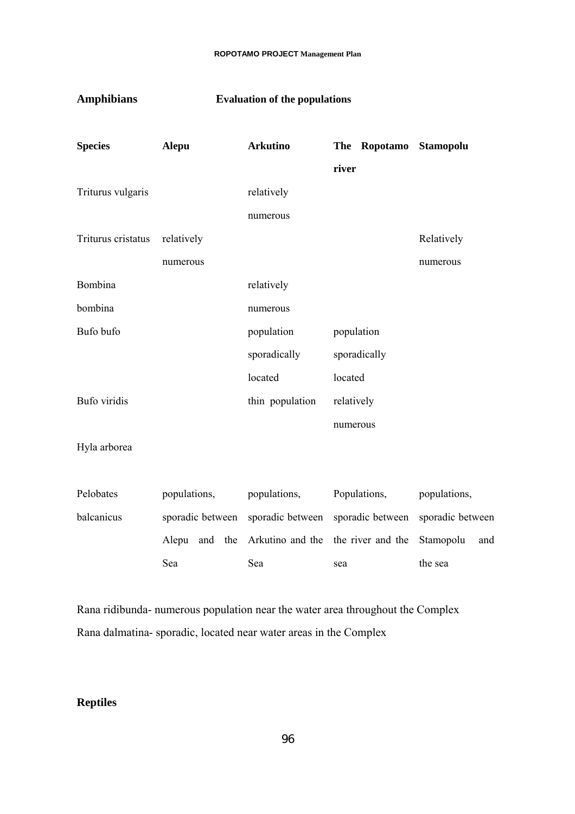| <b>Amphibians</b>   | <b>Evaluation of the populations</b> |                  |                                 |                  |  |
|---------------------|--------------------------------------|------------------|---------------------------------|------------------|--|
| <b>Species</b>      | <b>Alepu</b>                         | <b>Arkutino</b>  | Ropotamo<br><b>The</b><br>river | <b>Stamopolu</b> |  |
| Triturus vulgaris   |                                      | relatively       |                                 |                  |  |
|                     |                                      | numerous         |                                 |                  |  |
| Triturus cristatus  | relatively                           |                  |                                 | Relatively       |  |
|                     | numerous                             |                  |                                 | numerous         |  |
| Bombina             |                                      | relatively       |                                 |                  |  |
| bombina             |                                      | numerous         |                                 |                  |  |
| Bufo bufo           |                                      | population       | population                      |                  |  |
|                     |                                      | sporadically     | sporadically                    |                  |  |
|                     |                                      | located          | located                         |                  |  |
| <b>Bufo</b> viridis |                                      | thin population  | relatively                      |                  |  |
|                     |                                      |                  | numerous                        |                  |  |
| Hyla arborea        |                                      |                  |                                 |                  |  |
|                     |                                      |                  |                                 |                  |  |
| Pelobates           | populations,                         | populations,     | Populations,                    | populations,     |  |
| balcanicus          | sporadic between                     | sporadic between | sporadic between                | sporadic between |  |
|                     | Alepu<br>and<br>the                  | Arkutino and the | the river and the               | Stamopolu<br>and |  |
|                     | Sea                                  | Sea              | sea                             | the sea          |  |
|                     |                                      |                  |                                 |                  |  |

Rana ridibunda- numerous population near the water area throughout the Complex Rana dalmatina- sporadic, located near water areas in the Complex

# **Reptiles**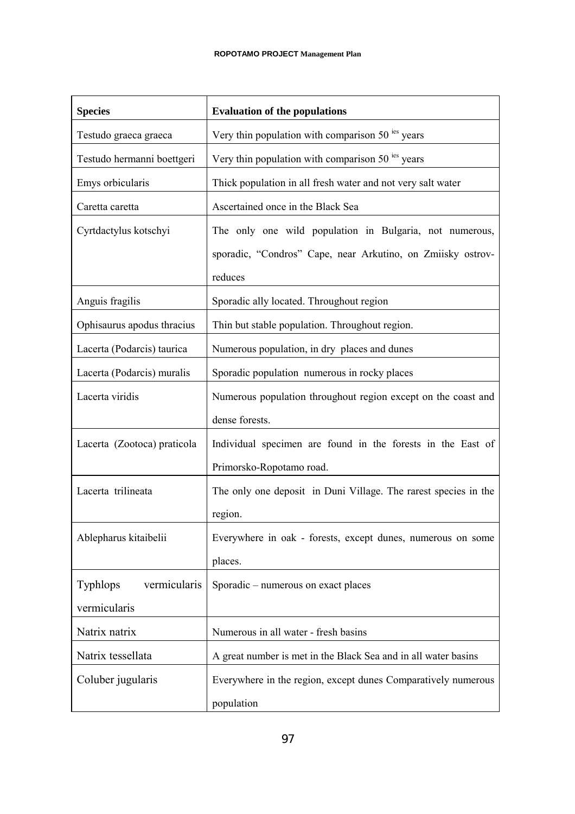| <b>Species</b>                  | <b>Evaluation of the populations</b>                               |
|---------------------------------|--------------------------------------------------------------------|
| Testudo graeca graeca           | Very thin population with comparison 50 <sup>ies</sup> years       |
| Testudo hermanni boettgeri      | Very thin population with comparison $50^{1}$ <sup>ies</sup> years |
| Emys orbicularis                | Thick population in all fresh water and not very salt water        |
| Caretta caretta                 | Ascertained once in the Black Sea                                  |
| Cyrtdactylus kotschyi           | The only one wild population in Bulgaria, not numerous,            |
|                                 | sporadic, "Condros" Cape, near Arkutino, on Zmiisky ostrov-        |
|                                 | reduces                                                            |
| Anguis fragilis                 | Sporadic ally located. Throughout region                           |
| Ophisaurus apodus thracius      | Thin but stable population. Throughout region.                     |
| Lacerta (Podarcis) taurica      | Numerous population, in dry places and dunes                       |
| Lacerta (Podarcis) muralis      | Sporadic population numerous in rocky places                       |
| Lacerta viridis                 | Numerous population throughout region except on the coast and      |
|                                 | dense forests.                                                     |
| Lacerta (Zootoca) praticola     | Individual specimen are found in the forests in the East of        |
|                                 | Primorsko-Ropotamo road.                                           |
| Lacerta trilineata              | The only one deposit in Duni Village. The rarest species in the    |
|                                 | region.                                                            |
| Ablepharus kitaibelii           | Everywhere in oak - forests, except dunes, numerous on some        |
|                                 | places.                                                            |
| <b>Typhlops</b><br>vermicularis | Sporadic – numerous on exact places                                |
| vermicularis                    |                                                                    |
| Natrix natrix                   | Numerous in all water - fresh basins                               |
| Natrix tessellata               | A great number is met in the Black Sea and in all water basins     |
| Coluber jugularis               | Everywhere in the region, except dunes Comparatively numerous      |
|                                 | population                                                         |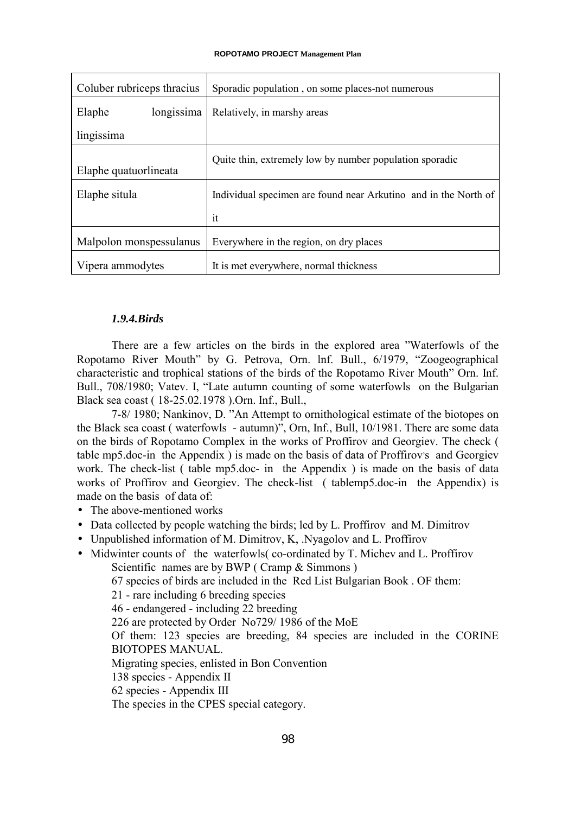| Coluber rubriceps thracius | Sporadic population, on some places-not numerous                |
|----------------------------|-----------------------------------------------------------------|
| Elaphe<br>longissima       | Relatively, in marshy areas                                     |
| lingissima                 |                                                                 |
| Elaphe quatuorlineata      | Quite thin, extremely low by number population sporadic         |
| Elaphe situla              | Individual specimen are found near Arkutino and in the North of |
|                            | it                                                              |
| Malpolon monspessulanus    | Everywhere in the region, on dry places                         |
| Vipera ammodytes           | It is met everywhere, normal thickness                          |

# *1.9.4.Birds*

There are a few articles on the birds in the explored area "Waterfowls of the Ropotamo River Mouth" by G. Petrova, Orn. lnf. Bull., 6/1979, "Zoogeographical characteristic and trophical stations of the birds of the Ropotamo River Mouth" Orn. Inf. Bull., 708/1980; Vatev. I, "Late autumn counting of some waterfowls on the Bulgarian Black sea coast ( 18-25.02.1978 ).Orn. Inf., Bull.,

7-8/ 1980; Nankinov, D. "An Attempt to ornithological estimate of the biotopes on the Black sea coast ( waterfowls - autumn)", Orn, Inf., Bull, 10/1981. There are some data on the birds of Ropotamo Complex in the works of Proffirov and Georgiev. The check ( table mp5.doc-in the Appendix ) is made on the basis of data of Proffirov's and Georgiev work. The check-list ( table mp5.doc- in the Appendix ) is made on the basis of data works of Proffirov and Georgiev. The check-list ( tablemp5.doc-in the Appendix) is made on the basis of data of

- The above-mentioned works
- Data collected by people watching the birds; led by L. Proffirov and M. Dimitrov
- Unpublished information of M. Dimitrov, K, .Nyagolov and L. Proffirov
- Midwinter counts of the waterfowls(co-ordinated by T. Michev and L. Proffirov Scientific names are by BWP (Cramp & Simmons)

67 species of birds are included in the Red List Bulgarian Book . OF them:

21 - rare including 6 breeding species

46 - endangered - including 22 breeding

226 are protected by Order No729/ 1986 of the MoE

Of them: 123 species are breeding, 84 species are included in the CORINE BIOTOPES MANUAL.

Migrating species, enlisted in Bon Convention

138 species - Appendix II

62 species - Appendix III

The species in the CPES special category.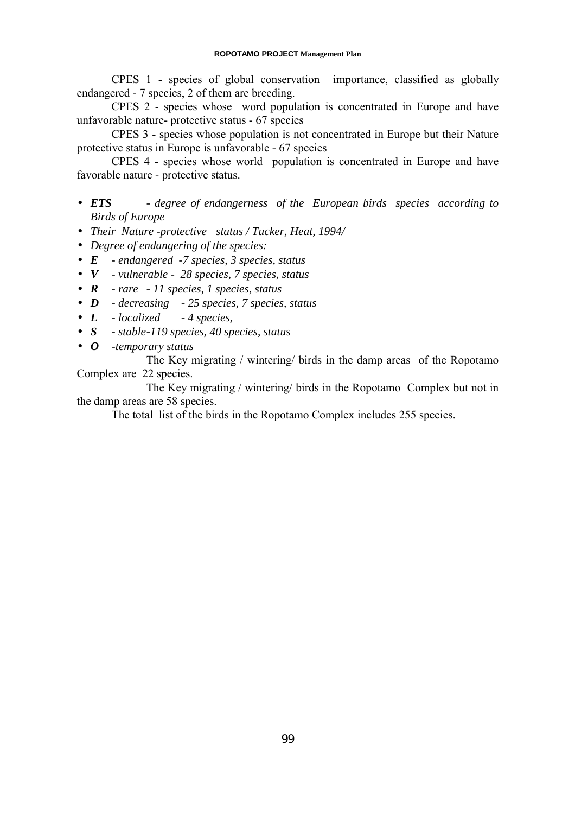CPES 1 - species of global conservation importance, classified as globally endangered - 7 species, 2 of them are breeding.

CPES 2 - species whose word population is concentrated in Europe and have unfavorable nature- protective status - 67 species

CPES 3 - species whose population is not concentrated in Europe but their Nature protective status in Europe is unfavorable - 67 species

CPES 4 - species whose world population is concentrated in Europe and have favorable nature - protective status.

- *ETS degree of endangerness of the European birds species according to Birds of Europe*
- *Their Nature -protective status / Tucker, Heat, 1994/*
- *Degree of endangering of the species:*
- *E endangered -7 species, 3 species, status*
- *V vulnerable 28 species, 7 species, status*
- *R rare 11 species, 1 species, status*
- *D decreasing 25 species, 7 species, status*
- *L localized 4 species,*
- *S stable-119 species, 40 species, status*
- *O -temporary status*

The Key migrating / wintering/ birds in the damp areas of the Ropotamo Complex are 22 species.

The Key migrating / wintering/ birds in the Ropotamo Complex but not in the damp areas are 58 species.

The total list of the birds in the Ropotamo Complex includes 255 species.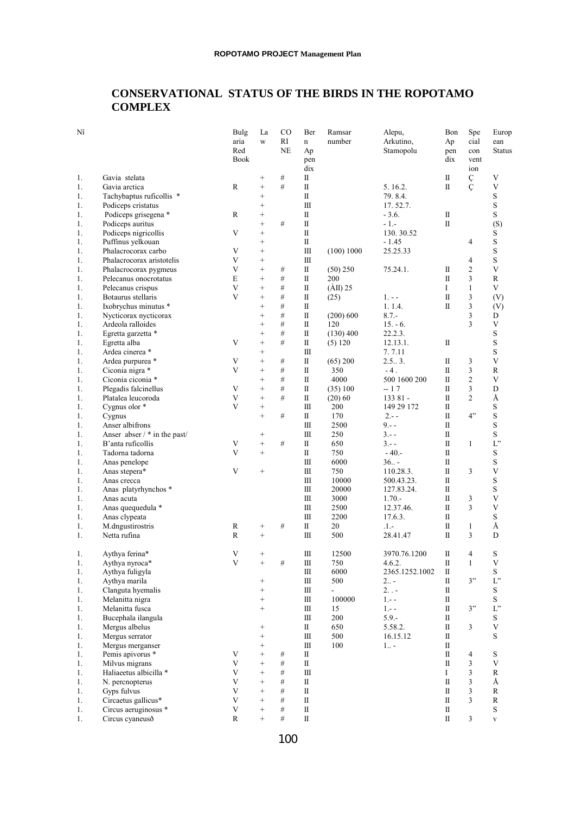# **CONSERVATIONAL STATUS OF THE BIRDS IN THE ROPOTAMO COMPLEX**

| Nî       |                                           | Bulg         | La                                   | <sub>CO</sub> | Ber                  | Ramsar                   | Alepu,                 | Bon          | Spe                | Europ          |
|----------|-------------------------------------------|--------------|--------------------------------------|---------------|----------------------|--------------------------|------------------------|--------------|--------------------|----------------|
|          |                                           | aria         | W                                    | RI            | n                    | number                   | Arkutino,              | Ap           | cial               | ean            |
|          |                                           | Red          |                                      | <b>NE</b>     | Ap                   |                          | Stamopolu              | pen          | con                | <b>Status</b>  |
|          |                                           | <b>Book</b>  |                                      |               | pen                  |                          |                        | dix          | vent               |                |
|          |                                           |              |                                      |               | dix                  |                          |                        |              | ion                |                |
| 1.       | Gavia stelata                             |              | $^{+}$                               | $\#$          | П                    |                          |                        | $\rm II$     | Ç                  | V              |
| 1.       | Gavia arctica                             | R            | $\qquad \qquad +$                    | #             | П                    |                          | 5.16.2.                | П            | $\dot{\mathsf{C}}$ | $\mathbf V$    |
| 1.       | Tachybaptus ruficollis *                  |              | $\qquad \qquad +$                    |               | $\rm II$             |                          | 79.8.4.                |              |                    | S              |
| 1.       | Podiceps cristatus                        |              | $\qquad \qquad +$                    |               | $\rm III$            |                          | 17.52.7.               |              |                    | S              |
| 1.       | Podiceps grisegena *                      | R            | $\qquad \qquad +$                    |               | П                    |                          | $-3.6.$                | П            |                    | S              |
| 1.       | Podiceps auritus                          | V            | $\! + \!\!\!\!$                      | #             | $\rm II$<br>$\rm II$ |                          | - 1.-                  | $\mathbf I$  |                    | (S)            |
| 1.       | Podiceps nigricollis<br>Puffinus yelkouan |              | $\qquad \qquad +$<br>$\! + \!\!\!\!$ |               | $\rm II$             |                          | 130.30.52<br>$-1.45$   |              | 4                  | S<br>S         |
| 1.<br>1. | Phalacrocorax carbo                       | V            | $\! + \!\!\!\!$                      |               | Ш                    | (100) 1000               | 25.25.33               |              |                    | S              |
| 1.       | Phalacrocorax aristotelis                 | V            | $\qquad \qquad +$                    |               | $\rm III$            |                          |                        |              | 4                  | S              |
| 1.       | Phalacrocorax pygmeus                     | V            | $\qquad \qquad +$                    | $\#$          | П                    | (50) 250                 | 75.24.1.               | П            | 2                  | $\mathbf V$    |
| 1.       | Pelecanus onocrotatus                     | E            | $\qquad \qquad +$                    | #             | Π                    | 200                      |                        | Π            | 3                  | R              |
| 1.       | Pelecanus crispus                         | V            | $\qquad \qquad +$                    | $\#$          | $\rm II$             | $(AII)$ 25               |                        | I            | $\mathbf{1}$       | V              |
| 1.       | Botaurus stellaris                        | V            | $^{+}$                               | $\#$          | П                    | (25)                     | $1. - -$               | П            | 3                  | (V)            |
| 1.       | Ixobrychus minutus *                      |              | $\! + \!\!\!\!$                      | $\#$          | П                    |                          | 1.1.4.                 | Π            | 3                  | (V)            |
| 1.       | Nycticorax nycticorax                     |              | $\qquad \qquad +$                    | $\#$          | $\rm II$             | (200) 600                | $8.7 -$                |              | 3                  | D              |
| 1.       | Ardeola ralloides                         |              | $\qquad \qquad +$                    | #             | $\rm II$             | 120                      | $15. - 6.$             |              | 3                  | $\mathbf V$    |
| 1.       | Egretta garzetta *                        |              | $\! + \!\!\!\!$                      | #             | П                    | $(130)$ 400              | 22.2.3.                |              |                    | S              |
| 1.       | Egretta alba                              | V            | $^{+}$                               | #             | П                    | (5) 120                  | 12.13.1.               | П            |                    | S              |
| 1.       | Ardea cinerea *                           |              | $\! + \!\!\!\!$                      |               | Ш                    |                          | 7.7.11                 |              |                    | S              |
| 1.       | Ardea purpurea *                          | V            | $^{+}$                               | $\#$          | П                    | (65) 200                 | 2.53.                  | П            | 3                  | $\mathbf V$    |
| 1.       | Ciconia nigra *                           | V            | $^{+}$                               | #             | П                    | 350                      | $-4$ .                 | П            | 3                  | $\mathbb{R}$   |
| 1.       | Ciconia ciconia *                         |              | $\qquad \qquad +$                    | #             | П                    | 4000                     | 500 1600 200           | П            | 2                  | $\mathbf V$    |
| 1.       | Plegadis falcinellus                      | V            | $^{+}$                               | #             | Π                    | (35) 100                 | -- 17                  | Π            | 3                  | D              |
| 1.       | Platalea leucoroda                        | V            | $\! + \!\!\!\!$                      | #             | Π                    | $(20)$ 60                | 133 81 -               | П            | 2                  | Å              |
| 1.       | Cygnus olor *                             | V            | $^{+}$                               |               | $\rm III$            | 200                      | 149 29 172             | П            |                    | S              |
| 1.       | Cygnus                                    |              | $^{+}$                               | #             | П                    | 170                      | $2 - -$                | Π            | 4"                 | S              |
| 1.       | Anser albifrons                           |              |                                      |               | Ш                    | 2500                     | $9. - -$               | П            |                    | S              |
| 1.       | Anser abser $/*$ in the past/             |              | $^{+}$                               |               | Ш                    | 250                      | $3. - -$               | $\rm II$     |                    | S              |
| 1.       | B'anta ruficollis                         | V            | $\! + \!\!\!\!$                      | #             | П                    | 650                      | $3 - -$                | $\rm II$     | $\mathbf{1}$       | L"             |
| 1.       | Tadorna tadorna                           | V            | $\qquad \qquad +$                    |               | $\mathbf{I}$         | 750                      | $-40. -$               | $\mathbf{I}$ |                    | S              |
| 1.       | Anas penelope                             |              |                                      |               | Ш                    | 6000                     | $36. -$                | $\mathbf I$  |                    | S              |
| 1.       | Anas stepera*                             | V            | $\! + \!\!\!\!$                      |               | Ш                    | 750                      | 110.28.3.              | Π            | 3                  | V              |
| 1.       | Anas crecca                               |              |                                      |               | Ш                    | 10000                    | 500.43.23.             | П            |                    | S              |
| 1.       | Anas platyrhynchos *                      |              |                                      |               | $\rm III$            | 20000                    | 127.83.24.             | П            |                    | S              |
| 1.       | Anas acuta                                |              |                                      |               | $\rm III$            | 3000                     | $1.70 -$               | П            | 3                  | V              |
| 1.       | Anas quequedula *                         |              |                                      |               | Ш                    | 2500                     | 12.37.46.              | Π            | 3                  | $\mathbf V$    |
| 1.       | Anas clypeata                             |              |                                      |               | $\rm III$            | 2200                     | 17.6.3.                | Π            |                    | S              |
| 1.       | M.dngustirostris                          | R            | $\! +$                               | #             | П                    | 20                       | .1.-                   | П            | 1                  | Å              |
| 1.       | Netta rufina                              | R            | $^{+}$                               |               | Ш                    | 500                      | 28.41.47               | Π            | 3                  | D              |
|          | Aythya ferina*                            | V            | $^{+}$                               |               | Ш                    |                          |                        | П            | 4                  | S              |
| 1.<br>1. | Aythya nyroca*                            | $\mathbf{V}$ | $^{+}$                               | #             | $\rm III$            | 12500<br>750             | 3970.76.1200<br>4.6.2. | П            | $\mathbf{1}$       | V              |
| 1.       |                                           |              |                                      |               | $\rm III$            | 6000                     | 2365.1252.1002         | $\rm II$     |                    | S              |
|          | Aythya fuligyla                           |              |                                      |               | Ш                    | 500                      | $2_{}$ -               | $\rm II$     | 3"                 | $\mathcal{L}"$ |
| 1.<br>1. | Aythya marila                             |              | $^{+}$<br>$\qquad \qquad +$          |               | Ш                    | $\overline{\phantom{a}}$ | $2. . -$               | П            |                    | S              |
| 1.       | Clanguta hyemalis<br>Melanitta nigra      |              | $\qquad \qquad +$                    |               | $\rm III$            | 100000                   | $1 - -$                | П            |                    | S              |
| 1.       | Melanitta fusca                           |              | $+$                                  |               | $\rm III$            | 15                       | $1 - -$                | $\rm II$     | 3"                 | L"             |
| 1.       | Bucephala ilangula                        |              |                                      |               | Ш                    | 200                      | $5.9 -$                | П            |                    | S              |
| 1.       | Mergus albelus                            |              | $+$                                  |               | П                    | 650                      | 5.58.2.                | П            | 3                  | $\mathbf V$    |
| 1.       | Mergus serrator                           |              | $+$                                  |               | $\rm III$            | 500                      | 16.15.12               | $\rm II$     |                    | S              |
| 1.       | Mergus merganser                          |              | $\qquad \qquad +$                    |               | Ш                    | 100                      | $1_{1}$ .              | П            |                    |                |
| 1.       | Pemis apivorus *                          | V            | $\qquad \qquad +$                    | $\#$          | П                    |                          |                        | $\rm II$     | 4                  | S              |
| 1.       | Milvus migrans                            | V            | $^{+}$                               | $\#$          | $\rm II$             |                          |                        | $\rm II$     | 3                  | V              |
| 1.       | Haliaeetus albicilla *                    | V            | $\qquad \qquad +$                    | #             | Ш                    |                          |                        | Ι            | 3                  | $\mathbb{R}$   |
| 1.       | N. percnopterus                           | V            | $\qquad \qquad +$                    | $\#$          | П                    |                          |                        | $\mathbf{I}$ | 3                  | Å              |
| 1.       | Gyps fulvus                               | V            | $\qquad \qquad +$                    | $\#$          | $\rm II$             |                          |                        | $\rm II$     | 3                  | ${\bf R}$      |
| 1.       | Circaetus gallicus*                       | V            | $\qquad \qquad +$                    | #             | $\rm II$             |                          |                        | $\rm II$     | 3                  | $\mathbb{R}$   |
| 1.       | Circus aeruginosus *                      | V            | $^{+}$                               | $\#$          | $\rm II$             |                          |                        | $\rm II$     |                    | S              |
| 1.       | Circus cyaneuso                           | $\mathbb{R}$ | $\qquad \qquad +$                    | #             | $\rm II$             |                          |                        | $\rm II$     | $\mathfrak{Z}$     | $\mathbf{V}$   |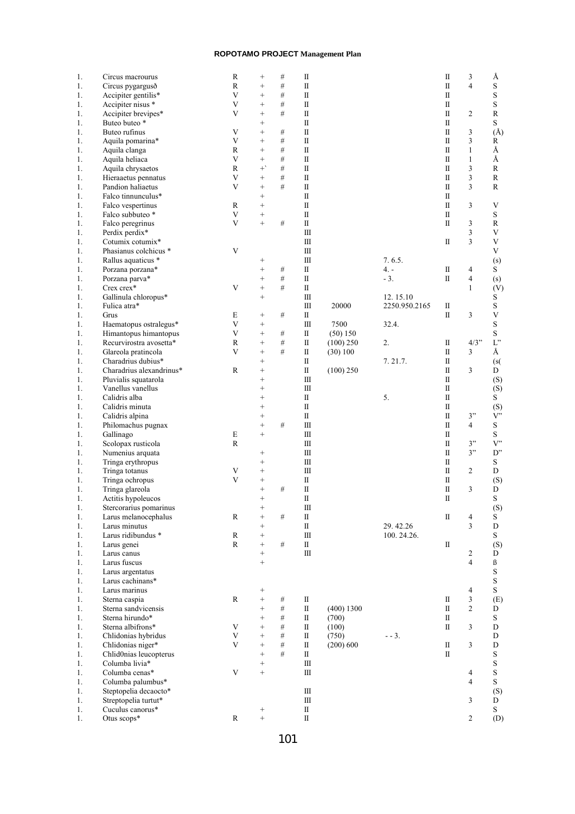| 1.   | Circus macrourus         | $\mathbb{R}$            | $^{+}$            | $\#$ | П                                |            |               | П | 3              | Å                         |
|------|--------------------------|-------------------------|-------------------|------|----------------------------------|------------|---------------|---|----------------|---------------------------|
| 1.   | Circus pygargusð         | R                       | $^{+}$            | $\#$ | $\mathbf I$                      |            |               | Π | 4              | $\mathbf S$               |
| 1.   | Accipiter gentilis*      | $\mathbf{V}$            | $\qquad \qquad +$ | $\#$ | $\rm{II}$                        |            |               | П |                | $\mathbf S$               |
|      |                          | V                       |                   | $\#$ | $\mathbf{I}$                     |            |               |   |                |                           |
| 1.   | Accipiter nisus *        |                         | $^{+}$            |      |                                  |            |               | П |                | $\mathbf S$               |
| 1.   | Accipiter brevipes*      | V                       | $\qquad \qquad +$ | $\#$ | $\rm II$                         |            |               | П | 2              | $\mathbb{R}$              |
| 1.   | Buteo buteo *            |                         | $^{+}$            |      | $\rm{II}$                        |            |               | П |                | $\mathbf S$               |
| 1.   | Buteo rufinus            | V                       | $\qquad \qquad +$ | $\#$ | $\rm{II}$                        |            |               | П | 3              | $(\AA)$                   |
| 1.   | Aquila pomarina*         | $\mathbf V$             | $^{+}$            | $\#$ | $\mathbf I$                      |            |               | П | 3              | $\mathbf R$               |
| 1.   | Aquila clanga            | R                       | $^{+}$            | $\#$ | $\rm II$                         |            |               | П | $\mathbf{1}$   | Å                         |
| 1.   | Aquila heliaca           | V                       | $^{+}$            | $\#$ | $\rm II$                         |            |               | П | $\mathbf{1}$   | Å                         |
| 1.   | Aquila chrysaetos        | R                       | $^{+}$            | #    | $\mathbf{I}$                     |            |               | П | 3              | R                         |
| 1.   | Hieraaetus pennatus      | $\mathbf V$             | $^{+}$            | $\#$ | $\mathbf I$                      |            |               | П | 3              | $\mathbf R$               |
|      |                          |                         |                   |      |                                  |            |               |   |                |                           |
| 1.   | Pandion haliaetus        | V                       | $\qquad \qquad +$ | #    | $\rm{II}$                        |            |               | П | 3              | R                         |
| 1.   | Falco tinnunculus*       |                         | $^{+}$            |      | П                                |            |               | П |                |                           |
| 1.   | Falco vespertinus        | R                       | $^{+}$            |      | $\rm{II}$                        |            |               | П | 3              | V                         |
| 1.   | Falco subbuteo *         | V                       | $^{+}$            |      | $\rm II$                         |            |               | П |                | $\mathbf S$               |
| 1.   | Falco peregrinus         | V                       | $^{+}$            | $\#$ | $\rm II$                         |            |               | П | 3              | $\mathbb{R}$              |
| 1.   | Perdix perdix*           |                         |                   |      | $\mathop{\mathrm{III}}\nolimits$ |            |               |   | 3              | $\mathbf V$               |
| 1.   | Cotumix cotumix*         |                         |                   |      | $\rm III$                        |            |               | П | 3              | $\mathbf V$               |
|      | Phasianus colchicus *    | V                       |                   |      | Ш                                |            |               |   |                | V                         |
| 1.   |                          |                         |                   |      |                                  |            |               |   |                |                           |
| 1.   | Rallus aquaticus *       |                         | $^{+}$            |      | $\rm III$                        |            | 7.6.5.        |   |                | (s)                       |
| 1.   | Porzana porzana*         |                         | $^{+}$            | $\#$ | $\rm II$                         |            | $4. -$        | П | 4              | S                         |
| 1.   | Porzana parva*           |                         | $^{+}$            | $\#$ | $\mathbf{I}$                     |            | $-3.$         | П | $\overline{4}$ | (s)                       |
| 1.   | Crex crex*               | V                       | $^{+}$            | $\#$ | $\rm II$                         |            |               |   | 1              | (V)                       |
| 1.   | Gallinula chloropus*     |                         | $\qquad \qquad +$ |      | $\mathop{\mathrm{III}}\nolimits$ |            | 12.15.10      |   |                | S                         |
| 1.   | Fulica atra*             |                         |                   |      | $\rm III$                        | 20000      | 2250.950.2165 | П |                | $\mathbf S$               |
| 1.   | Grus                     | E                       |                   | $\#$ | $\rm II$                         |            |               | П | 3              | $\ensuremath{\mathsf{V}}$ |
|      |                          |                         | $^{+}$            |      |                                  |            |               |   |                |                           |
| 1.   | Haematopus ostralegus*   | $\mathbf V$             | $^{+}$            |      | $\rm III$                        | 7500       | 32.4.         |   |                | $\mathbf S$               |
| 1.   | Himantopus himantopus    | V                       | $^{+}$            | $\#$ | $\rm II$                         | (50) 150   |               |   |                | $\mathbf S$               |
| 1.   | Recurvirostra avosetta*  | R                       | $^{+}$            | $\#$ | П                                | (100) 250  | 2.            | П | $4/3$ "        | $L^"$                     |
| 1.   | Glareola pratincola      | V                       | $^{+}$            | #    | $\rm II$                         | (30) 100   |               | П | 3              | Å                         |
| 1.   | Charadrius dubius*       |                         | $^{+}$            |      | П                                |            | 7.21.7.       | П |                | (s(                       |
| 1.   | Charadrius alexandrinus* | R                       | $^{+}$            |      | $\rm{II}$                        | (100) 250  |               | П | 3              | D                         |
| 1.   | Pluvialis squatarola     |                         | $^{+}$            |      | $\rm III$                        |            |               | П |                | (S)                       |
|      | Vanellus vanellus        |                         | $^{+}$            |      | Ш                                |            |               | П |                |                           |
| 1.   |                          |                         |                   |      |                                  |            |               |   |                | (S)                       |
| 1.   | Calidris alba            |                         | $^{+}$            |      | $\rm II$                         |            | 5.            | П |                | S                         |
| 1.   | Calidris minuta          |                         | $^{+}$            |      | $\rm II$                         |            |               | П |                | (S)                       |
| 1.   | Calidris alpina          |                         | $^{+}$            |      | $\rm II$                         |            |               | П | 3"             | V                         |
| 1.   | Philomachus pugnax       |                         | $^{+}$            | $\#$ | Ш                                |            |               | П | $\overline{4}$ | ${\bf S}$                 |
| 1.   | Gallinago                | E                       | $^{+}$            |      | $\rm III$                        |            |               | П |                | $\mathbf S$               |
| 1.   | Scolopax rusticola       | R                       |                   |      | Ш                                |            |               | П | 3"             | V                         |
| 1.   | Numenius arquata         |                         | $\qquad \qquad +$ |      | Ш                                |            |               | П | 3"             | D''                       |
|      |                          |                         |                   |      | $\mathop{\mathrm{III}}\nolimits$ |            |               |   |                |                           |
| 1.   | Tringa erythropus        |                         | $^{+}$            |      |                                  |            |               | П |                | $\mathbf S$               |
| 1.   | Tringa totanus           | V                       | $^{+}$            |      | $\rm III$                        |            |               | П | 2              | D                         |
| 1.   | Tringa ochropus          | V                       | $^{+}$            |      | П                                |            |               | П |                | (S)                       |
| 1.   | Tringa glareola          |                         | $^{+}$            | #    | $\rm II$                         |            |               | Π | 3              | D                         |
| 1.   | Actitis hypoleucos       |                         | $^{+}$            |      | $\mathbf I$                      |            |               | П |                | S                         |
| 1.   | Stercorarius pomarinus   |                         | $^{+}$            |      | Ш                                |            |               |   |                | (S)                       |
| $1.$ | Larus melanocephalus     | $\mathbb{R}$            | $^{+}$            | #    | П                                |            |               | П | $\overline{4}$ | $S_{\text{}}$             |
| 1.   | Larus minutus            |                         | $\qquad \qquad +$ |      | $\rm II$                         |            | 29.42.26      |   | 3              | ${\bf D}$                 |
|      | Larus ridibundus *       |                         | $^{+}$            |      | $\rm III$                        |            |               |   |                | S                         |
| 1.   |                          | R                       |                   |      |                                  |            | 100.24.26.    |   |                |                           |
| 1.   | Larus genei              | R                       | $^{+}$            | $\#$ | $\rm II$                         |            |               | П |                | (S)                       |
| 1.   | Larus canus              |                         | $^{+}$            |      | $\rm III$                        |            |               |   | 2              | D                         |
| 1.   | Larus fuscus             |                         | $^{+}$            |      |                                  |            |               |   | $\overline{4}$ | ß                         |
| 1.   | Larus argentatus         |                         |                   |      |                                  |            |               |   |                | ${\bf S}$                 |
| 1.   | Larus cachinans*         |                         |                   |      |                                  |            |               |   |                | $\mathbf S$               |
| 1.   | Larus marinus            |                         | $\qquad \qquad +$ |      |                                  |            |               |   | $\overline{4}$ | $\mathbf S$               |
|      |                          | $\mathbb{R}$            | $\qquad \qquad +$ | $\#$ | П                                |            |               | П | 3              |                           |
| 1.   | Sterna caspia            |                         |                   |      |                                  |            |               |   |                | (E)                       |
| 1.   | Sterna sandvicensis      |                         | $^{+}$            | $\#$ | $\rm II$                         | (400) 1300 |               | П | $\overline{2}$ | D                         |
| 1.   | Sterna hirundo*          |                         | $^{+}$            | $\#$ | $\rm II$                         | (700)      |               | П |                | $\mathbf S$               |
| 1.   | Sterna albifrons*        | $\mathbf{V}$            | $^{+}$            | $\#$ | П                                | (100)      |               | П | 3              | D                         |
| 1.   | Chlidonias hybridus      | V                       | $^{+}$            | $\#$ | $\rm II$                         | (750)      | $- - 3.$      |   |                | ${\bf D}$                 |
| 1.   | Chlidonias niger*        | $\overline{\mathbf{V}}$ | $^{+}$            | $\#$ | П                                | (200) 600  |               | П | $\overline{3}$ | D                         |
| 1.   | Chlid0nias leucopterus   |                         | $^{+}$            | #    | П                                |            |               | П |                | $\mathbf S$               |
|      |                          |                         | $^{+}$            |      | $\rm III$                        |            |               |   |                |                           |
| 1.   | Columba livia*           |                         |                   |      |                                  |            |               |   |                | $\mathbf S$               |
| 1.   | Columba cenas*           | V                       | $^{+}$            |      | Ш                                |            |               |   | 4              | $\mathbf S$               |
| 1.   | Columba palumbus*        |                         |                   |      |                                  |            |               |   | $\overline{4}$ | $\mathbf S$               |
| 1.   | Steptopelia decaocto*    |                         |                   |      | $\rm III$                        |            |               |   |                | (S)                       |
| 1.   | Streptopelia turtut*     |                         |                   |      | $\rm III$                        |            |               |   | 3              | D                         |
| 1.   | Cuculus canorus*         |                         | $^{+}$            |      | $\rm II$                         |            |               |   |                | S                         |
| 1.   | Otus scops*              | ${\bf R}$               | $^{+}$            |      | $\rm{II}$                        |            |               |   | 2              | (D)                       |
|      |                          |                         |                   |      |                                  |            |               |   |                |                           |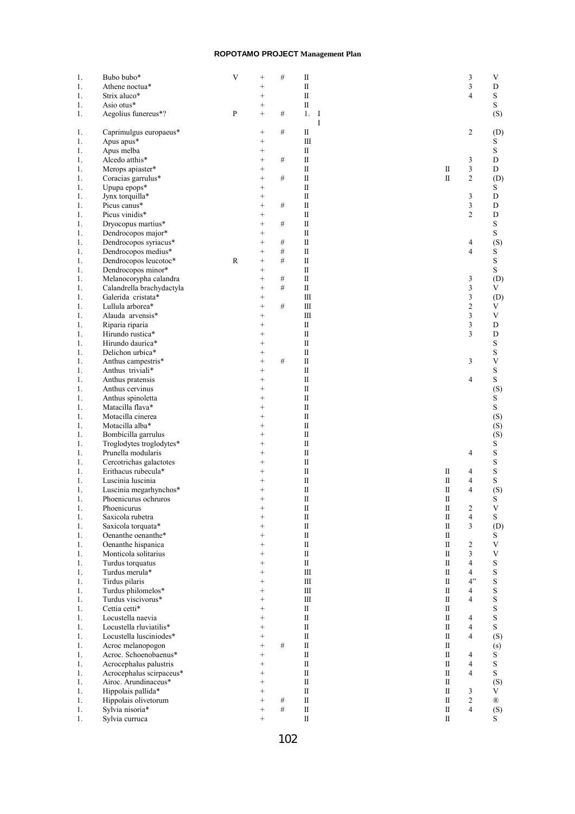| 1.             | Bubo bubo*                | V | $^{+}$          | $\#$ | $\rm II$       |  |             | 3                       | V              |
|----------------|---------------------------|---|-----------------|------|----------------|--|-------------|-------------------------|----------------|
| 1.             | Athene noctua*            |   | $^{+}$          |      | $\rm II$       |  |             | 3                       | D              |
| 1.             | Strix aluco*              |   | $^{+}$          |      | $\rm II$       |  |             | $\overline{4}$          | S              |
| 1.             | Asio otus*                |   | $^{+}$          |      | $\rm II$       |  |             |                         | S              |
| 1.             | Aegolius funereus*?       | P | $\! + \!\!\!\!$ | $\#$ | 1.<br>$\bf{I}$ |  |             |                         | (S)            |
|                |                           |   |                 |      | I              |  |             |                         |                |
|                | Caprimulgus europaeus*    |   | $\! + \!\!\!\!$ | $\#$ | П              |  |             | 2                       |                |
| 1.             |                           |   |                 |      |                |  |             |                         | (D)            |
| 1.             | Apus apus*                |   | $^{+}$          |      | $\mathbf{I}$   |  |             |                         | S              |
| 1.             | Apus melba                |   | $^{+}$          |      | $\rm II$       |  |             |                         | $\mathbf S$    |
| 1.             | Alcedo atthis*            |   | $^{+}$          | $\#$ | $\rm II$       |  |             | 3                       | D              |
| 1.             | Merops apiaster*          |   | $^{+}$          |      | $\rm II$       |  | П           | $\overline{\mathbf{3}}$ | D              |
| 1.             | Coracias garrulus*        |   | $^{+}$          | $\#$ | $\rm{II}$      |  | П           | $\overline{c}$          | (D)            |
| 1.             | Upupa epops*              |   | $^{+}$          |      | П              |  |             |                         | S              |
| 1.             | Jynx torquilla*           |   | $^{+}$          |      | $\rm II$       |  |             | 3                       | D              |
| 1.             | Picus canus*              |   | $^{+}$          | $\#$ | $\rm II$       |  |             | 3                       | D              |
| 1.             | Picus vinidis*            |   | $^{+}$          |      | $\mathbf{I}$   |  |             | $\overline{2}$          | D              |
|                |                           |   |                 |      | $\rm II$       |  |             |                         |                |
| 1.             | Dryocopus martius*        |   | $^{+}$          | $\#$ |                |  |             |                         | $\mathbf S$    |
| 1.             | Dendrocopos major*        |   | $^{+}$          |      | $\rm II$       |  |             |                         | S              |
| 1.             | Dendrocopos syriacus*     |   | $^{+}$          | $\#$ | $\rm II$       |  |             | 4                       | (S)            |
| 1.             | Dendrocopos medius*       |   | $^{+}$          | $\#$ | $\rm II$       |  |             | $\overline{4}$          | S              |
| 1.             | Dendrocopos leucotoc*     | R | $^{+}$          | #    | $\rm II$       |  |             |                         | $\mathbf S$    |
| 1.             | Dendrocopos minor*        |   | $^{+}$          |      | $\mathbf{I}$   |  |             |                         | S              |
| $\mathbf{1}$ . | Melanocorypha calandra    |   | $^{+}$          | $\#$ | $\mathbf{I}$   |  |             | 3                       | (D)            |
| 1.             | Calandrella brachydactyla |   | $^{+}$          | #    | $\rm II$       |  |             | 3                       | V              |
|                |                           |   |                 |      |                |  |             |                         |                |
| 1.             | Galerida cristata*        |   | $^{+}$          |      | $\rm III$      |  |             | 3                       | (D)            |
| 1.             | Lullula arborea*          |   | $^{+}$          | $\#$ | $\rm III$      |  |             | $\overline{c}$          | V              |
| 1.             | Alauda arvensis*          |   | $^{+}$          |      | $\rm III$      |  |             | 3                       | $\mathbf V$    |
| 1.             | Riparia riparia           |   | $^{+}$          |      | $\rm II$       |  |             | 3                       | D              |
| 1.             | Hirundo rustica*          |   | $^{+}$          |      | $\rm II$       |  |             | 3                       | D              |
| 1.             | Hirundo daurica*          |   | $^{+}$          |      | $\rm II$       |  |             |                         | ${\bf S}$      |
| 1.             | Delichon urbica*          |   | $^{+}$          |      | $\rm II$       |  |             |                         | S              |
|                |                           |   | $^{+}$          |      |                |  |             |                         |                |
| 1.             | Anthus campestris*        |   |                 | $\#$ | П              |  |             | 3                       | V              |
| 1.             | Anthus triviali*          |   | $^{+}$          |      | $\rm II$       |  |             |                         | $\mathbf S$    |
| 1.             | Anthus pratensis          |   | $^{+}$          |      | $\rm II$       |  |             | $\overline{4}$          | $\mathbf S$    |
| 1.             | Anthus cervinus           |   | $^{+}$          |      | $\mathbf{I}$   |  |             |                         | (S)            |
| 1.             | Anthus spinoletta         |   | $^{+}$          |      | $\rm II$       |  |             |                         | $\mathbf S$    |
| 1.             | Matacilla flava*          |   | $^{+}$          |      | $\rm II$       |  |             |                         | S              |
| 1.             | Motacilla cinerea         |   | $^{+}$          |      | $\rm II$       |  |             |                         | (S)            |
|                | Motacilla alba*           |   | $^{+}$          |      | $\rm II$       |  |             |                         |                |
| 1.             |                           |   |                 |      |                |  |             |                         | (S)            |
| 1.             | Bombicilla garrulus       |   | $^{+}$          |      | $\rm{II}$      |  |             |                         | (S)            |
| 1.             | Troglodytes troglodytes*  |   | $^{+}$          |      | $\mathbf{I}$   |  |             |                         | $\mathbf S$    |
| 1.             | Prunella modularis        |   | $^{+}$          |      | $\rm II$       |  |             | $\overline{4}$          | $\mathbf S$    |
| 1.             | Cercotrichas galactotes   |   | $\overline{+}$  |      | $\rm II$       |  |             |                         | S              |
| 1.             | Erithacus rubecula*       |   | $^{+}$          |      | $\rm II$       |  | П           | 4                       | $\mathbf S$    |
| 1.             | Luscinia luscinia         |   | $^{+}$          |      | $\rm II$       |  | П           | $\overline{4}$          | $\mathbf S$    |
| 1.             | Luscinia megarhynchos*    |   | $\overline{+}$  |      | $\rm{II}$      |  | П           | 4                       | (S)            |
|                |                           |   |                 |      |                |  |             |                         |                |
| 1.             | Phoenicurus ochruros      |   | $^{+}$          |      | $\rm II$       |  | П           |                         | S              |
| 1.             | Phoenicurus               |   | $^{+}$          |      | $\rm II$       |  | П           | 2                       | V              |
| 1.             | Saxicola rubetra          |   | $^{+}$          |      | $\rm II$       |  | П           | $\overline{4}$          | $\mathbf S$    |
| 1.             | Saxicola torquata*        |   | $^{+}$          |      | $\rm{II}$      |  | П           | 3                       | (D)            |
| 1.             | Oenanthe oenanthe*        |   | $^{+}$          |      | $\rm II$       |  | П           |                         | S              |
| 1.             | Oenanthe hispanica        |   | $^{+}$          |      | $\rm II$       |  | П           | $\overline{2}$          | $\mathbf V$    |
| 1.             | Monticola solitarius      |   | $^{+}$          |      | $\mathbf I$    |  | П           | 3                       | $\mathbf V$    |
| 1.             | Turdus torquatus          |   | $^{+}$          |      | $\mathbf{I}$   |  | П           | $\overline{4}$          | S              |
|                | Turdus merula*            |   |                 |      | $\rm III$      |  |             |                         | S              |
| 1.             |                           |   | $^{+}$          |      |                |  | П           | $\overline{4}$          |                |
| 1.             | Tirdus pilaris            |   | $^{+}$          |      | $\rm III$      |  | П           | 4"                      | $\mathbf S$    |
| 1.             | Turdus philomelos*        |   | $^{+}$          |      | Ш              |  | П           | $\overline{4}$          | $\mathbf S$    |
| 1.             | Turdus viscivorus*        |   | $^{+}$          |      | $\rm III$      |  | П           | $\overline{4}$          | $\mathbf S$    |
| 1.             | Cettia cetti*             |   | $^{+}$          |      | $\rm II$       |  | П           |                         | S              |
| 1.             | Locustella naevia         |   | $^{+}$          |      | $\mathbf{I}$   |  | П           | $\overline{4}$          | S              |
| 1.             | Locustella rluviatilis*   |   | $^{+}$          |      | $\rm II$       |  | П           | $\overline{4}$          | S              |
| 1.             | Locustella lusciniodes*   |   | $^{+}$          |      | $\rm II$       |  | П           | $\overline{4}$          | (S)            |
|                |                           |   |                 |      |                |  |             |                         |                |
| 1.             | Acroc melanopogon         |   | $^{+}$          | #    | $\rm II$       |  | П           |                         | (s)            |
| 1.             | Acroc. Schoenobaenus*     |   | $^{+}$          |      | $\rm II$       |  | П           | 4                       | ${\bf S}$      |
| 1.             | Acrocephalus palustris    |   | $^{+}$          |      | $\rm II$       |  | П           | $\overline{4}$          | S              |
| 1.             | Acrocephalus scirpaceus*  |   | $^{+}$          |      | $\mathbf{I}$   |  | П           | $\overline{4}$          | S              |
| 1.             | Airoc. Arundinaceus*      |   | $^{+}$          |      | $\rm II$       |  | П           |                         | (S)            |
| 1.             | Hippolais pallida*        |   | $^{+}$          |      | $\rm II$       |  | П           | 3                       | V              |
| 1.             | Hippolais olivetorum      |   | $^{+}$          | $\#$ | $\rm II$       |  | П           | $\overline{2}$          | $^{\circledR}$ |
| 1.             | Sylvia nisoria*           |   | $^{+}$          | #    | $\rm{II}$      |  | П           | $\overline{4}$          | (S)            |
|                |                           |   |                 |      |                |  |             |                         |                |
| 1.             | Sylvia curruca            |   | $^{+}$          |      | $\rm{II}$      |  | $\mathbf I$ |                         | S              |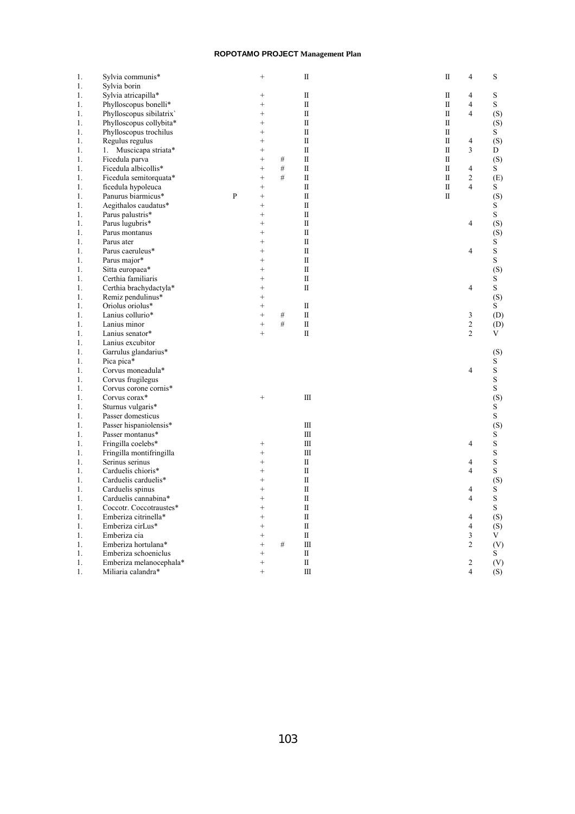| 1. | Sylvia communis*         |   | $^{+}$    |      | $\rm II$                | П            | 4                             | S           |
|----|--------------------------|---|-----------|------|-------------------------|--------------|-------------------------------|-------------|
| 1. | Sylvia borin             |   |           |      |                         |              |                               |             |
| 1. | Sylvia atricapilla*      |   | $^{+}$    |      | $\rm{II}$               | П            | 4                             | S           |
| 1. | Phylloscopus bonelli*    |   | $^{+}$    |      | $\overline{\mathbf{u}}$ | $\mathbf{I}$ | $\overline{4}$                | S           |
| 1. | Phylloscopus sibilatrix  |   | $^{+}$    |      | $\rm II$                | П            | 4                             | (S)         |
| 1. | Phylloscopus collybita*  |   | $\ddot{}$ |      | $\rm II$                | $\mathbf{I}$ |                               | (S)         |
| 1. | Phylloscopus trochilus   |   | $^{+}$    |      | $\mathbf I$             | $\mathbf{I}$ |                               | S           |
| 1. | Regulus regulus          |   | $^{+}$    |      | $\rm II$                | $\mathbf{I}$ | 4                             | (S)         |
| 1. | Muscicapa striata*<br>1. |   | $^{+}$    |      | $\overline{\mathbf{u}}$ | $\mathbf{I}$ | 3                             | D           |
| 1. | Ficedula parva           |   | $^{+}$    | $\#$ | $\rm II$                | $\mathbf I$  |                               | (S)         |
| 1. | Ficedula albicollis*     |   | $\ddot{}$ | #    | $\overline{\mathbf{u}}$ | $\mathbf{I}$ | 4                             | S           |
| 1. | Ficedula semitorquata*   |   | $^{+}$    | #    | $\rm II$                | П            | 2                             | (E)         |
| 1. | ficedula hypoleuca       |   | $^{+}$    |      | $\rm II$                | $\mathbf{I}$ | 4                             | S           |
| 1. | Panurus biarmicus*       | P | $^{+}$    |      | $\rm II$                | $\mathbf{I}$ |                               | (S)         |
| 1. | Aegithalos caudatus*     |   | $^{+}$    |      | $\rm II$                |              |                               | S           |
| 1. | Parus palustris*         |   | $^{+}$    |      | $\overline{\mathbf{u}}$ |              |                               | $\mathbf S$ |
| 1. | Parus lugubris*          |   | $^{+}$    |      | $\rm{II}$               |              | 4                             | (S)         |
| 1. | Parus montanus           |   | $^{+}$    |      | $\mathbf I$             |              |                               | (S)         |
| 1. | Parus ater               |   | $^{+}$    |      | $\rm II$                |              |                               | S           |
| 1. | Parus caeruleus*         |   | $^{+}$    |      | $\mathbf I$             |              | 4                             | S           |
|    |                          |   | $^{+}$    |      | $\rm II$                |              |                               | $\mathbf S$ |
| 1. | Parus major*             |   | $^{+}$    |      | $\rm II$                |              |                               |             |
| 1. | Sitta europaea*          |   |           |      |                         |              |                               | (S)         |
| 1. | Certhia familiaris       |   | $^{+}$    |      | $\rm{II}$               |              |                               | S           |
| 1. | Certhia brachydactyla*   |   | $^{+}$    |      | $\rm{II}$               |              | 4                             | S           |
| 1. | Remiz pendulinus*        |   | $^{+}$    |      |                         |              |                               | (S)         |
| 1. | Oriolus oriolus*         |   | $^{+}$    |      | $\rm II$                |              |                               | S           |
| 1. | Lanius collurio*         |   | $^{+}$    | $\#$ | $\rm II$                |              | 3                             | (D)         |
| 1. | Lanius minor             |   | $^{+}$    | #    | $\rm II$                |              | $\overline{c}$                | (D)         |
| 1. | Lanius senator*          |   | $^{+}$    |      | $\overline{\mathbf{u}}$ |              | $\overline{c}$                | V           |
| 1. | Lanius excubitor         |   |           |      |                         |              |                               |             |
| 1. | Garrulus glandarius*     |   |           |      |                         |              |                               | (S)         |
| 1. | Pica pica*               |   |           |      |                         |              |                               | S           |
| 1. | Corvus moneadula*        |   |           |      |                         |              | 4                             | $\rm S$     |
| 1. | Corvus frugilegus        |   |           |      |                         |              |                               | $\rm S$     |
| 1. | Corvus corone cornis*    |   |           |      |                         |              |                               | S           |
| 1. | Corvus corax*            |   | $^{+}$    |      | $\mathbf{I}$            |              |                               | (S)         |
| 1. | Sturnus vulgaris*        |   |           |      |                         |              |                               | S           |
| 1. | Passer domesticus        |   |           |      |                         |              |                               | S           |
| 1. | Passer hispaniolensis*   |   |           |      | $\rm III$               |              |                               | (S)         |
| 1. | Passer montanus*         |   |           |      | $\mathbf{m}$            |              |                               | S           |
| 1. | Fringilla coelebs*       |   | $^{+}$    |      | $\mathbf{I}$            |              | 4                             | $\mathbf S$ |
| 1. | Fringilla montifringilla |   | $^{+}$    |      | $\mathbf{I}$            |              |                               | S           |
| 1. | Serinus serinus          |   | $^{+}$    |      | $\mathbf I$             |              | 4                             | S           |
| 1. | Carduelis chioris*       |   | $\ddot{}$ |      | $\rm II$                |              | 4                             | $\mathbf S$ |
| 1. | Carduelis carduelis*     |   | $\ddot{}$ |      | $\rm{II}$               |              |                               | (S)         |
| 1. | Carduelis spinus         |   | $^{+}$    |      | $\rm II$                |              | 4                             | S           |
| 1. | Carduelis cannabina*     |   | $^{+}$    |      | $\mathbf I$             |              | 4                             | S           |
| 1. | Coccotr. Coccotraustes*  |   | $^{+}$    |      | $\mathbf I$             |              |                               | S           |
| 1. | Emberiza citrinella*     |   | $^{+}$    |      | $\rm II$                |              | 4                             | (S)         |
| 1. | Emberiza cirLus*         |   | $^{+}$    |      | $\mathbf I$             |              | 4                             | (S)         |
| 1. | Emberiza cia             |   | $^{+}$    |      | $\rm II$                |              | 3                             | V           |
| 1. | Emberiza hortulana*      |   | $^{+}$    | $\#$ | $\mathbf{m}$            |              | 2                             | (V)         |
|    |                          |   | $^{+}$    |      | $\rm II$                |              |                               |             |
| 1. | Emberiza schoeniclus     |   | $^{+}$    |      | $\rm{II}$               |              |                               | S           |
| 1. | Emberiza melanocephala*  |   | $^{+}$    |      |                         |              | 2<br>$\overline{\mathcal{L}}$ | (V)         |
| 1. | Miliaria calandra*       |   |           |      | $\mathbf{m}$            |              |                               | (S)         |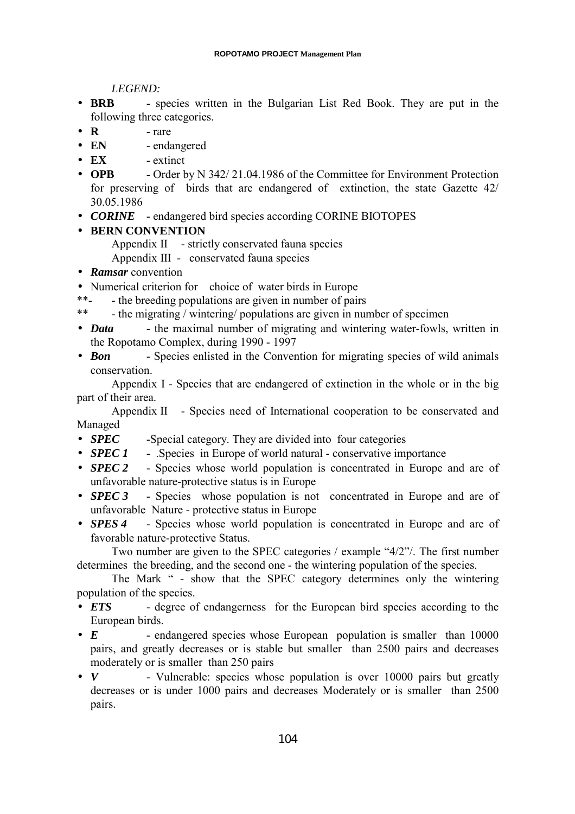*LEGEND:*

- **BRB** species written in the Bulgarian List Red Book. They are put in the following three categories.
- $\bullet$  **R** rare
- **EN** endangered
- **EX** extinct
- **OPB** Order by N 342/21.04.1986 of the Committee for Environment Protection for preserving of birds that are endangered of extinction, the state Gazette 42/ 30.05.1986
- *CORINE* endangered bird species according CORINE BIOTOPES

# • **BERN CONVENTION**

- Appendix II strictly conservated fauna species
- Appendix III conservated fauna species
- *Ramsar* convention
- Numerical criterion for choice of water birds in Europe
- \*\*- the breeding populations are given in number of pairs
- \*\* the migrating / wintering/ populations are given in number of specimen
- *Data* the maximal number of migrating and wintering water-fowls, written in the Ropotamo Complex, during 1990 - 1997
- *Bon* Species enlisted in the Convention for migrating species of wild animals conservation.

Appendix I - Species that are endangered of extinction in the whole or in the big part of their area.

Appendix II - Species need of International cooperation to be conservated and Managed

- *SPEC* -Special category. They are divided into four categories
- *SPEC 1* . Species in Europe of world natural conservative importance
- *SPEC 2* Species whose world population is concentrated in Europe and are of unfavorable nature-protective status is in Europe
- *SPEC 3* Species whose population is not concentrated in Europe and are of unfavorable Nature - protective status in Europe
- *SPES 4* Species whose world population is concentrated in Europe and are of favorable nature-protective Status.

Two number are given to the SPEC categories / example "4/2"/. The first number determines the breeding, and the second one - the wintering population of the species.

The Mark " - show that the SPEC category determines only the wintering population of the species.

- *ETS* degree of endangerness for the European bird species according to the European birds.
- *E* endangered species whose European population is smaller than 10000 pairs, and greatly decreases or is stable but smaller than 2500 pairs and decreases moderately or is smaller than 250 pairs
- *V* Vulnerable: species whose population is over 10000 pairs but greatly decreases or is under 1000 pairs and decreases Moderately or is smaller than 2500 pairs.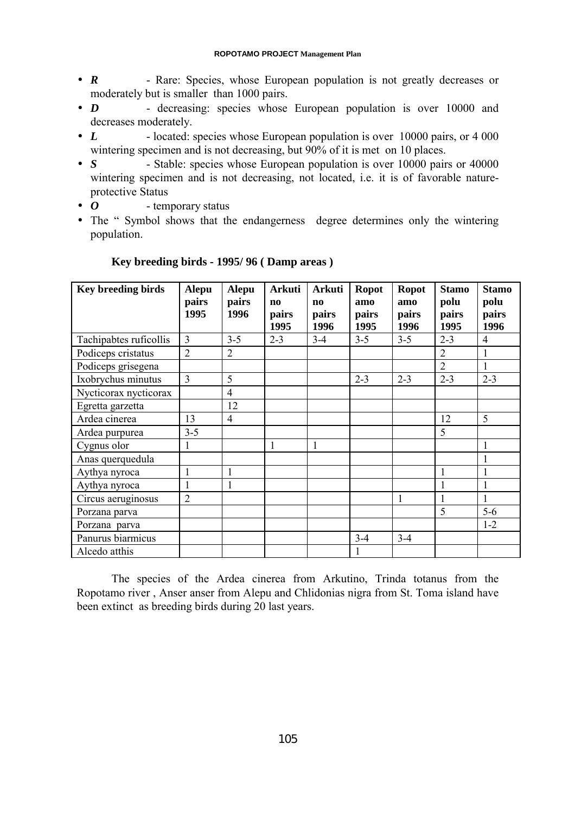- *R* Rare: Species, whose European population is not greatly decreases or moderately but is smaller than 1000 pairs.
- *D* decreasing: species whose European population is over 10000 and decreases moderately.
- *L* located: species whose European population is over 10000 pairs, or 4 000 wintering specimen and is not decreasing, but 90% of it is met on 10 places.
- *S* Stable: species whose European population is over 10000 pairs or 40000 wintering specimen and is not decreasing, not located, i.e. it is of favorable natureprotective Status
- *O* temporary status
- The " Symbol shows that the endangerness degree determines only the wintering population.

| <b>Key breeding birds</b> | <b>Alepu</b><br>pairs<br>1995 | <b>Alepu</b><br>pairs<br>1996 | <b>Arkuti</b><br>$\mathbf{n}$<br>pairs<br>1995 | <b>Arkuti</b><br>$\mathbf{n}$<br>pairs<br>1996 | <b>Ropot</b><br>amo<br>pairs<br>1995 | <b>Ropot</b><br>amo<br>pairs<br>1996 | <b>Stamo</b><br>polu<br>pairs<br>1995 | <b>Stamo</b><br>polu<br>pairs<br>1996 |
|---------------------------|-------------------------------|-------------------------------|------------------------------------------------|------------------------------------------------|--------------------------------------|--------------------------------------|---------------------------------------|---------------------------------------|
| Tachipabtes ruficollis    | 3                             | $3 - 5$                       | $2 - 3$                                        | $3-4$                                          | $3 - 5$                              | $3 - 5$                              | $2 - 3$                               | $\overline{4}$                        |
| Podiceps cristatus        | $\overline{2}$                | $\overline{2}$                |                                                |                                                |                                      |                                      | $\overline{2}$                        | 1                                     |
| Podiceps grisegena        |                               |                               |                                                |                                                |                                      |                                      | $\overline{2}$                        | 1                                     |
| Ixobrychus minutus        | 3                             | 5                             |                                                |                                                | $2 - 3$                              | $2 - 3$                              | $2 - 3$                               | $2 - 3$                               |
| Nycticorax nycticorax     |                               | $\overline{4}$                |                                                |                                                |                                      |                                      |                                       |                                       |
| Egretta garzetta          |                               | 12                            |                                                |                                                |                                      |                                      |                                       |                                       |
| Ardea cinerea             | 13                            | $\overline{4}$                |                                                |                                                |                                      |                                      | 12                                    | 5                                     |
| Ardea purpurea            | $3 - 5$                       |                               |                                                |                                                |                                      |                                      | 5                                     |                                       |
| Cygnus olor               | 1                             |                               | 1                                              | $\mathbf{1}$                                   |                                      |                                      |                                       | 1                                     |
| Anas querquedula          |                               |                               |                                                |                                                |                                      |                                      |                                       | 1                                     |
| Aythya nyroca             | 1                             | 1                             |                                                |                                                |                                      |                                      | 1                                     |                                       |
| Aythya nyroca             | 1                             | 1                             |                                                |                                                |                                      |                                      |                                       |                                       |
| Circus aeruginosus        | $\overline{2}$                |                               |                                                |                                                |                                      | 1                                    |                                       | 1                                     |
| Porzana parva             |                               |                               |                                                |                                                |                                      |                                      | 5                                     | $5-6$                                 |
| Porzana parva             |                               |                               |                                                |                                                |                                      |                                      |                                       | $1 - 2$                               |
| Panurus biarmicus         |                               |                               |                                                |                                                | $3-4$                                | $3 - 4$                              |                                       |                                       |
| Alcedo atthis             |                               |                               |                                                |                                                |                                      |                                      |                                       |                                       |

# **Key breeding birds - 1995/ 96 ( Damp areas )**

The species of the Ardea cinerea from Arkutino, Trinda totanus from the Ropotamo river , Anser anser from Alepu and Chlidonias nigra from St. Toma island have been extinct as breeding birds during 20 last years.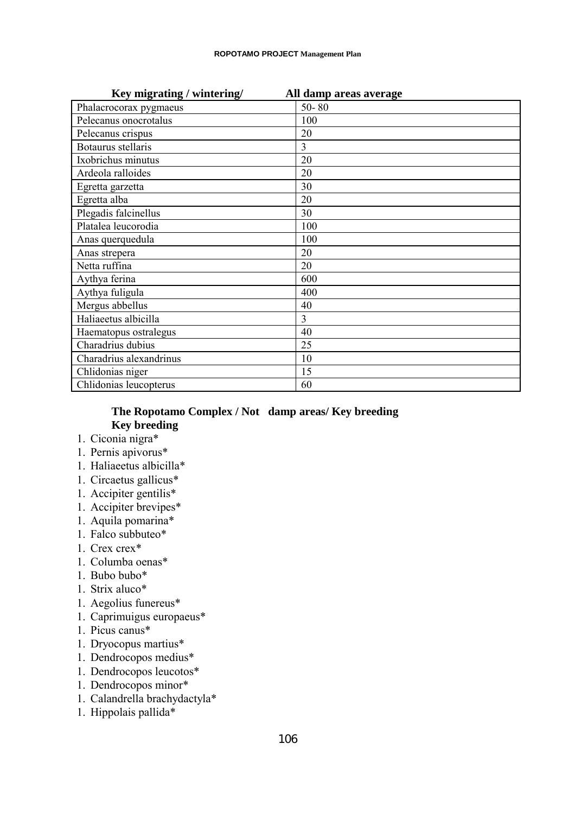| Key migrating / wintering/ | All damp areas average |
|----------------------------|------------------------|
| Phalacrocorax pygmaeus     | $50 - 80$              |
| Pelecanus onocrotalus      | 100                    |
| Pelecanus crispus          | 20                     |
| Botaurus stellaris         | 3                      |
| Ixobrichus minutus         | 20                     |
| Ardeola ralloides          | 20                     |
| Egretta garzetta           | 30                     |
| Egretta alba               | 20                     |
| Plegadis falcinellus       | 30                     |
| Platalea leucorodia        | 100                    |
| Anas querquedula           | 100                    |
| Anas strepera              | 20                     |
| Netta ruffina              | 20                     |
| Aythya ferina              | 600                    |
| Aythya fuligula            | 400                    |
| Mergus abbellus            | 40                     |
| Haliaeetus albicilla       | 3                      |
| Haematopus ostralegus      | 40                     |
| Charadrius dubius          | 25                     |
| Charadrius alexandrinus    | 10                     |
| Chlidonias niger           | 15                     |
| Chlidonias leucopterus     | 60                     |

# **The Ropotamo Complex / Not damp areas/ Key breeding Key breeding**

- 1. Ciconia nigra\*
- 1. Pernis apivorus\*
- 1. Haliaeetus albicilla\*
- 1. Circaetus gallicus\*
- 1. Accipiter gentilis\*
- 1. Accipiter brevipes\*
- 1. Aquila pomarina\*
- 1. Falco subbuteo\*
- 1. Crex crex\*
- 1. Columba oenas\*
- 1. Bubo bubo\*
- 1. Strix aluco\*
- 1. Aegolius funereus\*
- 1. Caprimuigus europaeus\*
- 1. Picus canus\*
- 1. Dryocopus martius\*
- 1. Dendrocopos medius\*
- 1. Dendrocopos leucotos\*
- 1. Dendrocopos minor\*
- 1. Calandrella brachydactyla\*
- 1. Hippolais pallida\*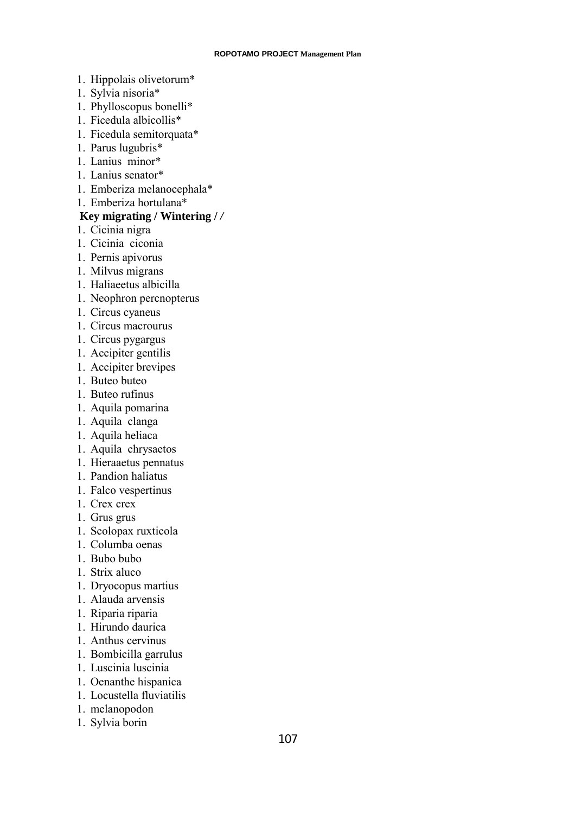- 1. Hippolais olivetorum\*
- 1. Sylvia nisoria\*
- 1. Phylloscopus bonelli\*
- 1. Ficedula albicollis\*
- 1. Ficedula semitorquata\*
- 1. Parus lugubris\*
- 1. Lanius minor\*
- 1. Lanius senator\*
- 1. Emberiza melanocephala\*
- 1. Emberiza hortulana\*

# **Key migrating / Wintering /** */*

- 1. Cicinia nigra
- 1. Cicinia ciconia
- 1. Pernis apivorus
- 1. Milvus migrans
- 1. Haliaeetus albicilla
- 1. Neophron percnopterus
- 1. Circus cyaneus
- 1. Circus macrourus
- 1. Circus pygargus
- 1. Accipiter gentilis
- 1. Accipiter brevipes
- 1. Buteo buteo
- 1. Buteo rufinus
- 1. Aquila pomarina
- 1. Aquila clanga
- 1. Aquila heliaca
- 1. Aquila chrysaetos
- 1. Hieraaetus pennatus
- 1. Pandion haliatus
- 1. Falco vespertinus
- 1. Crex crex
- 1. Grus grus
- 1. Scolopax ruxticola
- 1. Columba oenas
- 1. Bubo bubo
- 1. Strix aluco
- 1. Dryocopus martius
- 1. Alauda arvensis
- 1. Riparia riparia
- 1. Hirundo daurica
- 1. Anthus cervinus
- 1. Bombicilla garrulus
- 1. Luscinia luscinia
- 1. Oenanthe hispanica
- 1. Locustella fluviatilis
- 1. melanopodon
- 1. Sylvia borin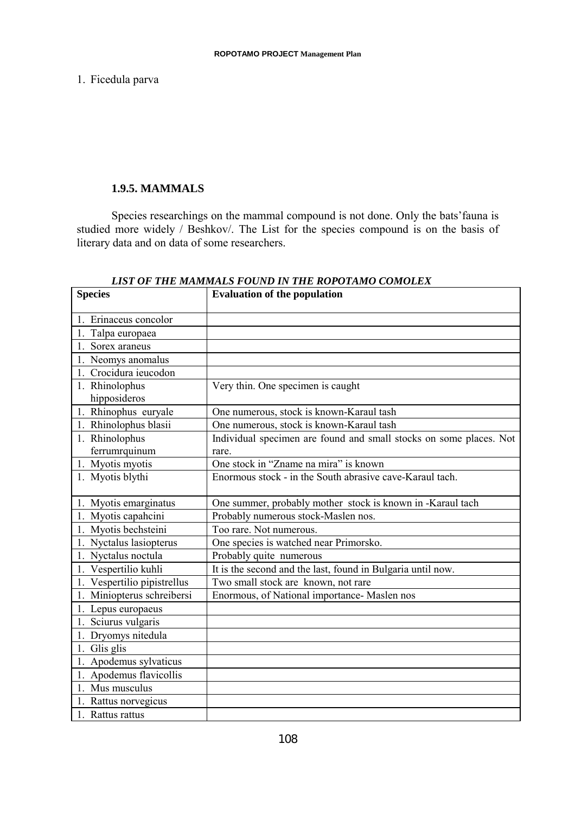1. Ficedula parva

# **1.9.5. MAMMALS**

Species researchings on the mammal compound is not done. Only the bats'fauna is studied more widely / Beshkov/. The List for the species compound is on the basis of literary data and on data of some researchers.

| <b>Species</b>              | <b>Evaluation of the population</b>                                |
|-----------------------------|--------------------------------------------------------------------|
| 1. Erinaceus concolor       |                                                                    |
| 1. Talpa europaea           |                                                                    |
| 1. Sorex araneus            |                                                                    |
| 1. Neomys anomalus          |                                                                    |
| 1. Crocidura ieucodon       |                                                                    |
| 1. Rhinolophus              | Very thin. One specimen is caught                                  |
| hipposideros                |                                                                    |
| 1. Rhinophus euryale        | One numerous, stock is known-Karaul tash                           |
| 1. Rhinolophus blasii       | One numerous, stock is known-Karaul tash                           |
| 1. Rhinolophus              | Individual specimen are found and small stocks on some places. Not |
| ferrumrquinum               | rare.                                                              |
| 1. Myotis myotis            | One stock in "Zname na mira" is known                              |
| 1. Myotis blythi            | Enormous stock - in the South abrasive cave-Karaul tach.           |
| 1. Myotis emarginatus       | One summer, probably mother stock is known in -Karaul tach         |
| 1. Myotis capahcini         | Probably numerous stock-Maslen nos.                                |
| 1. Myotis bechsteini        | $\overline{q}$ rare. Not numerous.                                 |
| 1. Nyctalus lasiopterus     | One species is watched near Primorsko.                             |
| 1. Nyctalus noctula         | Probably quite numerous                                            |
| 1. Vespertilio kuhli        | It is the second and the last, found in Bulgaria until now.        |
| 1. Vespertilio pipistrellus | Two small stock are known, not rare                                |
| 1. Miniopterus schreibersi  | Enormous, of National importance- Maslen nos                       |
| 1. Lepus europaeus          |                                                                    |
| 1. Sciurus vulgaris         |                                                                    |
| 1. Dryomys nitedula         |                                                                    |
| 1. Glis glis                |                                                                    |
| 1. Apodemus sylvaticus      |                                                                    |
| 1. Apodemus flavicollis     |                                                                    |
| 1. Mus musculus             |                                                                    |
| 1. Rattus norvegicus        |                                                                    |
| 1. Rattus rattus            |                                                                    |

# *LIST OF THE MAMMALS FOUND IN THE ROPOTAMO COMOLEX*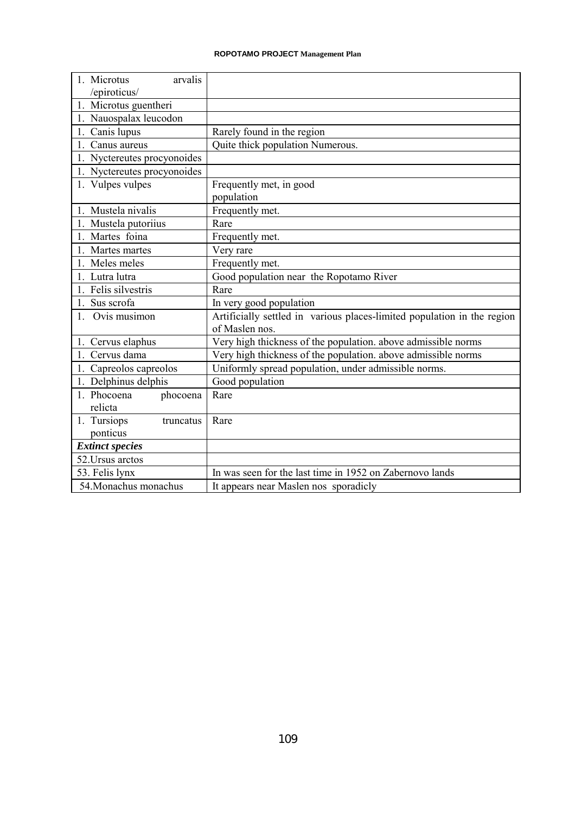| 1. Microtus<br>arvalis      |                                                                         |  |  |  |  |  |  |
|-----------------------------|-------------------------------------------------------------------------|--|--|--|--|--|--|
| /epiroticus/                |                                                                         |  |  |  |  |  |  |
| 1. Microtus guentheri       |                                                                         |  |  |  |  |  |  |
| 1. Nauospalax leucodon      |                                                                         |  |  |  |  |  |  |
| 1. Canis lupus              | Rarely found in the region                                              |  |  |  |  |  |  |
| 1. Canus aureus             | Quite thick population Numerous.                                        |  |  |  |  |  |  |
| 1. Nyctereutes procyonoides |                                                                         |  |  |  |  |  |  |
| 1. Nyctereutes procyonoides |                                                                         |  |  |  |  |  |  |
| 1. Vulpes vulpes            | Frequently met, in good                                                 |  |  |  |  |  |  |
|                             | population                                                              |  |  |  |  |  |  |
| 1. Mustela nivalis          | Frequently met.                                                         |  |  |  |  |  |  |
| 1. Mustela putoriius        | Rare                                                                    |  |  |  |  |  |  |
| 1. Martes foina             | Frequently met.                                                         |  |  |  |  |  |  |
| 1. Martes martes            | Very rare                                                               |  |  |  |  |  |  |
| 1. Meles meles              | Frequently met.                                                         |  |  |  |  |  |  |
| 1. Lutra lutra              | Good population near the Ropotamo River                                 |  |  |  |  |  |  |
| 1. Felis silvestris         | Rare                                                                    |  |  |  |  |  |  |
| 1. Sus scrofa               | In very good population                                                 |  |  |  |  |  |  |
| 1. Ovis musimon             | Artificially settled in various places-limited population in the region |  |  |  |  |  |  |
|                             | of Maslen nos.                                                          |  |  |  |  |  |  |
| 1. Cervus elaphus           | Very high thickness of the population. above admissible norms           |  |  |  |  |  |  |
| 1. Cervus dama              | Very high thickness of the population. above admissible norms           |  |  |  |  |  |  |
| 1. Capreolos capreolos      | Uniformly spread population, under admissible norms.                    |  |  |  |  |  |  |
| 1. Delphinus delphis        | Good population                                                         |  |  |  |  |  |  |
| 1. Phocoena<br>phocoena     | Rare                                                                    |  |  |  |  |  |  |
| relicta                     |                                                                         |  |  |  |  |  |  |
| 1. Tursiops<br>truncatus    | Rare                                                                    |  |  |  |  |  |  |
| ponticus                    |                                                                         |  |  |  |  |  |  |
| <b>Extinct species</b>      |                                                                         |  |  |  |  |  |  |
| 52. Ursus arctos            |                                                                         |  |  |  |  |  |  |
| 53. Felis lynx              | In was seen for the last time in 1952 on Zabernovo lands                |  |  |  |  |  |  |
| 54. Monachus monachus       | It appears near Maslen nos sporadicly                                   |  |  |  |  |  |  |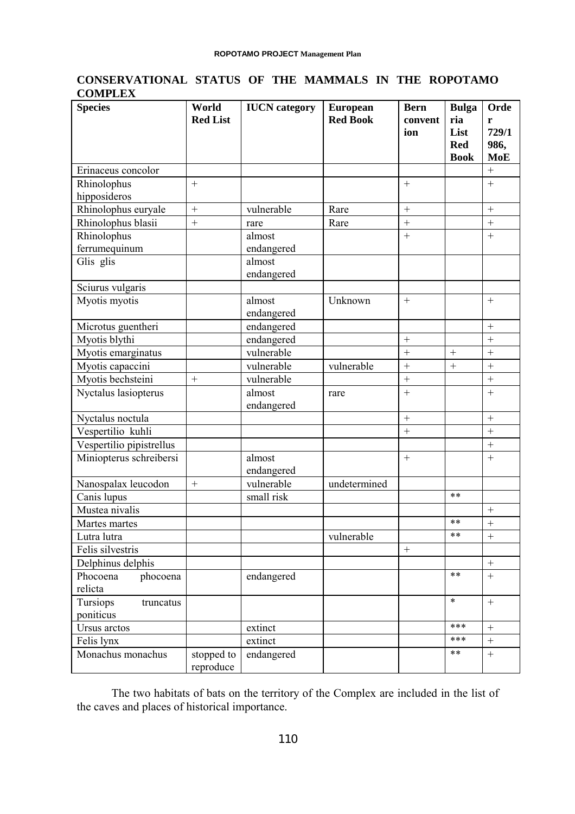# **CONSERVATIONAL STATUS OF THE MAMMALS IN THE ROPOTAMO COMPLEX**

| <b>Species</b>           | World<br><b>Red List</b> | <b>IUCN</b> category | <b>European</b><br><b>Red Book</b> | <b>Bern</b><br>convent<br>ion | <b>Bulga</b><br>ria<br>List | Orde<br>r<br>729/1 |
|--------------------------|--------------------------|----------------------|------------------------------------|-------------------------------|-----------------------------|--------------------|
|                          |                          |                      |                                    |                               | <b>Red</b><br><b>Book</b>   | 986,<br><b>MoE</b> |
| Erinaceus concolor       |                          |                      |                                    |                               |                             | $\! + \!$          |
| Rhinolophus              | $^{+}$                   |                      |                                    | $\! +$                        |                             |                    |
| hipposideros             |                          |                      |                                    |                               |                             |                    |
| Rhinolophus euryale      | $^{+}$                   | vulnerable           | Rare                               | $\ddot{}$                     |                             | $\ddot{}$          |
| Rhinolophus blasii       |                          | rare                 | Rare                               | $^{+}$                        |                             |                    |
| Rhinolophus              |                          | almost               |                                    | $^{+}$                        |                             | $\ddot{}$          |
| ferrumequinum            |                          | endangered           |                                    |                               |                             |                    |
| Glis glis                |                          | almost               |                                    |                               |                             |                    |
|                          |                          | endangered           |                                    |                               |                             |                    |
| Sciurus vulgaris         |                          |                      |                                    |                               |                             |                    |
| Myotis myotis            |                          | almost               | Unknown                            | $\ddot{}$                     |                             | $+$                |
|                          |                          | endangered           |                                    |                               |                             |                    |
| Microtus guentheri       |                          | endangered           |                                    |                               |                             | $^{+}$             |
| Myotis blythi            |                          | endangered           |                                    | $^{+}$                        |                             | $\ddot{}$          |
| Myotis emarginatus       |                          | vulnerable           |                                    | $\ddot{}$                     | $^{+}$                      | $\ddot{}$          |
| Myotis capaccini         |                          | vulnerable           | vulnerable                         | $\ddot{}$                     | $^{+}$                      | $\ddot{}$          |
| Myotis bechsteini        |                          | vulnerable           |                                    | $^{+}$                        |                             |                    |
| Nyctalus lasiopterus     |                          | almost<br>endangered | rare                               | $\! +$                        |                             | $\qquad \qquad +$  |
| Nyctalus noctula         |                          |                      |                                    | $\ddot{}$                     |                             |                    |
| Vespertilio kuhli        |                          |                      |                                    | $^{+}$                        |                             | $^{+}$             |
| Vespertilio pipistrellus |                          |                      |                                    |                               |                             | $\ddot{}$          |
| Miniopterus schreibersi  |                          | almost               |                                    |                               |                             |                    |
|                          |                          | endangered           |                                    |                               |                             |                    |
| Nanospalax leucodon      |                          | vulnerable           | undetermined                       |                               |                             |                    |
| Canis lupus              |                          | small risk           |                                    |                               | $***$                       |                    |
| Mustea nivalis           |                          |                      |                                    |                               |                             | $+$                |
| Martes martes            |                          |                      |                                    |                               | $***$                       | $^{+}$             |
| Lutra lutra              |                          |                      | vulnerable                         |                               | $***$                       |                    |
| Felis silvestris         |                          |                      |                                    | $^{+}$                        |                             |                    |
| Delphinus delphis        |                          |                      |                                    |                               |                             | $\boldsymbol{+}$   |
| Phocoena<br>phocoena     |                          | endangered           |                                    |                               | $***$                       | $+$                |
| relicta                  |                          |                      |                                    |                               |                             |                    |
| Tursiops<br>truncatus    |                          |                      |                                    |                               | $\ast$                      |                    |
| poniticus                |                          |                      |                                    |                               | ***                         |                    |
| Ursus arctos             |                          | extinct              |                                    |                               | ***                         |                    |
| Felis lynx               |                          | extinct              |                                    |                               | $***$                       | $\boldsymbol{+}$   |
| Monachus monachus        | stopped to<br>reproduce  | endangered           |                                    |                               |                             | $\boldsymbol{+}$   |

The two habitats of bats on the territory of the Complex are included in the list of the caves and places of historical importance.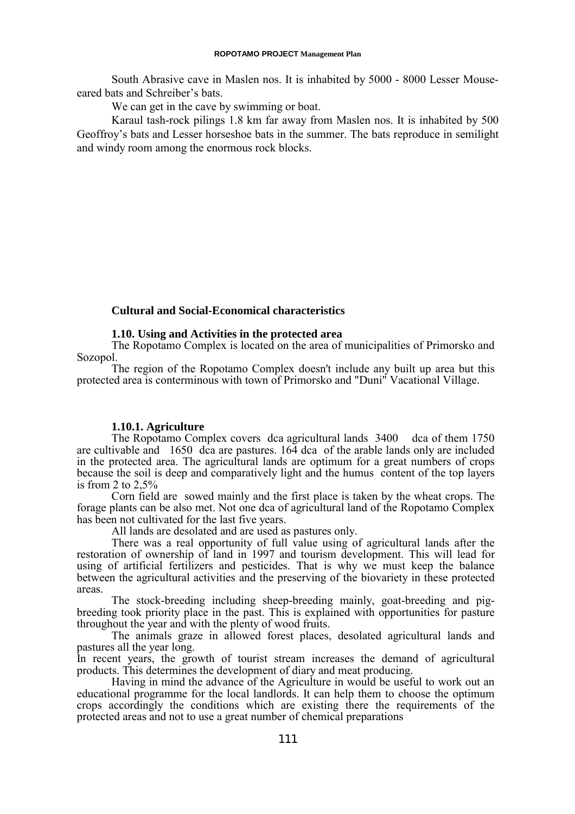#### **ROPOTAMO PROJECT Management Plan**

South Abrasive cave in Maslen nos. It is inhabited by 5000 - 8000 Lesser Mouseeared bats and Schreiber's bats.

We can get in the cave by swimming or boat.

Karaul tash-rock pilings 1.8 km far away from Maslen nos. It is inhabited by 500 Geoffroy's bats and Lesser horseshoe bats in the summer. The bats reproduce in semilight and windy room among the enormous rock blocks.

### **Cultural and Social-Economical characteristics**

### **1.10. Using and Activities in the protected area**

The Ropotamo Complex is located on the area of municipalities of Primorsko and Sozopol.

The region of the Ropotamo Complex doesn't include any built up area but this protected area is conterminous with town of Primorsko and "Duni" Vacational Village.

#### **1.10.1. Agriculture**

The Ropotamo Complex covers dca agricultural lands 3400 dca of them 1750 are cultivable and 1650 dca are pastures. 164 dca of the arable lands only are included in the protected area. The agricultural lands are optimum for a great numbers of crops because the soil is deep and comparatively light and the humus content of the top layers is from 2 to  $2.5%$ 

Corn field are sowed mainly and the first place is taken by the wheat crops. The forage plants can be also met. Not one dca of agricultural land of the Ropotamo Complex has been not cultivated for the last five years.

All lands are desolated and are used as pastures only.

There was a real opportunity of full value using of agricultural lands after the restoration of ownership of land in 1997 and tourism development. This will lead for using of artificial fertilizers and pesticides. That is why we must keep the balance between the agricultural activities and the preserving of the biovariety in these protected areas.

The stock-breeding including sheep-breeding mainly, goat-breeding and pigbreeding took priority place in the past. This is explained with opportunities for pasture throughout the year and with the plenty of wood fruits.

The animals graze in allowed forest places, desolated agricultural lands and pastures all the year long.

In recent years, the growth of tourist stream increases the demand of agricultural products. This determines the development of diary and meat producing.

Having in mind the advance of the Agriculture in would be useful to work out an educational programme for the local landlords. It can help them to choose the optimum crops accordingly the conditions which are existing there the requirements of the protected areas and not to use a great number of chemical preparations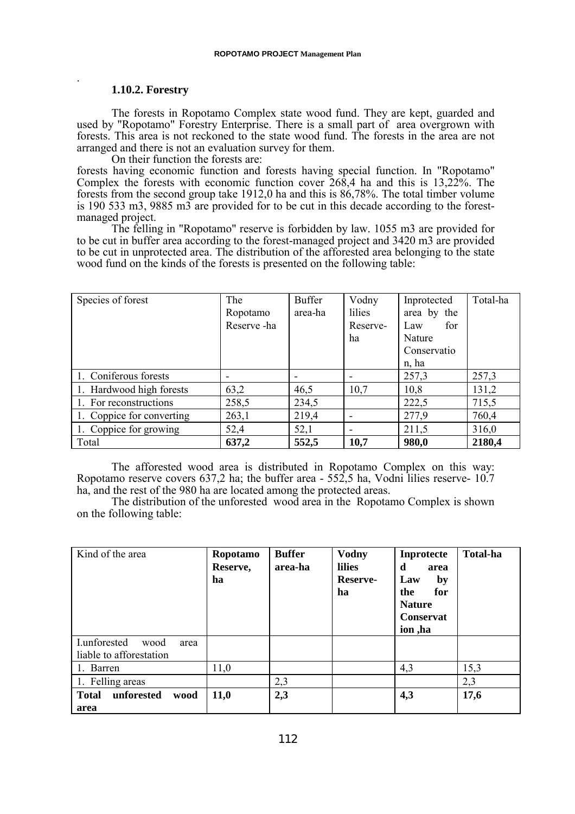#### **1.10.2. Forestry**

.

The forests in Ropotamo Complex state wood fund. They are kept, guarded and used by "Ropotamo" Forestry Enterprise. There is a small part of area overgrown with forests. This area is not reckoned to the state wood fund. The forests in the area are not arranged and there is not an evaluation survey for them.

On their function the forests are:

forests having economic function and forests having special function. In "Ropotamo" Complex the forests with economic function cover 268,4 ha and this is 13,22%. The forests from the second group take 1912,0 ha and this is 86,78%. The total timber volume is 190 533 m3, 9885 m3 are provided for to be cut in this decade according to the forestmanaged project.

The felling in "Ropotamo" reserve is forbidden by law. 1055 m3 are provided for to be cut in buffer area according to the forest-managed project and 3420 m3 are provided to be cut in unprotected area. The distribution of the afforested area belonging to the state wood fund on the kinds of the forests is presented on the following table:

| Species of forest         | The        | <b>Buffer</b> | Vodny                    | Inprotected | Total-ha |
|---------------------------|------------|---------------|--------------------------|-------------|----------|
|                           | Ropotamo   | area-ha       | lilies                   | area by the |          |
|                           | Reserve-ha |               | Reserve-                 | Law<br>for  |          |
|                           |            |               | ha                       | Nature      |          |
|                           |            |               |                          | Conservatio |          |
|                           |            |               |                          | n, ha       |          |
| 1. Coniferous forests     |            |               | ۰                        | 257,3       | 257,3    |
| 1. Hardwood high forests  | 63,2       | 46,5          | 10,7                     | 10,8        | 131,2    |
| 1. For reconstructions    | 258,5      | 234,5         |                          | 222,5       | 715,5    |
| 1. Coppice for converting | 263,1      | 219,4         | $\overline{\phantom{a}}$ | 277,9       | 760,4    |
| 1. Coppice for growing    | 52,4       | 52,1          | $\overline{\phantom{a}}$ | 211,5       | 316,0    |
| Total                     | 637,2      | 552,5         | 10,7                     | 980,0       | 2180,4   |

The afforested wood area is distributed in Ropotamo Complex on this way: Ropotamo reserve covers 637,2 ha; the buffer area - 552,5 ha, Vodni lilies reserve- 10.7 ha, and the rest of the 980 ha are located among the protected areas.

The distribution of the unforested wood area in the Ropotamo Complex is shown on the following table:

| Kind of the area                                        | Ropotamo<br>Reserve,<br>ha | <b>Buffer</b><br>area-ha | <b>Vodny</b><br><b>lilies</b><br>Reserve-<br>ha | Inprotecte<br>d<br>area<br>by<br>Law<br>for<br>the<br><b>Nature</b><br><b>Conservat</b><br>ion, ha | <b>Total-ha</b> |
|---------------------------------------------------------|----------------------------|--------------------------|-------------------------------------------------|----------------------------------------------------------------------------------------------------|-----------------|
| I.unforested<br>wood<br>area<br>liable to afforestation |                            |                          |                                                 |                                                                                                    |                 |
| 1. Barren                                               | 11,0                       |                          |                                                 | 4,3                                                                                                | 15,3            |
| 1. Felling areas                                        |                            | 2,3                      |                                                 |                                                                                                    | 2,3             |
| unforested<br><b>Total</b><br>wood<br>area              | <b>11,0</b>                | 2,3                      |                                                 | 4,3                                                                                                | 17,6            |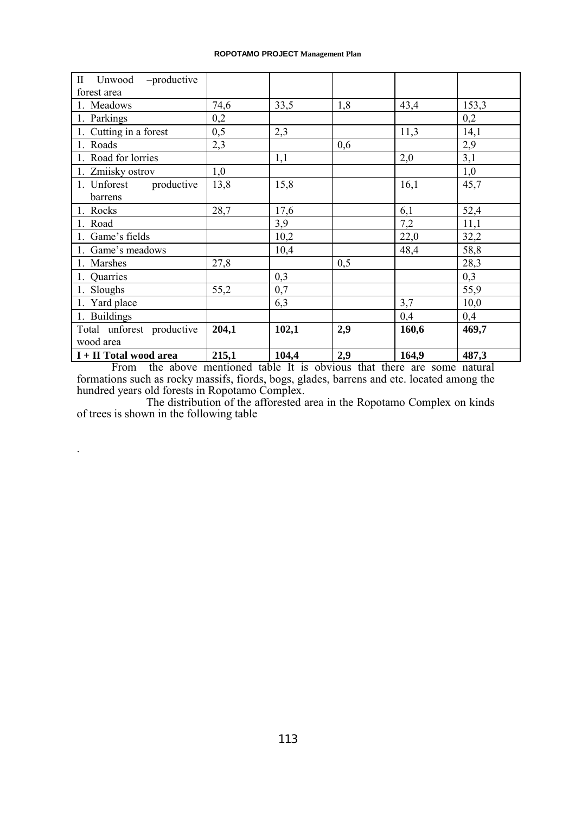#### **ROPOTAMO PROJECT Management Plan**

| $\rm{II}$<br>Unwood – productive |       |       |     |       |       |
|----------------------------------|-------|-------|-----|-------|-------|
| forest area                      |       |       |     |       |       |
| 1. Meadows                       | 74,6  | 33,5  | 1,8 | 43,4  | 153,3 |
| 1. Parkings                      | 0,2   |       |     |       | 0,2   |
| 1. Cutting in a forest           | 0,5   | 2,3   |     | 11,3  | 14,1  |
| 1. Roads                         | 2,3   |       | 0,6 |       | 2,9   |
| 1. Road for lorries              |       | 1,1   |     | 2,0   | 3,1   |
| 1. Zmiisky ostrov                | 1,0   |       |     |       | 1,0   |
| productive<br>1. Unforest        | 13,8  | 15,8  |     | 16,1  | 45,7  |
| barrens                          |       |       |     |       |       |
| 1. Rocks                         | 28,7  | 17,6  |     | 6,1   | 52,4  |
| 1. Road                          |       | 3,9   |     | 7,2   | 11,1  |
| 1. Game's fields                 |       | 10,2  |     | 22,0  | 32,2  |
| 1. Game's meadows                |       | 10,4  |     | 48,4  | 58,8  |
| 1. Marshes                       | 27,8  |       | 0,5 |       | 28,3  |
| 1. Quarries                      |       | 0,3   |     |       | 0,3   |
| 1. Sloughs                       | 55,2  | 0,7   |     |       | 55,9  |
| 1. Yard place                    |       | 6,3   |     | 3,7   | 10,0  |
| 1. Buildings                     |       |       |     | 0,4   | 0,4   |
| Total unforest productive        | 204,1 | 102,1 | 2,9 | 160,6 | 469,7 |
| wood area                        |       |       |     |       |       |
| I + II Total wood area           | 215,1 | 104,4 | 2,9 | 164,9 | 487,3 |

From the above mentioned table It is obvious that there are some natural formations such as rocky massifs, fiords, bogs, glades, barrens and etc. located among the hundred years old forests in Ropotamo Complex.

The distribution of the afforested area in the Ropotamo Complex on kinds of trees is shown in the following table

.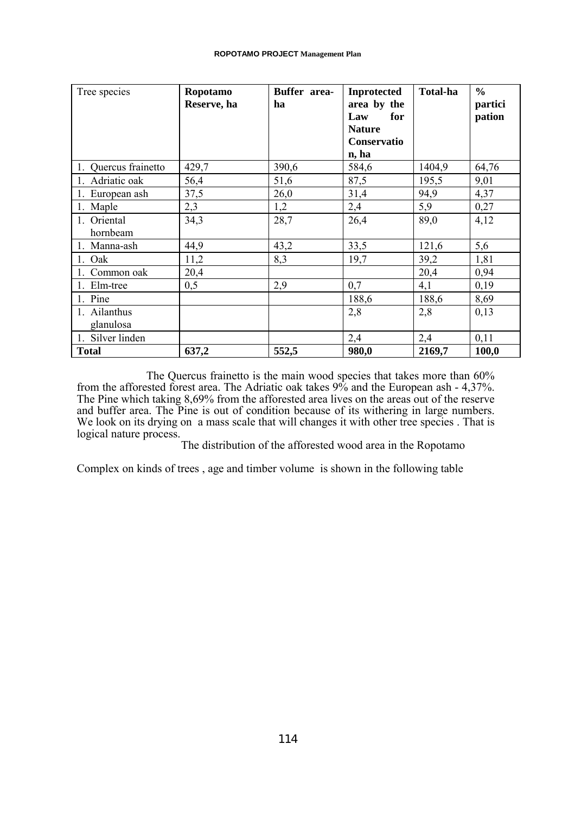| Tree species              | Ropotamo<br>Reserve, ha | Buffer area-<br>ha | <b>Inprotected</b><br>area by the<br>for<br>Law<br><b>Nature</b><br><b>Conservatio</b><br>n, ha | Total-ha | $\frac{0}{0}$<br>partici<br>pation |
|---------------------------|-------------------------|--------------------|-------------------------------------------------------------------------------------------------|----------|------------------------------------|
| 1. Quercus frainetto      | 429,7                   | 390,6              | 584,6                                                                                           | 1404,9   | 64,76                              |
| 1. Adriatic oak           | 56,4                    | 51,6               | 87,5                                                                                            | 195,5    | 9,01                               |
| 1. European ash           | 37,5                    | 26,0               | 31,4                                                                                            | 94,9     | 4,37                               |
| 1. Maple                  | 2,3                     | 1,2                | 2,4                                                                                             | 5,9      | 0,27                               |
| 1. Oriental<br>hornbeam   | 34,3                    | 28,7               | 26,4                                                                                            | 89,0     | 4,12                               |
| 1. Manna-ash              | 44,9                    | 43,2               | 33,5                                                                                            | 121,6    | 5,6                                |
| 1. Oak                    | 11,2                    | 8,3                | 19,7                                                                                            | 39,2     | 1,81                               |
| 1. Common oak             | 20,4                    |                    |                                                                                                 | 20,4     | 0,94                               |
| 1. Elm-tree               | 0,5                     | 2,9                | 0,7                                                                                             | 4,1      | 0,19                               |
| 1. Pine                   |                         |                    | 188,6                                                                                           | 188,6    | 8,69                               |
| 1. Ailanthus<br>glanulosa |                         |                    | 2,8                                                                                             | 2,8      | 0,13                               |
| 1. Silver linden          |                         |                    | 2,4                                                                                             | 2,4      | 0,11                               |
| <b>Total</b>              | 637,2                   | 552,5              | 980,0                                                                                           | 2169,7   | 100,0                              |

The Quercus frainetto is the main wood species that takes more than 60% from the afforested forest area. The Adriatic oak takes 9% and the European ash - 4,37%. The Pine which taking 8,69% from the afforested area lives on the areas out of the reserve and buffer area. The Pine is out of condition because of its withering in large numbers. We look on its drying on a mass scale that will changes it with other tree species. That is logical nature process.

The distribution of the afforested wood area in the Ropotamo

Complex on kinds of trees , age and timber volume is shown in the following table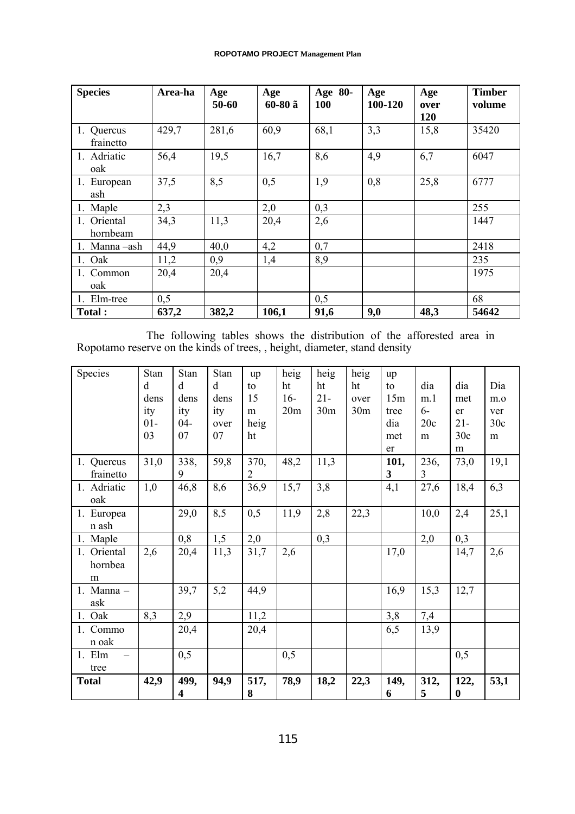| <b>Species</b>          | Area-ha | Age<br>50-60 | Age<br>60-80 ã | Age 80-<br><b>100</b> | Age<br>100-120 | Age<br>over | <b>Timber</b><br>volume |
|-------------------------|---------|--------------|----------------|-----------------------|----------------|-------------|-------------------------|
|                         |         |              |                |                       |                | 120         |                         |
| 1. Quercus<br>frainetto | 429,7   | 281,6        | 60,9           | 68,1                  | 3,3            | 15,8        | 35420                   |
| 1. Adriatic<br>oak      | 56,4    | 19,5         | 16,7           | 8,6                   | 4,9            | 6,7         | 6047                    |
| 1. European<br>ash      | 37,5    | 8,5          | 0,5            | 1,9                   | 0,8            | 25,8        | 6777                    |
| 1. Maple                | 2,3     |              | 2,0            | 0,3                   |                |             | 255                     |
| 1. Oriental<br>hornbeam | 34,3    | 11,3         | 20,4           | 2,6                   |                |             | 1447                    |
| 1. Manna – ash          | 44,9    | 40,0         | 4,2            | 0,7                   |                |             | 2418                    |
| 1. Oak                  | 11,2    | 0,9          | 1,4            | 8,9                   |                |             | 235                     |
| 1. Common               | 20,4    | 20,4         |                |                       |                |             | 1975                    |
| oak                     |         |              |                |                       |                |             |                         |
| 1. Elm-tree             | 0,5     |              |                | 0,5                   |                |             | 68                      |
| <b>Total:</b>           | 637,2   | 382,2        | 106,1          | 91,6                  | 9,0            | 48,3        | 54642                   |

The following tables shows the distribution of the afforested area in Ropotamo reserve on the kinds of trees, , height, diameter, stand density

| Species                     | Stan<br>d<br>dens<br>ity<br>$01-$<br>03 | Stan<br>d<br>dens<br>ity<br>$04 -$<br>07 | Stan<br>d<br>dens<br>ity<br>over<br>07 | up<br>to<br>15<br>m<br>heig<br>ht | heig<br>ht<br>$16-$<br>20m | heig<br>ht<br>$21 -$<br>30 <sub>m</sub> | heig<br>ht<br>over<br>30 <sub>m</sub> | up<br>to<br>15m<br>tree<br>dia<br>met<br>er | dia<br>m <sub>1</sub><br>$6-$<br>20c<br>m | dia<br>met<br>er<br>$21 -$<br>30c<br>m | Dia<br>m.o<br>ver<br>30c<br>m |
|-----------------------------|-----------------------------------------|------------------------------------------|----------------------------------------|-----------------------------------|----------------------------|-----------------------------------------|---------------------------------------|---------------------------------------------|-------------------------------------------|----------------------------------------|-------------------------------|
| 1. Quercus<br>frainetto     | 31,0                                    | 338,<br>9                                | 59,8                                   | 370,<br>2                         | 48,2                       | 11,3                                    |                                       | 101,<br>3                                   | 236,<br>3                                 | 73,0                                   | 19,1                          |
| 1. Adriatic<br>oak          | 1,0                                     | 46,8                                     | 8,6                                    | 36,9                              | 15,7                       | 3,8                                     |                                       | 4,1                                         | 27,6                                      | 18,4                                   | 6,3                           |
| 1. Europea<br>n ash         |                                         | 29,0                                     | 8,5                                    | 0,5                               | 11,9                       | 2,8                                     | 22,3                                  |                                             | 10,0                                      | 2,4                                    | 25,1                          |
| 1. Maple                    |                                         | 0,8                                      | 1,5                                    | 2,0                               |                            | 0,3                                     |                                       |                                             | 2,0                                       | 0,3                                    |                               |
| 1. Oriental<br>hornbea<br>m | 2,6                                     | 20,4                                     | 11,3                                   | 31,7                              | 2,6                        |                                         |                                       | 17,0                                        |                                           | 14,7                                   | 2,6                           |
| 1. Manna $-$<br>ask         |                                         | 39,7                                     | 5,2                                    | 44,9                              |                            |                                         |                                       | 16,9                                        | 15,3                                      | 12,7                                   |                               |
| 1. Oak                      | 8,3                                     | 2,9                                      |                                        | 11,2                              |                            |                                         |                                       | 3,8                                         | 7,4                                       |                                        |                               |
| 1. Commo<br>n oak           |                                         | 20,4                                     |                                        | 20,4                              |                            |                                         |                                       | 6,5                                         | 13,9                                      |                                        |                               |
| 1. Elm<br>tree              |                                         | 0,5                                      |                                        |                                   | 0,5                        |                                         |                                       |                                             |                                           | 0,5                                    |                               |
| <b>Total</b>                | 42,9                                    | 499,<br>4                                | 94,9                                   | 517,<br>8                         | 78,9                       | 18,2                                    | 22,3                                  | 149,<br>6                                   | 312,<br>5                                 | 122,<br>$\boldsymbol{0}$               | 53,1                          |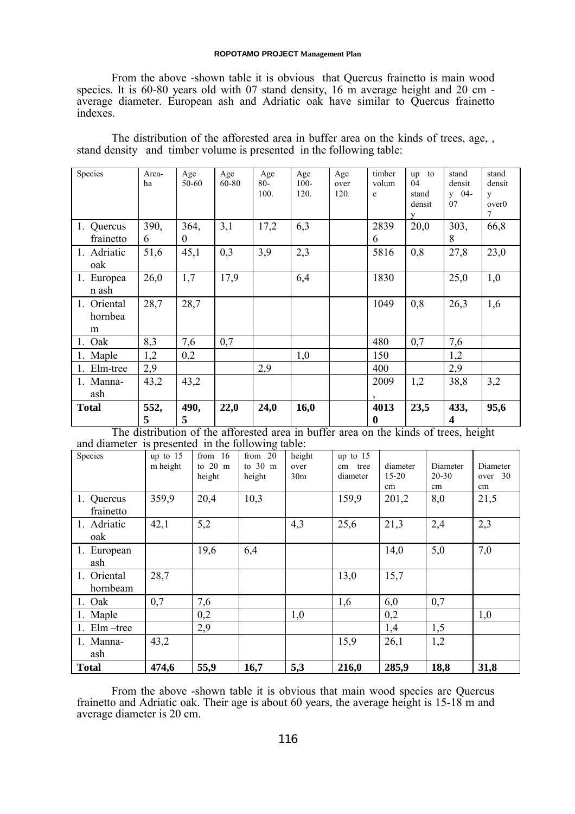#### **ROPOTAMO PROJECT Management Plan**

From the above -shown table it is obvious that Quercus frainetto is main wood species. It is 60-80 years old with 07 stand density, 16 m average height and 20 cm average diameter. European ash and Adriatic oak have similar to Quercus frainetto indexes.

The distribution of the afforested area in buffer area on the kinds of trees, age, , stand density and timber volume is presented in the following table:

| Species                     | Area-<br>ha | Age<br>50-60     | Age<br>60-80 | Age<br>$80 -$<br>100. | Age<br>$100 -$<br>120. | Age<br>over<br>120. | timber<br>volum<br>e     | to<br>up<br>04<br>stand<br>densit<br>V | stand<br>densit<br>$y = 04 -$<br>07 | stand<br>densit<br>y<br>over <sub>0</sub><br>7 |
|-----------------------------|-------------|------------------|--------------|-----------------------|------------------------|---------------------|--------------------------|----------------------------------------|-------------------------------------|------------------------------------------------|
| 1. Quercus<br>frainetto     | 390,<br>6   | 364,<br>$\theta$ | 3,1          | 17,2                  | 6,3                    |                     | 2839<br>6                | 20,0                                   | 303,<br>8                           | 66,8                                           |
| 1. Adriatic<br>oak          | 51,6        | 45,1             | 0,3          | 3,9                   | 2,3                    |                     | 5816                     | 0,8                                    | 27,8                                | 23,0                                           |
| 1. Europea<br>n ash         | 26,0        | 1,7              | 17,9         |                       | 6,4                    |                     | 1830                     |                                        | 25,0                                | 1,0                                            |
| 1. Oriental<br>hornbea<br>m | 28,7        | 28,7             |              |                       |                        |                     | 1049                     | 0,8                                    | 26,3                                | 1,6                                            |
| 1. Oak                      | 8,3         | 7,6              | 0,7          |                       |                        |                     | 480                      | 0,7                                    | 7,6                                 |                                                |
| 1. Maple                    | 1,2         | 0,2              |              |                       | 1,0                    |                     | 150                      |                                        | 1,2                                 |                                                |
| 1. Elm-tree                 | 2,9         |                  |              | 2,9                   |                        |                     | 400                      |                                        | 2,9                                 |                                                |
| 1. Manna-<br>ash            | 43,2        | 43,2             |              |                       |                        |                     | 2009                     | 1,2                                    | 38,8                                | 3,2                                            |
| <b>Total</b>                | 552,<br>5   | 490,<br>5        | 22,0         | 24,0                  | 16,0                   |                     | 4013<br>$\boldsymbol{0}$ | 23,5                                   | 433,<br>4                           | 95,6                                           |

The distribution of the afforested area in buffer area on the kinds of trees, height and diameter is presented in the following table:

| Species                 | up to $15$<br>m height | from $16$<br>to $20 \text{ m}$<br>height | from $20$<br>to $30 \text{ m}$<br>height | height<br>over<br>30 <sub>m</sub> | up to $15$<br>tree<br>cm<br>diameter | diameter<br>$15 - 20$<br>cm | Diameter<br>$20 - 30$<br>cm | Diameter<br>over 30<br>cm |
|-------------------------|------------------------|------------------------------------------|------------------------------------------|-----------------------------------|--------------------------------------|-----------------------------|-----------------------------|---------------------------|
| 1. Quercus<br>frainetto | 359,9                  | 20,4                                     | 10,3                                     |                                   | 159,9                                | 201,2                       | 8,0                         | 21,5                      |
| 1. Adriatic<br>oak      | 42,1                   | 5,2                                      |                                          | 4,3                               | 25,6                                 | 21,3                        | 2,4                         | 2,3                       |
| 1. European<br>ash      |                        | 19,6                                     | 6,4                                      |                                   |                                      | 14,0                        | 5,0                         | 7,0                       |
| 1. Oriental<br>hornbeam | 28,7                   |                                          |                                          |                                   | 13,0                                 | 15,7                        |                             |                           |
| 1. Oak                  | 0,7                    | 7,6                                      |                                          |                                   | 1,6                                  | 6,0                         | 0,7                         |                           |
| 1. Maple                |                        | 0,2                                      |                                          | 1,0                               |                                      | 0,2                         |                             | 1,0                       |
| 1. $Elm$ –tree          |                        | 2,9                                      |                                          |                                   |                                      | 1,4                         | 1,5                         |                           |
| 1. Manna-<br>ash        | 43,2                   |                                          |                                          |                                   | 15,9                                 | 26,1                        | 1,2                         |                           |
| <b>Total</b>            | 474,6                  | 55,9                                     | 16,7                                     | 5,3                               | 216,0                                | 285,9                       | 18,8                        | 31,8                      |

From the above -shown table it is obvious that main wood species are Quercus frainetto and Adriatic oak. Their age is about 60 years, the average height is 15-18 m and average diameter is 20 cm.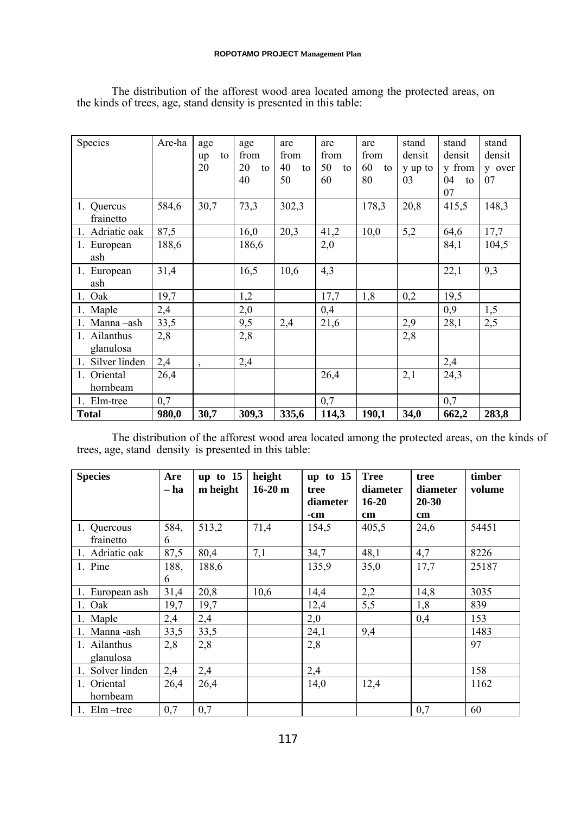| Species             | Are-ha | age     |    | age      | are      | are      | are      | stand   | stand    | stand  |
|---------------------|--------|---------|----|----------|----------|----------|----------|---------|----------|--------|
|                     |        | up      | to | from     | from     | from     | from     | densit  | densit   | densit |
|                     |        | 20      |    | 20<br>to | 40<br>to | 50<br>to | 60<br>to | y up to | y from   | y over |
|                     |        |         |    | 40       | 50       | 60       | 80       | 03      | 04<br>to | 07     |
|                     |        |         |    |          |          |          |          |         | 07       |        |
| 1. Quercus          | 584,6  | 30,7    |    | 73,3     | 302,3    |          | 178,3    | 20,8    | 415,5    | 148,3  |
| frainetto           |        |         |    |          |          |          |          |         |          |        |
| 1. Adriatic oak     | 87,5   |         |    | 16,0     | 20,3     | 41,2     | 10,0     | 5,2     | 64,6     | 17,7   |
| 1. European         | 188,6  |         |    | 186,6    |          | 2,0      |          |         | 84,1     | 104,5  |
| ash                 |        |         |    |          |          |          |          |         |          |        |
| 1. European         | 31,4   |         |    | 16,5     | 10,6     | 4,3      |          |         | 22,1     | 9,3    |
| ash                 |        |         |    |          |          |          |          |         |          |        |
| 1. Oak              | 19,7   |         |    | 1,2      |          | 17,7     | 1,8      | 0,2     | 19,5     |        |
| 1. Maple            | 2,4    |         |    | 2,0      |          | 0,4      |          |         | 0,9      | 1,5    |
| 1. Manna-ash        | 33,5   |         |    | 9,5      | 2,4      | 21,6     |          | 2,9     | 28,1     | 2,5    |
| 1. Ailanthus        | 2,8    |         |    | 2,8      |          |          |          | 2,8     |          |        |
| glanulosa           |        |         |    |          |          |          |          |         |          |        |
| Silver linden<br>1. | 2,4    | $\cdot$ |    | 2,4      |          |          |          |         | 2,4      |        |
| 1. Oriental         | 26,4   |         |    |          |          | 26,4     |          | 2,1     | 24,3     |        |
| hornbeam            |        |         |    |          |          |          |          |         |          |        |
| 1. Elm-tree         | 0,7    |         |    |          |          | 0,7      |          |         | 0,7      |        |
| <b>Total</b>        | 980,0  | 30,7    |    | 309,3    | 335,6    | 114,3    | 190,1    | 34,0    | 662,2    | 283,8  |

The distribution of the afforest wood area located among the protected areas, on the kinds of trees, age, stand density is presented in this table:

The distribution of the afforest wood area located among the protected areas, on the kinds of trees, age, stand density is presented in this table:

| <b>Species</b>            | Are<br>– ha | up to $15$<br>m height | height<br>$16-20$ m | up to $15$<br>tree<br>diameter | <b>Tree</b><br>diameter<br>$16 - 20$ | tree<br>diameter<br>$20 - 30$ | timber<br>volume |
|---------------------------|-------------|------------------------|---------------------|--------------------------------|--------------------------------------|-------------------------------|------------------|
|                           |             |                        |                     | -cm                            | $\mathbf{cm}$                        | $\mathbf{cm}$                 |                  |
| 1. Quercous<br>frainetto  | 584,<br>6   | 513,2                  | 71,4                | 154,5                          | 405,5                                | 24,6                          | 54451            |
| 1. Adriatic oak           | 87,5        | 80,4                   | 7,1                 | 34,7                           | 48,1                                 | 4,7                           | 8226             |
| 1. Pine                   | 188,<br>6   | 188,6                  |                     | 135,9                          | 35,0                                 | 17,7                          | 25187            |
| 1. European ash           | 31,4        | 20,8                   | 10,6                | 14,4                           | 2,2                                  | 14,8                          | 3035             |
| 1. Oak                    | 19,7        | 19,7                   |                     | 12,4                           | 5,5                                  | 1,8                           | 839              |
| 1. Maple                  | 2,4         | 2,4                    |                     | 2,0                            |                                      | 0,4                           | 153              |
| 1. Manna -ash             | 33,5        | 33,5                   |                     | 24,1                           | 9,4                                  |                               | 1483             |
| 1. Ailanthus<br>glanulosa | 2,8         | 2,8                    |                     | 2,8                            |                                      |                               | 97               |
| Solver linden             | 2,4         | 2,4                    |                     | 2,4                            |                                      |                               | 158              |
| Oriental<br>hornbeam      | 26,4        | 26,4                   |                     | 14,0                           | 12,4                                 |                               | 1162             |
| 1. $Elm$ –tree            | 0,7         | 0,7                    |                     |                                |                                      | 0,7                           | 60               |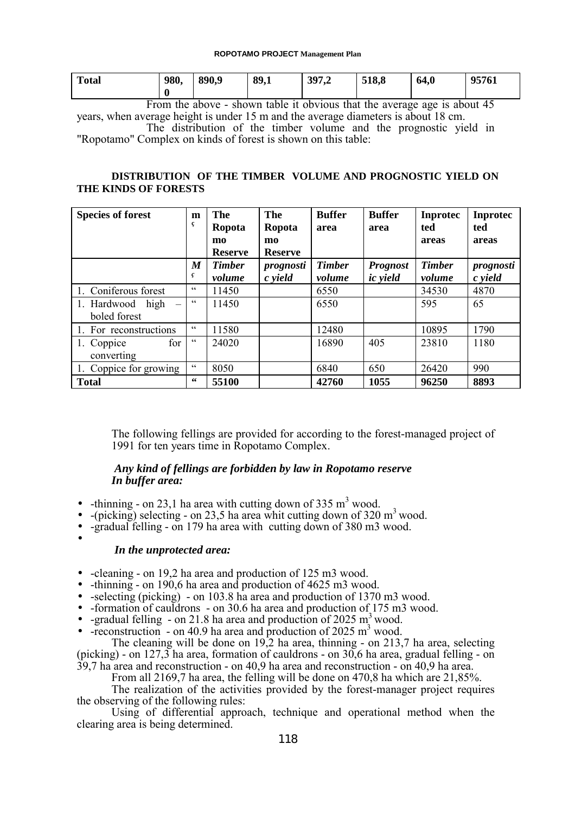| <b>Total</b> | 980, | 890,9 | 89,1 | 397,2 | 518,8 | 64,0 | 95761 |
|--------------|------|-------|------|-------|-------|------|-------|
|              |      |       |      |       |       |      |       |

From the above - shown table it obvious that the average age is about 45 years, when average height is under 15 m and the average diameters is about 18 cm. The distribution of the timber volume and the prognostic yield in "Ropotamo" Complex on kinds of forest is shown on this table:

### **DISTRIBUTION OF THE TIMBER VOLUME AND PROGNOSTIC YIELD ON THE KINDS OF FORESTS**

| <b>Species of forest</b>                        | m<br>ç          | The<br>Ropota          | The<br>Ropota          | <b>Buffer</b><br>area | <b>Buffer</b><br>area | <b>Inprotec</b><br>ted | Inprotec<br>ted |
|-------------------------------------------------|-----------------|------------------------|------------------------|-----------------------|-----------------------|------------------------|-----------------|
|                                                 |                 | $\mathbf{m}\mathbf{o}$ | $\mathbf{m}\mathbf{o}$ |                       |                       | areas                  | areas           |
|                                                 |                 | <b>Reserve</b>         | <b>Reserve</b>         |                       |                       |                        |                 |
|                                                 | M               | <b>Timber</b>          | prognosti              | <b>Timber</b>         | <b>Prognost</b>       | <b>Timber</b>          | prognosti       |
|                                                 | ç               | volume                 | c yield                | volume                | <i>ic</i> yield       | volume                 | c yield         |
| 1. Coniferous forest                            | $\zeta$ $\zeta$ | 11450                  |                        | 6550                  |                       | 34530                  | 4870            |
| 1. Hardwood<br>high<br>$\overline{\phantom{m}}$ | C               | 11450                  |                        | 6550                  |                       | 595                    | 65              |
| boled forest                                    |                 |                        |                        |                       |                       |                        |                 |
| 1. For reconstructions                          | $\zeta$ $\zeta$ | 11580                  |                        | 12480                 |                       | 10895                  | 1790            |
| for<br>1. Coppice                               | C               | 24020                  |                        | 16890                 | 405                   | 23810                  | 1180            |
| converting                                      |                 |                        |                        |                       |                       |                        |                 |
| 1. Coppice for growing                          | C               | 8050                   |                        | 6840                  | 650                   | 26420                  | 990             |
| <b>Total</b>                                    | 66              | 55100                  |                        | 42760                 | 1055                  | 96250                  | 8893            |

The following fellings are provided for according to the forest-managed project of 1991 for ten years time in Ropotamo Complex.

### *Any kind of fellings are forbidden by law in Ropotamo reserve In buffer area:*

- -thinning on 23,1 ha area with cutting down of 335  $m<sup>3</sup>$  wood.
- $-(\text{picking})$  selecting on 23,5 ha area whit cutting down of 320 m<sup>3</sup> wood.
- -gradual felling on 179 ha area with cutting down of 380 m3 wood.
	- *In the unprotected area:*

•

- -cleaning on 19,2 ha area and production of 125 m3 wood.
- -thinning on 190,6 ha area and production of 4625 m3 wood.
- -selecting (picking) on 103.8 ha area and production of 1370 m3 wood.
- -formation of cauldrons on 30.6 ha area and production of 175 m3 wood.
- -gradual felling on 21.8 ha area and production of 2025  $m^3$  wood.
- -reconstruction on 40.9 ha area and production of 2025  $m^3$  wood.

The cleaning will be done on 19,2 ha area, thinning - on 213,7 ha area, selecting (picking) - on 127,3 ha area, formation of cauldrons - on 30,6 ha area, gradual felling - on 39,7 ha area and reconstruction - on 40,9 ha area and reconstruction - on 40,9 ha area.

From all 2169,7 ha area, the felling will be done on 470,8 ha which are 21,85%.

The realization of the activities provided by the forest-manager project requires the observing of the following rules:

Using of differential approach, technique and operational method when the clearing area is being determined.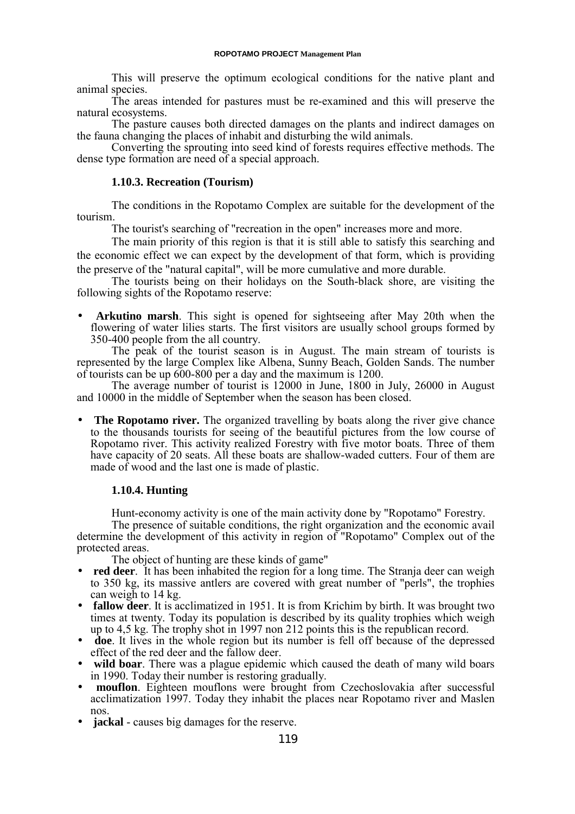This will preserve the optimum ecological conditions for the native plant and animal species.

The areas intended for pastures must be re-examined and this will preserve the natural ecosystems.

The pasture causes both directed damages on the plants and indirect damages on the fauna changing the places of inhabit and disturbing the wild animals.

Converting the sprouting into seed kind of forests requires effective methods. The dense type formation are need of a special approach.

### **1.10.3. Recreation (Tourism)**

The conditions in the Ropotamo Complex are suitable for the development of the tourism.

The tourist's searching of "recreation in the open" increases more and more.

The main priority of this region is that it is still able to satisfy this searching and the economic effect we can expect by the development of that form, which is providing the preserve of the "natural capital", will be more cumulative and more durable.

The tourists being on their holidays on the South-black shore, are visiting the following sights of the Ropotamo reserve:

• **Arkutino marsh**. This sight is opened for sightseeing after May 20th when the flowering of water lilies starts. The first visitors are usually school groups formed by 350-400 people from the all country.

The peak of the tourist season is in August. The main stream of tourists is represented by the large Complex like Albena, Sunny Beach, Golden Sands. The number of tourists can be up 600-800 per a day and the maximum is 1200.

The average number of tourist is 12000 in June, 1800 in July, 26000 in August and 10000 in the middle of September when the season has been closed.

• **The Ropotamo river.** The organized travelling by boats along the river give chance to the thousands tourists for seeing of the beautiful pictures from the low course of Ropotamo river. This activity realized Forestry with five motor boats. Three of them have capacity of 20 seats. All these boats are shallow-waded cutters. Four of them are made of wood and the last one is made of plastic.

### **1.10.4. Hunting**

Hunt-economy activity is one of the main activity done by "Ropotamo" Forestry.

The presence of suitable conditions, the right organization and the economic avail determine the development of this activity in region of "Ropotamo" Complex out of the protected areas.

The object of hunting are these kinds of game"

- **red deer**. It has been inhabited the region for a long time. The Stranja deer can weigh to 350 kg, its massive antlers are covered with great number of "perls", the trophies can weigh to 14 kg.
- **fallow deer**. It is acclimatized in 1951. It is from Krichim by birth. It was brought two times at twenty. Today its population is described by its quality trophies which weigh up to 4,5 kg. The trophy shot in 1997 non 212 points this is the republican record.
- **doe**. It lives in the whole region but its number is fell off because of the depressed effect of the red deer and the fallow deer.
- **wild boar**. There was a plague epidemic which caused the death of many wild boars in 1990. Today their number is restoring gradually.
- **mouflon**. Eighteen mouflons were brought from Czechoslovakia after successful acclimatization 1997. Today they inhabit the places near Ropotamo river and Maslen nos.
- **jackal** causes big damages for the reserve.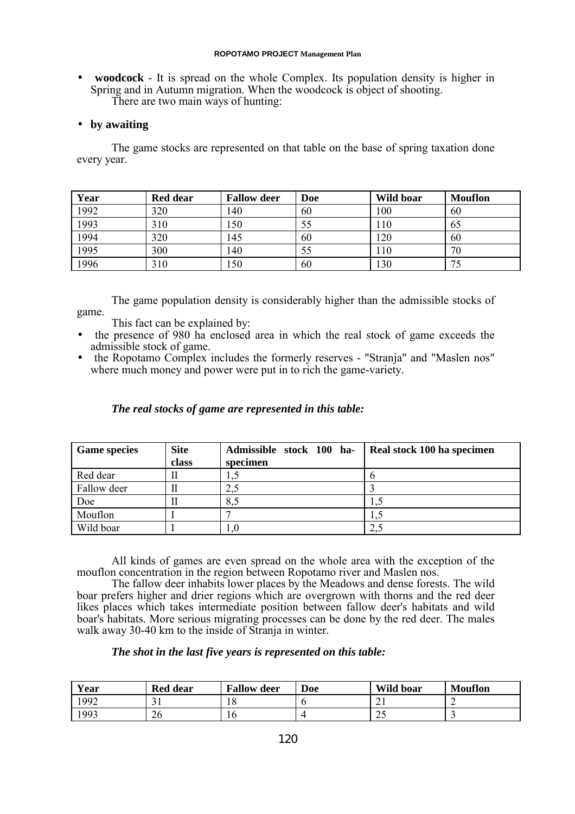#### **ROPOTAMO PROJECT Management Plan**

• **woodcock** - It is spread on the whole Complex. Its population density is higher in Spring and in Autumn migration. When the woodcock is object of shooting. There are two main ways of hunting:

### • **by awaiting**

The game stocks are represented on that table on the base of spring taxation done every year.

| Year | <b>Red dear</b> | <b>Fallow deer</b> | <b>Doe</b> | Wild boar | <b>Mouflon</b> |
|------|-----------------|--------------------|------------|-----------|----------------|
| 1992 | 320             | 140                | 60         | 100       | 60             |
| 1993 | 310             | 150                |            | 10        | 65             |
| 1994 | 320             | 145                | 60         | 120       | 60             |
| 1995 | 300             | 140                |            | 10        | 70             |
| 1996 | 310             | 150                | 60         | 130       | 75             |

The game population density is considerably higher than the admissible stocks of game.

- This fact can be explained by:
- the presence of 980 ha enclosed area in which the real stock of game exceeds the admissible stock of game.
- the Ropotamo Complex includes the formerly reserves "Stranja" and "Maslen nos" where much money and power were put in to rich the game-variety.

### *The real stocks of game are represented in this table:*

| <b>Game species</b> | <b>Site</b> | Admissible stock 100 ha- | Real stock 100 ha specimen |
|---------------------|-------------|--------------------------|----------------------------|
|                     | class       | specimen                 |                            |
| Red dear            |             |                          |                            |
| Fallow deer         |             | 2,5                      |                            |
| Doe                 |             | 8,5                      |                            |
| Mouflon             |             |                          |                            |
| Wild boar           |             |                          | $2$ .                      |

All kinds of games are even spread on the whole area with the exception of the mouflon concentration in the region between Ropotamo river and Maslen nos.

The fallow deer inhabits lower places by the Meadows and dense forests. The wild boar prefers higher and drier regions which are overgrown with thorns and the red deer likes places which takes intermediate position between fallow deer's habitats and wild boar's habitats. More serious migrating processes can be done by the red deer. The males walk away 30-40 km to the inside of Stranja in winter.

### *The shot in the last five years is represented on this table:*

| Year | <b>Red dear</b> | <b>Fallow deer</b> | Doe | Wild boar | <b>Mouflon</b> |
|------|-----------------|--------------------|-----|-----------|----------------|
| '992 | ╯▪              | 10                 |     | ◢         |                |
| 1993 | 26              | 10                 |     | رے        |                |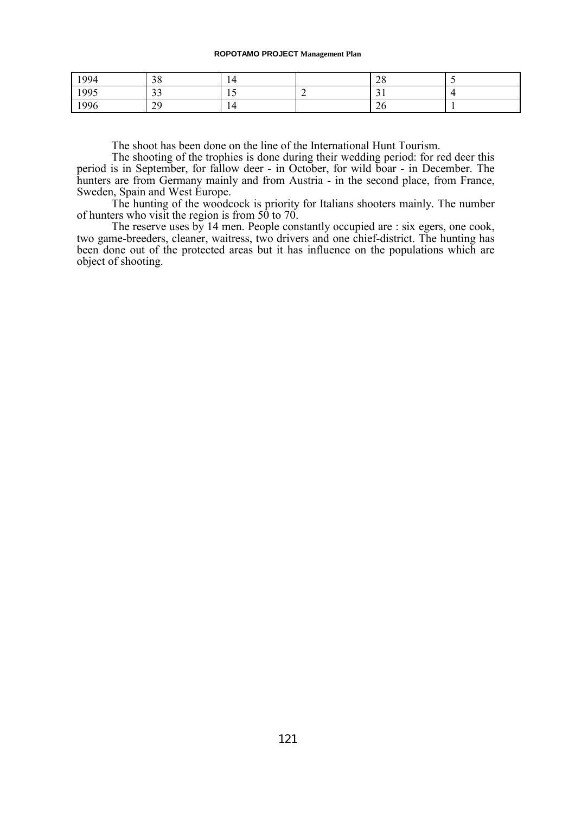#### **ROPOTAMO PROJECT Management Plan**

| 1994 | 38                       |     |          | $\Omega$<br>$\angle 0$ |  |
|------|--------------------------|-----|----------|------------------------|--|
| 1995 | $\mathbf{\Omega}$<br>ر ر |     | <b>_</b> | ັ                      |  |
| 1996 | 29                       | . . |          | ∠∪                     |  |

The shoot has been done on the line of the International Hunt Tourism.

The shooting of the trophies is done during their wedding period: for red deer this period is in September, for fallow deer - in October, for wild boar - in December. The hunters are from Germany mainly and from Austria - in the second place, from France, Sweden, Spain and West Europe.

The hunting of the woodcock is priority for Italians shooters mainly. The number of hunters who visit the region is from 50 to 70.

The reserve uses by 14 men. People constantly occupied are : six egers, one cook, two game-breeders, cleaner, waitress, two drivers and one chief-district. The hunting has been done out of the protected areas but it has influence on the populations which are object of shooting.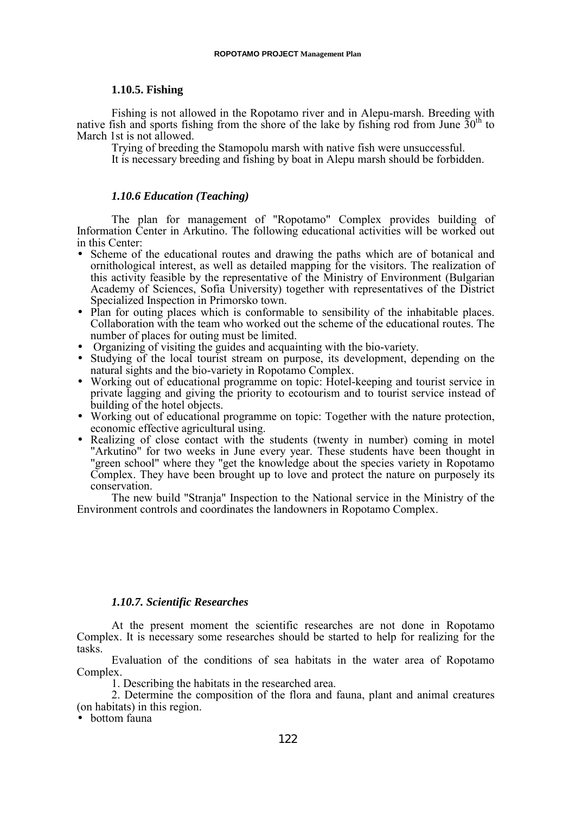#### **1.10.5. Fishing**

Fishing is not allowed in the Ropotamo river and in Alepu-marsh. Breeding with native fish and sports fishing from the shore of the lake by fishing rod from June  $30<sup>th</sup>$  to March 1st is not allowed.

Trying of breeding the Stamopolu marsh with native fish were unsuccessful.

It is necessary breeding and fishing by boat in Alepu marsh should be forbidden.

### *1.10.6 Education (Teaching)*

The plan for management of "Ropotamo" Complex provides building of Information Center in Arkutino. The following educational activities will be worked out in this Center:

- Scheme of the educational routes and drawing the paths which are of botanical and ornithological interest, as well as detailed mapping for the visitors. The realization of this activity feasible by the representative of the Ministry of Environment (Bulgarian Academy of Sciences, Sofia University) together with representatives of the District Specialized Inspection in Primorsko town.
- Plan for outing places which is conformable to sensibility of the inhabitable places. Collaboration with the team who worked out the scheme of the educational routes. The number of places for outing must be limited.
- Organizing of visiting the guides and acquainting with the bio-variety.
- Studying of the local tourist stream on purpose, its development, depending on the natural sights and the bio-variety in Ropotamo Complex.
- Working out of educational programme on topic: Hotel-keeping and tourist service in private lagging and giving the priority to ecotourism and to tourist service instead of building of the hotel objects.
- Working out of educational programme on topic: Together with the nature protection, economic effective agricultural using.
- Realizing of close contact with the students (twenty in number) coming in motel "Arkutino" for two weeks in June every year. These students have been thought in "green school" where they "get the knowledge about the species variety in Ropotamo Complex. They have been brought up to love and protect the nature on purposely its conservation.

The new build "Stranja" Inspection to the National service in the Ministry of the Environment controls and coordinates the landowners in Ropotamo Complex.

### *1.10.7. Scientific Researches*

At the present moment the scientific researches are not done in Ropotamo Complex. It is necessary some researches should be started to help for realizing for the tasks.

Evaluation of the conditions of sea habitats in the water area of Ropotamo Complex.

1. Describing the habitats in the researched area.

2. Determine the composition of the flora and fauna, plant and animal creatures (on habitats) in this region.

• bottom fauna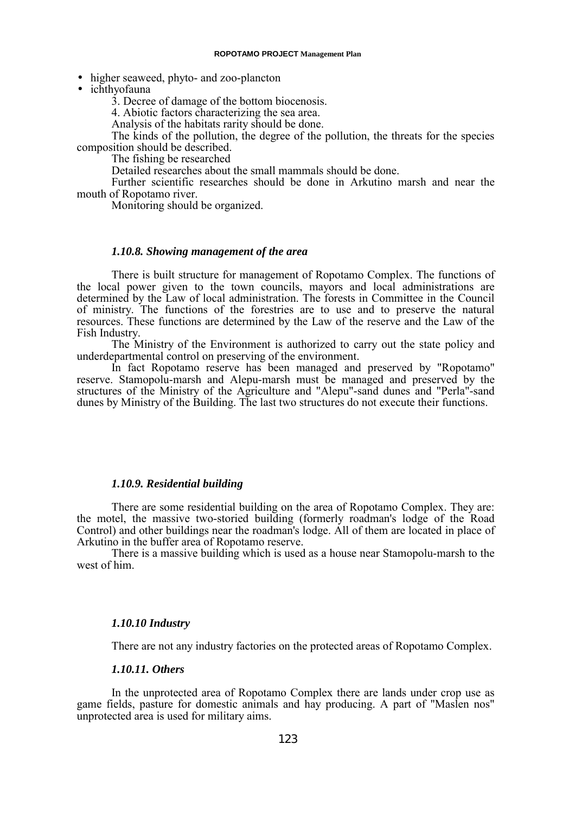- higher seaweed, phyto- and zoo-plancton
- ichthyofauna

3. Decree of damage of the bottom biocenosis.

4. Abiotic factors characterizing the sea area.

Analysis of the habitats rarity should be done.

The kinds of the pollution, the degree of the pollution, the threats for the species composition should be described.

The fishing be researched

Detailed researches about the small mammals should be done.

Further scientific researches should be done in Arkutino marsh and near the mouth of Ropotamo river.

Monitoring should be organized.

### *1.10.8. Showing management of the area*

There is built structure for management of Ropotamo Complex. The functions of the local power given to the town councils, mayors and local administrations are determined by the Law of local administration. The forests in Committee in the Council of ministry. The functions of the forestries are to use and to preserve the natural resources. These functions are determined by the Law of the reserve and the Law of the Fish Industry.

The Ministry of the Environment is authorized to carry out the state policy and underdepartmental control on preserving of the environment.

In fact Ropotamo reserve has been managed and preserved by "Ropotamo" reserve. Stamopolu-marsh and Alepu-marsh must be managed and preserved by the structures of the Ministry of the Agriculture and "Alepu"-sand dunes and "Perla"-sand dunes by Ministry of the Building. The last two structures do not execute their functions.

#### *1.10.9. Residential building*

There are some residential building on the area of Ropotamo Complex. They are: the motel, the massive two-storied building (formerly roadman's lodge of the Road Control) and other buildings near the roadman's lodge. All of them are located in place of Arkutino in the buffer area of Ropotamo reserve.

There is a massive building which is used as a house near Stamopolu-marsh to the west of him.

#### *1.10.10 Industry*

There are not any industry factories on the protected areas of Ropotamo Complex.

#### *1.10.11. Others*

In the unprotected area of Ropotamo Complex there are lands under crop use as game fields, pasture for domestic animals and hay producing. A part of "Maslen nos" unprotected area is used for military aims.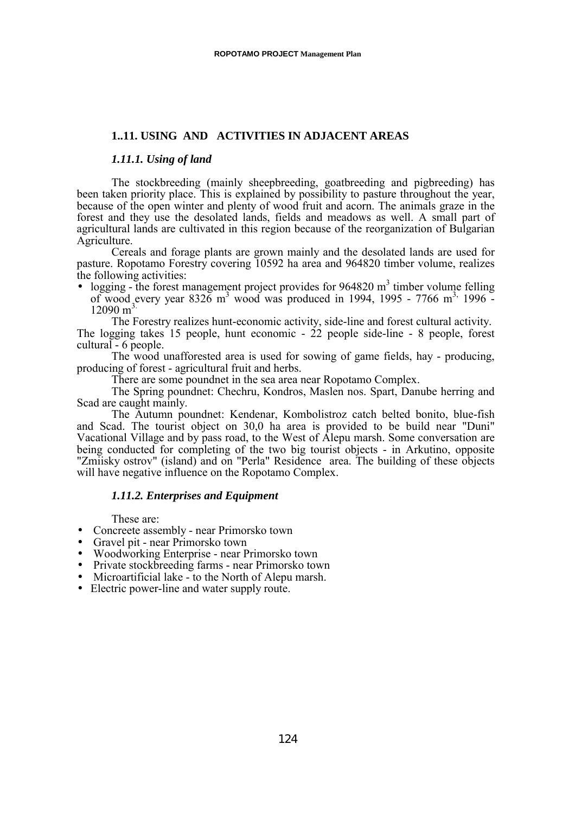### **1..11. USING AND ACTIVITIES IN ADJACENT AREAS**

#### *1.11.1. Using of land*

The stockbreeding (mainly sheepbreeding, goatbreeding and pigbreeding) has been taken priority place. This is explained by possibility to pasture throughout the year, because of the open winter and plenty of wood fruit and acorn. The animals graze in the forest and they use the desolated lands, fields and meadows as well. A small part of agricultural lands are cultivated in this region because of the reorganization of Bulgarian Agriculture.

Cereals and forage plants are grown mainly and the desolated lands are used for pasture. Ropotamo Forestry covering 10592 ha area and 964820 timber volume, realizes the following activities:

 $\bullet$  logging - the forest management project provides for 964820 m<sup>3</sup> timber volume felling of wood every year  $8326 \text{ m}^3$  wood was produced in 1994, 1995 - 7766 m<sup>3,</sup> 1996 - $12090 \text{ m}^3$ 

The Forestry realizes hunt-economic activity, side-line and forest cultural activity. The logging takes 15 people, hunt economic -  $22$  people side-line - 8 people, forest cultural - 6 people.

The wood unafforested area is used for sowing of game fields, hay - producing, producing of forest - agricultural fruit and herbs.

There are some poundnet in the sea area near Ropotamo Complex.

The Spring poundnet: Chechru, Kondros, Maslen nos. Spart, Danube herring and Scad are caught mainly.

The Autumn poundnet: Kendenar, Kombolistroz catch belted bonito, blue-fish and Scad. The tourist object on 30,0 ha area is provided to be build near "Duni" Vacational Village and by pass road, to the West of Alepu marsh. Some conversation are being conducted for completing of the two big tourist objects - in Arkutino, opposite "Zmiisky ostrov" (island) and on "Perla" Residence area. The building of these objects will have negative influence on the Ropotamo Complex.

### *1.11.2. Enterprises and Equipment*

These are:

- Concreete assembly near Primorsko town
- Gravel pit near Primorsko town
- Woodworking Enterprise near Primorsko town
- Private stockbreeding farms near Primorsko town
- Microartificial lake to the North of Alepu marsh.
- Electric power-line and water supply route.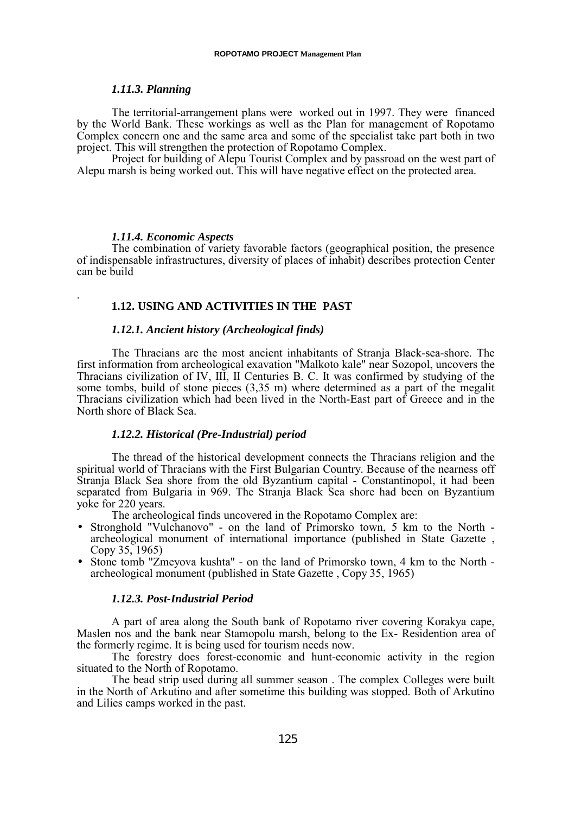### *1.11.3. Planning*

The territorial-arrangement plans were worked out in 1997. They were financed by the World Bank. These workings as well as the Plan for management of Ropotamo Complex concern one and the same area and some of the specialist take part both in two project. This will strengthen the protection of Ropotamo Complex.

Project for building of Alepu Tourist Complex and by passroad on the west part of Alepu marsh is being worked out. This will have negative effect on the protected area.

#### *1.11.4. Economic Aspects*

.

The combination of variety favorable factors (geographical position, the presence of indispensable infrastructures, diversity of places of inhabit) describes protection Center can be build

#### **1.12. USING AND ACTIVITIES IN THE PAST**

### *1.12.1. Ancient history (Archeological finds)*

The Thracians are the most ancient inhabitants of Stranja Black-sea-shore. The first information from archeological exavation "Malkoto kale" near Sozopol, uncovers the Thracians civilization of IV, III, II Centuries B. C. It was confirmed by studying of the some tombs, build of stone pieces (3,35 m) where determined as a part of the megalit Thracians civilization which had been lived in the North-East part of Greece and in the North shore of Black Sea.

### *1.12.2. Historical (Pre-Industrial) period*

The thread of the historical development connects the Thracians religion and the spiritual world of Thracians with the First Bulgarian Country. Because of the nearness off Stranja Black Sea shore from the old Byzantium capital - Constantinopol, it had been separated from Bulgaria in 969. The Stranja Black Sea shore had been on Byzantium yoke for 220 years.

The archeological finds uncovered in the Ropotamo Complex are:

- Stronghold "Vulchanovo" on the land of Primorsko town, 5 km to the North archeological monument of international importance (published in State Gazette , Copy 35, 1965)
- Stone tomb "Zmeyova kushta" on the land of Primorsko town, 4 km to the North archeological monument (published in State Gazette , Copy 35, 1965)

#### *1.12.3. Post-Industrial Period*

A part of area along the South bank of Ropotamo river covering Korakya cape, Maslen nos and the bank near Stamopolu marsh, belong to the Ex- Residention area of the formerly regime. It is being used for tourism needs now.

The forestry does forest-economic and hunt-economic activity in the region situated to the North of Ropotamo.

The bead strip used during all summer season . The complex Colleges were built in the North of Arkutino and after sometime this building was stopped. Both of Arkutino and Lilies camps worked in the past.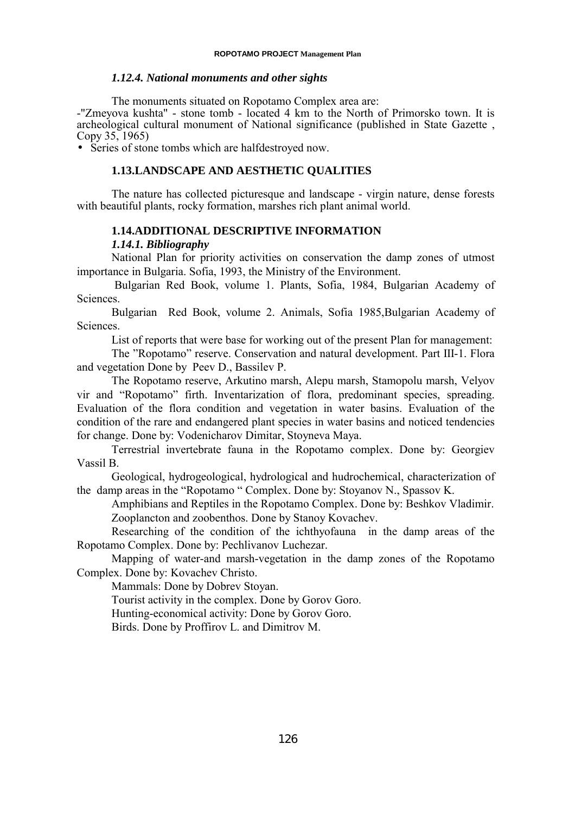#### *1.12.4. National monuments and other sights*

The monuments situated on Ropotamo Complex area are:

-"Zmeyova kushta" - stone tomb - located 4 km to the North of Primorsko town. It is archeological cultural monument of National significance (published in State Gazette , Copy 35, 1965)

• Series of stone tombs which are halfdestroyed now.

### **1.13.LANDSCAPE AND AESTHETIC QUALITIES**

The nature has collected picturesque and landscape - virgin nature, dense forests with beautiful plants, rocky formation, marshes rich plant animal world.

## **1.14.ADDITIONAL DESCRIPTIVE INFORMATION**

### *1.14.1. Bibliography*

National Plan for priority activities on conservation the damp zones of utmost importance in Bulgaria. Sofia, 1993, the Ministry of the Environment.

 Bulgarian Red Book, volume 1. Plants, Sofia, 1984, Bulgarian Academy of Sciences.

Bulgarian Red Book, volume 2. Animals, Sofia 1985,Bulgarian Academy of Sciences.

List of reports that were base for working out of the present Plan for management:

The "Ropotamo" reserve. Conservation and natural development. Part III-1. Flora and vegetation Done by Peev D., Bassilev P.

The Ropotamo reserve, Arkutino marsh, Alepu marsh, Stamopolu marsh, Velyov vir and "Ropotamo" firth. Inventarization of flora, predominant species, spreading. Evaluation of the flora condition and vegetation in water basins. Evaluation of the condition of the rare and endangered plant species in water basins and noticed tendencies for change. Done by: Vodenicharov Dimitar, Stoyneva Maya.

Terrestrial invertebrate fauna in the Ropotamo complex. Done by: Georgiev Vassil B.

Geological, hydrogeological, hydrological and hudrochemical, characterization of the damp areas in the "Ropotamo " Complex. Done by: Stoyanov N., Spassov K.

Amphibians and Reptiles in the Ropotamo Complex. Done by: Beshkov Vladimir. Zooplancton and zoobenthos. Done by Stanoy Kovachev.

Researching of the condition of the ichthyofauna in the damp areas of the Ropotamo Complex. Done by: Pechlivanov Luchezar.

Mapping of water-and marsh-vegetation in the damp zones of the Ropotamo Complex. Done by: Kovachev Christo.

Mammals: Done by Dobrev Stoyan.

Tourist activity in the complex. Done by Gorov Goro.

Hunting-economical activity: Done by Gorov Goro.

Birds. Done by Proffirov L. and Dimitrov M.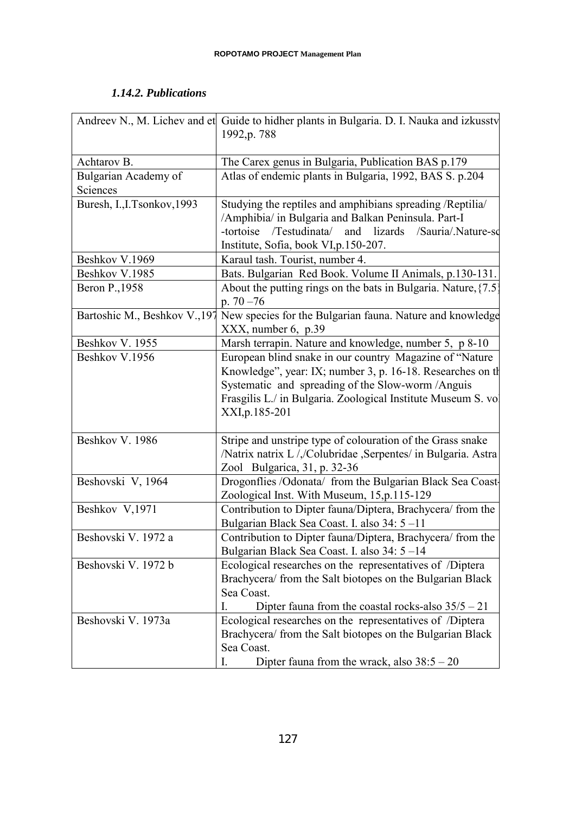# *1.14.2. Publications*

|                                  | Andreev N., M. Lichev and et Guide to hidher plants in Bulgaria. D. I. Nauka and izkusstv<br>1992, p. 788                                                                                                                                                        |
|----------------------------------|------------------------------------------------------------------------------------------------------------------------------------------------------------------------------------------------------------------------------------------------------------------|
| Achtarov B.                      | The Carex genus in Bulgaria, Publication BAS p.179                                                                                                                                                                                                               |
| Bulgarian Academy of<br>Sciences | Atlas of endemic plants in Bulgaria, 1992, BAS S. p.204                                                                                                                                                                                                          |
| Buresh, I., I.Tsonkov, 1993      | Studying the reptiles and amphibians spreading /Reptilia/<br>/Amphibia/ in Bulgaria and Balkan Peninsula. Part-I<br>-tortoise /Testudinata/<br>and<br>lizards<br>/Sauria/.Nature-sc<br>Institute, Sofia, book VI, p.150-207.                                     |
| Beshkov V.1969                   | Karaul tash. Tourist, number 4.                                                                                                                                                                                                                                  |
| Beshkov V.1985                   | Bats. Bulgarian Red Book. Volume II Animals, p.130-131.                                                                                                                                                                                                          |
| Beron P., 1958                   | About the putting rings on the bats in Bulgaria. Nature, $\{7.5\}$<br>p. $70 - 76$                                                                                                                                                                               |
| Bartoshic M., Beshkov V., 197    | New species for the Bulgarian fauna. Nature and knowledge<br>$XXX$ , number 6, p.39                                                                                                                                                                              |
| Beshkov V. 1955                  | Marsh terrapin. Nature and knowledge, number 5, p 8-10                                                                                                                                                                                                           |
| Beshkov V.1956                   | European blind snake in our country Magazine of "Nature"<br>Knowledge", year: IX; number 3, p. 16-18. Researches on the<br>Systematic and spreading of the Slow-worm /Anguis<br>Frasgilis L./ in Bulgaria. Zoological Institute Museum S. vol<br>XXI, p. 185-201 |
| Beshkov V. 1986                  | Stripe and unstripe type of colouration of the Grass snake<br>/Natrix natrix L//Colubridae , Serpentes/ in Bulgaria. Astra<br>Zool Bulgarica, 31, p. 32-36                                                                                                       |
| Beshovski V, 1964                | Drogonflies /Odonata/ from the Bulgarian Black Sea Coast-<br>Zoological Inst. With Museum, 15, p.115-129                                                                                                                                                         |
| Beshkov V,1971                   | Contribution to Dipter fauna/Diptera, Brachycera/ from the<br>Bulgarian Black Sea Coast. I. also 34: 5-11                                                                                                                                                        |
| Beshovski V. 1972 a              | Contribution to Dipter fauna/Diptera, Brachycera/ from the<br>Bulgarian Black Sea Coast. I. also 34: 5-14                                                                                                                                                        |
| Beshovski V. 1972 b              | Ecological researches on the representatives of /Diptera<br>Brachycera/ from the Salt biotopes on the Bulgarian Black<br>Sea Coast.<br>Dipter fauna from the coastal rocks-also $35/5 - 21$<br>L                                                                 |
| Beshovski V. 1973a               | Ecological researches on the representatives of /Diptera<br>Brachycera/ from the Salt biotopes on the Bulgarian Black<br>Sea Coast.<br>Dipter fauna from the wrack, also $38:5 - 20$<br>I.                                                                       |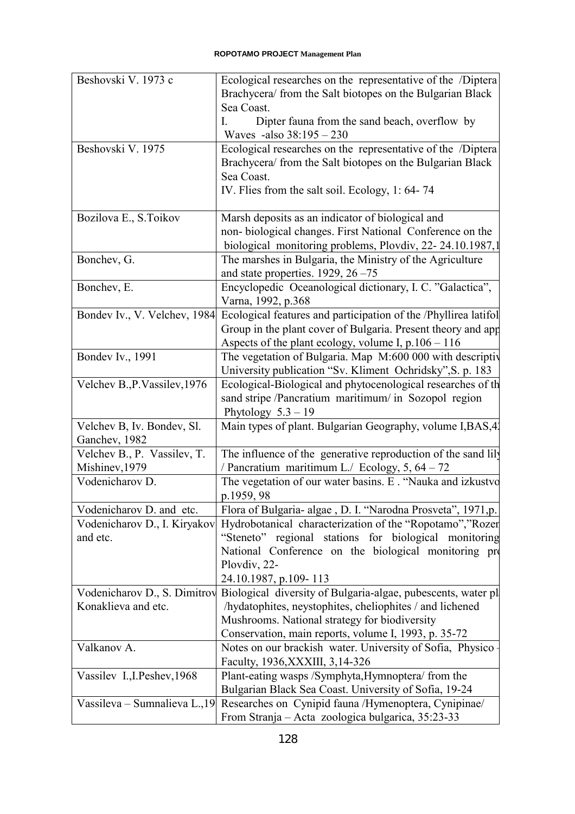| Beshovski V. 1973 c           | Ecological researches on the representative of the /Diptera                                                   |
|-------------------------------|---------------------------------------------------------------------------------------------------------------|
|                               | Brachycera/ from the Salt biotopes on the Bulgarian Black                                                     |
|                               | Sea Coast.                                                                                                    |
|                               | Dipter fauna from the sand beach, overflow by<br>I.                                                           |
|                               | Waves -also 38:195 - 230                                                                                      |
| Beshovski V. 1975             | Ecological researches on the representative of the /Diptera                                                   |
|                               | Brachycera/ from the Salt biotopes on the Bulgarian Black                                                     |
|                               | Sea Coast.                                                                                                    |
|                               | IV. Flies from the salt soil. Ecology, 1: 64-74                                                               |
| Bozilova E., S. Toikov        | Marsh deposits as an indicator of biological and                                                              |
|                               | non-biological changes. First National Conference on the                                                      |
|                               | biological monitoring problems, Plovdiv, 22-24.10.1987,1                                                      |
| Bonchev, G.                   | The marshes in Bulgaria, the Ministry of the Agriculture                                                      |
|                               | and state properties. $1929, 26 - 75$                                                                         |
| Bonchev, E.                   | Encyclopedic Oceanological dictionary, I. C. "Galactica",                                                     |
|                               | Varna, 1992, p.368                                                                                            |
| Bondev Iv., V. Velchev, 1984  | Ecological features and participation of the /Phyllirea latifol                                               |
|                               | Group in the plant cover of Bulgaria. Present theory and app                                                  |
|                               | Aspects of the plant ecology, volume I, $p.106 - 116$                                                         |
| Bondev Iv., 1991              | The vegetation of Bulgaria. Map M:600 000 with descriptive                                                    |
|                               | University publication "Sv. Kliment Ochridsky", S. p. 183                                                     |
| Velchev B., P. Vassilev, 1976 | Ecological-Biological and phytocenological researches of th                                                   |
|                               | sand stripe /Pancratium maritimum/ in Sozopol region                                                          |
|                               | Phytology $5.3 - 19$                                                                                          |
| Velchev B, Iv. Bondev, Sl.    | Main types of plant. Bulgarian Geography, volume I, BAS, 42                                                   |
| Ganchev, 1982                 |                                                                                                               |
| Velchev B., P. Vassilev, T.   | The influence of the generative reproduction of the sand lily                                                 |
| Mishinev, 1979                | / Pancratium maritimum L./ Ecology, 5, 64 - 72                                                                |
| Vodenicharov D.               | The vegetation of our water basins. E . "Nauka and izkustvo                                                   |
|                               | p.1959, 98                                                                                                    |
| Vodenicharov D. and etc.      | Flora of Bulgaria- algae, D. I. "Narodna Prosveta", 1971,p.                                                   |
| Vodenicharov D., I. Kiryakov  | Hydrobotanical characterization of the "Ropotamo","Rozen                                                      |
| and etc.                      | "Steneto" regional stations for biological monitoring<br>National Conference on the biological monitoring pro |
|                               | Plovdiv, 22-                                                                                                  |
|                               | 24.10.1987, p.109-113                                                                                         |
| Vodenicharov D., S. Dimitrov  | Biological diversity of Bulgaria-algae, pubescents, water pl                                                  |
| Konaklieva and etc.           | /hydatophites, neystophites, cheliophites / and lichened                                                      |
|                               | Mushrooms. National strategy for biodiversity                                                                 |
|                               | Conservation, main reports, volume I, 1993, p. 35-72                                                          |
| Valkanov A.                   | Notes on our brackish water. University of Sofia, Physico                                                     |
|                               | Faculty, 1936, XXXIII, 3, 14-326                                                                              |
| Vassilev I., I. Peshev, 1968  | Plant-eating wasps /Symphyta, Hymnoptera/ from the                                                            |
|                               | Bulgarian Black Sea Coast. University of Sofia, 19-24                                                         |
| Vassileva – Sumnalieva L., 19 | Researches on Cynipid fauna /Hymenoptera, Cynipinae/                                                          |
|                               | From Stranja – Acta zoologica bulgarica, 35:23-33                                                             |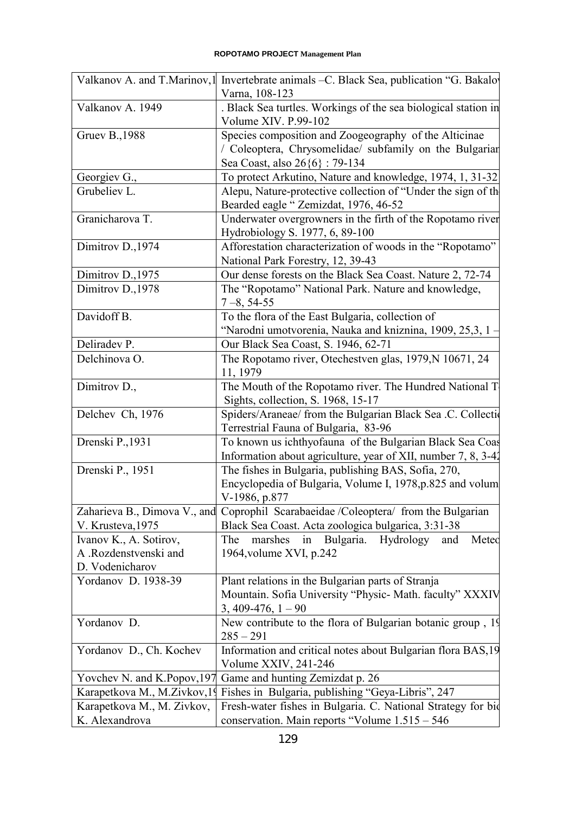|                              | Valkanov A. and T.Marinov, I Invertebrate animals -C. Black Sea, publication "G. Bakalov              |
|------------------------------|-------------------------------------------------------------------------------------------------------|
|                              | Varna, 108-123                                                                                        |
| Valkanov A. 1949             | . Black Sea turtles. Workings of the sea biological station in<br>Volume XIV. P.99-102                |
|                              |                                                                                                       |
| <b>Gruev B., 1988</b>        | Species composition and Zoogeography of the Alticinae                                                 |
|                              | / Coleoptera, Chrysomelidae/ subfamily on the Bulgarian                                               |
|                              | Sea Coast, also 26{6}: 79-134                                                                         |
| Georgiev G.,                 | To protect Arkutino, Nature and knowledge, 1974, 1, 31-32                                             |
| Grubeliev L.                 | Alepu, Nature-protective collection of "Under the sign of the<br>Bearded eagle "Zemizdat, 1976, 46-52 |
| Granicharova T.              | Underwater overgrowners in the firth of the Ropotamo river                                            |
|                              | Hydrobiology S. 1977, 6, 89-100                                                                       |
| Dimitrov D., 1974            | Afforestation characterization of woods in the "Ropotamo"                                             |
|                              | National Park Forestry, 12, 39-43                                                                     |
| Dimitrov D., 1975            | Our dense forests on the Black Sea Coast. Nature 2, 72-74                                             |
| Dimitrov D., 1978            | The "Ropotamo" National Park. Nature and knowledge,                                                   |
|                              | $7 - 8, 54 - 55$                                                                                      |
| Davidoff B.                  | To the flora of the East Bulgaria, collection of                                                      |
|                              | "Narodni umotvorenia, Nauka and kniznina, 1909, 25,3, 1-                                              |
| Deliradev P.                 |                                                                                                       |
|                              | Our Black Sea Coast, S. 1946, 62-71                                                                   |
| Delchinova O.                | The Ropotamo river, Otechestven glas, 1979, N 10671, 24<br>11, 1979                                   |
| Dimitrov D.,                 | The Mouth of the Ropotamo river. The Hundred National T                                               |
|                              | Sights, collection, S. 1968, 15-17                                                                    |
| Delchev Ch, 1976             | Spiders/Araneae/ from the Bulgarian Black Sea .C. Collection                                          |
|                              | Terrestrial Fauna of Bulgaria, 83-96                                                                  |
| Drenski P., 1931             | To known us ichthyofauna of the Bulgarian Black Sea Coas                                              |
|                              | Information about agriculture, year of XII, number 7, 8, 3-42                                         |
| Drenski P., 1951             | The fishes in Bulgaria, publishing BAS, Sofia, 270,                                                   |
|                              | Encyclopedia of Bulgaria, Volume I, 1978, p.825 and volum                                             |
|                              | V-1986, p.877                                                                                         |
| Zaharieva B., Dimova V., and | Coprophil Scarabaeidae /Coleoptera/ from the Bulgarian                                                |
|                              |                                                                                                       |
| V. Krusteva, 1975            | Black Sea Coast. Acta zoologica bulgarica, 3:31-38                                                    |
| Ivanov K., A. Sotirov,       | in Bulgaria. Hydrology<br>The<br>marshes<br>and<br>Meteo                                              |
| A .Rozdenstvenski and        | 1964, volume XVI, p.242                                                                               |
| D. Vodenicharov              |                                                                                                       |
| Yordanov D. 1938-39          | Plant relations in the Bulgarian parts of Stranja                                                     |
|                              | Mountain. Sofia University "Physic- Math. faculty" XXXIV                                              |
|                              | $3,409-476,1-90$                                                                                      |
| Yordanov D.                  | New contribute to the flora of Bulgarian botanic group, 19                                            |
|                              | $285 - 291$                                                                                           |
| Yordanov D., Ch. Kochev      | Information and critical notes about Bulgarian flora BAS, 19                                          |
|                              | Volume XXIV, 241-246                                                                                  |
| Yovchev N. and K.Popov, 197  | Game and hunting Zemizdat p. 26                                                                       |
| Karapetkova M., M.Zivkov, 19 | Fishes in Bulgaria, publishing "Geya-Libris", 247                                                     |
| Karapetkova M., M. Zivkov,   | Fresh-water fishes in Bulgaria. C. National Strategy for bio                                          |
| K. Alexandrova               |                                                                                                       |
|                              | conservation. Main reports "Volume 1.515 - 546                                                        |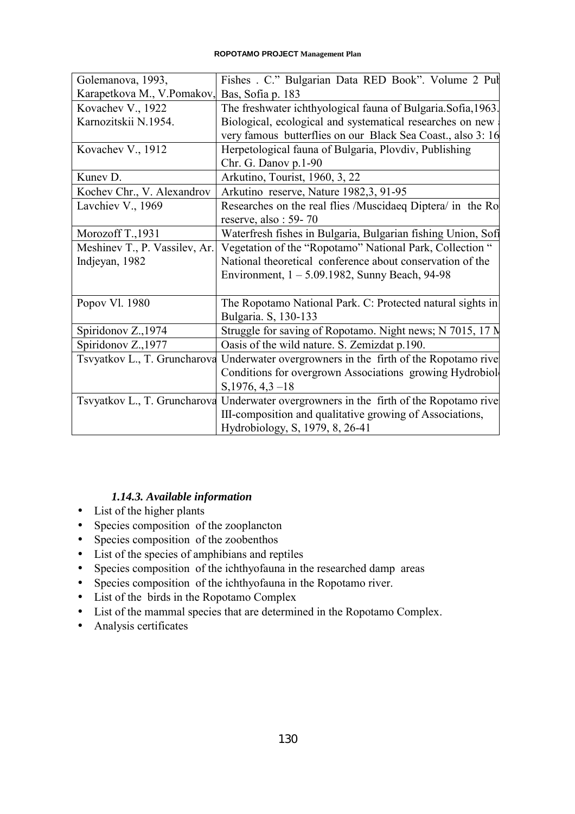| Golemanova, 1993,             | Fishes . C." Bulgarian Data RED Book". Volume 2 Pul                                    |
|-------------------------------|----------------------------------------------------------------------------------------|
| Karapetkova M., V.Pomakov,    | Bas, Sofia p. 183                                                                      |
| Kovachev V., 1922             | The freshwater ichthyological fauna of Bulgaria.Sofia,1963.                            |
| Karnozitskii N.1954.          | Biological, ecological and systematical researches on new                              |
|                               | very famous butterflies on our Black Sea Coast., also 3: 16                            |
| Kovachev V., 1912             | Herpetological fauna of Bulgaria, Plovdiv, Publishing                                  |
|                               | Chr. G. Danov p.1-90                                                                   |
| Kunev D.                      | Arkutino, Tourist, 1960, 3, 22                                                         |
| Kochev Chr., V. Alexandrov    | Arkutino reserve, Nature 1982, 3, 91-95                                                |
| Lavchiev V., 1969             | Researches on the real flies /Muscidaeq Diptera/ in the Ro                             |
|                               | reserve, also: 59-70                                                                   |
| Morozoff T., 1931             | Waterfresh fishes in Bulgaria, Bulgarian fishing Union, Sofi                           |
| Meshinev T., P. Vassilev, Ar. | Vegetation of the "Ropotamo" National Park, Collection "                               |
| Indjeyan, 1982                | National theoretical conference about conservation of the                              |
|                               | Environment, $1 - 5.09.1982$ , Sunny Beach, 94-98                                      |
|                               |                                                                                        |
| Popov Vl. 1980                | The Ropotamo National Park. C: Protected natural sights in                             |
|                               | Bulgaria. S, 130-133                                                                   |
| Spiridonov Z., 1974           | Struggle for saving of Ropotamo. Night news; N 7015, 17 N                              |
| Spiridonov Z., 1977           | Oasis of the wild nature. S. Zemizdat p.190.                                           |
| Tsvyatkov L., T. Gruncharova  | Underwater overgrowners in the firth of the Ropotamo rive                              |
|                               | Conditions for overgrown Associations growing Hydrobiole                               |
|                               | $S$ , 1976, 4, 3 - 18                                                                  |
|                               | Tsvyatkov L., T. Gruncharova Underwater overgrowners in the firth of the Ropotamo rive |
|                               | III-composition and qualitative growing of Associations,                               |
|                               | Hydrobiology, S, 1979, 8, 26-41                                                        |

# *1.14.3. Available information*

- List of the higher plants
- Species composition of the zooplancton
- Species composition of the zoobenthos
- List of the species of amphibians and reptiles
- Species composition of the ichthyofauna in the researched damp areas
- Species composition of the ichthyofauna in the Ropotamo river.
- List of the birds in the Ropotamo Complex
- List of the mammal species that are determined in the Ropotamo Complex.
- Analysis certificates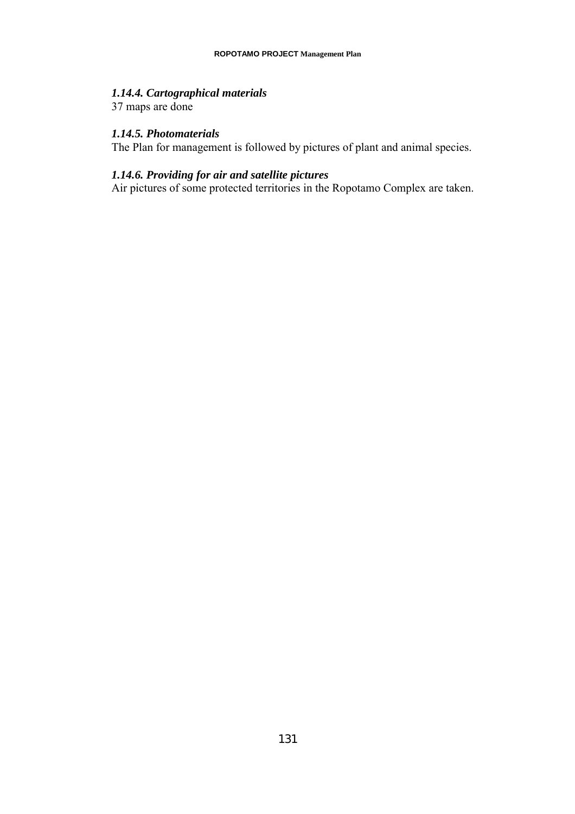# *1.14.4. Cartographical materials*

37 maps are done

### *1.14.5. Photomaterials*

The Plan for management is followed by pictures of plant and animal species.

## *1.14.6. Providing for air and satellite pictures*

Air pictures of some protected territories in the Ropotamo Complex are taken.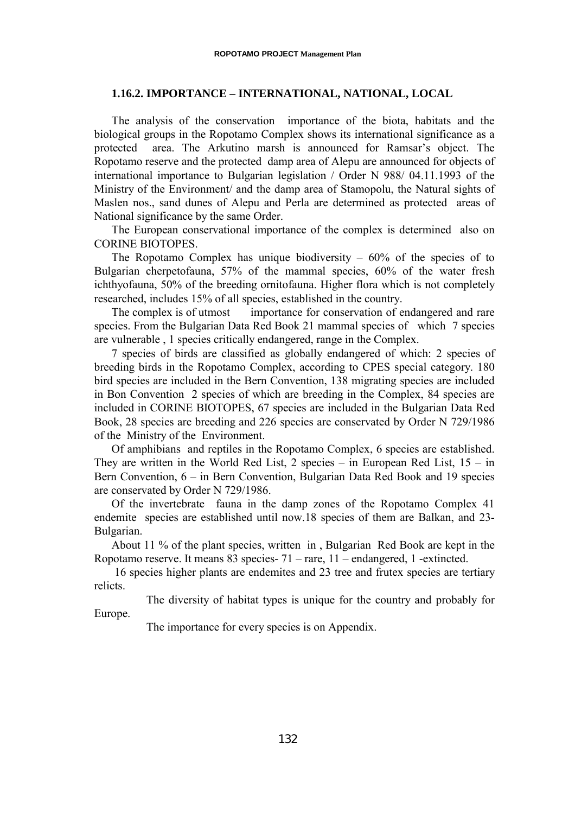### **1.16.2. IMPORTANCE – INTERNATIONAL, NATIONAL, LOCAL**

The analysis of the conservation importance of the biota, habitats and the biological groups in the Ropotamo Complex shows its international significance as a protected area. The Arkutino marsh is announced for Ramsar's object. The Ropotamo reserve and the protected damp area of Alepu are announced for objects of international importance to Bulgarian legislation / Order N 988/ 04.11.1993 of the Ministry of the Environment/ and the damp area of Stamopolu, the Natural sights of Maslen nos., sand dunes of Alepu and Perla are determined as protected areas of National significance by the same Order.

The European conservational importance of the complex is determined also on CORINE BIOTOPES.

The Ropotamo Complex has unique biodiversity  $-60\%$  of the species of to Bulgarian cherpetofauna, 57% of the mammal species, 60% of the water fresh ichthyofauna, 50% of the breeding ornitofauna. Higher flora which is not completely researched, includes 15% of all species, established in the country.

The complex is of utmost importance for conservation of endangered and rare species. From the Bulgarian Data Red Book 21 mammal species of which 7 species are vulnerable , 1 species critically endangered, range in the Complex.

7 species of birds are classified as globally endangered of which: 2 species of breeding birds in the Ropotamo Complex, according to CPES special category. 180 bird species are included in the Bern Convention, 138 migrating species are included in Bon Convention 2 species of which are breeding in the Complex, 84 species are included in CORINE BIOTOPES, 67 species are included in the Bulgarian Data Red Book, 28 species are breeding and 226 species are conservated by Order N 729/1986 of the Ministry of the Environment.

Of amphibians and reptiles in the Ropotamo Complex, 6 species are established. They are written in the World Red List, 2 species – in European Red List,  $15 - in$ Bern Convention, 6 – in Bern Convention, Bulgarian Data Red Book and 19 species are conservated by Order N 729/1986.

Of the invertebrate fauna in the damp zones of the Ropotamo Complex 41 endemite species are established until now.18 species of them are Balkan, and 23- Bulgarian.

About 11 % of the plant species, written in , Bulgarian Red Book are kept in the Ropotamo reserve. It means 83 species- 71 – rare, 11 – endangered, 1 -extincted.

 16 species higher plants are endemites and 23 tree and frutex species are tertiary relicts.

The diversity of habitat types is unique for the country and probably for Europe.

The importance for every species is on Appendix.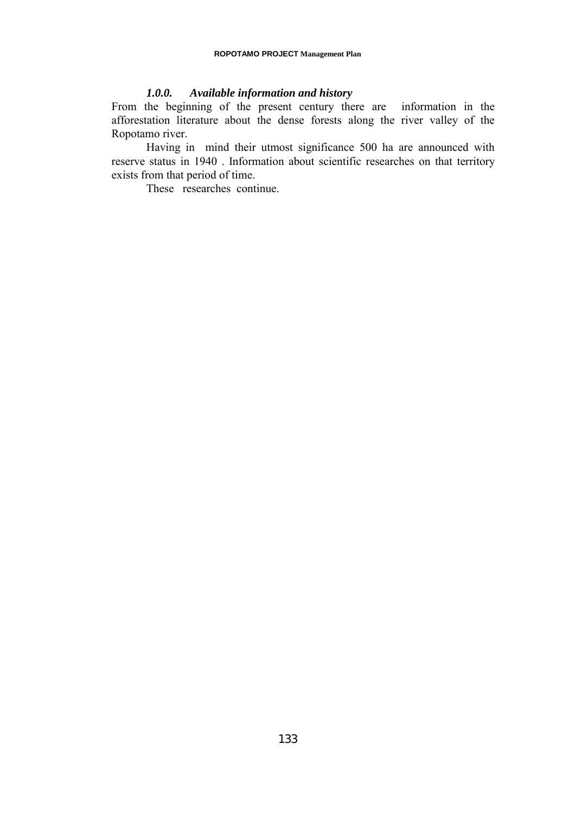## *1.0.0. Available information and history*

From the beginning of the present century there are information in the afforestation literature about the dense forests along the river valley of the Ropotamo river.

Having in mind their utmost significance 500 ha are announced with reserve status in 1940 . Information about scientific researches on that territory exists from that period of time.

These researches continue.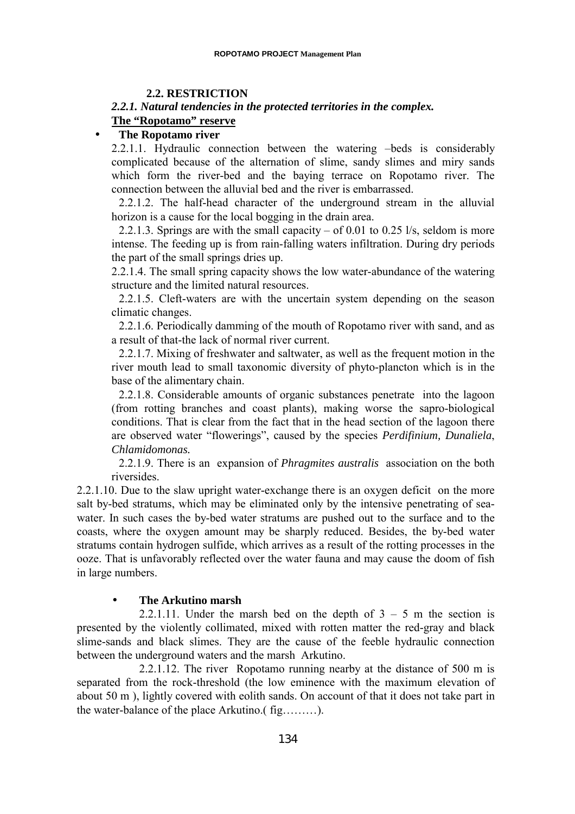## **2.2. RESTRICTION**

## *2.2.1. Natural tendencies in the protected territories in the complex.* **The "Ropotamo" reserve**

### • **The Ropotamo river**

2.2.1.1. Hydraulic connection between the watering –beds is considerably complicated because of the alternation of slime, sandy slimes and miry sands which form the river-bed and the baying terrace on Ropotamo river. The connection between the alluvial bed and the river is embarrassed.

2.2.1.2. The half-head character of the underground stream in the alluvial horizon is a cause for the local bogging in the drain area.

2.2.1.3. Springs are with the small capacity – of 0.01 to 0.25 l/s, seldom is more intense. The feeding up is from rain-falling waters infiltration. During dry periods the part of the small springs dries up.

2.2.1.4. The small spring capacity shows the low water-abundance of the watering structure and the limited natural resources.

2.2.1.5. Cleft-waters are with the uncertain system depending on the season climatic changes.

2.2.1.6. Periodically damming of the mouth of Ropotamo river with sand, and as a result of that-the lack of normal river current.

2.2.1.7. Mixing of freshwater and saltwater, as well as the frequent motion in the river mouth lead to small taxonomic diversity of phyto-plancton which is in the base of the alimentary chain.

2.2.1.8. Considerable amounts of organic substances penetrate into the lagoon (from rotting branches and coast plants), making worse the sapro-biological conditions. That is clear from the fact that in the head section of the lagoon there are observed water "flowerings", caused by the species *Perdifinium, Dunaliela*, *Chlamidomonas.*

2.2.1.9. There is an expansion of *Phragmites australis* association on the both riversides.

2.2.1.10. Due to the slaw upright water-exchange there is an oxygen deficit on the more salt by-bed stratums, which may be eliminated only by the intensive penetrating of seawater. In such cases the by-bed water stratums are pushed out to the surface and to the coasts, where the oxygen amount may be sharply reduced. Besides, the by-bed water stratums contain hydrogen sulfide, which arrives as a result of the rotting processes in the ooze. That is unfavorably reflected over the water fauna and may cause the doom of fish in large numbers.

### • **The Arkutino marsh**

2.2.1.11. Under the marsh bed on the depth of  $3 - 5$  m the section is presented by the violently collimated, mixed with rotten matter the red-gray and black slime-sands and black slimes. They are the cause of the feeble hydraulic connection between the underground waters and the marsh Arkutino.

2.2.1.12. The river Ropotamo running nearby at the distance of 500 m is separated from the rock-threshold (the low eminence with the maximum elevation of about 50 m ), lightly covered with eolith sands. On account of that it does not take part in the water-balance of the place Arkutino.( fig………).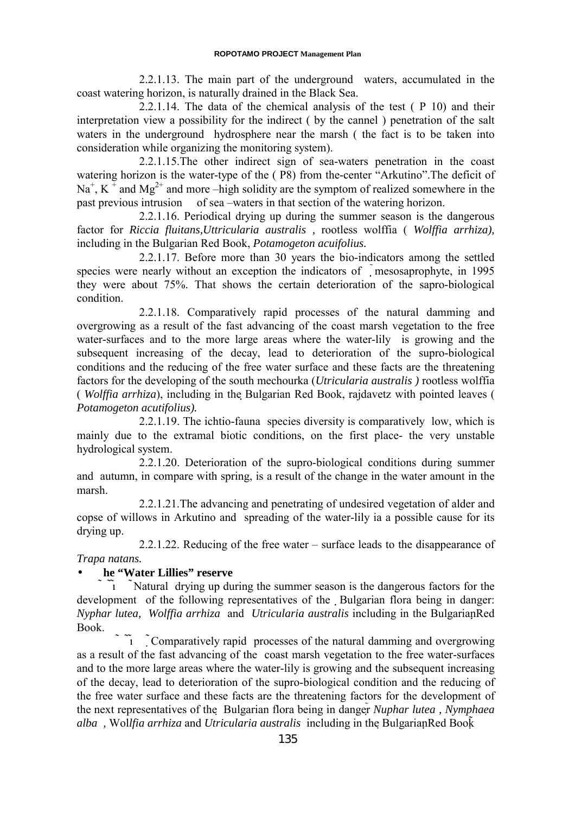2.2.1.13. The main part of the underground waters, accumulated in the coast watering horizon, is naturally drained in the Black Sea.

2.2.1.14. The data of the chemical analysis of the test ( P 10) and their interpretation view a possibility for the indirect ( by the cannel ) penetration of the salt waters in the underground hydrosphere near the marsh ( the fact is to be taken into consideration while organizing the monitoring system).

2.2.1.15.The other indirect sign of sea-waters penetration in the coast watering horizon is the water-type of the ( P8) from the-center "Arkutino".The deficit of Na<sup>+</sup>, K<sup> $+$ </sup> and Mg<sup>2+</sup> and more –high solidity are the symptom of realized somewhere in the past previous intrusion of sea –waters in that section of the watering horizon.

2.2.1.16. Periodical drying up during the summer season is the dangerous factor for *Riccia fluitans,Uttricularia australis ,* rootless wolffia ( *Wolffia arrhiza),* including in the Bulgarian Red Book, *Potamogeton acuifolius.*

2.2.1.17. Before more than 30 years the bio-indicators among the settled species were nearly without an exception the indicators of mesosaprophyte, in 1995 they were about 75%. That shows the certain deterioration of the sapro-biological condition.

2.2.1.18. Comparatively rapid processes of the natural damming and overgrowing as a result of the fast advancing of the coast marsh vegetation to the free water-surfaces and to the more large areas where the water-lily is growing and the subsequent increasing of the decay, lead to deterioration of the supro-biological conditions and the reducing of the free water surface and these facts are the threatening factors for the developing of the south mechourka (*Utricularia australis )* rootless wolffia ( *Wolffia arrhiza*), including in the Bulgarian Red Book, rajdavetz with pointed leaves ( *Potamogeton acutifolius).*

2.2.1.19. The ichtio-fauna species diversity is comparatively low, which is mainly due to the extramal biotic conditions, on the first place- the very unstable hydrological system.

2.2.1.20. Deterioration of the supro-biological conditions during summer and autumn, in compare with spring, is a result of the change in the water amount in the marsh.

2.2.1.21.The advancing and penetrating of undesired vegetation of alder and copse of willows in Arkutino and spreading of the water-lily ia a possible cause for its drying up.

2.2.1.22. Reducing of the free water – surface leads to the disappearance of *Trapa natans.*

# • **he "Water Lillies" reserve**

 $\tilde{I}$  Natural drying up during the summer season is the dangerous factors for the development of the following representatives of the Bulgarian flora being in danger: *Nyphar lutea, Wolffia arrhiza* and *Utricularia australis* including in the BulgarianRed Book.

Comparatively rapid processes of the natural damming and overgrowing as a result of the fast advancing of the coast marsh vegetation to the free water-surfaces and to the more large areas where the water-lily is growing and the subsequent increasing of the decay, lead to deterioration of the supro-biological condition and the reducing of the free water surface and these facts are the threatening factors for the development of the next representatives of the Bulgarian flora being in danger*Nuphar lutea , Nymphaea alba ,* Wol*lfia arrhiza* and *Utricularia australis* including in the BulgarianRed Book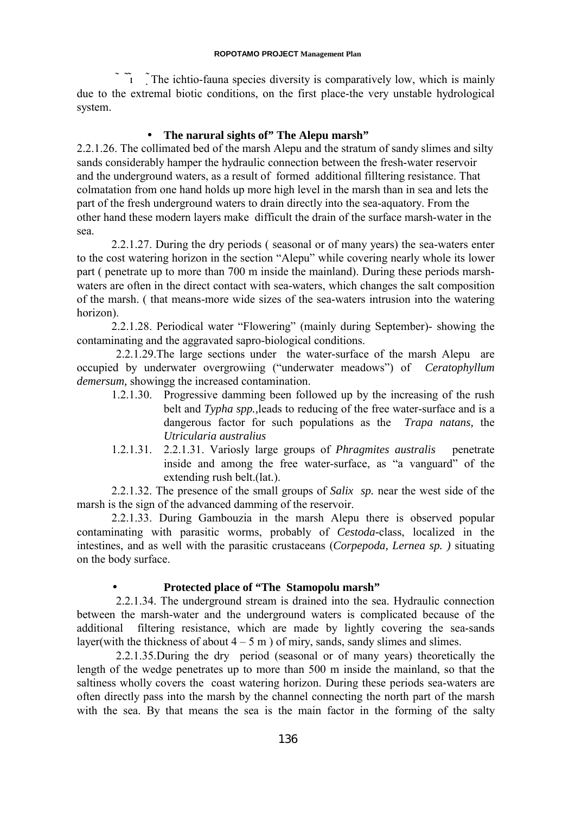$\tilde{I}$  The ichtio-fauna species diversity is comparatively low, which is mainly due to the extremal biotic conditions, on the first place-the very unstable hydrological system.

## • **The narural sights of" The Alepu marsh"**

2.2.1.26. The collimated bed of the marsh Alepu and the stratum of sandy slimes and silty sands considerably hamper the hydraulic connection between the fresh-water reservoir and the underground waters, as a result of formed additional filltering resistance. That colmatation from one hand holds up more high level in the marsh than in sea and lets the part of the fresh underground waters to drain directly into the sea-aquatory. From the other hand these modern layers make difficult the drain of the surface marsh-water in the sea.

2.2.1.27. During the dry periods ( seasonal or of many years) the sea-waters enter to the cost watering horizon in the section "Alepu" while covering nearly whole its lower part ( penetrate up to more than 700 m inside the mainland). During these periods marshwaters are often in the direct contact with sea-waters, which changes the salt composition of the marsh. ( that means-more wide sizes of the sea-waters intrusion into the watering horizon).

2.2.1.28. Periodical water "Flowering" (mainly during September)- showing the contaminating and the aggravated sapro-biological conditions.

2.2.1.29.The large sections under the water-surface of the marsh Alepu are occupied by underwater overgrowiing ("underwater meadows") of *Ceratophyllum demersum,* showingg the increased contamination.

- 1.2.1.30. Progressive damming been followed up by the increasing of the rush belt and *Typha spp.,*leads to reducing of the free water-surface and is a dangerous factor for such populations as the *Trapa natans,* the *Utricularia australius*
- 1.2.1.31. 2.2.1.31. Variosly large groups of *Phragmites australis* penetrate inside and among the free water-surface, as "a vanguard" of the extending rush belt.(lat.).

2.2.1.32. The presence of the small groups of *Salix sp.* near the west side of the marsh is the sign of the advanced damming of the reservoir.

2.2.1.33. During Gambouzia in the marsh Alepu there is observed popular contaminating with parasitic worms, probably of *Cestoda-*class, localized in the intestines, and as well with the parasitic crustaceans (*Corpepoda, Lernea sp. )* situating on the body surface.

### • **Protected place of "The Stamopolu marsh"**

2.2.1.34. The underground stream is drained into the sea. Hydraulic connection between the marsh-water and the underground waters is complicated because of the additional filtering resistance, which are made by lightly covering the sea-sands layer(with the thickness of about  $4 - 5$  m) of miry, sands, sandy slimes and slimes.

2.2.1.35.During the dry period (seasonal or of many years) theoretically the length of the wedge penetrates up to more than 500 m inside the mainland, so that the saltiness wholly covers the coast watering horizon. During these periods sea-waters are often directly pass into the marsh by the channel connecting the north part of the marsh with the sea. By that means the sea is the main factor in the forming of the salty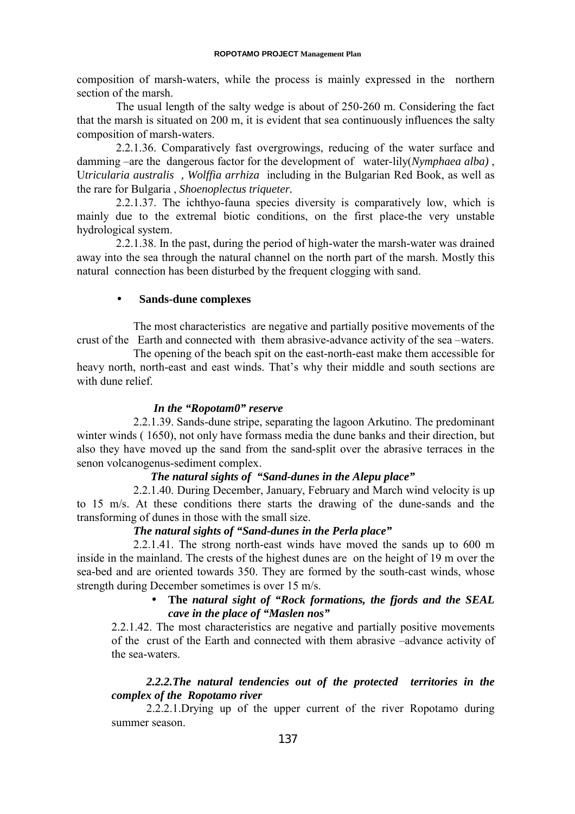composition of marsh-waters, while the process is mainly expressed in the northern section of the marsh.

The usual length of the salty wedge is about of 250-260 m. Considering the fact that the marsh is situated on 200 m, it is evident that sea continuously influences the salty composition of marsh-waters.

2.2.1.36. Comparatively fast overgrowings, reducing of the water surface and damming –are the dangerous factor for the development of water-lily(*Nymphaea alba)* , U*tricularia australis , Wolffia arrhiza* including in the Bulgarian Red Book, as well as the rare for Bulgaria , *Shoenoplectus triqueter.*

2.2.1.37. The ichthyo-fauna species diversity is comparatively low, which is mainly due to the extremal biotic conditions, on the first place-the very unstable hydrological system.

2.2.1.38. In the past, during the period of high-water the marsh-water was drained away into the sea through the natural channel on the north part of the marsh. Mostly this natural connection has been disturbed by the frequent clogging with sand.

### • **Sands-dune complexes**

The most characteristics are negative and partially positive movements of the crust of the Earth and connected with them abrasive-advance activity of the sea –waters.

The opening of the beach spit on the east-north-east make them accessible for heavy north, north-east and east winds. That's why their middle and south sections are with dune relief.

### *In the "Ropotam0" reserve*

2.2.1.39. Sands-dune stripe, separating the lagoon Arkutino. The predominant winter winds ( 1650), not only have formass media the dune banks and their direction, but also they have moved up the sand from the sand-split over the abrasive terraces in the senon volcanogenus-sediment complex.

### *The natural sights of "Sand-dunes in the Alepu place"*

2.2.1.40. During December, January, February and March wind velocity is up to 15 m/s. At these conditions there starts the drawing of the dune-sands and the transforming of dunes in those with the small size.

## *The natural sights of "Sand-dunes in the Perla place"*

2.2.1.41. The strong north-east winds have moved the sands up to 600 m inside in the mainland. The crests of the highest dunes are on the height of 19 m over the sea-bed and are oriented towards 350. They are formed by the south-cast winds, whose strength during December sometimes is over 15 m/s.

## • **The** *natural sight of "Rock formations, the fjords and the SEAL cave in the place of "Maslen nos"*

2.2.1.42. The most characteristics are negative and partially positive movements of the crust of the Earth and connected with them abrasive –advance activity of the sea-waters.

# *2.2.2.The natural tendencies out of the protected territories in the complex of the Ropotamo river*

2.2.2.1.Drying up of the upper current of the river Ropotamo during summer season.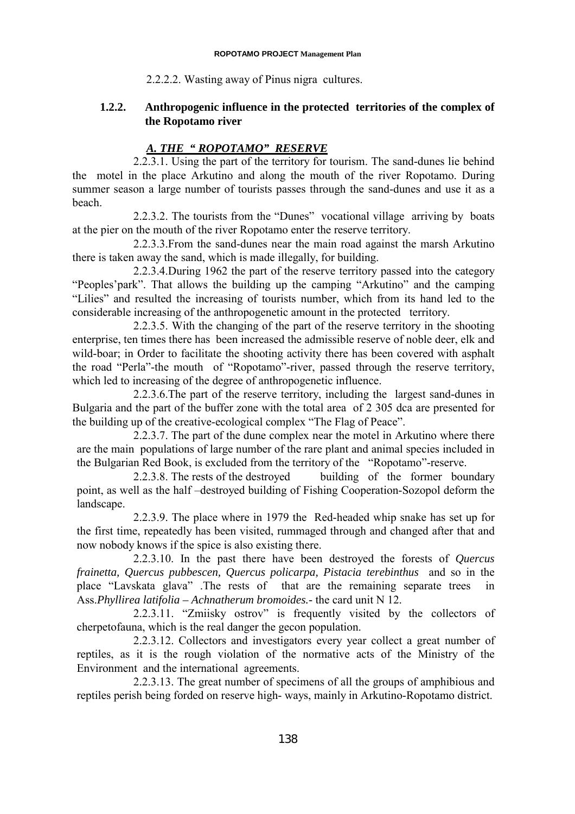2.2.2.2. Wasting away of Pinus nigra cultures.

# **1.2.2. Anthropogenic influence in the protected territories of the complex of the Ropotamo river**

# *A. THE " ROPOTAMO" RESERVE*

2.2.3.1. Using the part of the territory for tourism. The sand-dunes lie behind the motel in the place Arkutino and along the mouth of the river Ropotamo. During summer season a large number of tourists passes through the sand-dunes and use it as a beach.

2.2.3.2. The tourists from the "Dunes" vocational village arriving by boats at the pier on the mouth of the river Ropotamo enter the reserve territory.

2.2.3.3.From the sand-dunes near the main road against the marsh Arkutino there is taken away the sand, which is made illegally, for building.

2.2.3.4.During 1962 the part of the reserve territory passed into the category "Peoples'park". That allows the building up the camping "Arkutino" and the camping "Lilies" and resulted the increasing of tourists number, which from its hand led to the considerable increasing of the anthropogenetic amount in the protected territory.

2.2.3.5. With the changing of the part of the reserve territory in the shooting enterprise, ten times there has been increased the admissible reserve of noble deer, elk and wild-boar; in Order to facilitate the shooting activity there has been covered with asphalt the road "Perla"-the mouth of "Ropotamo"-river, passed through the reserve territory, which led to increasing of the degree of anthropogenetic influence.

2.2.3.6.The part of the reserve territory, including the largest sand-dunes in Bulgaria and the part of the buffer zone with the total area of 2 305 dca are presented for the building up of the creative-ecological complex "The Flag of Peace".

2.2.3.7. The part of the dune complex near the motel in Arkutino where there are the main populations of large number of the rare plant and animal species included in the Bulgarian Red Book, is excluded from the territory of the "Ropotamo"-reserve.

2.2.3.8. The rests of the destroyed building of the former boundary point, as well as the half –destroyed building of Fishing Cooperation-Sozopol deform the landscape.

2.2.3.9. The place where in 1979 the Red-headed whip snake has set up for the first time, repeatedly has been visited, rummaged through and changed after that and now nobody knows if the spice is also existing there.

2.2.3.10. In the past there have been destroyed the forests of *Quercus frainetta, Quercus pubbescen, Quercus policarpa, Pistacia terebinthus* and so in the place "Lavskata glava" .The rests of that are the remaining separate trees in Ass.*Phyllirea latifolia – Achnatherum bromoides.-* the card unit N 12.

2.2.3.11. "Zmiisky ostrov" is frequently visited by the collectors of cherpetofauna, which is the real danger the gecon population.

2.2.3.12. Collectors and investigators every year collect a great number of reptiles, as it is the rough violation of the normative acts of the Ministry of the Environment and the international agreements.

2.2.3.13. The great number of specimens of all the groups of amphibious and reptiles perish being forded on reserve high- ways, mainly in Arkutino-Ropotamo district.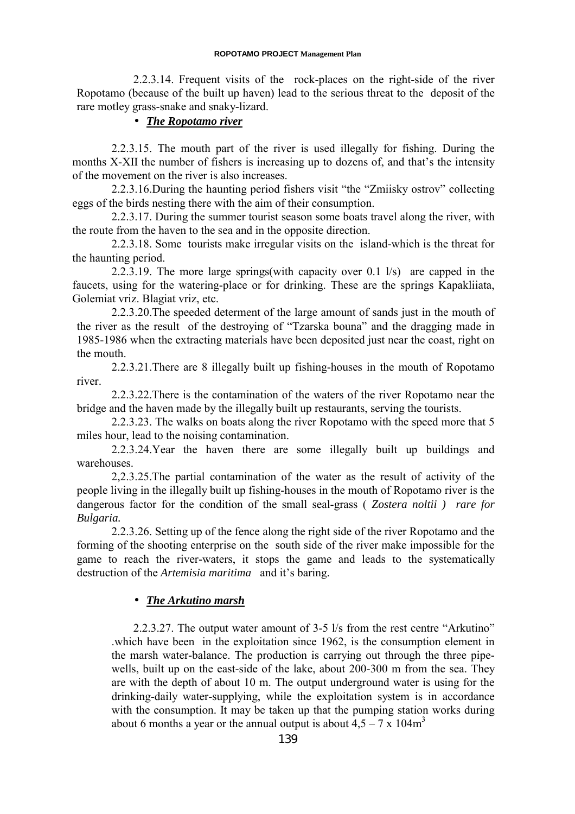#### **ROPOTAMO PROJECT Management Plan**

2.2.3.14. Frequent visits of the rock-places on the right-side of the river Ropotamo (because of the built up haven) lead to the serious threat to the deposit of the rare motley grass-snake and snaky-lizard.

## • *The Ropotamo river*

2.2.3.15. The mouth part of the river is used illegally for fishing. During the months X-XII the number of fishers is increasing up to dozens of, and that's the intensity of the movement on the river is also increases.

2.2.3.16.During the haunting period fishers visit "the "Zmiisky ostrov" collecting eggs of the birds nesting there with the aim of their consumption.

2.2.3.17. During the summer tourist season some boats travel along the river, with the route from the haven to the sea and in the opposite direction.

2.2.3.18. Some tourists make irregular visits on the island-which is the threat for the haunting period.

2.2.3.19. The more large springs(with capacity over 0.1 l/s) are capped in the faucets, using for the watering-place or for drinking. These are the springs Kapakliiata, Golemiat vriz. Blagiat vriz, etc.

2.2.3.20. The speeded determent of the large amount of sands just in the mouth of the river as the result of the destroying of "Tzarska bouna" and the dragging made in 1985-1986 when the extracting materials have been deposited just near the coast, right on the mouth.

2.2.3.21.There are 8 illegally built up fishing-houses in the mouth of Ropotamo river.

2.2.3.22.There is the contamination of the waters of the river Ropotamo near the bridge and the haven made by the illegally built up restaurants, serving the tourists.

2.2.3.23. The walks on boats along the river Ropotamo with the speed more that 5 miles hour, lead to the noising contamination.

2.2.3.24.Year the haven there are some illegally built up buildings and warehouses.

2,2.3.25.The partial contamination of the water as the result of activity of the people living in the illegally built up fishing-houses in the mouth of Ropotamo river is the dangerous factor for the condition of the small seal-grass ( *Zostera noltii ) rare for Bulgaria.*

2.2.3.26. Setting up of the fence along the right side of the river Ropotamo and the forming of the shooting enterprise on the south side of the river make impossible for the game to reach the river-waters, it stops the game and leads to the systematically destruction of the *Artemisia maritima* and it's baring.

### • *The Arkutino marsh*

2.2.3.27. The output water amount of 3-5 l/s from the rest centre "Arkutino" .which have been in the exploitation since 1962, is the consumption element in the marsh water-balance. The production is carrying out through the three pipewells, built up on the east-side of the lake, about 200-300 m from the sea. They are with the depth of about 10 m. The output underground water is using for the drinking-daily water-supplying, while the exploitation system is in accordance with the consumption. It may be taken up that the pumping station works during about 6 months a year or the annual output is about  $4.5 - 7 \times 104 \text{m}^3$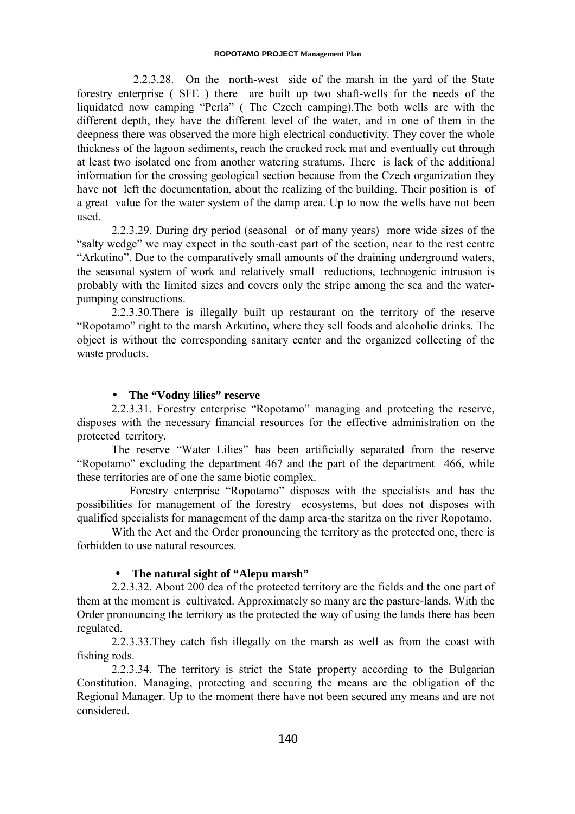2.2.3.28. On the north-west side of the marsh in the yard of the State forestry enterprise ( SFE ) there are built up two shaft-wells for the needs of the liquidated now camping "Perla" ( The Czech camping).The both wells are with the different depth, they have the different level of the water, and in one of them in the deepness there was observed the more high electrical conductivity. They cover the whole thickness of the lagoon sediments, reach the cracked rock mat and eventually cut through at least two isolated one from another watering stratums. There is lack of the additional information for the crossing geological section because from the Czech organization they have not left the documentation, about the realizing of the building. Their position is of a great value for the water system of the damp area. Up to now the wells have not been used.

2.2.3.29. During dry period (seasonal or of many years) more wide sizes of the "salty wedge" we may expect in the south-east part of the section, near to the rest centre "Arkutino". Due to the comparatively small amounts of the draining underground waters, the seasonal system of work and relatively small reductions, technogenic intrusion is probably with the limited sizes and covers only the stripe among the sea and the waterpumping constructions.

2.2.3.30.There is illegally built up restaurant on the territory of the reserve "Ropotamo" right to the marsh Arkutino, where they sell foods and alcoholic drinks. The object is without the corresponding sanitary center and the organized collecting of the waste products.

### • **The "Vodny lilies" reserve**

2.2.3.31. Forestry enterprise "Ropotamo" managing and protecting the reserve, disposes with the necessary financial resources for the effective administration on the protected territory.

The reserve "Water Lilies" has been artificially separated from the reserve "Ropotamo" excluding the department 467 and the part of the department 466, while these territories are of one the same biotic complex.

 Forestry enterprise "Ropotamo" disposes with the specialists and has the possibilities for management of the forestry ecosystems, but does not disposes with qualified specialists for management of the damp area-the staritza on the river Ropotamo.

With the Act and the Order pronouncing the territory as the protected one, there is forbidden to use natural resources.

### • **The natural sight of "Alepu marsh"**

2.2.3.32. About 200 dca of the protected territory are the fields and the one part of them at the moment is cultivated. Approximately so many are the pasture-lands. With the Order pronouncing the territory as the protected the way of using the lands there has been regulated.

2.2.3.33.They catch fish illegally on the marsh as well as from the coast with fishing rods.

2.2.3.34. The territory is strict the State property according to the Bulgarian Constitution. Managing, protecting and securing the means are the obligation of the Regional Manager. Up to the moment there have not been secured any means and are not considered.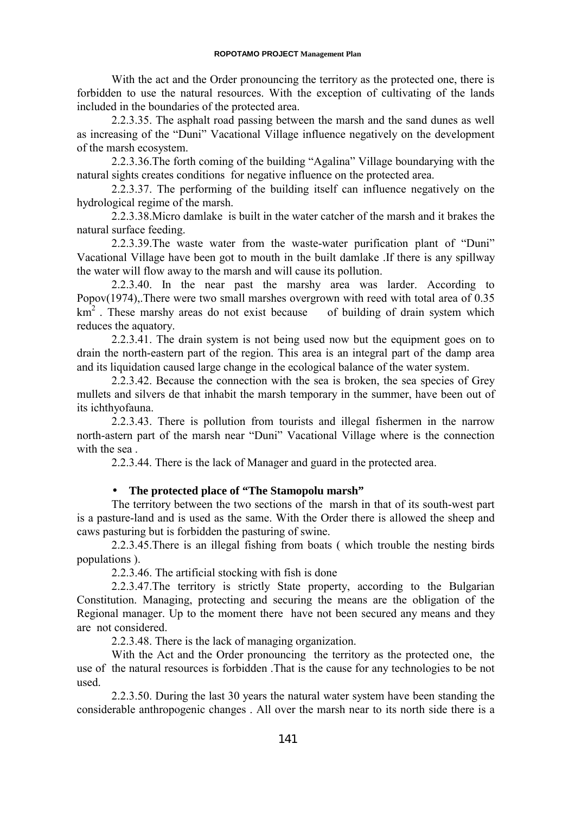With the act and the Order pronouncing the territory as the protected one, there is forbidden to use the natural resources. With the exception of cultivating of the lands included in the boundaries of the protected area.

2.2.3.35. The asphalt road passing between the marsh and the sand dunes as well as increasing of the "Duni" Vacational Village influence negatively on the development of the marsh ecosystem.

2.2.3.36.The forth coming of the building "Agalina" Village boundarying with the natural sights creates conditions for negative influence on the protected area.

2.2.3.37. The performing of the building itself can influence negatively on the hydrological regime of the marsh.

2.2.3.38.Micro damlake is built in the water catcher of the marsh and it brakes the natural surface feeding.

2.2.3.39.The waste water from the waste-water purification plant of "Duni" Vacational Village have been got to mouth in the built damlake .If there is any spillway the water will flow away to the marsh and will cause its pollution.

2.2.3.40. In the near past the marshy area was larder. According to Popov(1974),.There were two small marshes overgrown with reed with total area of 0.35  $km<sup>2</sup>$ . These marshy areas do not exist because of building of drain system which reduces the aquatory.

2.2.3.41. The drain system is not being used now but the equipment goes on to drain the north-eastern part of the region. This area is an integral part of the damp area and its liquidation caused large change in the ecological balance of the water system.

2.2.3.42. Because the connection with the sea is broken, the sea species of Grey mullets and silvers de that inhabit the marsh temporary in the summer, have been out of its ichthyofauna.

2.2.3.43. There is pollution from tourists and illegal fishermen in the narrow north-astern part of the marsh near "Duni" Vacational Village where is the connection with the sea .

2.2.3.44. There is the lack of Manager and guard in the protected area.

### • **The protected place of "The Stamopolu marsh"**

The territory between the two sections of the marsh in that of its south-west part is a pasture-land and is used as the same. With the Order there is allowed the sheep and caws pasturing but is forbidden the pasturing of swine.

2.2.3.45.There is an illegal fishing from boats ( which trouble the nesting birds populations ).

2.2.3.46. The artificial stocking with fish is done

2.2.3.47.The territory is strictly State property, according to the Bulgarian Constitution. Managing, protecting and securing the means are the obligation of the Regional manager. Up to the moment there have not been secured any means and they are not considered.

2.2.3.48. There is the lack of managing organization.

With the Act and the Order pronouncing the territory as the protected one, the use of the natural resources is forbidden .That is the cause for any technologies to be not used.

2.2.3.50. During the last 30 years the natural water system have been standing the considerable anthropogenic changes . All over the marsh near to its north side there is a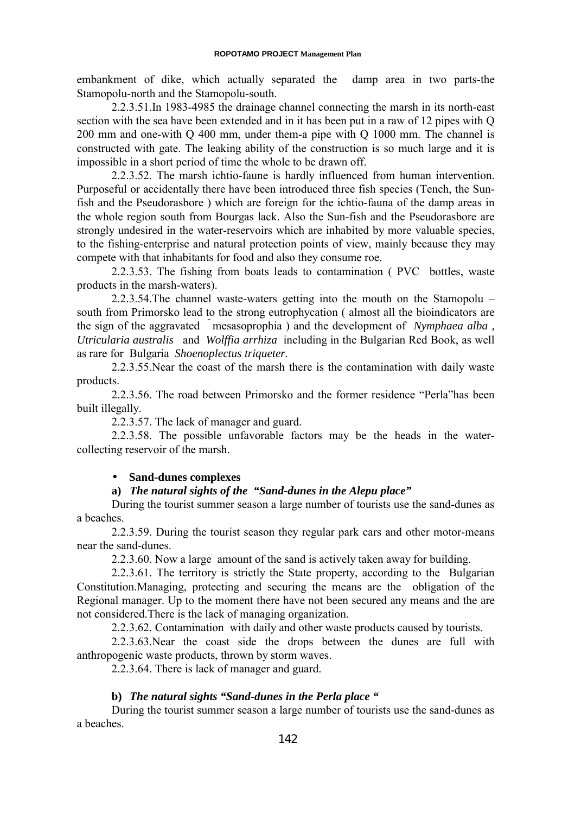embankment of dike, which actually separated the damp area in two parts-the Stamopolu-north and the Stamopolu-south.

2.2.3.51.In 1983-4985 the drainage channel connecting the marsh in its north-east section with the sea have been extended and in it has been put in a raw of 12 pipes with Q 200 mm and one-with Q 400 mm, under them-a pipe with Q 1000 mm. The channel is constructed with gate. The leaking ability of the construction is so much large and it is impossible in a short period of time the whole to be drawn off.

2.2.3.52. The marsh ichtio-faune is hardly influenced from human intervention. Purposeful or accidentally there have been introduced three fish species (Tench, the Sunfish and the Pseudorasbore ) which are foreign for the ichtio-fauna of the damp areas in the whole region south from Bourgas lack. Also the Sun-fish and the Pseudorasbore are strongly undesired in the water-reservoirs which are inhabited by more valuable species, to the fishing-enterprise and natural protection points of view, mainly because they may compete with that inhabitants for food and also they consume roe.

2.2.3.53. The fishing from boats leads to contamination ( PVC bottles, waste products in the marsh-waters).

2.2.3.54.The channel waste-waters getting into the mouth on the Stamopolu – south from Primorsko lead to the strong eutrophycation ( almost all the bioindicators are the sign of the aggravated mesasoprophia) and the development of *Nymphaea alba*, *Utricularia australis* and *Wolffia arrhiza* including in the Bulgarian Red Book, as well as rare for Bulgaria *Shoenoplectus triqueter.*

2.2.3.55.Near the coast of the marsh there is the contamination with daily waste products.

2.2.3.56. The road between Primorsko and the former residence "Perla"has been built illegally.

2.2.3.57. The lack of manager and guard.

2.2.3.58. The possible unfavorable factors may be the heads in the watercollecting reservoir of the marsh.

#### • **Sand-dunes complexes**

### **a)** *The natural sights of the "Sand-dunes in the Alepu place"*

During the tourist summer season a large number of tourists use the sand-dunes as a beaches.

2.2.3.59. During the tourist season they regular park cars and other motor-means near the sand-dunes.

2.2.3.60. Now a large amount of the sand is actively taken away for building.

2.2.3.61. The territory is strictly the State property, according to the Bulgarian Constitution.Managing, protecting and securing the means are the obligation of the Regional manager. Up to the moment there have not been secured any means and the are not considered.There is the lack of managing organization.

2.2.3.62. Contamination with daily and other waste products caused by tourists.

2.2.3.63.Near the coast side the drops between the dunes are full with anthropogenic waste products, thrown by storm waves.

2.2.3.64. There is lack of manager and guard.

## **b)** *The natural sights "Sand-dunes in the Perla place "*

During the tourist summer season a large number of tourists use the sand-dunes as a beaches.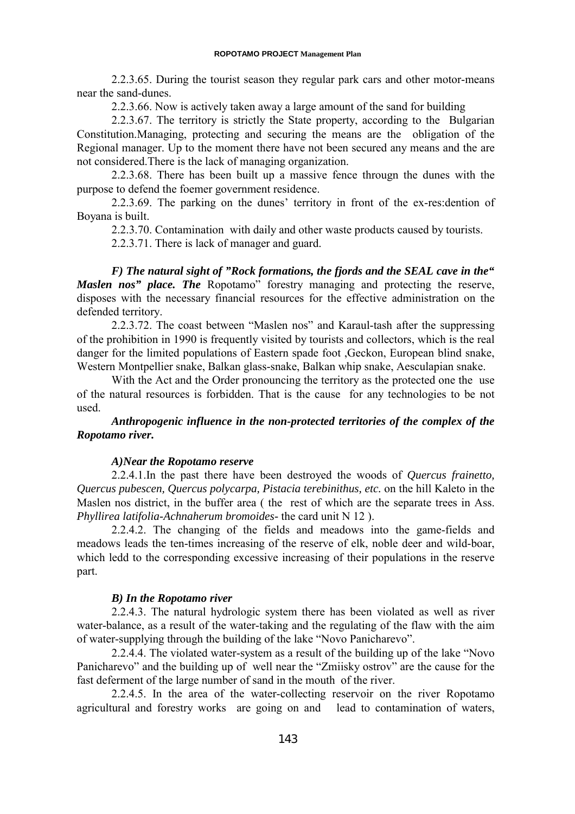2.2.3.65. During the tourist season they regular park cars and other motor-means near the sand-dunes.

2.2.3.66. Now is actively taken away a large amount of the sand for building

2.2.3.67. The territory is strictly the State property, according to the Bulgarian Constitution.Managing, protecting and securing the means are the obligation of the Regional manager. Up to the moment there have not been secured any means and the are not considered.There is the lack of managing organization.

2.2.3.68. There has been built up a massive fence througn the dunes with the purpose to defend the foemer government residence.

2.2.3.69. The parking on the dunes' territory in front of the ex-res:dention of Boyana is built.

2.2.3.70. Contamination with daily and other waste products caused by tourists.

2.2.3.71. There is lack of manager and guard.

*F) The natural sight of "Rock formations, the fjords and the SEAL cave in the" Maslen nos*" *place. The* Ropotamo" forestry managing and protecting the reserve, disposes with the necessary financial resources for the effective administration on the defended territory.

2.2.3.72. The coast between "Maslen nos" and Karaul-tash after the suppressing of the prohibition in 1990 is frequently visited by tourists and collectors, which is the real danger for the limited populations of Eastern spade foot ,Geckon, European blind snake, Western Montpellier snake, Balkan glass-snake, Balkan whip snake, Aesculapian snake.

With the Act and the Order pronouncing the territory as the protected one the use of the natural resources is forbidden. That is the cause for any technologies to be not used.

### *Anthropogenic influence in the non-protected territories of the complex of the Ropotamo river.*

#### *A)Near the Ropotamo reserve*

2.2.4.1.In the past there have been destroyed the woods of *Quercus frainetto, Quercus pubescen, Quercus polycarpa, Pistacia terebinithus, etc.* on the hill Kaleto in the Maslen nos district, in the buffer area ( the rest of which are the separate trees in Ass. *Phyllirea latifolia-Achnaherum bromoides-* the card unit N 12 ).

2.2.4.2. The changing of the fields and meadows into the game-fields and meadows leads the ten-times increasing of the reserve of elk, noble deer and wild-boar, which ledd to the corresponding excessive increasing of their populations in the reserve part.

### *B) In the Ropotamo river*

2.2.4.3. The natural hydrologic system there has been violated as well as river water-balance, as a result of the water-taking and the regulating of the flaw with the aim of water-supplying through the building of the lake "Novo Panicharevo".

2.2.4.4. The violated water-system as a result of the building up of the lake "Novo Panicharevo" and the building up of well near the "Zmiisky ostrov" are the cause for the fast deferment of the large number of sand in the mouth of the river.

2.2.4.5. In the area of the water-collecting reservoir on the river Ropotamo agricultural and forestry works are going on and lead to contamination of waters,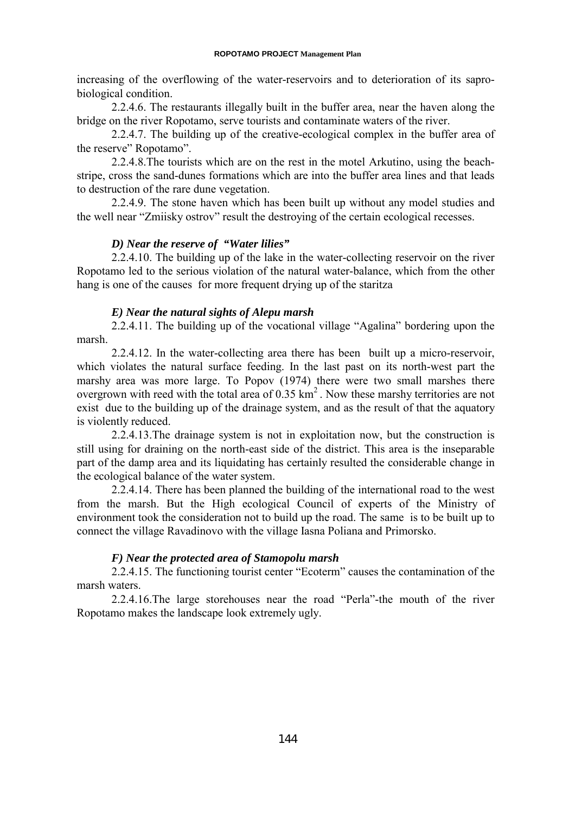increasing of the overflowing of the water-reservoirs and to deterioration of its saprobiological condition.

2.2.4.6. The restaurants illegally built in the buffer area, near the haven along the bridge on the river Ropotamo, serve tourists and contaminate waters of the river.

2.2.4.7. The building up of the creative-ecological complex in the buffer area of the reserve" Ropotamo".

2.2.4.8.The tourists which are on the rest in the motel Arkutino, using the beachstripe, cross the sand-dunes formations which are into the buffer area lines and that leads to destruction of the rare dune vegetation.

2.2.4.9. The stone haven which has been built up without any model studies and the well near "Zmiisky ostrov" result the destroying of the certain ecological recesses.

### *D) Near the reserve of "Water lilies"*

2.2.4.10. The building up of the lake in the water-collecting reservoir on the river Ropotamo led to the serious violation of the natural water-balance, which from the other hang is one of the causes for more frequent drying up of the staritza

### *E) Near the natural sights of Alepu marsh*

2.2.4.11. The building up of the vocational village "Agalina" bordering upon the marsh.

2.2.4.12. In the water-collecting area there has been built up a micro-reservoir, which violates the natural surface feeding. In the last past on its north-west part the marshy area was more large. To Popov (1974) there were two small marshes there overgrown with reed with the total area of  $0.35 \text{ km}^2$ . Now these marshy territories are not exist due to the building up of the drainage system, and as the result of that the aquatory is violently reduced.

2.2.4.13.The drainage system is not in exploitation now, but the construction is still using for draining on the north-east side of the district. This area is the inseparable part of the damp area and its liquidating has certainly resulted the considerable change in the ecological balance of the water system.

2.2.4.14. There has been planned the building of the international road to the west from the marsh. But the High ecological Council of experts of the Ministry of environment took the consideration not to build up the road. The same is to be built up to connect the village Ravadinovo with the village Iasna Poliana and Primorsko.

#### *F) Near the protected area of Stamopolu marsh*

2.2.4.15. The functioning tourist center "Ecoterm" causes the contamination of the marsh waters.

2.2.4.16.The large storehouses near the road "Perla"-the mouth of the river Ropotamo makes the landscape look extremely ugly.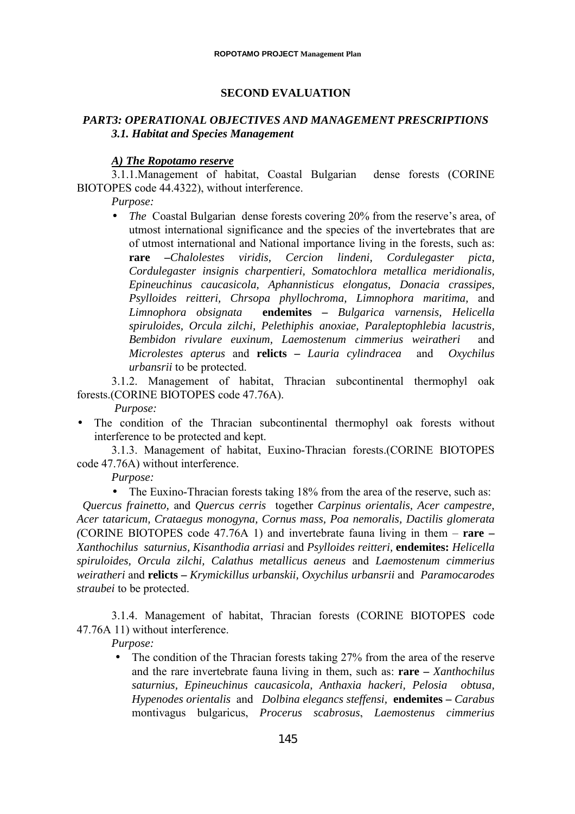### **SECOND EVALUATION**

### *PART3: OPERATIONAL OBJECTIVES AND MANAGEMENT PRESCRIPTIONS 3.1. Habitat and Species Management*

#### *A) The Ropotamo reserve*

3.1.1.Management of habitat, Coastal Bulgarian dense forests (CORINE BIOTOPES code 44.4322), without interference.

*Purpose:*

• *The Coastal Bulgarian dense forests covering 20% from the reserve's area, of* utmost international significance and the species of the invertebrates that are of utmost international and National importance living in the forests, such as: **rare –***Chalolestes viridis, Cercion lindeni, Cordulegaster picta, Cordulegaster insignis charpentieri, Somatochlora metallica meridionalis, Epineuchinus caucasicola, Aphannisticus elongatus, Donacia crassipes, Psylloides reitteri, Chrsopa phyllochroma, Limnophora maritima,* and *Limnophora obsignata* **endemites –** *Bulgarica varnensis, Helicella spiruloides, Orcula zilchi, Pelethiphis anoxiae, Paraleptophlebia lacustris, Bembidon rivulare euxinum, Laemostenum cimmerius weiratheri* and *Microlestes apterus* and **relicts –** *Lauria cylindracea* and *Oxychilus urbansrii* to be protected.

3.1.2. Management of habitat, Thracian subcontinental thermophyl oak forests.(CORINE BIOTOPES code 47.76A).

*Purpose:*

The condition of the Thracian subcontinental thermophyl oak forests without interference to be protected and kept.

3.1.3. Management of habitat, Euxino-Thracian forests.(CORINE BIOTOPES code 47.76A) without interference.

*Purpose:*

• The Euxino-Thracian forests taking 18% from the area of the reserve, such as:

 *Quercus frainetto,* and *Quercus cerris* together *Carpinus orientalis, Acer campestre, Acer tataricum, Crataegus monogyna, Cornus mass, Poa nemoralis, Dactilis glomerata (*CORINE BIOTOPES code 47.76A 1) and invertebrate fauna living in them – **rare –** *Xanthochilus saturnius, Kisanthodia arriasi* and *Psylloides reitteri,* **endemites:** *Helicella spiruloides, Orcula zilchi, Calathus metallicus aeneus* and *Laemostenum cimmerius weiratheri* and **relicts –** *Krymickillus urbanskii, Oxychilus urbansrii* and *Paramocarodes straubei* to be protected.

3.1.4. Management of habitat, Thracian forests (CORINE BIOTOPES code 47.76A 11) without interference.

*Purpose:*

• The condition of the Thracian forests taking 27% from the area of the reserve and the rare invertebrate fauna living in them, such as: **rare –** *Xanthochilus saturnius, Epineuchinus caucasicola, Anthaxia hackeri, Pelosia obtusa, Hypenodes orientalis* and *Dolbina elegancs steffensi,* **endemites –** *Carabus* montivagus bulgaricus, *Procerus scabrosus*, *Laemostenus cimmerius*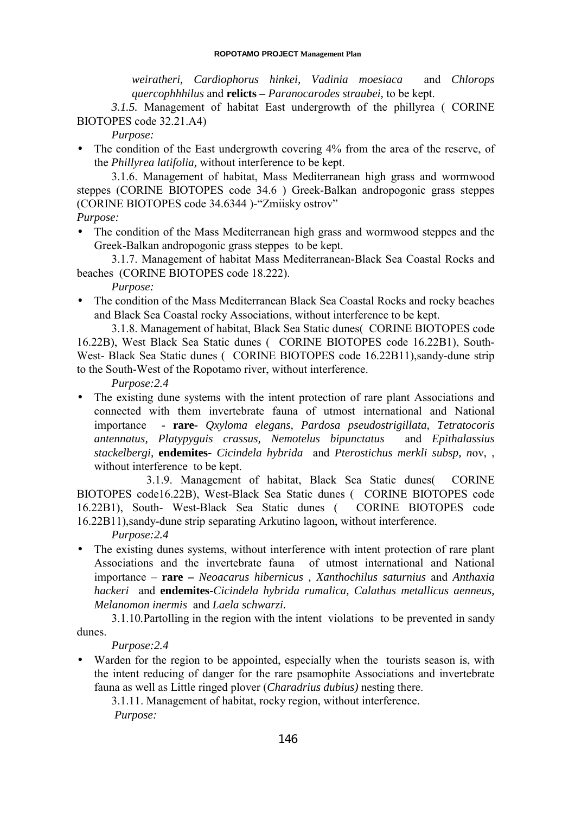*weiratheri, Cardiophorus hinkei, Vadinia moesiaca* and *Chlorops quercophhhilus* and **relicts –** *Paranocarodes straubei,* to be kept.

*3.1.5.* Management of habitat East undergrowth of the phillyrea ( CORINE BIOTOPES code 32.21.A4)

*Purpose:*

• The condition of the East undergrowth covering 4% from the area of the reserve, of the *Phillyrea latifolia,* without interference to be kept.

3.1.6. Management of habitat, Mass Mediterranean high grass and wormwood steppes (CORINE BIOTOPES code 34.6 ) Greek-Balkan andropogonic grass steppes (CORINE BIOTOPES code 34.6344 )-"Zmiisky ostrov"

- *Purpose:*
- The condition of the Mass Mediterranean high grass and wormwood steppes and the Greek-Balkan andropogonic grass steppes to be kept.

3.1.7. Management of habitat Mass Mediterranean-Black Sea Coastal Rocks and beaches (CORINE BIOTOPES code 18.222).

*Purpose:*

• The condition of the Mass Mediterranean Black Sea Coastal Rocks and rocky beaches and Black Sea Coastal rocky Associations, without interference to be kept.

3.1.8. Management of habitat, Black Sea Static dunes( CORINE BIOTOPES code 16.22B), West Black Sea Static dunes ( CORINE BIOTOPES code 16.22B1), South-West- Black Sea Static dunes (CORINE BIOTOPES code 16.22B11), sandy-dune strip to the South-West of the Ropotamo river, without interference.

*Purpose:2.4*

• The existing dune systems with the intent protection of rare plant Associations and connected with them invertebrate fauna of utmost international and National importance - **rare-** *Qxyloma elegans, Pardosa pseudostrigillata, Tetratocoris antennatus, Platypyguis crassus, Nemotelus bipunctatus* and *Epithalassius stackelbergi,* **endemites-** *Cicindela hybrida* and *Pterostichus merkli subsp, n*ov, , without interferenceto be kept.

3.1.9. Management of habitat, Black Sea Static dunes( CORINE BIOTOPES code16.22B), West-Black Sea Static dunes ( CORINE BIOTOPES code 16.22B1), South- West-Black Sea Static dunes ( CORINE BIOTOPES code 16.22B11),sandy-dune strip separating Arkutino lagoon, without interference.

*Purpose:2.4*

• The existing dunes systems, without interference with intent protection of rare plant Associations and the invertebrate fauna of utmost international and National importance – **rare –** *Neoacarus hibernicus , Xanthochilus saturnius* and *Anthaxia hackeri* and **endemites-***Cicindela hybrida rumalica, Calathus metallicus aenneus, Melanomon inermis* and *Laela schwarzi.*

3.1.10*.*Partolling in the region with the intent violations to be prevented in sandy dunes.

*Purpose:2.4*

Warden for the region to be appointed, especially when the tourists season is, with the intent reducing of danger for the rare psamophite Associations and invertebrate fauna as well as Little ringed plover (*Charadrius dubius)* nesting there.

3.1.11. Management of habitat, rocky region, without interference. *Purpose:*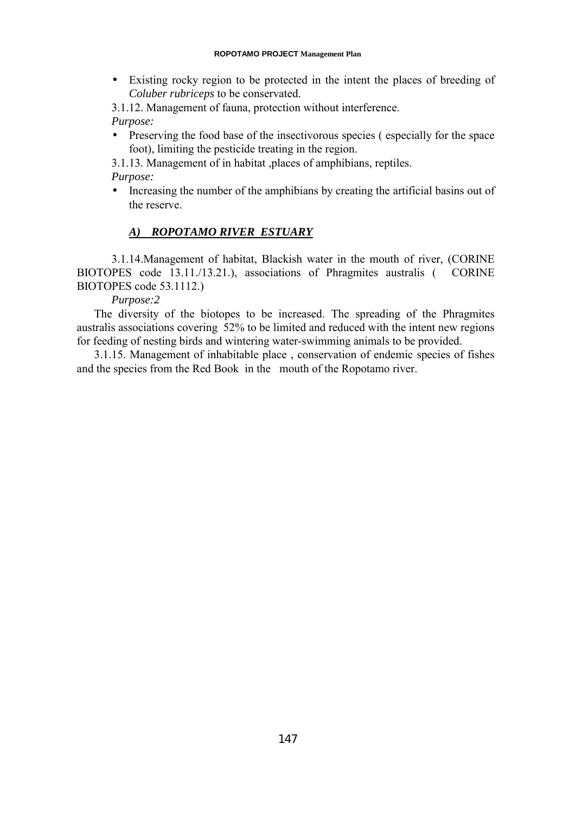• Existing rocky region to be protected in the intent the places of breeding of *Coluber rubriceps* to be conservated.

3.1.12. Management of fauna, protection without interference. *Purpose:*

• Preserving the food base of the insectivorous species (especially for the space foot), limiting the pesticide treating in the region.

3.1.13. Management of in habitat ,places of amphibians, reptiles. *Purpose:*

• Increasing the number of the amphibians by creating the artificial basins out of the reserve.

# *A) ROPOTAMO RIVER ESTUARY*

3.1.14.Management of habitat, Blackish water in the mouth of river, (CORINE BIOTOPES code 13.11./13.21.), associations of Phragmites australis ( CORINE BIOTOPES code 53.1112.)

*Purpose:2*

The diversity of the biotopes to be increased. The spreading of the Phragmites australis associations covering 52% to be limited and reduced with the intent new regions for feeding of nesting birds and wintering water-swimming animals to be provided.

3.1.15. Management of inhabitable place , conservation of endemic species of fishes and the species from the Red Book in the mouth of the Ropotamo river.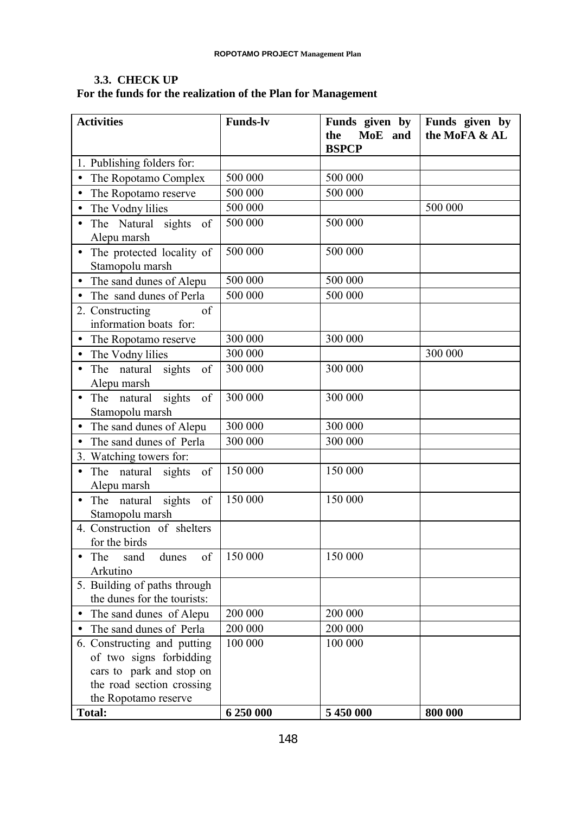## **3.3. CHECK UP For the funds for the realization of the Plan for Management**

| <b>Activities</b>                                                                                               | <b>Funds-lv</b> | Funds given by<br>MoE and<br>the | Funds given by<br>the MoFA & AL |
|-----------------------------------------------------------------------------------------------------------------|-----------------|----------------------------------|---------------------------------|
|                                                                                                                 |                 | <b>BSPCP</b>                     |                                 |
| 1. Publishing folders for:                                                                                      |                 |                                  |                                 |
| The Ropotamo Complex<br>$\bullet$                                                                               | 500 000         | 500 000                          |                                 |
| The Ropotamo reserve                                                                                            | 500 000         | 500 000                          |                                 |
| The Vodny lilies<br>$\bullet$                                                                                   | 500 000         |                                  | 500 000                         |
| The Natural<br>sights<br>of<br>Alepu marsh                                                                      | 500 000         | 500 000                          |                                 |
| The protected locality of<br>Stamopolu marsh                                                                    | 500 000         | 500 000                          |                                 |
| The sand dunes of Alepu<br>$\bullet$                                                                            | 500 000         | 500 000                          |                                 |
| The sand dunes of Perla                                                                                         | 500 000         | 500 000                          |                                 |
| 2. Constructing<br>of<br>information boats for:                                                                 |                 |                                  |                                 |
| The Ropotamo reserve<br>$\bullet$                                                                               | 300 000         | 300 000                          |                                 |
| The Vodny lilies                                                                                                | 300 000         |                                  | 300 000                         |
| The natural sights<br>of<br>Alepu marsh                                                                         | 300 000         | 300 000                          |                                 |
| The natural<br>sights<br>of<br>Stamopolu marsh                                                                  | 300 000         | 300 000                          |                                 |
| The sand dunes of Alepu<br>$\bullet$                                                                            | 300 000         | 300 000                          |                                 |
| The sand dunes of Perla<br>$\bullet$                                                                            | 300 000         | 300 000                          |                                 |
| 3. Watching towers for:                                                                                         |                 |                                  |                                 |
| The natural<br>sights<br>of<br>Alepu marsh                                                                      | 150 000         | 150 000                          |                                 |
| The natural<br>sights<br>of<br>Stamopolu marsh                                                                  | 150 000         | 150 000                          |                                 |
| 4. Construction of shelters<br>for the birds                                                                    |                 |                                  |                                 |
| of<br>dunes<br>The<br>sand<br>Arkutino                                                                          | 150 000         | 150 000                          |                                 |
| 5. Building of paths through<br>the dunes for the tourists:                                                     |                 |                                  |                                 |
| The sand dunes of Alepu                                                                                         | 200 000         | 200 000                          |                                 |
| The sand dunes of Perla<br>$\bullet$                                                                            | 200 000         | 200 000                          |                                 |
| 6. Constructing and putting<br>of two signs forbidding<br>cars to park and stop on<br>the road section crossing | 100 000         | 100 000                          |                                 |
| the Ropotamo reserve<br><b>Total:</b>                                                                           | 6 250 000       | 5 450 000                        | 800 000                         |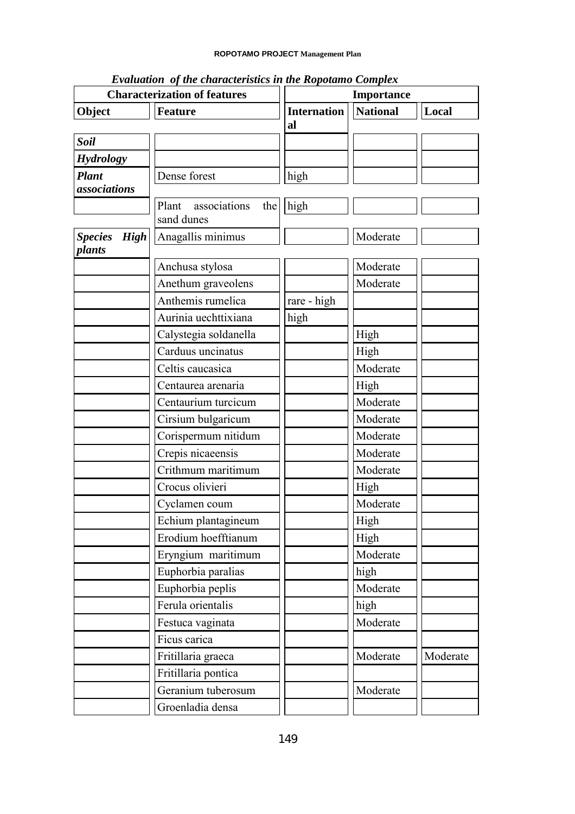| <b>Characterization of features</b>     |                           | Importance         |                 |          |
|-----------------------------------------|---------------------------|--------------------|-----------------|----------|
| Object                                  | <b>Feature</b>            | <b>Internation</b> | <b>National</b> | Local    |
|                                         |                           | al                 |                 |          |
| <b>Soil</b>                             |                           |                    |                 |          |
| <b>Hydrology</b>                        |                           |                    |                 |          |
| <b>Plant</b>                            | Dense forest              | high               |                 |          |
| associations                            |                           |                    |                 |          |
|                                         | Plant associations<br>the | high               |                 |          |
|                                         | sand dunes                |                    |                 |          |
| <b>Species</b><br><b>High</b><br>plants | Anagallis minimus         |                    | Moderate        |          |
|                                         | Anchusa stylosa           |                    | Moderate        |          |
|                                         | Anethum graveolens        |                    | Moderate        |          |
|                                         | Anthemis rumelica         | rare - high        |                 |          |
|                                         | Aurinia uechttixiana      | high               |                 |          |
|                                         | Calystegia soldanella     |                    | High            |          |
|                                         | Carduus uncinatus         |                    | High            |          |
|                                         | Celtis caucasica          |                    | Moderate        |          |
|                                         | Centaurea arenaria        |                    | High            |          |
|                                         | Centaurium turcicum       |                    | Moderate        |          |
|                                         | Cirsium bulgaricum        |                    | Moderate        |          |
|                                         | Corispermum nitidum       |                    | Moderate        |          |
|                                         | Crepis nicaeensis         |                    | Moderate        |          |
|                                         | Crithmum maritimum        |                    | Moderate        |          |
|                                         | Crocus olivieri           |                    | High            |          |
|                                         | Cyclamen coum             |                    | Moderate        |          |
|                                         | Echium plantagineum       |                    | High            |          |
|                                         | Erodium hoefftianum       |                    | High            |          |
|                                         | Eryngium maritimum        |                    | Moderate        |          |
|                                         | Euphorbia paralias        |                    | high            |          |
|                                         | Euphorbia peplis          |                    | Moderate        |          |
|                                         | Ferula orientalis         |                    | high            |          |
|                                         | Festuca vaginata          |                    | Moderate        |          |
|                                         | Ficus carica              |                    |                 |          |
|                                         | Fritillaria graeca        |                    | Moderate        | Moderate |
|                                         | Fritillaria pontica       |                    |                 |          |
|                                         | Geranium tuberosum        |                    | Moderate        |          |
|                                         | Groenladia densa          |                    |                 |          |

*Evaluation of the characteristics in the Ropotamo Complex*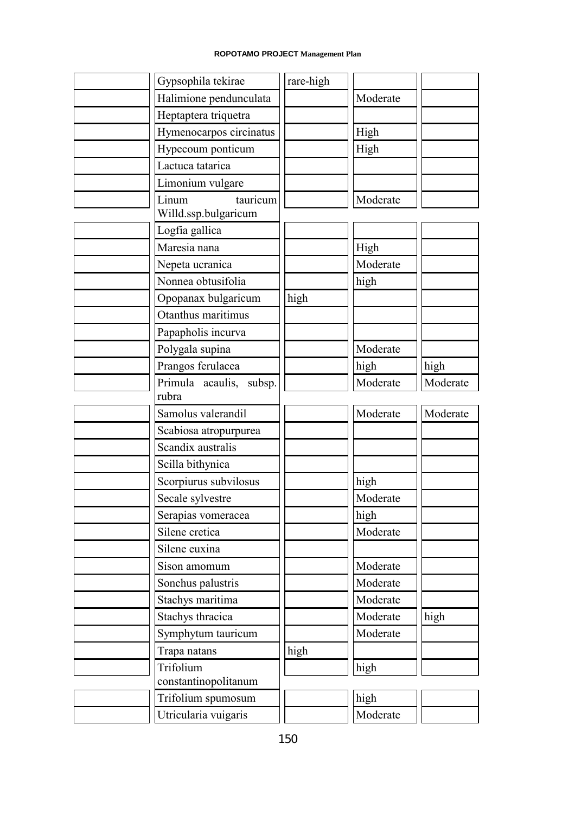| Gypsophila tekirae            | rare-high |          |          |
|-------------------------------|-----------|----------|----------|
| Halimione pendunculata        |           | Moderate |          |
| Heptaptera triquetra          |           |          |          |
| Hymenocarpos circinatus       |           | High     |          |
| Hypecoum ponticum             |           | High     |          |
| Lactuca tatarica              |           |          |          |
| Limonium vulgare              |           |          |          |
| Linum<br>Willd.ssp.bulgaricum | tauricum  | Moderate |          |
| Logfia gallica                |           |          |          |
| Maresia nana                  |           | High     |          |
| Nepeta ucranica               |           | Moderate |          |
| Nonnea obtusifolia            |           | high     |          |
| Opopanax bulgaricum           | high      |          |          |
| Otanthus maritimus            |           |          |          |
| Papapholis incurva            |           |          |          |
| Polygala supina               |           | Moderate |          |
| Prangos ferulacea             |           | high     | high     |
| Primula acaulis, subsp.       |           | Moderate | Moderate |
| rubra                         |           |          |          |
| Samolus valerandil            |           | Moderate | Moderate |
| Scabiosa atropurpurea         |           |          |          |
| Scandix australis             |           |          |          |
| Scilla bithynica              |           |          |          |
| Scorpiurus subvilosus         |           | high     |          |
| Secale sylvestre              |           | Moderate |          |
| Serapias vomeracea            |           | high     |          |
| Silene cretica                |           | Moderate |          |
| Silene euxina                 |           |          |          |
| Sison amomum                  |           | Moderate |          |
| Sonchus palustris             |           | Moderate |          |
| Stachys maritima              |           | Moderate |          |
| Stachys thracica              |           | Moderate | high     |
| Symphytum tauricum            |           | Moderate |          |
| Trapa natans                  | high      |          |          |
| Trifolium                     |           | high     |          |
| constantinopolitanum          |           |          |          |
| Trifolium spumosum            |           | high     |          |
|                               |           |          |          |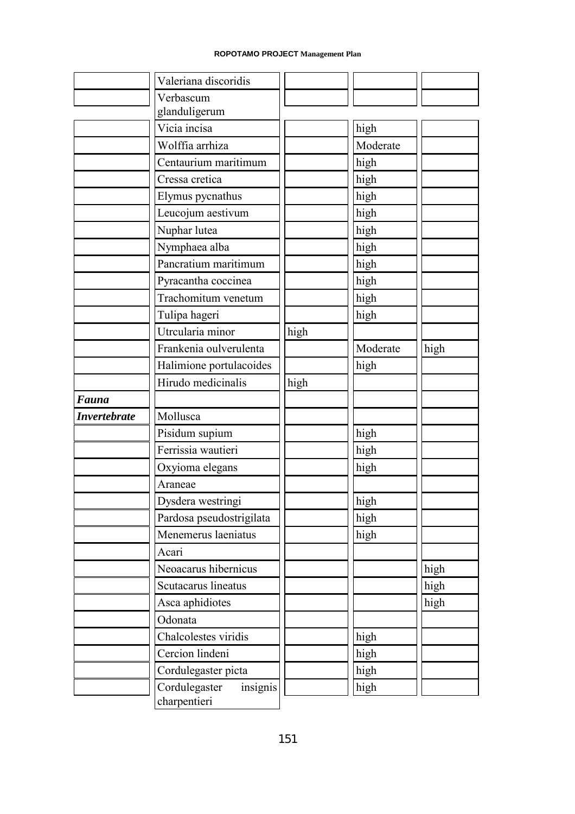|                     | Valeriana discoridis                      |      |          |      |
|---------------------|-------------------------------------------|------|----------|------|
|                     | Verbascum                                 |      |          |      |
|                     | glanduligerum                             |      |          |      |
|                     | Vicia incisa                              |      | high     |      |
|                     | Wolffia arrhiza                           |      | Moderate |      |
|                     | Centaurium maritimum                      |      | high     |      |
|                     | Cressa cretica                            |      | high     |      |
|                     | Elymus pycnathus                          |      | high     |      |
|                     | Leucojum aestivum                         |      | high     |      |
|                     | Nuphar lutea                              |      | high     |      |
|                     | Nymphaea alba                             |      | high     |      |
|                     | Pancratium maritimum                      |      | high     |      |
|                     | Pyracantha coccinea                       |      | high     |      |
|                     | Trachomitum venetum                       |      | high     |      |
|                     | Tulipa hageri                             |      | high     |      |
|                     | Utrcularia minor                          | high |          |      |
|                     | Frankenia oulverulenta                    |      | Moderate | high |
|                     | Halimione portulacoides                   |      | high     |      |
|                     | Hirudo medicinalis                        | high |          |      |
| Fauna               |                                           |      |          |      |
| <b>Invertebrate</b> | Mollusca                                  |      |          |      |
|                     | Pisidum supium                            |      | high     |      |
|                     | Ferrissia wautieri                        |      | high     |      |
|                     | Oxyioma elegans                           |      | high     |      |
|                     | Araneae                                   |      |          |      |
|                     | Dysdera westringi                         |      | high     |      |
|                     | Pardosa pseudostrigilata                  |      | high     |      |
|                     | Menemerus laeniatus                       |      | high     |      |
|                     | Acari                                     |      |          |      |
|                     | Neoacarus hibernicus                      |      |          | high |
|                     | Scutacarus lineatus                       |      |          | high |
|                     | Asca aphidiotes                           |      |          | high |
|                     | Odonata                                   |      |          |      |
|                     | Chalcolestes viridis                      |      | high     |      |
|                     | Cercion lindeni                           |      | high     |      |
|                     | Cordulegaster picta                       |      | high     |      |
|                     | Cordulegaster<br>insignis<br>charpentieri |      | high     |      |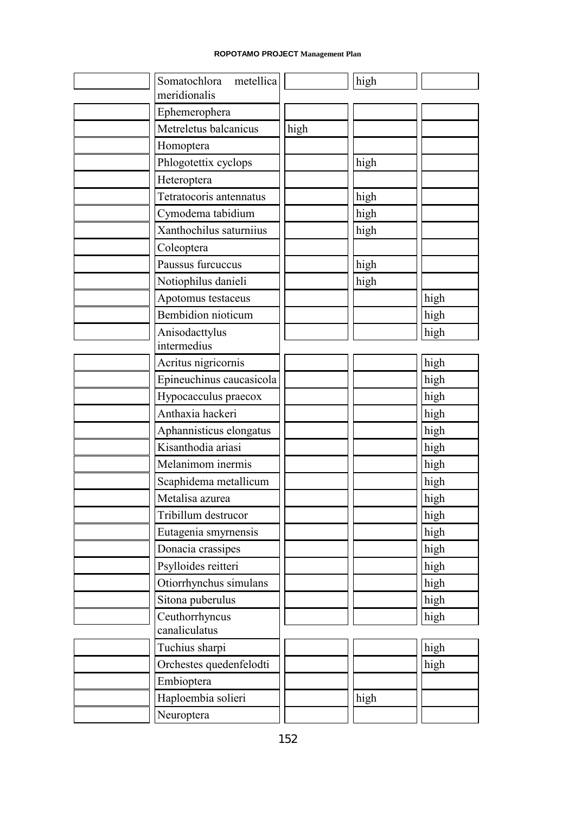| Somatochlora metellica<br>meridionalis |      | high |      |
|----------------------------------------|------|------|------|
| Ephemerophera                          |      |      |      |
| Metreletus balcanicus                  | high |      |      |
| Homoptera                              |      |      |      |
| Phlogotettix cyclops                   |      | high |      |
| Heteroptera                            |      |      |      |
| Tetratocoris antennatus                |      | high |      |
| Cymodema tabidium                      |      | high |      |
| Xanthochilus saturniius                |      | high |      |
| Coleoptera                             |      |      |      |
| Paussus furcuccus                      |      | high |      |
| Notiophilus danieli                    |      | high |      |
| Apotomus testaceus                     |      |      | high |
| <b>Bembidion</b> nioticum              |      |      | high |
| Anisodacttylus                         |      |      | high |
| intermedius                            |      |      |      |
| Acritus nigricornis                    |      |      | high |
| Epineuchinus caucasicola               |      |      | high |
| Hypocacculus praecox                   |      |      | high |
| Anthaxia hackeri                       |      |      | high |
| Aphannisticus elongatus                |      |      | high |
| Kisanthodia ariasi                     |      |      | high |
| Melanimom inermis                      |      |      | high |
| Scaphidema metallicum                  |      |      | high |
| Metalisa azurea                        |      |      | high |
| Tribillum destrucor                    |      |      | high |
| Eutagenia smyrnensis                   |      |      | high |
| Donacia crassipes                      |      |      | high |
| Psylloides reitteri                    |      |      | high |
| Otiorrhynchus simulans                 |      |      | high |
| Sitona puberulus                       |      |      | high |
| Ceuthorrhyncus                         |      |      | high |
| canaliculatus                          |      |      |      |
| Tuchius sharpi                         |      |      | high |
| Orchestes quedenfelodti                |      |      | high |
| Embioptera                             |      |      |      |
| Haploembia solieri                     |      | high |      |
| Neuroptera                             |      |      |      |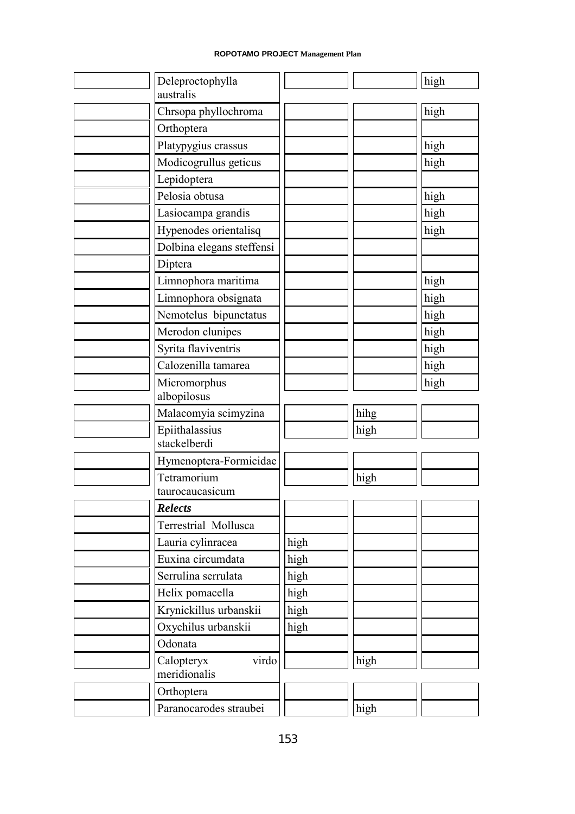| Deleproctophylla<br>australis  |      |      | high |
|--------------------------------|------|------|------|
| Chrsopa phyllochroma           |      |      | high |
| Orthoptera                     |      |      |      |
| Platypygius crassus            |      |      | high |
| Modicogrullus geticus          |      |      | high |
| Lepidoptera                    |      |      |      |
| Pelosia obtusa                 |      |      | high |
| Lasiocampa grandis             |      |      | high |
| Hypenodes orientalisq          |      |      | high |
| Dolbina elegans steffensi      |      |      |      |
| Diptera                        |      |      |      |
| Limnophora maritima            |      |      | high |
| Limnophora obsignata           |      |      | high |
| Nemotelus bipunctatus          |      |      | high |
| Merodon clunipes               |      |      | high |
| Syrita flaviventris            |      |      | high |
| Calozenilla tamarea            |      |      |      |
|                                |      |      | high |
| Micromorphus<br>albopilosus    |      |      | high |
| Malacomyia scimyzina           |      | hihg |      |
| Epiithalassius<br>stackelberdi |      | high |      |
| Hymenoptera-Formicidae         |      |      |      |
| Tetramorium                    |      | high |      |
| taurocaucasicum                |      |      |      |
| Relects                        |      |      |      |
| Terrestrial Mollusca           |      |      |      |
| Lauria cylinracea              | high |      |      |
| Euxina circumdata              | high |      |      |
| Serrulina serrulata            | high |      |      |
| Helix pomacella                | high |      |      |
| Krynickillus urbanskii         | high |      |      |
| Oxychilus urbanskii            | high |      |      |
| Odonata                        |      |      |      |
| Calopteryx<br>virdo            |      | high |      |
| meridionalis                   |      |      |      |
| Orthoptera                     |      |      |      |
|                                |      | high |      |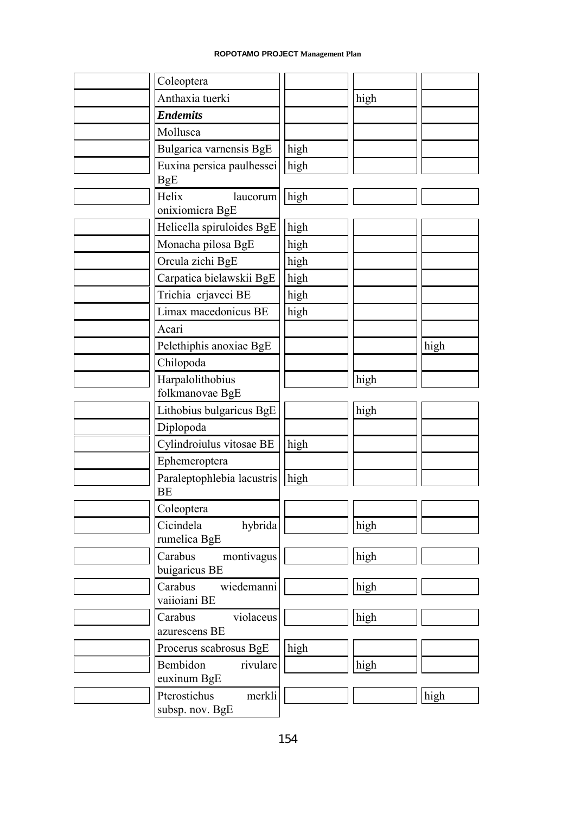| Coleoptera                                |      |      |      |
|-------------------------------------------|------|------|------|
| Anthaxia tuerki                           |      | high |      |
| <b>Endemits</b>                           |      |      |      |
| Mollusca                                  |      |      |      |
| Bulgarica varnensis BgE                   | high |      |      |
| Euxina persica paulhessei<br><b>BgE</b>   | high |      |      |
| Helix<br>laucorum                         | high |      |      |
| onixiomicra BgE                           |      |      |      |
| Helicella spiruloides BgE                 | high |      |      |
| Monacha pilosa BgE                        | high |      |      |
| Orcula zichi BgE                          | high |      |      |
| Carpatica bielawskii BgE                  | high |      |      |
| Trichia erjaveci BE                       | high |      |      |
| Limax macedonicus BE                      | high |      |      |
| Acari                                     |      |      |      |
| Pelethiphis anoxiae BgE                   |      |      | high |
| Chilopoda                                 |      |      |      |
| Harpalolithobius                          |      | high |      |
| folkmanovae BgE                           |      |      |      |
| Lithobius bulgaricus BgE                  |      | high |      |
| Diplopoda                                 |      |      |      |
| Cylindroiulus vitosae BE                  | high |      |      |
| Ephemeroptera                             |      |      |      |
| Paraleptophlebia lacustris<br><b>BE</b>   | high |      |      |
| Coleoptera                                |      |      |      |
| Cicindela<br>hybrida                      |      | high |      |
| rumelica BgE<br>Carabus<br>montivagus     |      | high |      |
| buigaricus BE                             |      |      |      |
| Carabus<br>wiedemanni                     |      | high |      |
| vaiioiani BE                              |      |      |      |
| Carabus<br>violaceus                      |      | high |      |
| azurescens BE                             |      |      |      |
| Procerus scabrosus BgE                    | high |      |      |
| rivulare<br>Bembidon                      |      | high |      |
| euxinum BgE                               |      |      |      |
| Pterostichus<br>merkli<br>subsp. nov. BgE |      |      | high |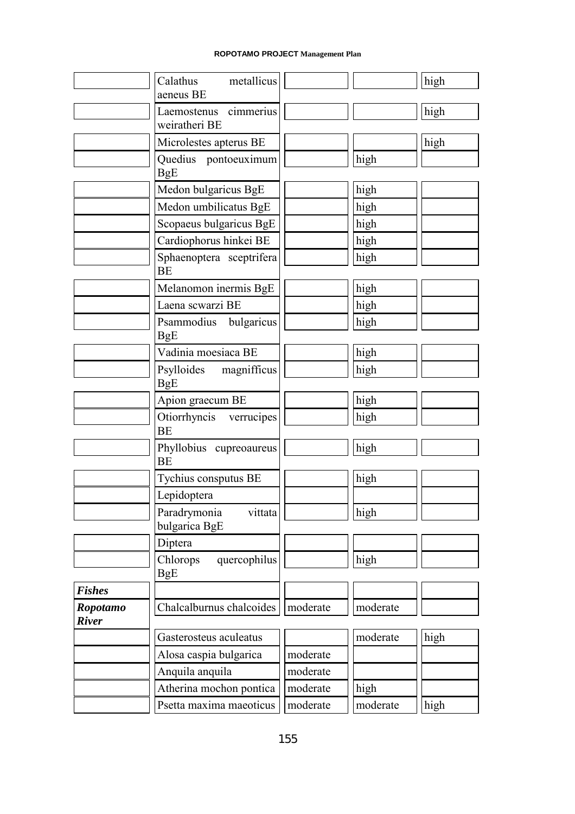|                 | Calathus metallicus                      |          |          | high |
|-----------------|------------------------------------------|----------|----------|------|
|                 | aeneus BE                                |          |          |      |
|                 | Laemostenus cimmerius<br>weiratheri BE   |          |          | high |
|                 | Microlestes apterus BE                   |          |          | high |
|                 | Quedius pontoeuximum<br><b>BgE</b>       |          | high     |      |
|                 | Medon bulgaricus BgE                     |          | high     |      |
|                 |                                          |          |          |      |
|                 | Medon umbilicatus BgE                    |          | high     |      |
|                 | Scopaeus bulgaricus BgE                  |          | high     |      |
|                 | Cardiophorus hinkei BE                   |          | high     |      |
|                 | Sphaenoptera sceptrifera<br><b>BE</b>    |          | high     |      |
|                 | Melanomon inermis BgE                    |          | high     |      |
|                 | Laena scwarzi BE                         |          | high     |      |
|                 | Psammodius bulgaricus<br><b>BgE</b>      |          | high     |      |
|                 | Vadinia moesiaca BE                      |          | high     |      |
|                 | Psylloides magnifficus                   |          | high     |      |
|                 | <b>BgE</b>                               |          |          |      |
|                 | Apion graecum BE                         |          | high     |      |
|                 | Otiorrhyncis verrucipes<br><b>BE</b>     |          | high     |      |
|                 | Phyllobius cupreoaureus<br><b>BE</b>     |          | high     |      |
|                 | Tychius consputus BE                     |          | high     |      |
|                 | Lepidoptera                              |          |          |      |
|                 | Paradrymonia<br>vittata<br>bulgarica BgE |          | high     |      |
|                 | Diptera                                  |          |          |      |
|                 | Chlorops<br>quercophilus                 |          | high     |      |
| <b>Fishes</b>   | <b>BgE</b>                               |          |          |      |
| <b>Ropotamo</b> | Chalcalburnus chalcoides                 | moderate | moderate |      |
| <b>River</b>    |                                          |          |          |      |
|                 | Gasterosteus aculeatus                   |          | moderate | high |
|                 | Alosa caspia bulgarica                   | moderate |          |      |
|                 | Anquila anquila                          | moderate |          |      |
|                 | Atherina mochon pontica                  | moderate | high     |      |
|                 | Psetta maxima maeoticus                  | moderate | moderate | high |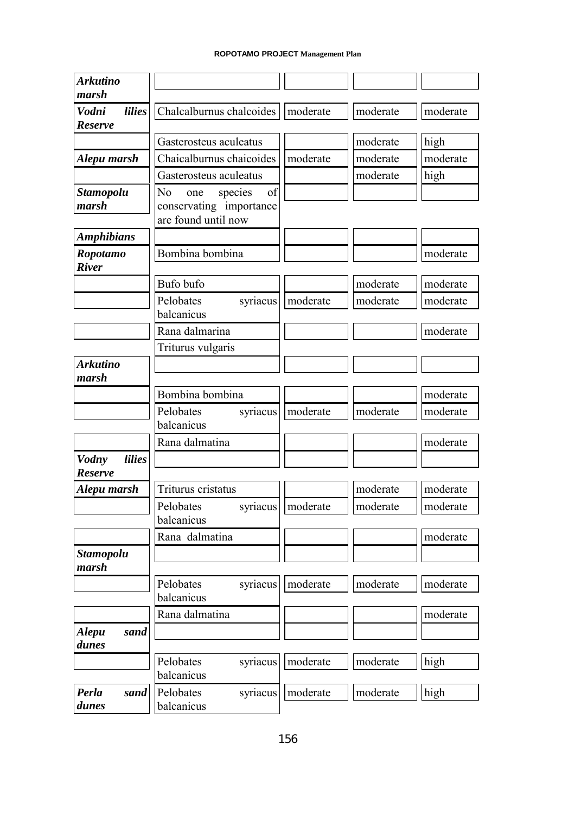| <b>Arkutino</b>                          |                                        |          |          |          |
|------------------------------------------|----------------------------------------|----------|----------|----------|
| marsh                                    |                                        |          |          |          |
| Vodni<br><i>lilies</i><br><b>Reserve</b> | Chalcalburnus chalcoides               | moderate | moderate | moderate |
|                                          | Gasterosteus aculeatus                 |          | moderate | high     |
| Alepu marsh                              | Chaicalburnus chaicoides               | moderate | moderate | moderate |
|                                          | Gasterosteus aculeatus                 |          | moderate | high     |
| <b>Stamopolu</b>                         | N <sub>0</sub><br>of<br>species<br>one |          |          |          |
| marsh                                    | conservating importance                |          |          |          |
|                                          | are found until now                    |          |          |          |
| <b>Amphibians</b>                        |                                        |          |          |          |
| <b>Ropotamo</b>                          | Bombina bombina                        |          |          | moderate |
| <b>River</b>                             |                                        |          |          |          |
|                                          | Bufo bufo                              |          | moderate | moderate |
|                                          | Pelobates<br>syriacus                  | moderate | moderate | moderate |
|                                          | balcanicus                             |          |          |          |
|                                          | Rana dalmarina                         |          |          | moderate |
|                                          | Triturus vulgaris                      |          |          |          |
| Arkutino                                 |                                        |          |          |          |
| marsh                                    |                                        |          |          |          |
|                                          | Bombina bombina                        |          |          | moderate |
|                                          | Pelobates<br>syriacus                  | moderate | moderate | moderate |
|                                          | balcanicus                             |          |          |          |
|                                          | Rana dalmatina                         |          |          | moderate |
| <i>lilies</i><br><b>Vodny</b>            |                                        |          |          |          |
| <b>Reserve</b>                           |                                        |          |          |          |
| Alepu marsh                              | Triturus cristatus                     |          | moderate | moderate |
|                                          | Pelobates<br>syriacus                  | moderate | moderate | moderate |
|                                          | balcanicus                             |          |          |          |
|                                          | Rana dalmatina                         |          |          | moderate |
| <b>Stamopolu</b>                         |                                        |          |          |          |
| marsh                                    |                                        |          |          |          |
|                                          | syriacus<br>Pelobates                  | moderate | moderate | moderate |
|                                          | balcanicus                             |          |          |          |
|                                          | Rana dalmatina                         |          |          | moderate |
| <b>Alepu</b><br>sand                     |                                        |          |          |          |
| dunes                                    |                                        |          |          |          |
|                                          | Pelobates<br>syriacus                  | moderate | moderate | high     |
|                                          | balcanicus                             |          |          |          |
| Perla<br>sand<br>dunes                   | Pelobates<br>syriacus                  | moderate | moderate | high     |
|                                          | balcanicus                             |          |          |          |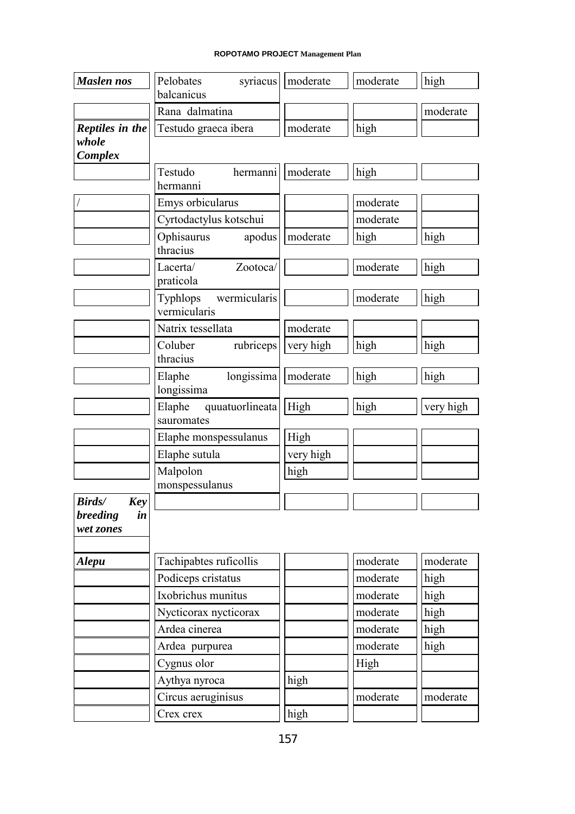| <b>Maslen nos</b>                   | syriacus<br>Pelobates                    | moderate  | moderate | high      |
|-------------------------------------|------------------------------------------|-----------|----------|-----------|
|                                     | balcanicus                               |           |          |           |
|                                     | Rana dalmatina                           |           |          | moderate  |
| Reptiles in the<br>whole<br>Complex | Testudo graeca ibera                     | moderate  | high     |           |
|                                     | Testudo<br>hermanni<br>hermanni          | moderate  | high     |           |
|                                     | Emys orbicularus                         |           | moderate |           |
|                                     | Cyrtodactylus kotschui                   |           | moderate |           |
|                                     | Ophisaurus<br>apodus<br>thracius         | moderate  | high     | high      |
|                                     | Zootoca/<br>Lacerta/<br>praticola        |           | moderate | high      |
|                                     | wermicularis<br>Typhlops<br>vermicularis |           | moderate | high      |
|                                     | Natrix tessellata                        | moderate  |          |           |
|                                     | Coluber<br>rubriceps                     | very high | high     | high      |
|                                     | thracius                                 |           |          |           |
|                                     | longissima<br>Elaphe<br>longissima       | moderate  | high     | high      |
|                                     | Elaphe<br>quuatuorlineata<br>sauromates  | High      | high     | very high |
|                                     | Elaphe monspessulanus                    | High      |          |           |
|                                     | Elaphe sutula                            | very high |          |           |
|                                     | Malpolon<br>monspessulanus               | high      |          |           |
| Birds/<br>Key                       |                                          |           |          |           |
| breeding<br>in<br>wet zones         |                                          |           |          |           |
| <b>Alepu</b>                        | Tachipabtes ruficollis                   |           | moderate | moderate  |
|                                     | Podiceps cristatus                       |           | moderate | high      |
|                                     | Ixobrichus munitus                       |           | moderate | high      |
|                                     | Nycticorax nycticorax                    |           | moderate | high      |
|                                     | Ardea cinerea                            |           | moderate | high      |
|                                     | Ardea purpurea                           |           | moderate | high      |
|                                     | Cygnus olor                              |           | High     |           |
|                                     | Aythya nyroca                            | high      |          |           |
|                                     | Circus aeruginisus                       |           | moderate | moderate  |
|                                     | Crex crex                                | high      |          |           |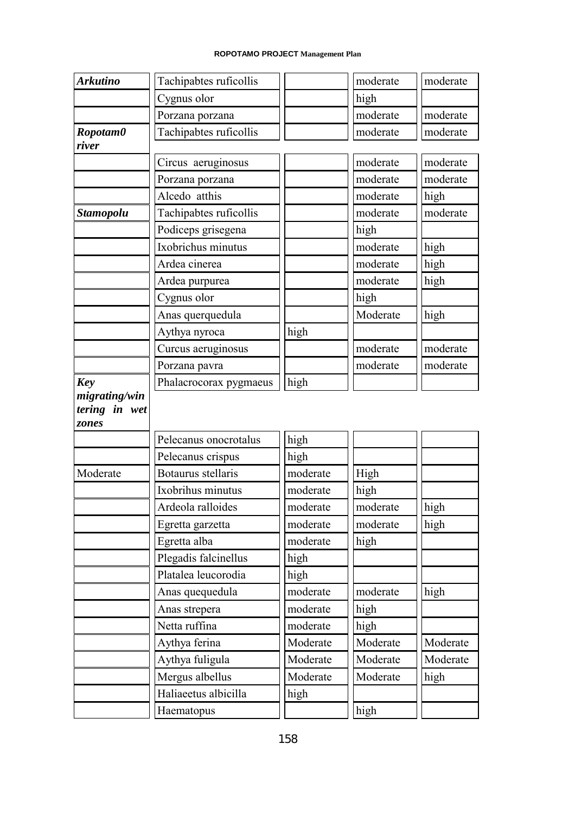| <b>Arkutino</b>        | Tachipabtes ruficollis |          | moderate | moderate |
|------------------------|------------------------|----------|----------|----------|
|                        | Cygnus olor            |          | high     |          |
|                        | Porzana porzana        |          | moderate | moderate |
| Ropotam0<br>river      | Tachipabtes ruficollis |          | moderate | moderate |
|                        | Circus aeruginosus     |          | moderate | moderate |
|                        | Porzana porzana        |          | moderate | moderate |
|                        | Alcedo atthis          |          | moderate | high     |
| <b>Stamopolu</b>       | Tachipabtes ruficollis |          | moderate | moderate |
|                        | Podiceps grisegena     |          | high     |          |
|                        | Ixobrichus minutus     |          | moderate | high     |
|                        | Ardea cinerea          |          | moderate | high     |
|                        | Ardea purpurea         |          | moderate | high     |
|                        | Cygnus olor            |          | high     |          |
|                        | Anas querquedula       |          | Moderate | high     |
|                        | Aythya nyroca          | high     |          |          |
|                        | Curcus aeruginosus     |          | moderate | moderate |
|                        | Porzana pavra          |          | moderate | moderate |
| <b>Key</b>             | Phalacrocorax pygmaeus | high     |          |          |
| tering in wet<br>zones |                        |          |          |          |
|                        | Pelecanus onocrotalus  | high     |          |          |
|                        | Pelecanus crispus      | high     |          |          |
| Moderate               | Botaurus stellaris     | moderate | High     |          |
|                        | Ixobrihus minutus      | moderate | high     |          |
|                        | Ardeola ralloides      | moderate | moderate | high     |
|                        | Egretta garzetta       | moderate | moderate | high     |
|                        | Egretta alba           | moderate | high     |          |
|                        | Plegadis falcinellus   | high     |          |          |
|                        | Platalea leucorodia    | high     |          |          |
|                        | Anas quequedula        | moderate | moderate | high     |
|                        | Anas strepera          | moderate | high     |          |
|                        | Netta ruffina          | moderate | high     |          |
|                        | Aythya ferina          | Moderate | Moderate | Moderate |
|                        | Aythya fuligula        | Moderate | Moderate | Moderate |
|                        | Mergus albellus        | Moderate | Moderate | high     |
|                        | Haliaeetus albicilla   | high     |          |          |
|                        |                        |          | high     |          |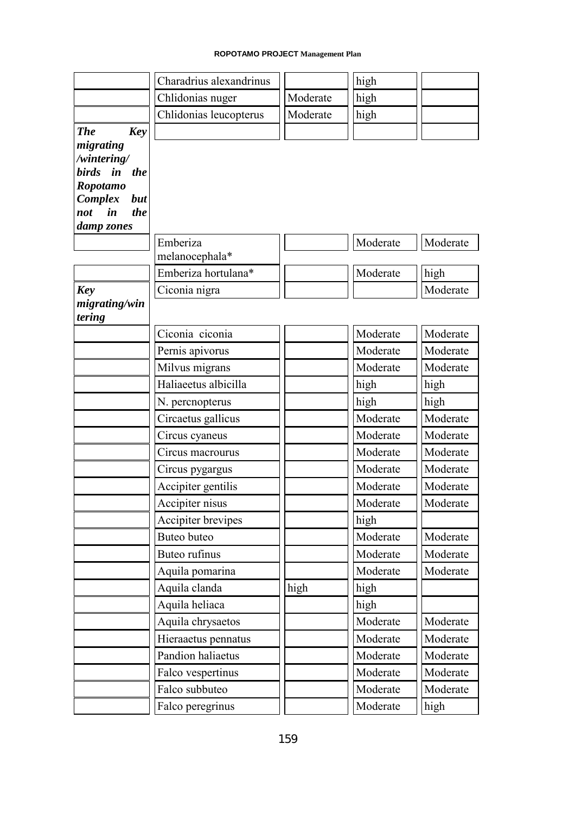|                                            | Charadrius alexandrinus |          | high     |          |
|--------------------------------------------|-------------------------|----------|----------|----------|
|                                            | Chlidonias nuger        | Moderate | high     |          |
|                                            | Chlidonias leucopterus  | Moderate | high     |          |
| <b>The</b><br><b>Key</b><br>migrating      |                         |          |          |          |
| /wintering/                                |                         |          |          |          |
| birds in the                               |                         |          |          |          |
| Ropotamo                                   |                         |          |          |          |
| Complex<br>but<br>$\dot{i}n$<br>the<br>not |                         |          |          |          |
| damp zones                                 |                         |          |          |          |
|                                            | Emberiza                |          | Moderate | Moderate |
|                                            | melanocephala*          |          |          |          |
|                                            | Emberiza hortulana*     |          | Moderate | high     |
| <b>Key</b>                                 | Ciconia nigra           |          |          | Moderate |
| migrating/win<br>tering                    |                         |          |          |          |
|                                            | Ciconia ciconia         |          | Moderate | Moderate |
|                                            | Pernis apivorus         |          | Moderate | Moderate |
|                                            | Milvus migrans          |          | Moderate | Moderate |
|                                            | Haliaeetus albicilla    |          | high     | high     |
|                                            | N. percnopterus         |          | high     | high     |
|                                            | Circaetus gallicus      |          | Moderate | Moderate |
|                                            | Circus cyaneus          |          | Moderate | Moderate |
|                                            | Circus macrourus        |          | Moderate | Moderate |
|                                            | Circus pygargus         |          | Moderate | Moderate |
|                                            | Accipiter gentilis      |          | Moderate | Moderate |
|                                            | Accipiter nisus         |          | Moderate | Moderate |
|                                            | Accipiter brevipes      |          | high     |          |
|                                            | Buteo buteo             |          | Moderate | Moderate |
|                                            | Buteo rufinus           |          | Moderate | Moderate |
|                                            | Aquila pomarina         |          | Moderate | Moderate |
|                                            | Aquila clanda           | high     | high     |          |
|                                            | Aquila heliaca          |          | high     |          |
|                                            | Aquila chrysaetos       |          | Moderate | Moderate |
|                                            | Hieraaetus pennatus     |          | Moderate | Moderate |
|                                            | Pandion haliaetus       |          | Moderate | Moderate |
|                                            | Falco vespertinus       |          | Moderate | Moderate |
|                                            | Falco subbuteo          |          | Moderate | Moderate |
|                                            | Falco peregrinus        |          | Moderate | high     |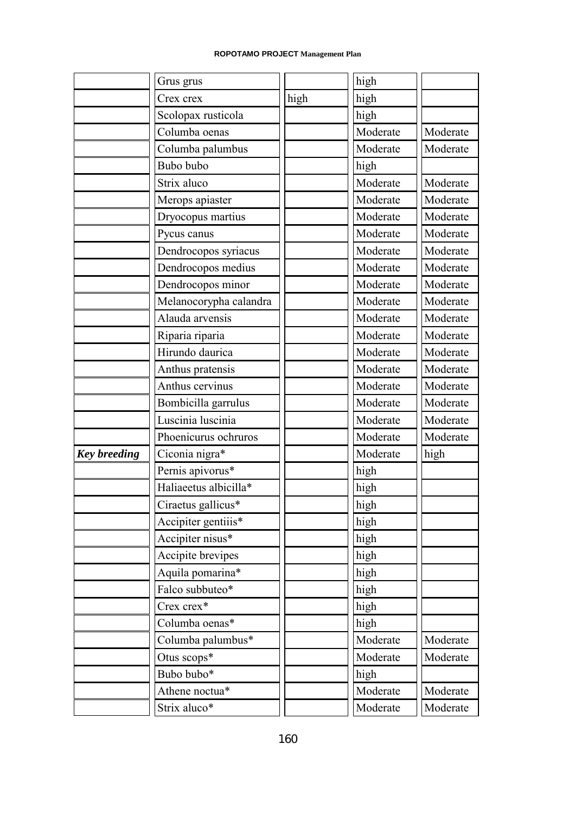|                     | Grus grus              |      | high     |          |
|---------------------|------------------------|------|----------|----------|
|                     | Crex crex              | high | high     |          |
|                     | Scolopax rusticola     |      | high     |          |
|                     | Columba oenas          |      | Moderate | Moderate |
|                     | Columba palumbus       |      | Moderate | Moderate |
|                     | Bubo bubo              |      | high     |          |
|                     | Strix aluco            |      | Moderate | Moderate |
|                     | Merops apiaster        |      | Moderate | Moderate |
|                     | Dryocopus martius      |      | Moderate | Moderate |
|                     | Pycus canus            |      | Moderate | Moderate |
|                     | Dendrocopos syriacus   |      | Moderate | Moderate |
|                     | Dendrocopos medius     |      | Moderate | Moderate |
|                     | Dendrocopos minor      |      | Moderate | Moderate |
|                     | Melanocorypha calandra |      | Moderate | Moderate |
|                     | Alauda arvensis        |      | Moderate | Moderate |
|                     | Riparia riparia        |      | Moderate | Moderate |
|                     | Hirundo daurica        |      | Moderate | Moderate |
|                     | Anthus pratensis       |      | Moderate | Moderate |
|                     | Anthus cervinus        |      | Moderate | Moderate |
|                     | Bombicilla garrulus    |      | Moderate | Moderate |
|                     | Luscinia luscinia      |      | Moderate | Moderate |
|                     | Phoenicurus ochruros   |      | Moderate | Moderate |
| <b>Key breeding</b> | Ciconia nigra*         |      | Moderate | high     |
|                     | Pernis apivorus*       |      | high     |          |
|                     | Haliaeetus albicilla*  |      | high     |          |
|                     | Ciraetus gallicus*     |      | high     |          |
|                     | Accipiter gentiiis*    |      | high     |          |
|                     | Accipiter nisus*       |      | high     |          |
|                     | Accipite brevipes      |      | high     |          |
|                     | Aquila pomarina*       |      | high     |          |
|                     | Falco subbuteo*        |      | high     |          |
|                     | Crex crex*             |      | high     |          |
|                     | Columba oenas*         |      | high     |          |
|                     | Columba palumbus*      |      | Moderate | Moderate |
|                     | Otus scops*            |      | Moderate | Moderate |
|                     | Bubo bubo*             |      | high     |          |
|                     | Athene noctua*         |      | Moderate | Moderate |
|                     | Strix aluco*           |      | Moderate | Moderate |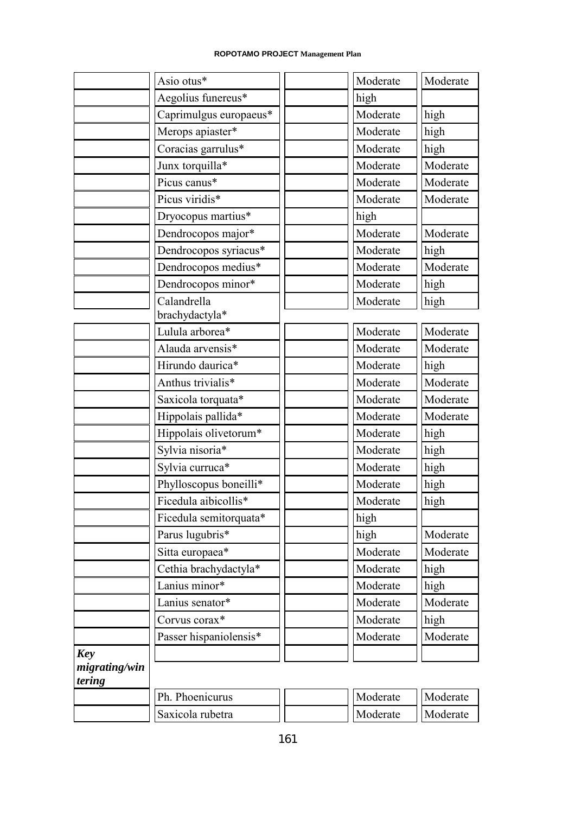|                         | Asio otus*             | Moderate | Moderate |
|-------------------------|------------------------|----------|----------|
|                         | Aegolius funereus*     | high     |          |
|                         | Caprimulgus europaeus* | Moderate | high     |
|                         | Merops apiaster*       | Moderate | high     |
|                         | Coracias garrulus*     | Moderate | high     |
|                         | Junx torquilla*        | Moderate | Moderate |
|                         | Picus canus*           | Moderate | Moderate |
|                         | Picus viridis*         | Moderate | Moderate |
|                         | Dryocopus martius*     | high     |          |
|                         | Dendrocopos major*     | Moderate | Moderate |
|                         | Dendrocopos syriacus*  | Moderate | high     |
|                         | Dendrocopos medius*    | Moderate | Moderate |
|                         | Dendrocopos minor*     | Moderate | high     |
|                         | Calandrella            | Moderate | high     |
|                         | brachydactyla*         |          |          |
|                         | Lulula arborea*        | Moderate | Moderate |
|                         | Alauda arvensis*       | Moderate | Moderate |
|                         | Hirundo daurica*       | Moderate | high     |
|                         | Anthus trivialis*      | Moderate | Moderate |
|                         | Saxicola torquata*     | Moderate | Moderate |
|                         | Hippolais pallida*     | Moderate | Moderate |
|                         | Hippolais olivetorum*  | Moderate | high     |
|                         | Sylvia nisoria*        | Moderate | high     |
|                         | Sylvia curruca*        | Moderate | high     |
|                         | Phylloscopus boneilli* | Moderate | high     |
|                         | Ficedula aibicollis*   | Moderate | high     |
|                         | Ficedula semitorquata* | high     |          |
|                         | Parus lugubris*        | high     | Moderate |
|                         | Sitta europaea*        | Moderate | Moderate |
|                         | Cethia brachydactyla*  | Moderate | high     |
|                         | Lanius minor*          | Moderate | high     |
|                         | Lanius senator*        | Moderate | Moderate |
|                         | Corvus corax*          | Moderate | high     |
|                         | Passer hispaniolensis* | Moderate | Moderate |
| <b>Key</b>              |                        |          |          |
| migrating/win<br>tering |                        |          |          |
|                         | Ph. Phoenicurus        | Moderate | Moderate |
|                         | Saxicola rubetra       | Moderate | Moderate |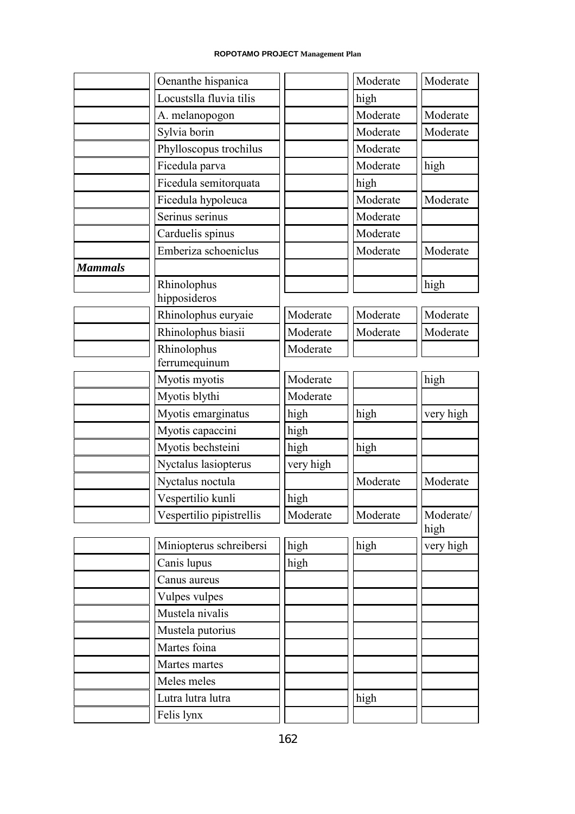|                | Oenanthe hispanica       |           | Moderate | Moderate          |
|----------------|--------------------------|-----------|----------|-------------------|
|                | Locustslla fluvia tilis  |           | high     |                   |
|                | A. melanopogon           |           | Moderate | Moderate          |
|                | Sylvia borin             |           | Moderate | Moderate          |
|                | Phylloscopus trochilus   |           | Moderate |                   |
|                | Ficedula parva           |           | Moderate | high              |
|                | Ficedula semitorquata    |           | high     |                   |
|                | Ficedula hypoleuca       |           | Moderate | Moderate          |
|                | Serinus serinus          |           | Moderate |                   |
|                | Carduelis spinus         |           | Moderate |                   |
|                | Emberiza schoeniclus     |           | Moderate | Moderate          |
| <b>Mammals</b> |                          |           |          |                   |
|                | Rhinolophus              |           |          | high              |
|                | hipposideros             |           |          |                   |
|                | Rhinolophus euryaie      | Moderate  | Moderate | Moderate          |
|                | Rhinolophus biasii       | Moderate  | Moderate | Moderate          |
|                | Rhinolophus              | Moderate  |          |                   |
|                | ferrumequinum            |           |          |                   |
|                | Myotis myotis            | Moderate  |          | high              |
|                | Myotis blythi            | Moderate  |          |                   |
|                | Myotis emarginatus       | high      | high     | very high         |
|                | Myotis capaccini         | high      |          |                   |
|                | Myotis bechsteini        | high      | high     |                   |
|                | Nyctalus lasiopterus     | very high |          |                   |
|                | Nyctalus noctula         |           | Moderate | Moderate          |
|                | Vespertilio kunli        | high      |          |                   |
|                | Vespertilio pipistrellis | Moderate  | Moderate | Moderate/<br>high |
|                | Miniopterus schreibersi  | high      | high     | very high         |
|                | Canis lupus              | high      |          |                   |
|                | Canus aureus             |           |          |                   |
|                | Vulpes vulpes            |           |          |                   |
|                | Mustela nivalis          |           |          |                   |
|                | Mustela putorius         |           |          |                   |
|                | Martes foina             |           |          |                   |
|                | Martes martes            |           |          |                   |
|                | Meles meles              |           |          |                   |
|                | Lutra lutra lutra        |           | high     |                   |
|                | Felis lynx               |           |          |                   |